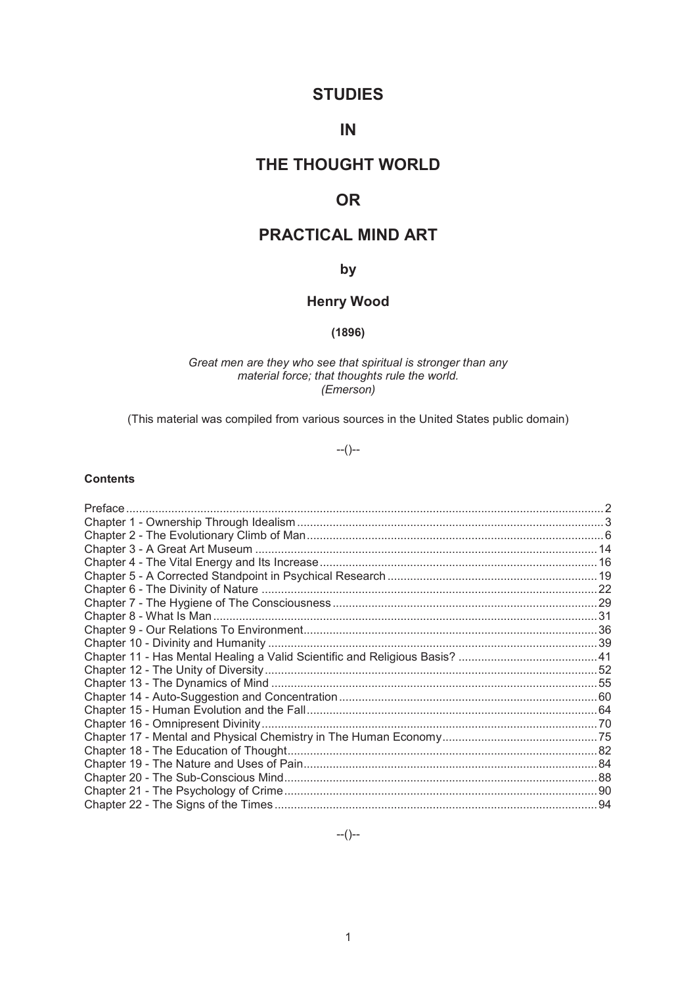# **STUDIES**

# **IN**

# **THE THOUGHT WORLD**

# **OR**

# **PRACTICAL MIND ART**

# **by**

# **Henry Wood**

# **(1896)**

#### *Great men are they who see that spiritual is stronger than any material force; that thoughts rule the world. (Emerson)*

(This material was compiled from various sources in the United States public domain)

--()--

# **Contents**

--()--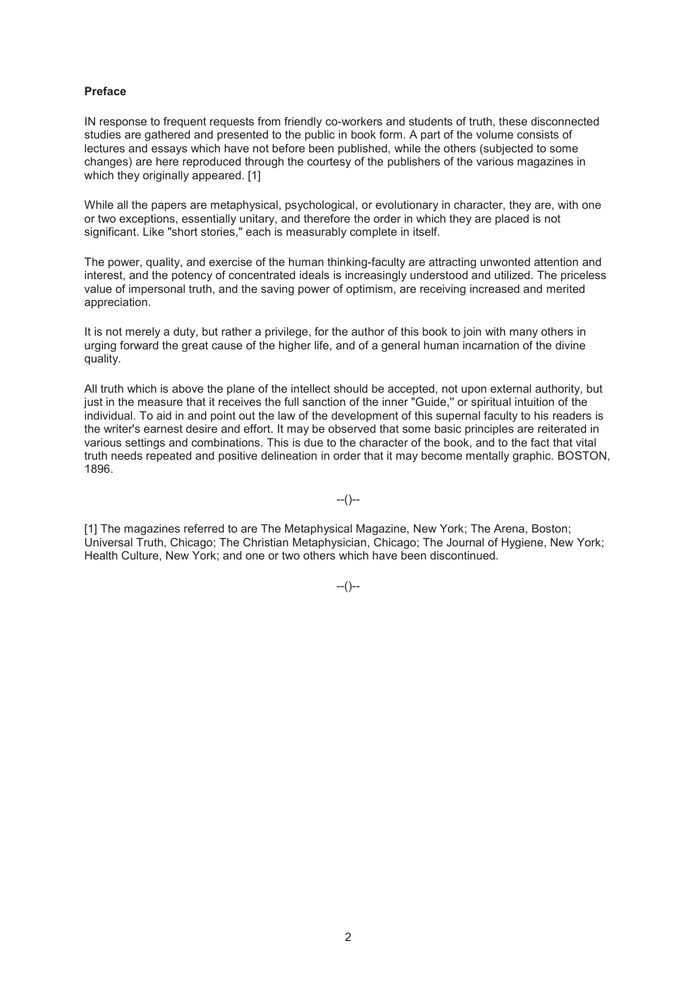# **Preface**

IN response to frequent requests from friendly co-workers and students of truth, these disconnected studies are gathered and presented to the public in book form. A part of the volume consists of lectures and essays which have not before been published, while the others (subjected to some changes) are here reproduced through the courtesy of the publishers of the various magazines in which they originally appeared. [1]

While all the papers are metaphysical, psychological, or evolutionary in character, they are, with one or two exceptions, essentially unitary, and therefore the order in which they are placed is not significant. Like "short stories," each is measurably complete in itself.

The power, quality, and exercise of the human thinking-faculty are attracting unwonted attention and interest, and the potency of concentrated ideals is increasingly understood and utilized. The priceless value of impersonal truth, and the saving power of optimism, are receiving increased and merited appreciation.

It is not merely a duty, but rather a privilege, for the author of this book to join with many others in urging forward the great cause of the higher life, and of a general human incarnation of the divine quality.

All truth which is above the plane of the intellect should be accepted, not upon external authority, but just in the measure that it receives the full sanction of the inner "Guide," or spiritual intuition of the individual. To aid in and point out the law of the development of this supernal faculty to his readers is the writer's earnest desire and effort. It may be observed that some basic principles are reiterated in various settings and combinations. This is due to the character of the book, and to the fact that vital truth needs repeated and positive delineation in order that it may become mentally graphic. BOSTON, 1896.

 $-(-)$ 

[1] The magazines referred to are The Metaphysical Magazine, New York; The Arena, Boston; Universal Truth, Chicago; The Christian Metaphysician, Chicago; The Journal of Hygiene, New York; Health Culture, New York; and one or two others which have been discontinued.

 $-(-)$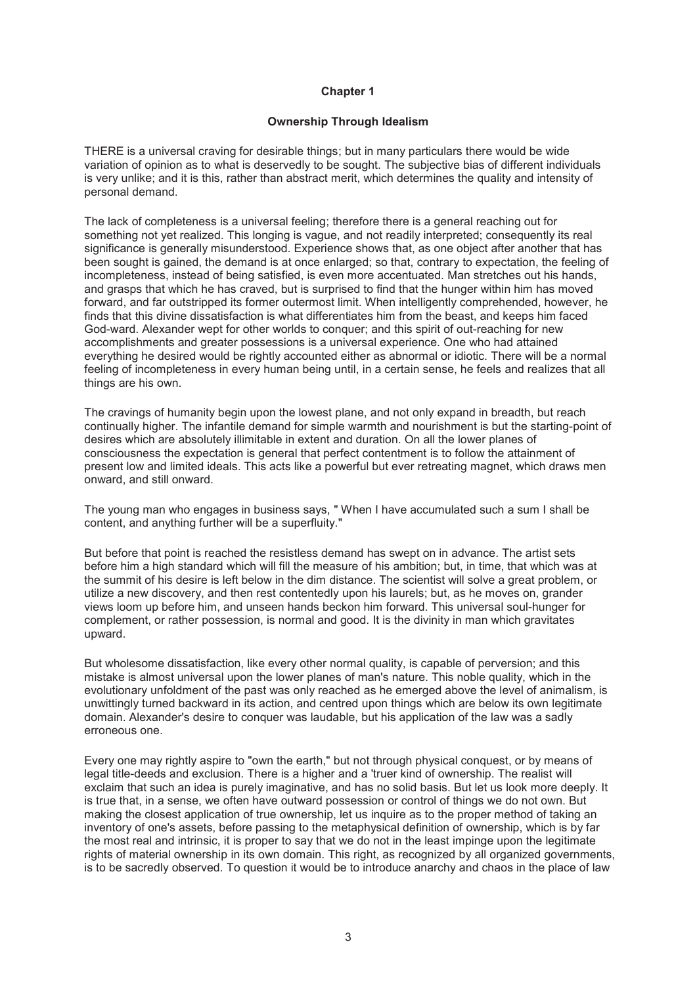## **Ownership Through Idealism**

THERE is a universal craving for desirable things; but in many particulars there would be wide variation of opinion as to what is deservedly to be sought. The subjective bias of different individuals is very unlike; and it is this, rather than abstract merit, which determines the quality and intensity of personal demand.

The lack of completeness is a universal feeling; therefore there is a general reaching out for something not yet realized. This longing is vague, and not readily interpreted; consequently its real significance is generally misunderstood. Experience shows that, as one object after another that has been sought is gained, the demand is at once enlarged; so that, contrary to expectation, the feeling of incompleteness, instead of being satisfied, is even more accentuated. Man stretches out his hands, and grasps that which he has craved, but is surprised to find that the hunger within him has moved forward, and far outstripped its former outermost limit. When intelligently comprehended, however, he finds that this divine dissatisfaction is what differentiates him from the beast, and keeps him faced God-ward. Alexander wept for other worlds to conquer; and this spirit of out-reaching for new accomplishments and greater possessions is a universal experience. One who had attained everything he desired would be rightly accounted either as abnormal or idiotic. There will be a normal feeling of incompleteness in every human being until, in a certain sense, he feels and realizes that all things are his own.

The cravings of humanity begin upon the lowest plane, and not only expand in breadth, but reach continually higher. The infantile demand for simple warmth and nourishment is but the starting-point of desires which are absolutely illimitable in extent and duration. On all the lower planes of consciousness the expectation is general that perfect contentment is to follow the attainment of present low and limited ideals. This acts like a powerful but ever retreating magnet, which draws men onward, and still onward.

The young man who engages in business says, " When I have accumulated such a sum I shall be content, and anything further will be a superfluity."

But before that point is reached the resistless demand has swept on in advance. The artist sets before him a high standard which will fill the measure of his ambition; but, in time, that which was at the summit of his desire is left below in the dim distance. The scientist will solve a great problem, or utilize a new discovery, and then rest contentedly upon his laurels; but, as he moves on, grander views loom up before him, and unseen hands beckon him forward. This universal soul-hunger for complement, or rather possession, is normal and good. It is the divinity in man which gravitates upward.

But wholesome dissatisfaction, like every other normal quality, is capable of perversion; and this mistake is almost universal upon the lower planes of man's nature. This noble quality, which in the evolutionary unfoldment of the past was only reached as he emerged above the level of animalism, is unwittingly turned backward in its action, and centred upon things which are below its own legitimate domain. Alexander's desire to conquer was laudable, but his application of the law was a sadly erroneous one.

Every one may rightly aspire to "own the earth," but not through physical conquest, or by means of legal title-deeds and exclusion. There is a higher and a 'truer kind of ownership. The realist will exclaim that such an idea is purely imaginative, and has no solid basis. But let us look more deeply. It is true that, in a sense, we often have outward possession or control of things we do not own. But making the closest application of true ownership, let us inquire as to the proper method of taking an inventory of one's assets, before passing to the metaphysical definition of ownership, which is by far the most real and intrinsic, it is proper to say that we do not in the least impinge upon the legitimate rights of material ownership in its own domain. This right, as recognized by all organized governments, is to be sacredly observed. To question it would be to introduce anarchy and chaos in the place of law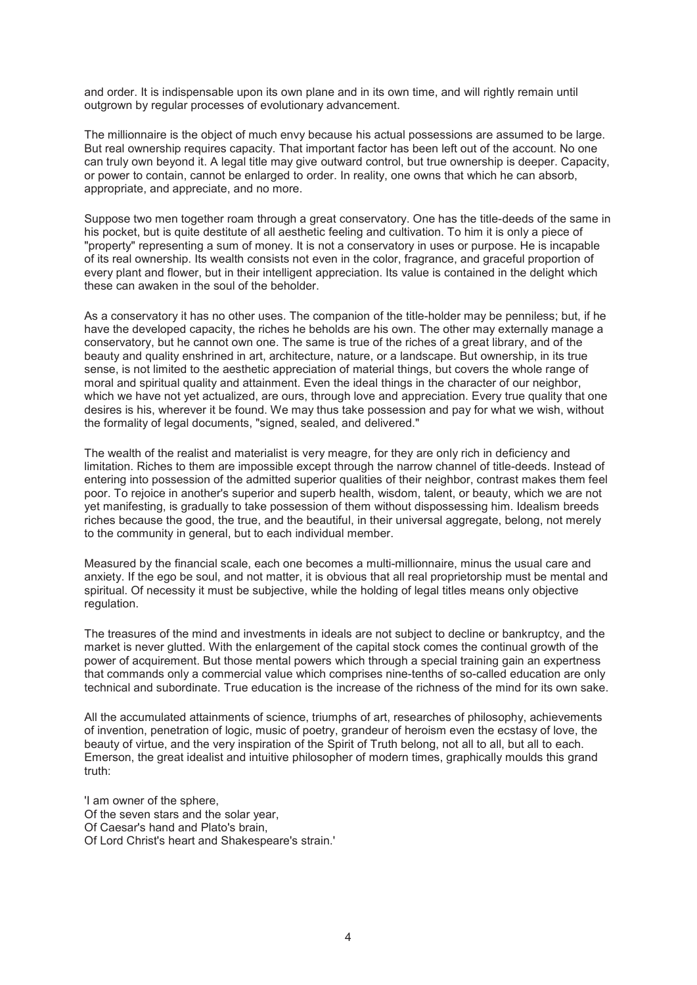and order. It is indispensable upon its own plane and in its own time, and will rightly remain until outgrown by regular processes of evolutionary advancement.

The millionnaire is the object of much envy because his actual possessions are assumed to be large. But real ownership requires capacity. That important factor has been left out of the account. No one can truly own beyond it. A legal title may give outward control, but true ownership is deeper. Capacity, or power to contain, cannot be enlarged to order. In reality, one owns that which he can absorb, appropriate, and appreciate, and no more.

Suppose two men together roam through a great conservatory. One has the title-deeds of the same in his pocket, but is quite destitute of all aesthetic feeling and cultivation. To him it is only a piece of "property" representing a sum of money. It is not a conservatory in uses or purpose. He is incapable of its real ownership. Its wealth consists not even in the color, fragrance, and graceful proportion of every plant and flower, but in their intelligent appreciation. Its value is contained in the delight which these can awaken in the soul of the beholder.

As a conservatory it has no other uses. The companion of the title-holder may be penniless; but, if he have the developed capacity, the riches he beholds are his own. The other may externally manage a conservatory, but he cannot own one. The same is true of the riches of a great library, and of the beauty and quality enshrined in art, architecture, nature, or a landscape. But ownership, in its true sense, is not limited to the aesthetic appreciation of material things, but covers the whole range of moral and spiritual quality and attainment. Even the ideal things in the character of our neighbor, which we have not yet actualized, are ours, through love and appreciation. Every true quality that one desires is his, wherever it be found. We may thus take possession and pay for what we wish, without the formality of legal documents, "signed, sealed, and delivered."

The wealth of the realist and materialist is very meagre, for they are only rich in deficiency and limitation. Riches to them are impossible except through the narrow channel of title-deeds. Instead of entering into possession of the admitted superior qualities of their neighbor, contrast makes them feel poor. To rejoice in another's superior and superb health, wisdom, talent, or beauty, which we are not yet manifesting, is gradually to take possession of them without dispossessing him. Idealism breeds riches because the good, the true, and the beautiful, in their universal aggregate, belong, not merely to the community in general, but to each individual member.

Measured by the financial scale, each one becomes a multi-millionnaire, minus the usual care and anxiety. If the ego be soul, and not matter, it is obvious that all real proprietorship must be mental and spiritual. Of necessity it must be subjective, while the holding of legal titles means only objective regulation.

The treasures of the mind and investments in ideals are not subject to decline or bankruptcy, and the market is never glutted. With the enlargement of the capital stock comes the continual growth of the power of acquirement. But those mental powers which through a special training gain an expertness that commands only a commercial value which comprises nine-tenths of so-called education are only technical and subordinate. True education is the increase of the richness of the mind for its own sake.

All the accumulated attainments of science, triumphs of art, researches of philosophy, achievements of invention, penetration of logic, music of poetry, grandeur of heroism even the ecstasy of love, the beauty of virtue, and the very inspiration of the Spirit of Truth belong, not all to all, but all to each. Emerson, the great idealist and intuitive philosopher of modern times, graphically moulds this grand truth:

'I am owner of the sphere, Of the seven stars and the solar year, Of Caesar's hand and Plato's brain, Of Lord Christ's heart and Shakespeare's strain.'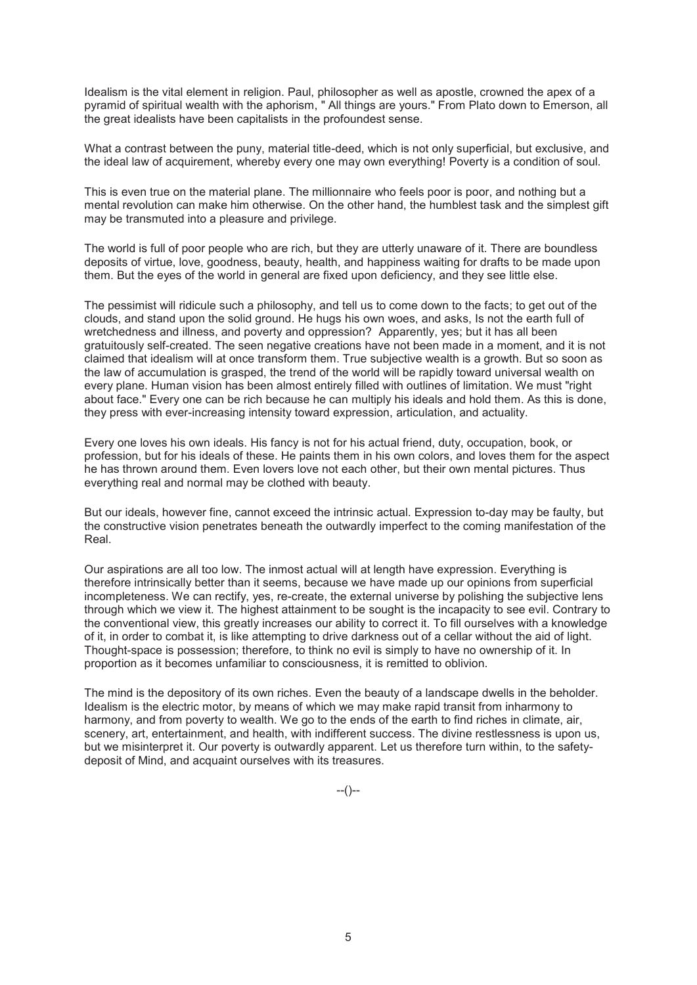Idealism is the vital element in religion. Paul, philosopher as well as apostle, crowned the apex of a pyramid of spiritual wealth with the aphorism, " All things are yours." From Plato down to Emerson, all the great idealists have been capitalists in the profoundest sense.

What a contrast between the puny, material title-deed, which is not only superficial, but exclusive, and the ideal law of acquirement, whereby every one may own everything! Poverty is a condition of soul.

This is even true on the material plane. The millionnaire who feels poor is poor, and nothing but a mental revolution can make him otherwise. On the other hand, the humblest task and the simplest gift may be transmuted into a pleasure and privilege.

The world is full of poor people who are rich, but they are utterly unaware of it. There are boundless deposits of virtue, love, goodness, beauty, health, and happiness waiting for drafts to be made upon them. But the eyes of the world in general are fixed upon deficiency, and they see little else.

The pessimist will ridicule such a philosophy, and tell us to come down to the facts; to get out of the clouds, and stand upon the solid ground. He hugs his own woes, and asks, Is not the earth full of wretchedness and illness, and poverty and oppression? Apparently, yes; but it has all been gratuitously self-created. The seen negative creations have not been made in a moment, and it is not claimed that idealism will at once transform them. True subjective wealth is a growth. But so soon as the law of accumulation is grasped, the trend of the world will be rapidly toward universal wealth on every plane. Human vision has been almost entirely filled with outlines of limitation. We must "right about face." Every one can be rich because he can multiply his ideals and hold them. As this is done, they press with ever-increasing intensity toward expression, articulation, and actuality.

Every one loves his own ideals. His fancy is not for his actual friend, duty, occupation, book, or profession, but for his ideals of these. He paints them in his own colors, and loves them for the aspect he has thrown around them. Even lovers love not each other, but their own mental pictures. Thus everything real and normal may be clothed with beauty.

But our ideals, however fine, cannot exceed the intrinsic actual. Expression to-day may be faulty, but the constructive vision penetrates beneath the outwardly imperfect to the coming manifestation of the Real.

Our aspirations are all too low. The inmost actual will at length have expression. Everything is therefore intrinsically better than it seems, because we have made up our opinions from superficial incompleteness. We can rectify, yes, re-create, the external universe by polishing the subjective lens through which we view it. The highest attainment to be sought is the incapacity to see evil. Contrary to the conventional view, this greatly increases our ability to correct it. To fill ourselves with a knowledge of it, in order to combat it, is like attempting to drive darkness out of a cellar without the aid of light. Thought-space is possession; therefore, to think no evil is simply to have no ownership of it. In proportion as it becomes unfamiliar to consciousness, it is remitted to oblivion.

The mind is the depository of its own riches. Even the beauty of a landscape dwells in the beholder. Idealism is the electric motor, by means of which we may make rapid transit from inharmony to harmony, and from poverty to wealth. We go to the ends of the earth to find riches in climate, air, scenery, art, entertainment, and health, with indifferent success. The divine restlessness is upon us, but we misinterpret it. Our poverty is outwardly apparent. Let us therefore turn within, to the safetydeposit of Mind, and acquaint ourselves with its treasures.

--()--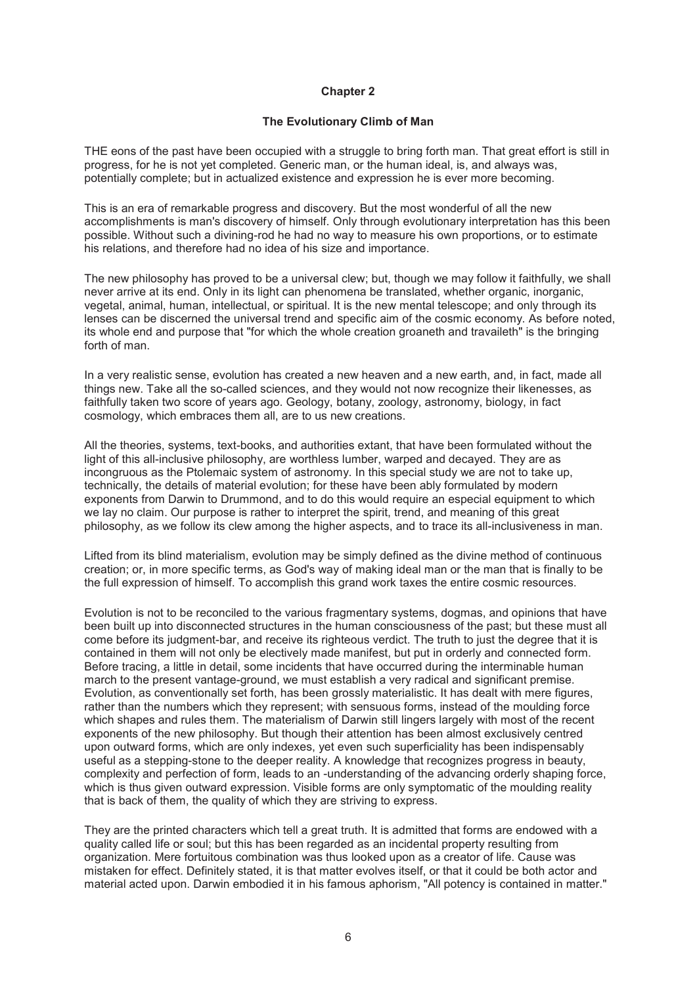## **The Evolutionary Climb of Man**

THE eons of the past have been occupied with a struggle to bring forth man. That great effort is still in progress, for he is not yet completed. Generic man, or the human ideal, is, and always was, potentially complete; but in actualized existence and expression he is ever more becoming.

This is an era of remarkable progress and discovery. But the most wonderful of all the new accomplishments is man's discovery of himself. Only through evolutionary interpretation has this been possible. Without such a divining-rod he had no way to measure his own proportions, or to estimate his relations, and therefore had no idea of his size and importance.

The new philosophy has proved to be a universal clew; but, though we may follow it faithfully, we shall never arrive at its end. Only in its light can phenomena be translated, whether organic, inorganic, vegetal, animal, human, intellectual, or spiritual. It is the new mental telescope; and only through its lenses can be discerned the universal trend and specific aim of the cosmic economy. As before noted, its whole end and purpose that "for which the whole creation groaneth and travaileth" is the bringing forth of man.

In a very realistic sense, evolution has created a new heaven and a new earth, and, in fact, made all things new. Take all the so-called sciences, and they would not now recognize their likenesses, as faithfully taken two score of years ago. Geology, botany, zoology, astronomy, biology, in fact cosmology, which embraces them all, are to us new creations.

All the theories, systems, text-books, and authorities extant, that have been formulated without the light of this all-inclusive philosophy, are worthless lumber, warped and decayed. They are as incongruous as the Ptolemaic system of astronomy. In this special study we are not to take up, technically, the details of material evolution; for these have been ably formulated by modern exponents from Darwin to Drummond, and to do this would require an especial equipment to which we lay no claim. Our purpose is rather to interpret the spirit, trend, and meaning of this great philosophy, as we follow its clew among the higher aspects, and to trace its all-inclusiveness in man.

Lifted from its blind materialism, evolution may be simply defined as the divine method of continuous creation; or, in more specific terms, as God's way of making ideal man or the man that is finally to be the full expression of himself. To accomplish this grand work taxes the entire cosmic resources.

Evolution is not to be reconciled to the various fragmentary systems, dogmas, and opinions that have been built up into disconnected structures in the human consciousness of the past; but these must all come before its judgment-bar, and receive its righteous verdict. The truth to just the degree that it is contained in them will not only be electively made manifest, but put in orderly and connected form. Before tracing, a little in detail, some incidents that have occurred during the interminable human march to the present vantage-ground, we must establish a very radical and significant premise. Evolution, as conventionally set forth, has been grossly materialistic. It has dealt with mere figures, rather than the numbers which they represent; with sensuous forms, instead of the moulding force which shapes and rules them. The materialism of Darwin still lingers largely with most of the recent exponents of the new philosophy. But though their attention has been almost exclusively centred upon outward forms, which are only indexes, yet even such superficiality has been indispensably useful as a stepping-stone to the deeper reality. A knowledge that recognizes progress in beauty, complexity and perfection of form, leads to an -understanding of the advancing orderly shaping force, which is thus given outward expression. Visible forms are only symptomatic of the moulding reality that is back of them, the quality of which they are striving to express.

They are the printed characters which tell a great truth. It is admitted that forms are endowed with a quality called life or soul; but this has been regarded as an incidental property resulting from organization. Mere fortuitous combination was thus looked upon as a creator of life. Cause was mistaken for effect. Definitely stated, it is that matter evolves itself, or that it could be both actor and material acted upon. Darwin embodied it in his famous aphorism, "All potency is contained in matter."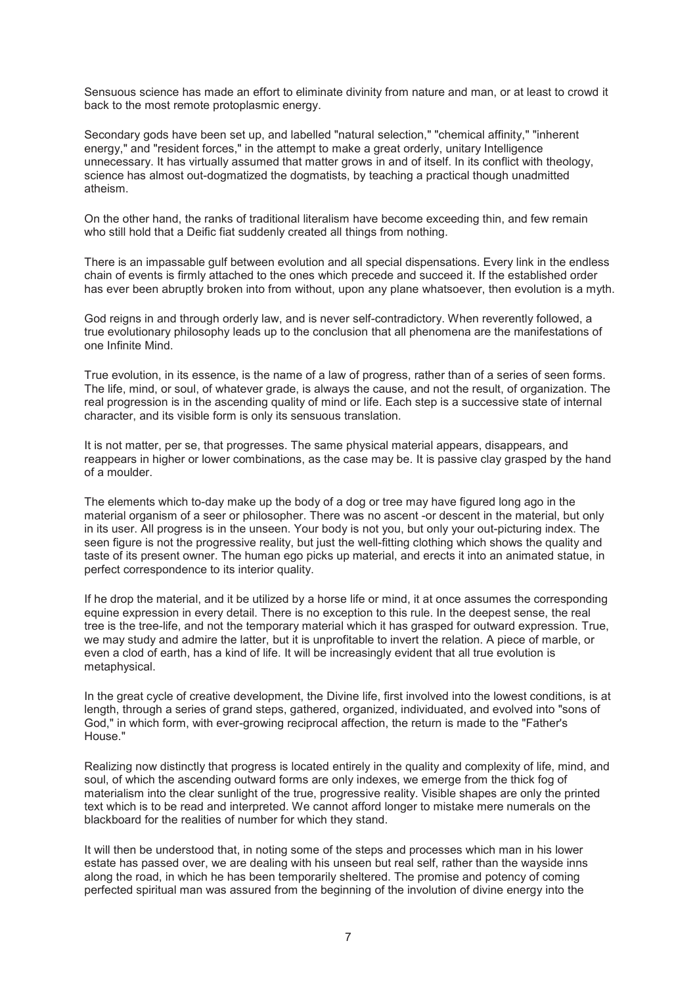Sensuous science has made an effort to eliminate divinity from nature and man, or at least to crowd it back to the most remote protoplasmic energy.

Secondary gods have been set up, and labelled "natural selection," "chemical affinity," "inherent energy," and "resident forces," in the attempt to make a great orderly, unitary Intelligence unnecessary. It has virtually assumed that matter grows in and of itself. In its conflict with theology, science has almost out-dogmatized the dogmatists, by teaching a practical though unadmitted atheism.

On the other hand, the ranks of traditional literalism have become exceeding thin, and few remain who still hold that a Deific fiat suddenly created all things from nothing.

There is an impassable gulf between evolution and all special dispensations. Every link in the endless chain of events is firmly attached to the ones which precede and succeed it. If the established order has ever been abruptly broken into from without, upon any plane whatsoever, then evolution is a myth.

God reigns in and through orderly law, and is never self-contradictory. When reverently followed, a true evolutionary philosophy leads up to the conclusion that all phenomena are the manifestations of one Infinite Mind.

True evolution, in its essence, is the name of a law of progress, rather than of a series of seen forms. The life, mind, or soul, of whatever grade, is always the cause, and not the result, of organization. The real progression is in the ascending quality of mind or life. Each step is a successive state of internal character, and its visible form is only its sensuous translation.

It is not matter, per se, that progresses. The same physical material appears, disappears, and reappears in higher or lower combinations, as the case may be. It is passive clay grasped by the hand of a moulder.

The elements which to-day make up the body of a dog or tree may have figured long ago in the material organism of a seer or philosopher. There was no ascent -or descent in the material, but only in its user. All progress is in the unseen. Your body is not you, but only your out-picturing index. The seen figure is not the progressive reality, but just the well-fitting clothing which shows the quality and taste of its present owner. The human ego picks up material, and erects it into an animated statue, in perfect correspondence to its interior quality.

If he drop the material, and it be utilized by a horse life or mind, it at once assumes the corresponding equine expression in every detail. There is no exception to this rule. In the deepest sense, the real tree is the tree-life, and not the temporary material which it has grasped for outward expression. True, we may study and admire the latter, but it is unprofitable to invert the relation. A piece of marble, or even a clod of earth, has a kind of life. It will be increasingly evident that all true evolution is metaphysical.

In the great cycle of creative development, the Divine life, first involved into the lowest conditions, is at length, through a series of grand steps, gathered, organized, individuated, and evolved into "sons of God," in which form, with ever-growing reciprocal affection, the return is made to the "Father's House."

Realizing now distinctly that progress is located entirely in the quality and complexity of life, mind, and soul, of which the ascending outward forms are only indexes, we emerge from the thick fog of materialism into the clear sunlight of the true, progressive reality. Visible shapes are only the printed text which is to be read and interpreted. We cannot afford longer to mistake mere numerals on the blackboard for the realities of number for which they stand.

It will then be understood that, in noting some of the steps and processes which man in his lower estate has passed over, we are dealing with his unseen but real self, rather than the wayside inns along the road, in which he has been temporarily sheltered. The promise and potency of coming perfected spiritual man was assured from the beginning of the involution of divine energy into the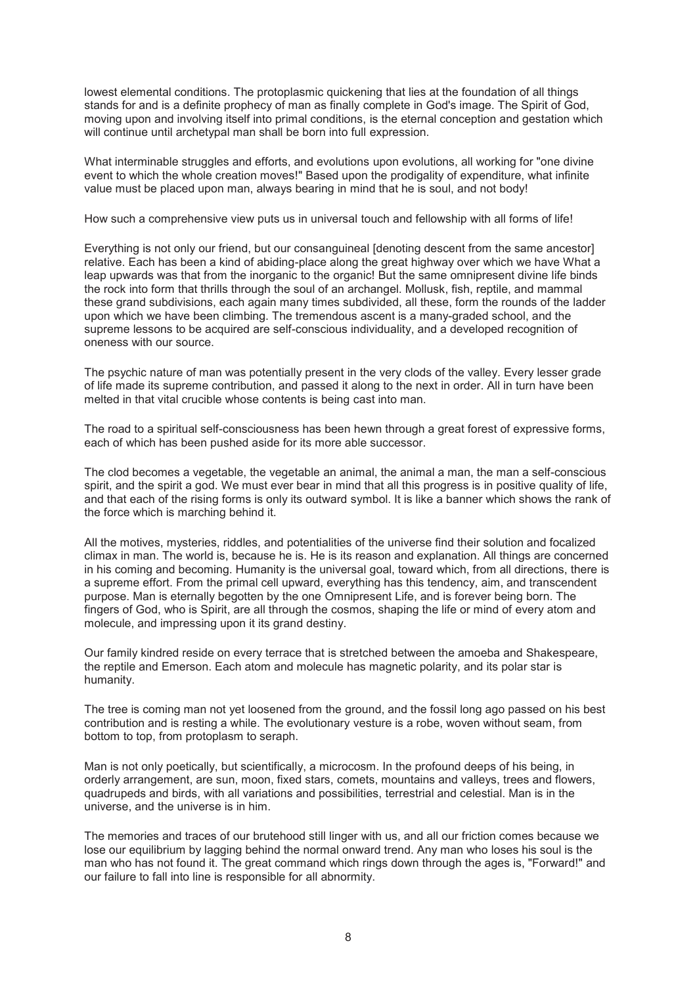lowest elemental conditions. The protoplasmic quickening that lies at the foundation of all things stands for and is a definite prophecy of man as finally complete in God's image. The Spirit of God, moving upon and involving itself into primal conditions, is the eternal conception and gestation which will continue until archetypal man shall be born into full expression.

What interminable struggles and efforts, and evolutions upon evolutions, all working for "one divine event to which the whole creation moves!" Based upon the prodigality of expenditure, what infinite value must be placed upon man, always bearing in mind that he is soul, and not body!

How such a comprehensive view puts us in universal touch and fellowship with all forms of life!

Everything is not only our friend, but our consanguineal [denoting descent from the same ancestor] relative. Each has been a kind of abiding-place along the great highway over which we have What a leap upwards was that from the inorganic to the organic! But the same omnipresent divine life binds the rock into form that thrills through the soul of an archangel. Mollusk, fish, reptile, and mammal these grand subdivisions, each again many times subdivided, all these, form the rounds of the ladder upon which we have been climbing. The tremendous ascent is a many-graded school, and the supreme lessons to be acquired are self-conscious individuality, and a developed recognition of oneness with our source.

The psychic nature of man was potentially present in the very clods of the valley. Every lesser grade of life made its supreme contribution, and passed it along to the next in order. All in turn have been melted in that vital crucible whose contents is being cast into man.

The road to a spiritual self-consciousness has been hewn through a great forest of expressive forms, each of which has been pushed aside for its more able successor.

The clod becomes a vegetable, the vegetable an animal, the animal a man, the man a self-conscious spirit, and the spirit a god. We must ever bear in mind that all this progress is in positive quality of life, and that each of the rising forms is only its outward symbol. It is like a banner which shows the rank of the force which is marching behind it.

All the motives, mysteries, riddles, and potentialities of the universe find their solution and focalized climax in man. The world is, because he is. He is its reason and explanation. All things are concerned in his coming and becoming. Humanity is the universal goal, toward which, from all directions, there is a supreme effort. From the primal cell upward, everything has this tendency, aim, and transcendent purpose. Man is eternally begotten by the one Omnipresent Life, and is forever being born. The fingers of God, who is Spirit, are all through the cosmos, shaping the life or mind of every atom and molecule, and impressing upon it its grand destiny.

Our family kindred reside on every terrace that is stretched between the amoeba and Shakespeare, the reptile and Emerson. Each atom and molecule has magnetic polarity, and its polar star is humanity.

The tree is coming man not yet loosened from the ground, and the fossil long ago passed on his best contribution and is resting a while. The evolutionary vesture is a robe, woven without seam, from bottom to top, from protoplasm to seraph.

Man is not only poetically, but scientifically, a microcosm. In the profound deeps of his being, in orderly arrangement, are sun, moon, fixed stars, comets, mountains and valleys, trees and flowers, quadrupeds and birds, with all variations and possibilities, terrestrial and celestial. Man is in the universe, and the universe is in him.

The memories and traces of our brutehood still linger with us, and all our friction comes because we lose our equilibrium by lagging behind the normal onward trend. Any man who loses his soul is the man who has not found it. The great command which rings down through the ages is, "Forward!" and our failure to fall into line is responsible for all abnormity.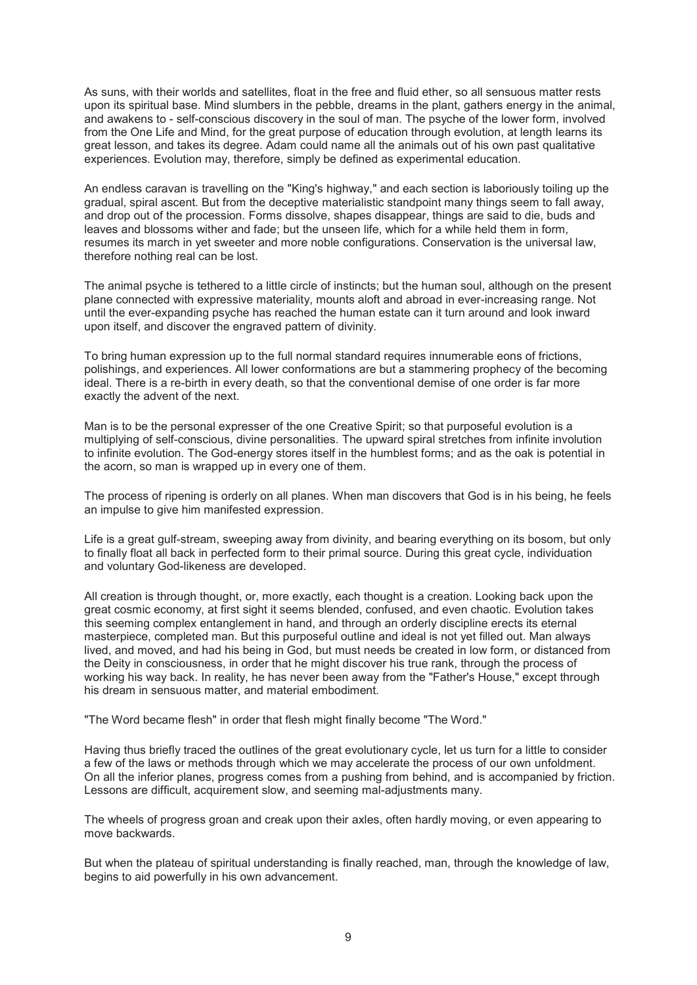As suns, with their worlds and satellites, float in the free and fluid ether, so all sensuous matter rests upon its spiritual base. Mind slumbers in the pebble, dreams in the plant, gathers energy in the animal, and awakens to - self-conscious discovery in the soul of man. The psyche of the lower form, involved from the One Life and Mind, for the great purpose of education through evolution, at length learns its great lesson, and takes its degree. Adam could name all the animals out of his own past qualitative experiences. Evolution may, therefore, simply be defined as experimental education.

An endless caravan is travelling on the "King's highway," and each section is laboriously toiling up the gradual, spiral ascent. But from the deceptive materialistic standpoint many things seem to fall away, and drop out of the procession. Forms dissolve, shapes disappear, things are said to die, buds and leaves and blossoms wither and fade; but the unseen life, which for a while held them in form, resumes its march in yet sweeter and more noble configurations. Conservation is the universal law, therefore nothing real can be lost.

The animal psyche is tethered to a little circle of instincts; but the human soul, although on the present plane connected with expressive materiality, mounts aloft and abroad in ever-increasing range. Not until the ever-expanding psyche has reached the human estate can it turn around and look inward upon itself, and discover the engraved pattern of divinity.

To bring human expression up to the full normal standard requires innumerable eons of frictions, polishings, and experiences. All lower conformations are but a stammering prophecy of the becoming ideal. There is a re-birth in every death, so that the conventional demise of one order is far more exactly the advent of the next.

Man is to be the personal expresser of the one Creative Spirit; so that purposeful evolution is a multiplying of self-conscious, divine personalities. The upward spiral stretches from infinite involution to infinite evolution. The God-energy stores itself in the humblest forms; and as the oak is potential in the acorn, so man is wrapped up in every one of them.

The process of ripening is orderly on all planes. When man discovers that God is in his being, he feels an impulse to give him manifested expression.

Life is a great gulf-stream, sweeping away from divinity, and bearing everything on its bosom, but only to finally float all back in perfected form to their primal source. During this great cycle, individuation and voluntary God-likeness are developed.

All creation is through thought, or, more exactly, each thought is a creation. Looking back upon the great cosmic economy, at first sight it seems blended, confused, and even chaotic. Evolution takes this seeming complex entanglement in hand, and through an orderly discipline erects its eternal masterpiece, completed man. But this purposeful outline and ideal is not yet filled out. Man always lived, and moved, and had his being in God, but must needs be created in low form, or distanced from the Deity in consciousness, in order that he might discover his true rank, through the process of working his way back. In reality, he has never been away from the "Father's House," except through his dream in sensuous matter, and material embodiment.

"The Word became flesh" in order that flesh might finally become "The Word."

Having thus briefly traced the outlines of the great evolutionary cycle, let us turn for a little to consider a few of the laws or methods through which we may accelerate the process of our own unfoldment. On all the inferior planes, progress comes from a pushing from behind, and is accompanied by friction. Lessons are difficult, acquirement slow, and seeming mal-adjustments many.

The wheels of progress groan and creak upon their axles, often hardly moving, or even appearing to move backwards.

But when the plateau of spiritual understanding is finally reached, man, through the knowledge of law, begins to aid powerfully in his own advancement.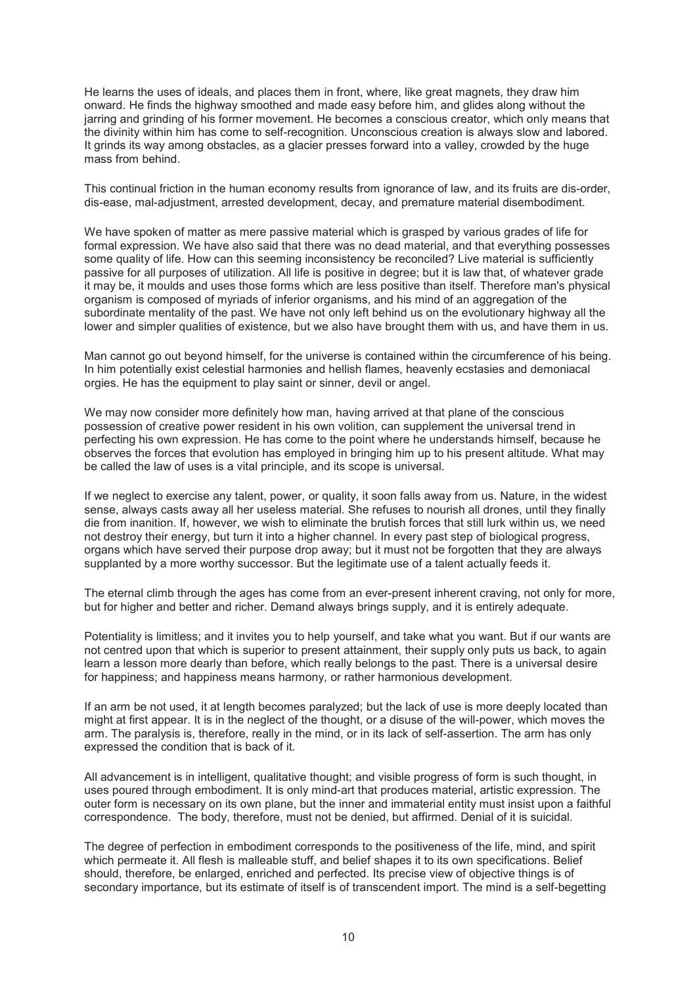He learns the uses of ideals, and places them in front, where, like great magnets, they draw him onward. He finds the highway smoothed and made easy before him, and glides along without the jarring and grinding of his former movement. He becomes a conscious creator, which only means that the divinity within him has come to self-recognition. Unconscious creation is always slow and labored. It grinds its way among obstacles, as a glacier presses forward into a valley, crowded by the huge mass from behind.

This continual friction in the human economy results from ignorance of law, and its fruits are dis-order, dis-ease, mal-adjustment, arrested development, decay, and premature material disembodiment.

We have spoken of matter as mere passive material which is grasped by various grades of life for formal expression. We have also said that there was no dead material, and that everything possesses some quality of life. How can this seeming inconsistency be reconciled? Live material is sufficiently passive for all purposes of utilization. All life is positive in degree; but it is law that, of whatever grade it may be, it moulds and uses those forms which are less positive than itself. Therefore man's physical organism is composed of myriads of inferior organisms, and his mind of an aggregation of the subordinate mentality of the past. We have not only left behind us on the evolutionary highway all the lower and simpler qualities of existence, but we also have brought them with us, and have them in us.

Man cannot go out beyond himself, for the universe is contained within the circumference of his being. In him potentially exist celestial harmonies and hellish flames, heavenly ecstasies and demoniacal orgies. He has the equipment to play saint or sinner, devil or angel.

We may now consider more definitely how man, having arrived at that plane of the conscious possession of creative power resident in his own volition, can supplement the universal trend in perfecting his own expression. He has come to the point where he understands himself, because he observes the forces that evolution has employed in bringing him up to his present altitude. What may be called the law of uses is a vital principle, and its scope is universal.

If we neglect to exercise any talent, power, or quality, it soon falls away from us. Nature, in the widest sense, always casts away all her useless material. She refuses to nourish all drones, until they finally die from inanition. If, however, we wish to eliminate the brutish forces that still lurk within us, we need not destroy their energy, but turn it into a higher channel. In every past step of biological progress, organs which have served their purpose drop away; but it must not be forgotten that they are always supplanted by a more worthy successor. But the legitimate use of a talent actually feeds it.

The eternal climb through the ages has come from an ever-present inherent craving, not only for more, but for higher and better and richer. Demand always brings supply, and it is entirely adequate.

Potentiality is limitless; and it invites you to help yourself, and take what you want. But if our wants are not centred upon that which is superior to present attainment, their supply only puts us back, to again learn a lesson more dearly than before, which really belongs to the past. There is a universal desire for happiness; and happiness means harmony, or rather harmonious development.

If an arm be not used, it at length becomes paralyzed; but the lack of use is more deeply located than might at first appear. It is in the neglect of the thought, or a disuse of the will-power, which moves the arm. The paralysis is, therefore, really in the mind, or in its lack of self-assertion. The arm has only expressed the condition that is back of it.

All advancement is in intelligent, qualitative thought; and visible progress of form is such thought, in uses poured through embodiment. It is only mind-art that produces material, artistic expression. The outer form is necessary on its own plane, but the inner and immaterial entity must insist upon a faithful correspondence. The body, therefore, must not be denied, but affirmed. Denial of it is suicidal.

The degree of perfection in embodiment corresponds to the positiveness of the life, mind, and spirit which permeate it. All flesh is malleable stuff, and belief shapes it to its own specifications. Belief should, therefore, be enlarged, enriched and perfected. Its precise view of objective things is of secondary importance, but its estimate of itself is of transcendent import. The mind is a self-begetting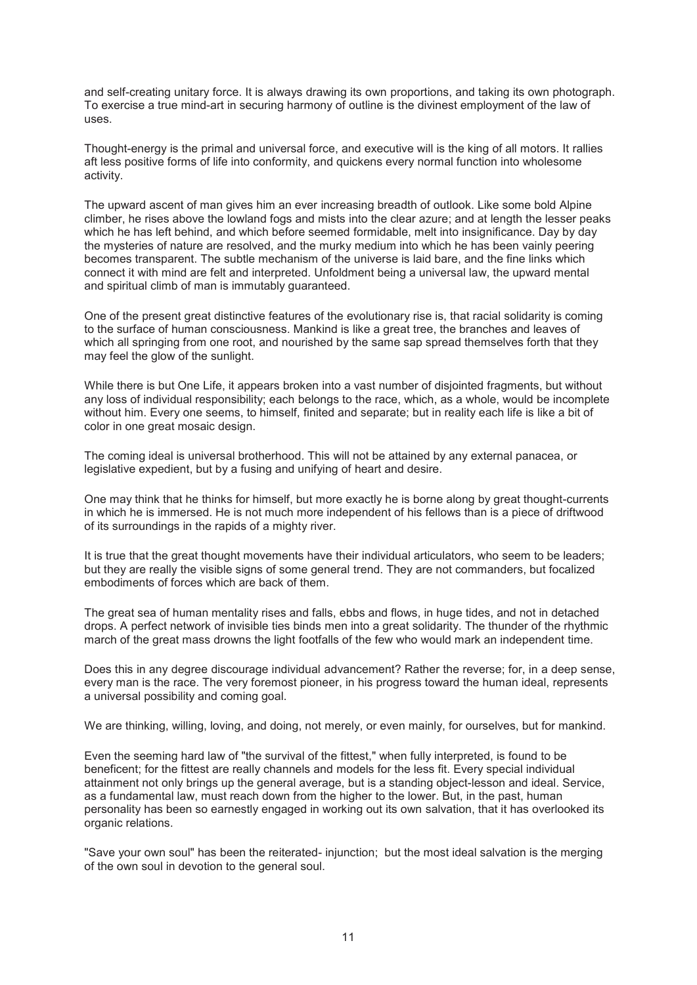and self-creating unitary force. It is always drawing its own proportions, and taking its own photograph. To exercise a true mind-art in securing harmony of outline is the divinest employment of the law of uses.

Thought-energy is the primal and universal force, and executive will is the king of all motors. It rallies aft less positive forms of life into conformity, and quickens every normal function into wholesome activity.

The upward ascent of man gives him an ever increasing breadth of outlook. Like some bold Alpine climber, he rises above the lowland fogs and mists into the clear azure; and at length the lesser peaks which he has left behind, and which before seemed formidable, melt into insignificance. Day by day the mysteries of nature are resolved, and the murky medium into which he has been vainly peering becomes transparent. The subtle mechanism of the universe is laid bare, and the fine links which connect it with mind are felt and interpreted. Unfoldment being a universal law, the upward mental and spiritual climb of man is immutably guaranteed.

One of the present great distinctive features of the evolutionary rise is, that racial solidarity is coming to the surface of human consciousness. Mankind is like a great tree, the branches and leaves of which all springing from one root, and nourished by the same sap spread themselves forth that they may feel the glow of the sunlight.

While there is but One Life, it appears broken into a vast number of disjointed fragments, but without any loss of individual responsibility; each belongs to the race, which, as a whole, would be incomplete without him. Every one seems, to himself, finited and separate; but in reality each life is like a bit of color in one great mosaic design.

The coming ideal is universal brotherhood. This will not be attained by any external panacea, or legislative expedient, but by a fusing and unifying of heart and desire.

One may think that he thinks for himself, but more exactly he is borne along by great thought-currents in which he is immersed. He is not much more independent of his fellows than is a piece of driftwood of its surroundings in the rapids of a mighty river.

It is true that the great thought movements have their individual articulators, who seem to be leaders; but they are really the visible signs of some general trend. They are not commanders, but focalized embodiments of forces which are back of them.

The great sea of human mentality rises and falls, ebbs and flows, in huge tides, and not in detached drops. A perfect network of invisible ties binds men into a great solidarity. The thunder of the rhythmic march of the great mass drowns the light footfalls of the few who would mark an independent time.

Does this in any degree discourage individual advancement? Rather the reverse; for, in a deep sense, every man is the race. The very foremost pioneer, in his progress toward the human ideal, represents a universal possibility and coming goal.

We are thinking, willing, loving, and doing, not merely, or even mainly, for ourselves, but for mankind.

Even the seeming hard law of "the survival of the fittest," when fully interpreted, is found to be beneficent; for the fittest are really channels and models for the less fit. Every special individual attainment not only brings up the general average, but is a standing object-lesson and ideal. Service, as a fundamental law, must reach down from the higher to the lower. But, in the past, human personality has been so earnestly engaged in working out its own salvation, that it has overlooked its organic relations.

"Save your own soul" has been the reiterated- injunction; but the most ideal salvation is the merging of the own soul in devotion to the general soul.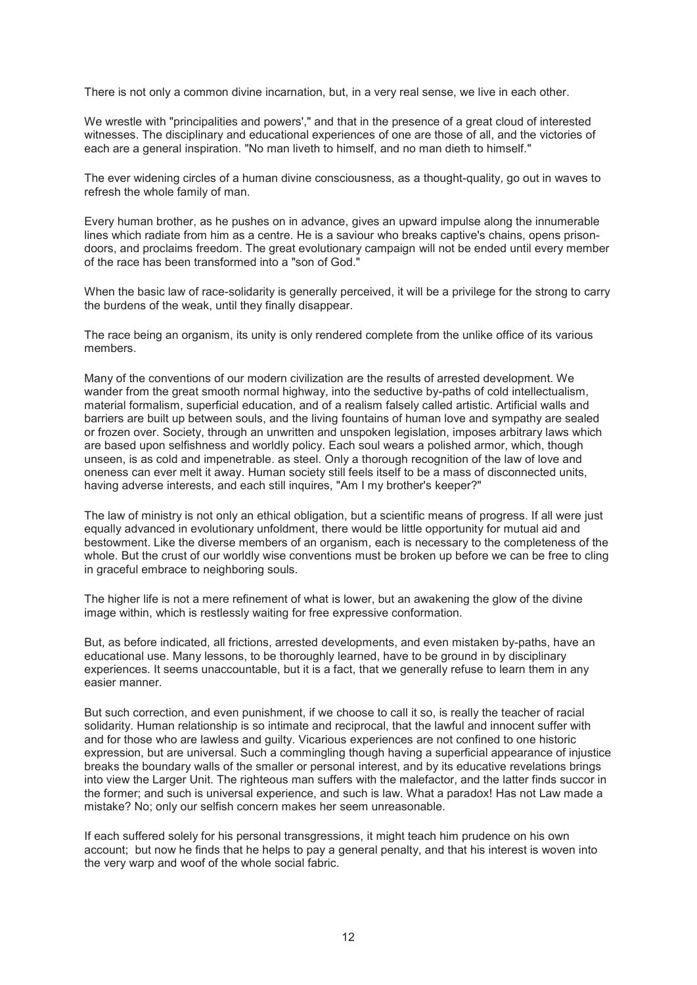There is not only a common divine incarnation, but, in a very real sense, we live in each other.

We wrestle with "principalities and powers'," and that in the presence of a great cloud of interested witnesses. The disciplinary and educational experiences of one are those of all, and the victories of each are a general inspiration. "No man liveth to himself, and no man dieth to himself."

The ever widening circles of a human divine consciousness, as a thought-quality, go out in waves to refresh the whole family of man.

Every human brother, as he pushes on in advance, gives an upward impulse along the innumerable lines which radiate from him as a centre. He is a saviour who breaks captive's chains, opens prisondoors, and proclaims freedom. The great evolutionary campaign will not be ended until every member of the race has been transformed into a "son of God."

When the basic law of race-solidarity is generally perceived, it will be a privilege for the strong to carry the burdens of the weak, until they finally disappear.

The race being an organism, its unity is only rendered complete from the unlike office of its various members.

Many of the conventions of our modern civilization are the results of arrested development. We wander from the great smooth normal highway, into the seductive by-paths of cold intellectualism, material formalism, superficial education, and of a realism falsely called artistic. Artificial walls and barriers are built up between souls, and the living fountains of human love and sympathy are sealed or frozen over. Society, through an unwritten and unspoken legislation, imposes arbitrary laws which are based upon selfishness and worldly policy. Each soul wears a polished armor, which, though unseen, is as cold and impenetrable. as steel. Only a thorough recognition of the law of love and oneness can ever melt it away. Human society still feels itself to be a mass of disconnected units, having adverse interests, and each still inquires. "Am I my brother's keeper?"

The law of ministry is not only an ethical obligation, but a scientific means of progress. If all were just equally advanced in evolutionary unfoldment, there would be little opportunity for mutual aid and bestowment. Like the diverse members of an organism, each is necessary to the completeness of the whole. But the crust of our worldly wise conventions must be broken up before we can be free to cling in graceful embrace to neighboring souls.

The higher life is not a mere refinement of what is lower, but an awakening the glow of the divine image within, which is restlessly waiting for free expressive conformation.

But, as before indicated, all frictions, arrested developments, and even mistaken by-paths, have an educational use. Many lessons, to be thoroughly learned, have to be ground in by disciplinary experiences. It seems unaccountable, but it is a fact, that we generally refuse to learn them in any easier manner.

But such correction, and even punishment, if we choose to call it so, is really the teacher of racial solidarity. Human relationship is so intimate and reciprocal, that the lawful and innocent suffer with and for those who are lawless and guilty. Vicarious experiences are not confined to one historic expression, but are universal. Such a commingling though having a superficial appearance of injustice breaks the boundary walls of the smaller or personal interest, and by its educative revelations brings into view the Larger Unit. The righteous man suffers with the malefactor, and the latter finds succor in the former; and such is universal experience, and such is law. What a paradox! Has not Law made a mistake? No; only our selfish concern makes her seem unreasonable.

If each suffered solely for his personal transgressions, it might teach him prudence on his own account; but now he finds that he helps to pay a general penalty, and that his interest is woven into the very warp and woof of the whole social fabric.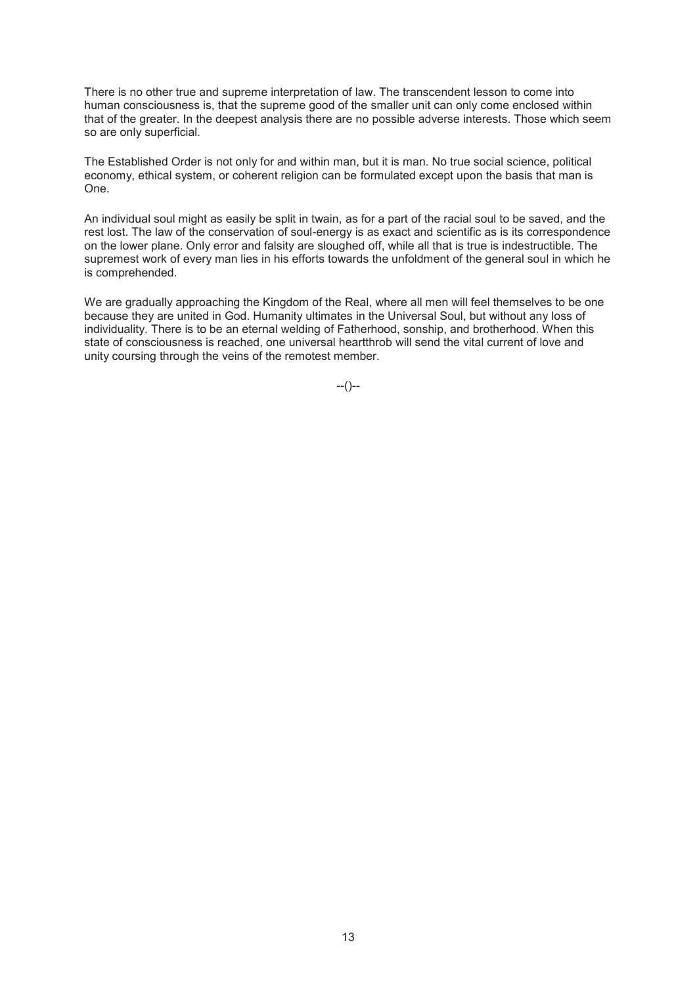There is no other true and supreme interpretation of law. The transcendent lesson to come into human consciousness is, that the supreme good of the smaller unit can only come enclosed within that of the greater. In the deepest analysis there are no possible adverse interests. Those which seem so are only superficial.

The Established Order is not only for and within man, but it is man. No true social science, political economy, ethical system, or coherent religion can be formulated except upon the basis that man is One.

An individual soul might as easily be split in twain, as for a part of the racial soul to be saved, and the rest lost. The law of the conservation of soul-energy is as exact and scientific as is its correspondence on the lower plane. Only error and falsity are sloughed off, while all that is true is indestructible. The supremest work of every man lies in his efforts towards the unfoldment of the general soul in which he is comprehended.

We are gradually approaching the Kingdom of the Real, where all men will feel themselves to be one because they are united in God. Humanity ultimates in the Universal Soul, but without any loss of individuality. There is to be an eternal welding of Fatherhood, sonship, and brotherhood. When this state of consciousness is reached, one universal heartthrob will send the vital current of love and unity coursing through the veins of the remotest member.

--()--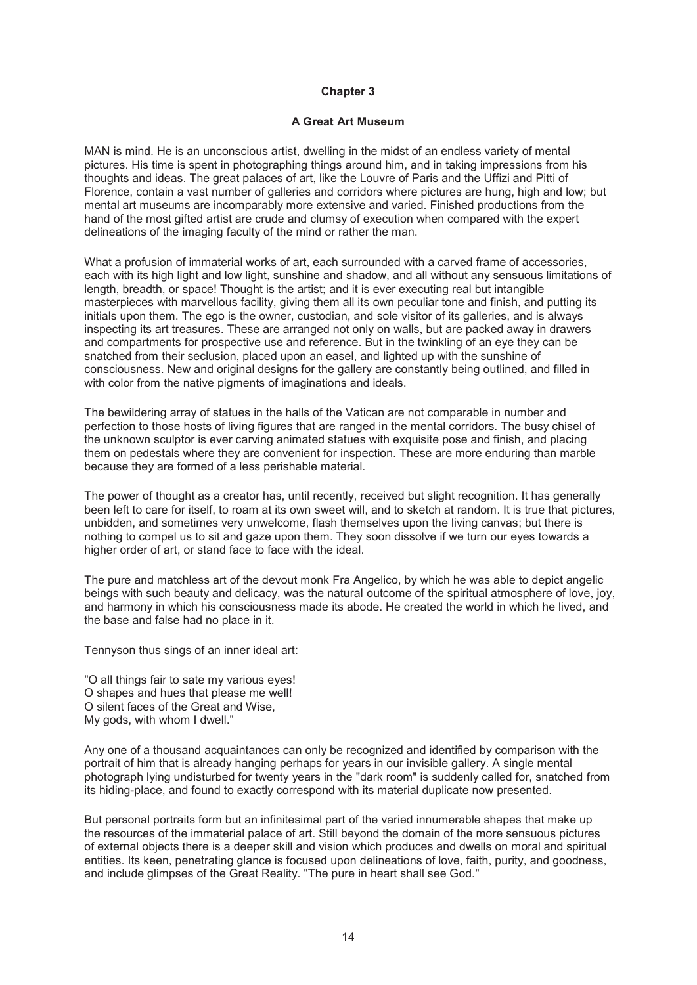#### **A Great Art Museum**

MAN is mind. He is an unconscious artist, dwelling in the midst of an endless variety of mental pictures. His time is spent in photographing things around him, and in taking impressions from his thoughts and ideas. The great palaces of art, like the Louvre of Paris and the Uffizi and Pitti of Florence, contain a vast number of galleries and corridors where pictures are hung, high and low; but mental art museums are incomparably more extensive and varied. Finished productions from the hand of the most gifted artist are crude and clumsy of execution when compared with the expert delineations of the imaging faculty of the mind or rather the man.

What a profusion of immaterial works of art, each surrounded with a carved frame of accessories, each with its high light and low light, sunshine and shadow, and all without any sensuous limitations of length, breadth, or space! Thought is the artist; and it is ever executing real but intangible masterpieces with marvellous facility, giving them all its own peculiar tone and finish, and putting its initials upon them. The ego is the owner, custodian, and sole visitor of its galleries, and is always inspecting its art treasures. These are arranged not only on walls, but are packed away in drawers and compartments for prospective use and reference. But in the twinkling of an eye they can be snatched from their seclusion, placed upon an easel, and lighted up with the sunshine of consciousness. New and original designs for the gallery are constantly being outlined, and filled in with color from the native pigments of imaginations and ideals.

The bewildering array of statues in the halls of the Vatican are not comparable in number and perfection to those hosts of living figures that are ranged in the mental corridors. The busy chisel of the unknown sculptor is ever carving animated statues with exquisite pose and finish, and placing them on pedestals where they are convenient for inspection. These are more enduring than marble because they are formed of a less perishable material.

The power of thought as a creator has, until recently, received but slight recognition. It has generally been left to care for itself, to roam at its own sweet will, and to sketch at random. It is true that pictures, unbidden, and sometimes very unwelcome, flash themselves upon the living canvas; but there is nothing to compel us to sit and gaze upon them. They soon dissolve if we turn our eyes towards a higher order of art, or stand face to face with the ideal.

The pure and matchless art of the devout monk Fra Angelico, by which he was able to depict angelic beings with such beauty and delicacy, was the natural outcome of the spiritual atmosphere of love, joy, and harmony in which his consciousness made its abode. He created the world in which he lived, and the base and false had no place in it.

Tennyson thus sings of an inner ideal art:

"O all things fair to sate my various eyes! O shapes and hues that please me well! O silent faces of the Great and Wise, My gods, with whom I dwell."

Any one of a thousand acquaintances can only be recognized and identified by comparison with the portrait of him that is already hanging perhaps for years in our invisible gallery. A single mental photograph lying undisturbed for twenty years in the "dark room" is suddenly called for, snatched from its hiding-place, and found to exactly correspond with its material duplicate now presented.

But personal portraits form but an infinitesimal part of the varied innumerable shapes that make up the resources of the immaterial palace of art. Still beyond the domain of the more sensuous pictures of external objects there is a deeper skill and vision which produces and dwells on moral and spiritual entities. Its keen, penetrating glance is focused upon delineations of love, faith, purity, and goodness, and include glimpses of the Great Reality. "The pure in heart shall see God."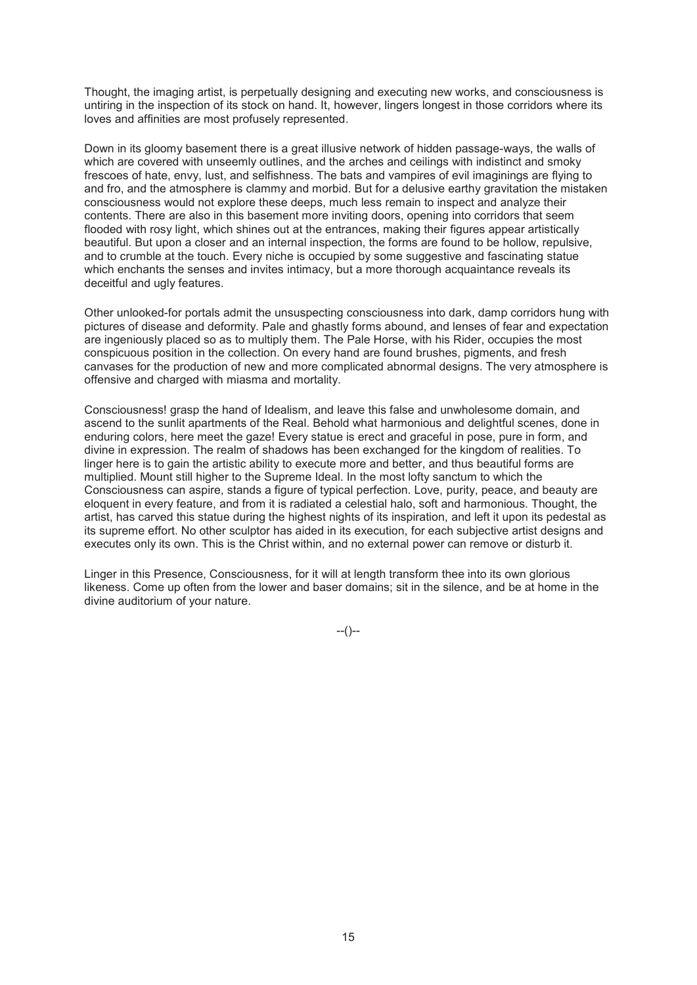Thought, the imaging artist, is perpetually designing and executing new works, and consciousness is untiring in the inspection of its stock on hand. It, however, lingers longest in those corridors where its loves and affinities are most profusely represented.

Down in its gloomy basement there is a great illusive network of hidden passage-ways, the walls of which are covered with unseemly outlines, and the arches and ceilings with indistinct and smoky frescoes of hate, envy, lust, and selfishness. The bats and vampires of evil imaginings are flying to and fro, and the atmosphere is clammy and morbid. But for a delusive earthy gravitation the mistaken consciousness would not explore these deeps, much less remain to inspect and analyze their contents. There are also in this basement more inviting doors, opening into corridors that seem flooded with rosy light, which shines out at the entrances, making their figures appear artistically beautiful. But upon a closer and an internal inspection, the forms are found to be hollow, repulsive, and to crumble at the touch. Every niche is occupied by some suggestive and fascinating statue which enchants the senses and invites intimacy, but a more thorough acquaintance reveals its deceitful and ugly features.

Other unlooked-for portals admit the unsuspecting consciousness into dark, damp corridors hung with pictures of disease and deformity. Pale and ghastly forms abound, and lenses of fear and expectation are ingeniously placed so as to multiply them. The Pale Horse, with his Rider, occupies the most conspicuous position in the collection. On every hand are found brushes, pigments, and fresh canvases for the production of new and more complicated abnormal designs. The very atmosphere is offensive and charged with miasma and mortality.

Consciousness! grasp the hand of Idealism, and leave this false and unwholesome domain, and ascend to the sunlit apartments of the Real. Behold what harmonious and delightful scenes, done in enduring colors, here meet the gaze! Every statue is erect and graceful in pose, pure in form, and divine in expression. The realm of shadows has been exchanged for the kingdom of realities. To linger here is to gain the artistic ability to execute more and better, and thus beautiful forms are multiplied. Mount still higher to the Supreme Ideal. In the most lofty sanctum to which the Consciousness can aspire, stands a figure of typical perfection. Love, purity, peace, and beauty are eloquent in every feature, and from it is radiated a celestial halo, soft and harmonious. Thought, the artist, has carved this statue during the highest nights of its inspiration, and left it upon its pedestal as its supreme effort. No other sculptor has aided in its execution, for each subjective artist designs and executes only its own. This is the Christ within, and no external power can remove or disturb it.

Linger in this Presence, Consciousness, for it will at length transform thee into its own glorious likeness. Come up often from the lower and baser domains; sit in the silence, and be at home in the divine auditorium of your nature.

--()--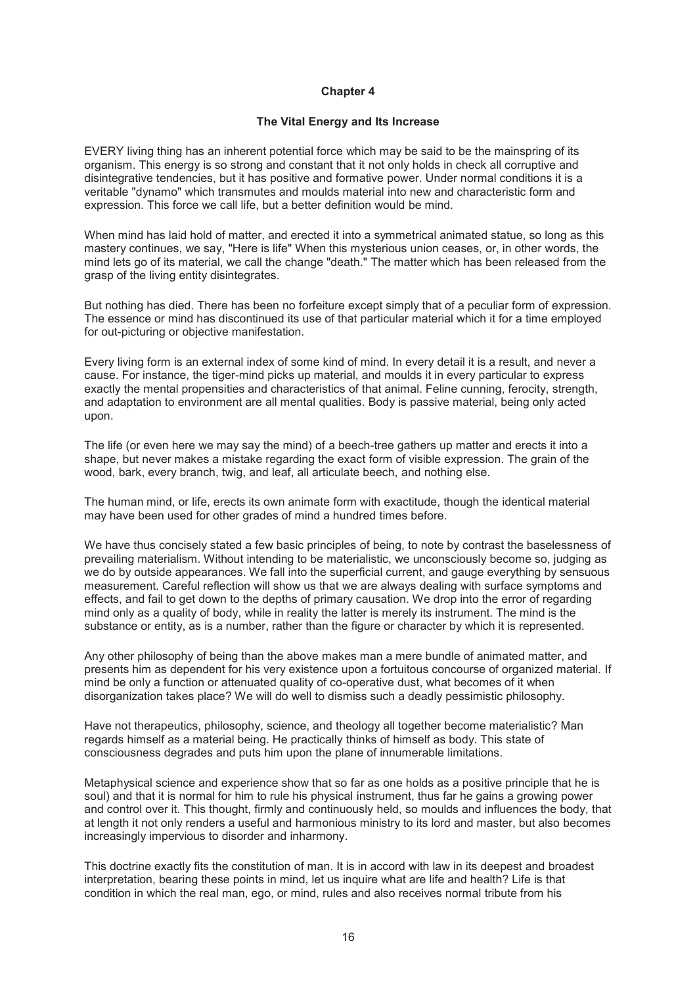## **The Vital Energy and Its Increase**

EVERY living thing has an inherent potential force which may be said to be the mainspring of its organism. This energy is so strong and constant that it not only holds in check all corruptive and disintegrative tendencies, but it has positive and formative power. Under normal conditions it is a veritable "dynamo" which transmutes and moulds material into new and characteristic form and expression. This force we call life, but a better definition would be mind.

When mind has laid hold of matter, and erected it into a symmetrical animated statue, so long as this mastery continues, we say, "Here is life" When this mysterious union ceases, or, in other words, the mind lets go of its material, we call the change "death." The matter which has been released from the grasp of the living entity disintegrates.

But nothing has died. There has been no forfeiture except simply that of a peculiar form of expression. The essence or mind has discontinued its use of that particular material which it for a time employed for out-picturing or objective manifestation.

Every living form is an external index of some kind of mind. In every detail it is a result, and never a cause. For instance, the tiger-mind picks up material, and moulds it in every particular to express exactly the mental propensities and characteristics of that animal. Feline cunning, ferocity, strength, and adaptation to environment are all mental qualities. Body is passive material, being only acted upon.

The life (or even here we may say the mind) of a beech-tree gathers up matter and erects it into a shape, but never makes a mistake regarding the exact form of visible expression. The grain of the wood, bark, every branch, twig, and leaf, all articulate beech, and nothing else.

The human mind, or life, erects its own animate form with exactitude, though the identical material may have been used for other grades of mind a hundred times before.

We have thus concisely stated a few basic principles of being, to note by contrast the baselessness of prevailing materialism. Without intending to be materialistic, we unconsciously become so, judging as we do by outside appearances. We fall into the superficial current, and gauge everything by sensuous measurement. Careful reflection will show us that we are always dealing with surface symptoms and effects, and fail to get down to the depths of primary causation. We drop into the error of regarding mind only as a quality of body, while in reality the latter is merely its instrument. The mind is the substance or entity, as is a number, rather than the figure or character by which it is represented.

Any other philosophy of being than the above makes man a mere bundle of animated matter, and presents him as dependent for his very existence upon a fortuitous concourse of organized material. If mind be only a function or attenuated quality of co-operative dust, what becomes of it when disorganization takes place? We will do well to dismiss such a deadly pessimistic philosophy.

Have not therapeutics, philosophy, science, and theology all together become materialistic? Man regards himself as a material being. He practically thinks of himself as body. This state of consciousness degrades and puts him upon the plane of innumerable limitations.

Metaphysical science and experience show that so far as one holds as a positive principle that he is soul) and that it is normal for him to rule his physical instrument, thus far he gains a growing power and control over it. This thought, firmly and continuously held, so moulds and influences the body, that at length it not only renders a useful and harmonious ministry to its lord and master, but also becomes increasingly impervious to disorder and inharmony.

This doctrine exactly fits the constitution of man. It is in accord with law in its deepest and broadest interpretation, bearing these points in mind, let us inquire what are life and health? Life is that condition in which the real man, ego, or mind, rules and also receives normal tribute from his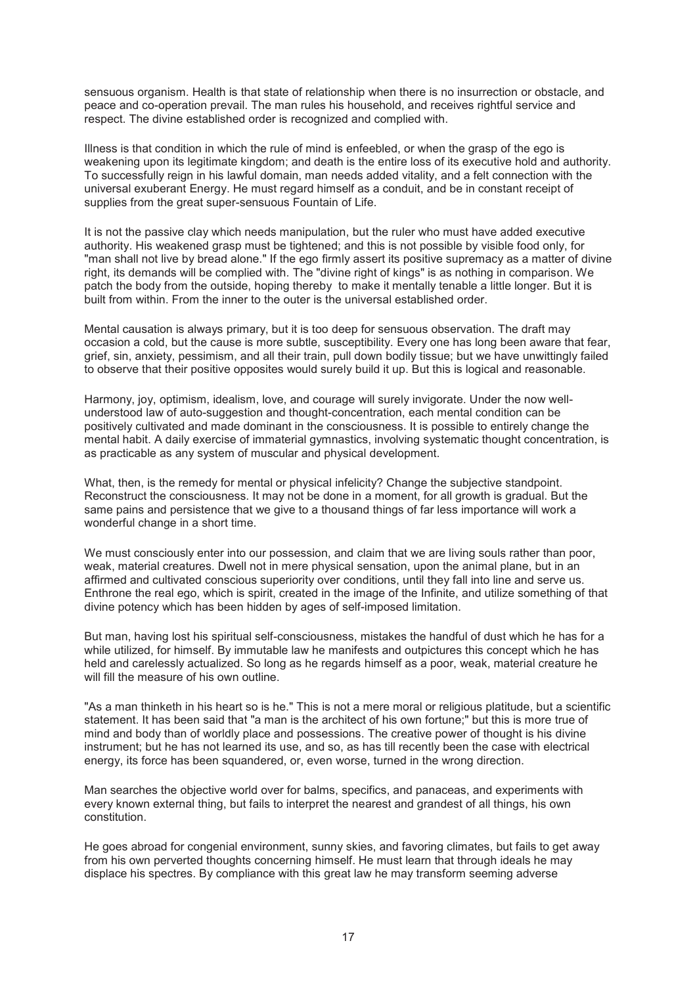sensuous organism. Health is that state of relationship when there is no insurrection or obstacle, and peace and co-operation prevail. The man rules his household, and receives rightful service and respect. The divine established order is recognized and complied with.

Illness is that condition in which the rule of mind is enfeebled, or when the grasp of the ego is weakening upon its legitimate kingdom; and death is the entire loss of its executive hold and authority. To successfully reign in his lawful domain, man needs added vitality, and a felt connection with the universal exuberant Energy. He must regard himself as a conduit, and be in constant receipt of supplies from the great super-sensuous Fountain of Life.

It is not the passive clay which needs manipulation, but the ruler who must have added executive authority. His weakened grasp must be tightened; and this is not possible by visible food only, for "man shall not live by bread alone." If the ego firmly assert its positive supremacy as a matter of divine right, its demands will be complied with. The "divine right of kings" is as nothing in comparison. We patch the body from the outside, hoping thereby to make it mentally tenable a little longer. But it is built from within. From the inner to the outer is the universal established order.

Mental causation is always primary, but it is too deep for sensuous observation. The draft may occasion a cold, but the cause is more subtle, susceptibility. Every one has long been aware that fear, grief, sin, anxiety, pessimism, and all their train, pull down bodily tissue; but we have unwittingly failed to observe that their positive opposites would surely build it up. But this is logical and reasonable.

Harmony, joy, optimism, idealism, love, and courage will surely invigorate. Under the now wellunderstood law of auto-suggestion and thought-concentration, each mental condition can be positively cultivated and made dominant in the consciousness. It is possible to entirely change the mental habit. A daily exercise of immaterial gymnastics, involving systematic thought concentration, is as practicable as any system of muscular and physical development.

What, then, is the remedy for mental or physical infelicity? Change the subjective standpoint. Reconstruct the consciousness. It may not be done in a moment, for all growth is gradual. But the same pains and persistence that we give to a thousand things of far less importance will work a wonderful change in a short time.

We must consciously enter into our possession, and claim that we are living souls rather than poor, weak, material creatures. Dwell not in mere physical sensation, upon the animal plane, but in an affirmed and cultivated conscious superiority over conditions, until they fall into line and serve us. Enthrone the real ego, which is spirit, created in the image of the Infinite, and utilize something of that divine potency which has been hidden by ages of self-imposed limitation.

But man, having lost his spiritual self-consciousness, mistakes the handful of dust which he has for a while utilized, for himself. By immutable law he manifests and outpictures this concept which he has held and carelessly actualized. So long as he regards himself as a poor, weak, material creature he will fill the measure of his own outline.

"As a man thinketh in his heart so is he." This is not a mere moral or religious platitude, but a scientific statement. It has been said that "a man is the architect of his own fortune;" but this is more true of mind and body than of worldly place and possessions. The creative power of thought is his divine instrument; but he has not learned its use, and so, as has till recently been the case with electrical energy, its force has been squandered, or, even worse, turned in the wrong direction.

Man searches the objective world over for balms, specifics, and panaceas, and experiments with every known external thing, but fails to interpret the nearest and grandest of all things, his own constitution.

He goes abroad for congenial environment, sunny skies, and favoring climates, but fails to get away from his own perverted thoughts concerning himself. He must learn that through ideals he may displace his spectres. By compliance with this great law he may transform seeming adverse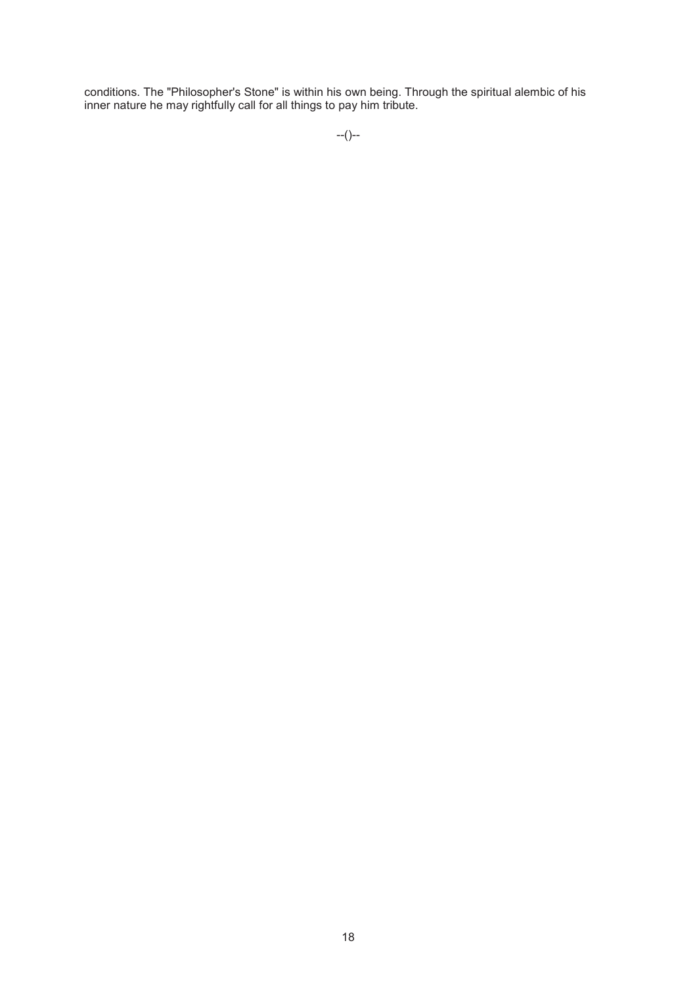conditions. The "Philosopher's Stone" is within his own being. Through the spiritual alembic of his inner nature he may rightfully call for all things to pay him tribute.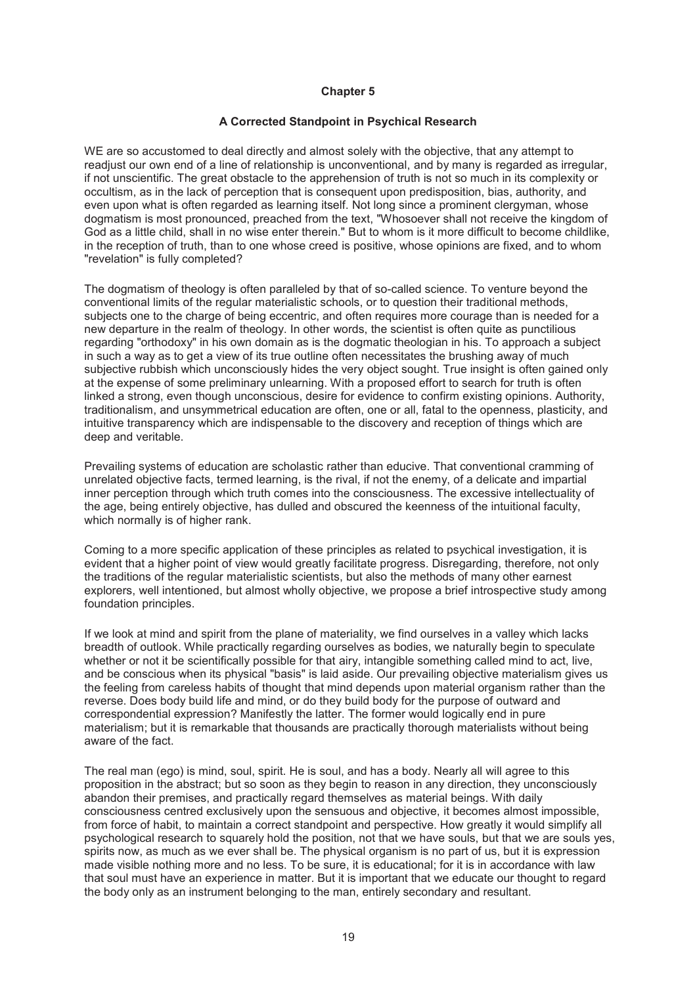### **A Corrected Standpoint in Psychical Research**

WE are so accustomed to deal directly and almost solely with the objective, that any attempt to readjust our own end of a line of relationship is unconventional, and by many is regarded as irregular, if not unscientific. The great obstacle to the apprehension of truth is not so much in its complexity or occultism, as in the lack of perception that is consequent upon predisposition, bias, authority, and even upon what is often regarded as learning itself. Not long since a prominent clergyman, whose dogmatism is most pronounced, preached from the text, "Whosoever shall not receive the kingdom of God as a little child, shall in no wise enter therein." But to whom is it more difficult to become childlike, in the reception of truth, than to one whose creed is positive, whose opinions are fixed, and to whom "revelation" is fully completed?

The dogmatism of theology is often paralleled by that of so-called science. To venture beyond the conventional limits of the regular materialistic schools, or to question their traditional methods, subjects one to the charge of being eccentric, and often requires more courage than is needed for a new departure in the realm of theology. In other words, the scientist is often quite as punctilious regarding "orthodoxy" in his own domain as is the dogmatic theologian in his. To approach a subject in such a way as to get a view of its true outline often necessitates the brushing away of much subjective rubbish which unconsciously hides the very object sought. True insight is often gained only at the expense of some preliminary unlearning. With a proposed effort to search for truth is often linked a strong, even though unconscious, desire for evidence to confirm existing opinions. Authority, traditionalism, and unsymmetrical education are often, one or all, fatal to the openness, plasticity, and intuitive transparency which are indispensable to the discovery and reception of things which are deep and veritable.

Prevailing systems of education are scholastic rather than educive. That conventional cramming of unrelated objective facts, termed learning, is the rival, if not the enemy, of a delicate and impartial inner perception through which truth comes into the consciousness. The excessive intellectuality of the age, being entirely objective, has dulled and obscured the keenness of the intuitional faculty, which normally is of higher rank.

Coming to a more specific application of these principles as related to psychical investigation, it is evident that a higher point of view would greatly facilitate progress. Disregarding, therefore, not only the traditions of the regular materialistic scientists, but also the methods of many other earnest explorers, well intentioned, but almost wholly objective, we propose a brief introspective study among foundation principles.

If we look at mind and spirit from the plane of materiality, we find ourselves in a valley which lacks breadth of outlook. While practically regarding ourselves as bodies, we naturally begin to speculate whether or not it be scientifically possible for that airy, intangible something called mind to act, live, and be conscious when its physical "basis" is laid aside. Our prevailing objective materialism gives us the feeling from careless habits of thought that mind depends upon material organism rather than the reverse. Does body build life and mind, or do they build body for the purpose of outward and correspondential expression? Manifestly the latter. The former would logically end in pure materialism; but it is remarkable that thousands are practically thorough materialists without being aware of the fact.

The real man (ego) is mind, soul, spirit. He is soul, and has a body. Nearly all will agree to this proposition in the abstract; but so soon as they begin to reason in any direction, they unconsciously abandon their premises, and practically regard themselves as material beings. With daily consciousness centred exclusively upon the sensuous and objective, it becomes almost impossible, from force of habit, to maintain a correct standpoint and perspective. How greatly it would simplify all psychological research to squarely hold the position, not that we have souls, but that we are souls yes, spirits now, as much as we ever shall be. The physical organism is no part of us, but it is expression made visible nothing more and no less. To be sure, it is educational; for it is in accordance with law that soul must have an experience in matter. But it is important that we educate our thought to regard the body only as an instrument belonging to the man, entirely secondary and resultant.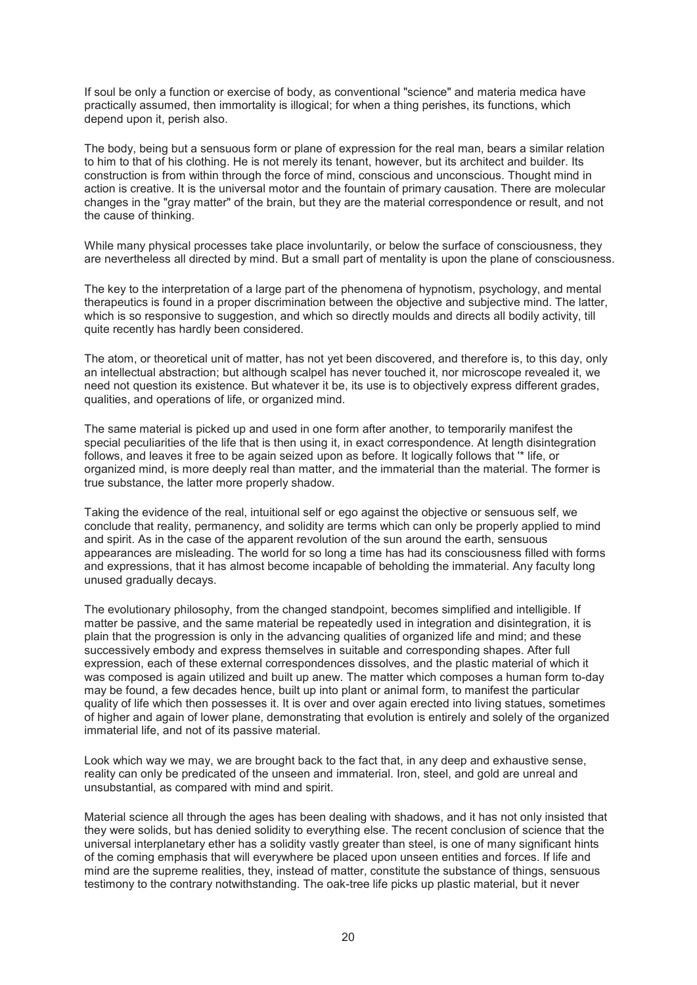If soul be only a function or exercise of body, as conventional "science" and materia medica have practically assumed, then immortality is illogical; for when a thing perishes, its functions, which depend upon it, perish also.

The body, being but a sensuous form or plane of expression for the real man, bears a similar relation to him to that of his clothing. He is not merely its tenant, however, but its architect and builder. Its construction is from within through the force of mind, conscious and unconscious. Thought mind in action is creative. It is the universal motor and the fountain of primary causation. There are molecular changes in the "gray matter" of the brain, but they are the material correspondence or result, and not the cause of thinking.

While many physical processes take place involuntarily, or below the surface of consciousness, they are nevertheless all directed by mind. But a small part of mentality is upon the plane of consciousness.

The key to the interpretation of a large part of the phenomena of hypnotism, psychology, and mental therapeutics is found in a proper discrimination between the objective and subjective mind. The latter, which is so responsive to suggestion, and which so directly moulds and directs all bodily activity, till quite recently has hardly been considered.

The atom, or theoretical unit of matter, has not yet been discovered, and therefore is, to this day, only an intellectual abstraction; but although scalpel has never touched it, nor microscope revealed it, we need not question its existence. But whatever it be, its use is to objectively express different grades, qualities, and operations of life, or organized mind.

The same material is picked up and used in one form after another, to temporarily manifest the special peculiarities of the life that is then using it, in exact correspondence. At length disintegration follows, and leaves it free to be again seized upon as before. It logically follows that <sup>'\*</sup> life, or organized mind, is more deeply real than matter, and the immaterial than the material. The former is true substance, the latter more properly shadow.

Taking the evidence of the real, intuitional self or ego against the objective or sensuous self, we conclude that reality, permanency, and solidity are terms which can only be properly applied to mind and spirit. As in the case of the apparent revolution of the sun around the earth, sensuous appearances are misleading. The world for so long a time has had its consciousness filled with forms and expressions, that it has almost become incapable of beholding the immaterial. Any faculty long unused gradually decays.

The evolutionary philosophy, from the changed standpoint, becomes simplified and intelligible. If matter be passive, and the same material be repeatedly used in integration and disintegration, it is plain that the progression is only in the advancing qualities of organized life and mind; and these successively embody and express themselves in suitable and corresponding shapes. After full expression, each of these external correspondences dissolves, and the plastic material of which it was composed is again utilized and built up anew. The matter which composes a human form to-day may be found, a few decades hence, built up into plant or animal form, to manifest the particular quality of life which then possesses it. It is over and over again erected into living statues, sometimes of higher and again of lower plane, demonstrating that evolution is entirely and solely of the organized immaterial life, and not of its passive material.

Look which way we may, we are brought back to the fact that, in any deep and exhaustive sense, reality can only be predicated of the unseen and immaterial. Iron, steel, and gold are unreal and unsubstantial, as compared with mind and spirit.

Material science all through the ages has been dealing with shadows, and it has not only insisted that they were solids, but has denied solidity to everything else. The recent conclusion of science that the universal interplanetary ether has a solidity vastly greater than steel, is one of many significant hints of the coming emphasis that will everywhere be placed upon unseen entities and forces. If life and mind are the supreme realities, they, instead of matter, constitute the substance of things, sensuous testimony to the contrary notwithstanding. The oak-tree life picks up plastic material, but it never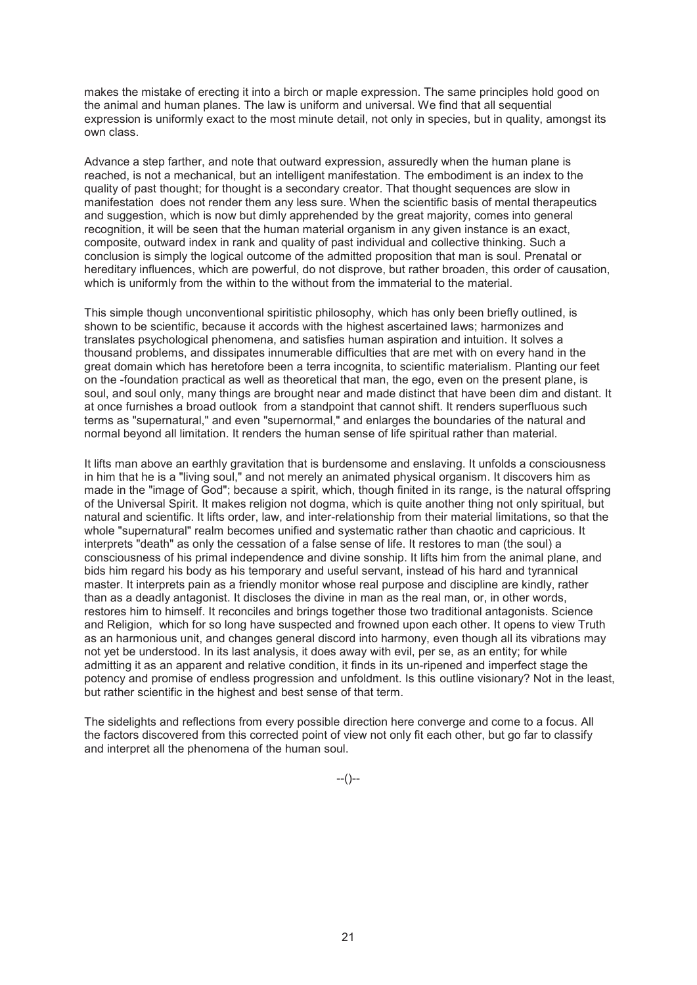makes the mistake of erecting it into a birch or maple expression. The same principles hold good on the animal and human planes. The law is uniform and universal. We find that all sequential expression is uniformly exact to the most minute detail, not only in species, but in quality, amongst its own class.

Advance a step farther, and note that outward expression, assuredly when the human plane is reached, is not a mechanical, but an intelligent manifestation. The embodiment is an index to the quality of past thought; for thought is a secondary creator. That thought sequences are slow in manifestation does not render them any less sure. When the scientific basis of mental therapeutics and suggestion, which is now but dimly apprehended by the great majority, comes into general recognition, it will be seen that the human material organism in any given instance is an exact, composite, outward index in rank and quality of past individual and collective thinking. Such a conclusion is simply the logical outcome of the admitted proposition that man is soul. Prenatal or hereditary influences, which are powerful, do not disprove, but rather broaden, this order of causation, which is uniformly from the within to the without from the immaterial to the material.

This simple though unconventional spiritistic philosophy, which has only been briefly outlined, is shown to be scientific, because it accords with the highest ascertained laws; harmonizes and translates psychological phenomena, and satisfies human aspiration and intuition. It solves a thousand problems, and dissipates innumerable difficulties that are met with on every hand in the great domain which has heretofore been a terra incognita, to scientific materialism. Planting our feet on the -foundation practical as well as theoretical that man, the ego, even on the present plane, is soul, and soul only, many things are brought near and made distinct that have been dim and distant. It at once furnishes a broad outlook from a standpoint that cannot shift. It renders superfluous such terms as "supernatural," and even "supernormal," and enlarges the boundaries of the natural and normal beyond all limitation. It renders the human sense of life spiritual rather than material.

It lifts man above an earthly gravitation that is burdensome and enslaving. It unfolds a consciousness in him that he is a "living soul," and not merely an animated physical organism. It discovers him as made in the "image of God"; because a spirit, which, though finited in its range, is the natural offspring of the Universal Spirit. It makes religion not dogma, which is quite another thing not only spiritual, but natural and scientific. It lifts order, law, and inter-relationship from their material limitations, so that the whole "supernatural" realm becomes unified and systematic rather than chaotic and capricious. It interprets "death" as only the cessation of a false sense of life. It restores to man (the soul) a consciousness of his primal independence and divine sonship. It lifts him from the animal plane, and bids him regard his body as his temporary and useful servant, instead of his hard and tyrannical master. It interprets pain as a friendly monitor whose real purpose and discipline are kindly, rather than as a deadly antagonist. It discloses the divine in man as the real man, or, in other words, restores him to himself. It reconciles and brings together those two traditional antagonists. Science and Religion, which for so long have suspected and frowned upon each other. It opens to view Truth as an harmonious unit, and changes general discord into harmony, even though all its vibrations may not yet be understood. In its last analysis, it does away with evil, per se, as an entity; for while admitting it as an apparent and relative condition, it finds in its un-ripened and imperfect stage the potency and promise of endless progression and unfoldment. Is this outline visionary? Not in the least, but rather scientific in the highest and best sense of that term.

The sidelights and reflections from every possible direction here converge and come to a focus. All the factors discovered from this corrected point of view not only fit each other, but go far to classify and interpret all the phenomena of the human soul.

 $-(-)$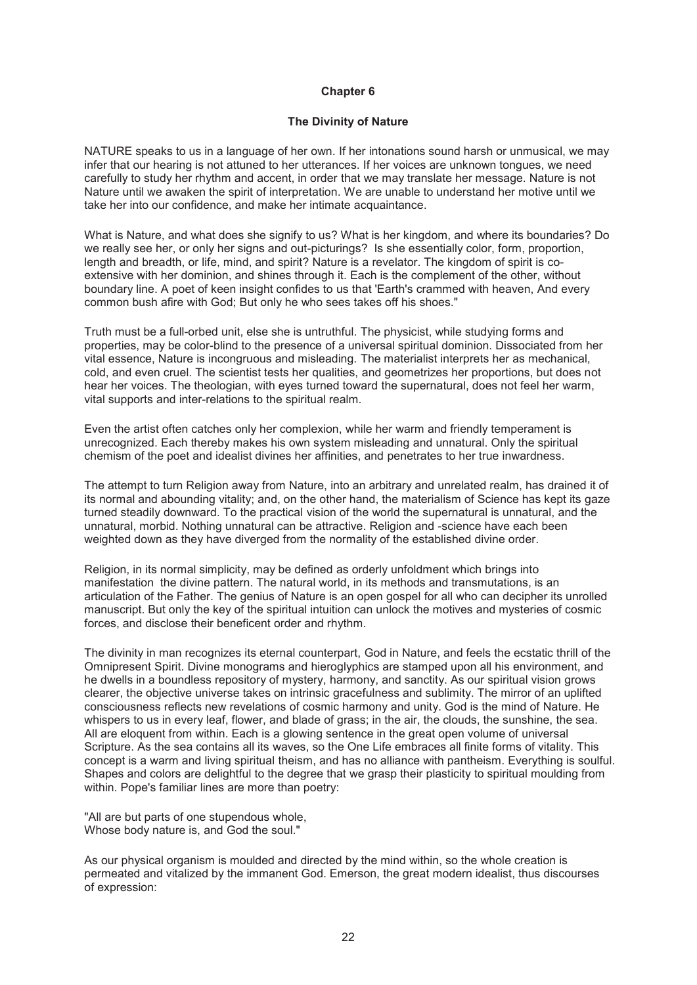### **The Divinity of Nature**

NATURE speaks to us in a language of her own. If her intonations sound harsh or unmusical, we may infer that our hearing is not attuned to her utterances. If her voices are unknown tongues, we need carefully to study her rhythm and accent, in order that we may translate her message. Nature is not Nature until we awaken the spirit of interpretation. We are unable to understand her motive until we take her into our confidence, and make her intimate acquaintance.

What is Nature, and what does she signify to us? What is her kingdom, and where its boundaries? Do we really see her, or only her signs and out-picturings? Is she essentially color, form, proportion, length and breadth, or life, mind, and spirit? Nature is a revelator. The kingdom of spirit is coextensive with her dominion, and shines through it. Each is the complement of the other, without boundary line. A poet of keen insight confides to us that 'Earth's crammed with heaven, And every common bush afire with God; But only he who sees takes off his shoes."

Truth must be a full-orbed unit, else she is untruthful. The physicist, while studying forms and properties, may be color-blind to the presence of a universal spiritual dominion. Dissociated from her vital essence, Nature is incongruous and misleading. The materialist interprets her as mechanical, cold, and even cruel. The scientist tests her qualities, and geometrizes her proportions, but does not hear her voices. The theologian, with eyes turned toward the supernatural, does not feel her warm, vital supports and inter-relations to the spiritual realm.

Even the artist often catches only her complexion, while her warm and friendly temperament is unrecognized. Each thereby makes his own system misleading and unnatural. Only the spiritual chemism of the poet and idealist divines her affinities, and penetrates to her true inwardness.

The attempt to turn Religion away from Nature, into an arbitrary and unrelated realm, has drained it of its normal and abounding vitality; and, on the other hand, the materialism of Science has kept its gaze turned steadily downward. To the practical vision of the world the supernatural is unnatural, and the unnatural, morbid. Nothing unnatural can be attractive. Religion and -science have each been weighted down as they have diverged from the normality of the established divine order.

Religion, in its normal simplicity, may be defined as orderly unfoldment which brings into manifestation the divine pattern. The natural world, in its methods and transmutations, is an articulation of the Father. The genius of Nature is an open gospel for all who can decipher its unrolled manuscript. But only the key of the spiritual intuition can unlock the motives and mysteries of cosmic forces, and disclose their beneficent order and rhythm.

The divinity in man recognizes its eternal counterpart, God in Nature, and feels the ecstatic thrill of the Omnipresent Spirit. Divine monograms and hieroglyphics are stamped upon all his environment, and he dwells in a boundless repository of mystery, harmony, and sanctity. As our spiritual vision grows clearer, the objective universe takes on intrinsic gracefulness and sublimity. The mirror of an uplifted consciousness reflects new revelations of cosmic harmony and unity. God is the mind of Nature. He whispers to us in every leaf, flower, and blade of grass; in the air, the clouds, the sunshine, the sea. All are eloquent from within. Each is a glowing sentence in the great open volume of universal Scripture. As the sea contains all its waves, so the One Life embraces all finite forms of vitality. This concept is a warm and living spiritual theism, and has no alliance with pantheism. Everything is soulful. Shapes and colors are delightful to the degree that we grasp their plasticity to spiritual moulding from within. Pope's familiar lines are more than poetry:

"All are but parts of one stupendous whole, Whose body nature is, and God the soul."

As our physical organism is moulded and directed by the mind within, so the whole creation is permeated and vitalized by the immanent God. Emerson, the great modern idealist, thus discourses of expression: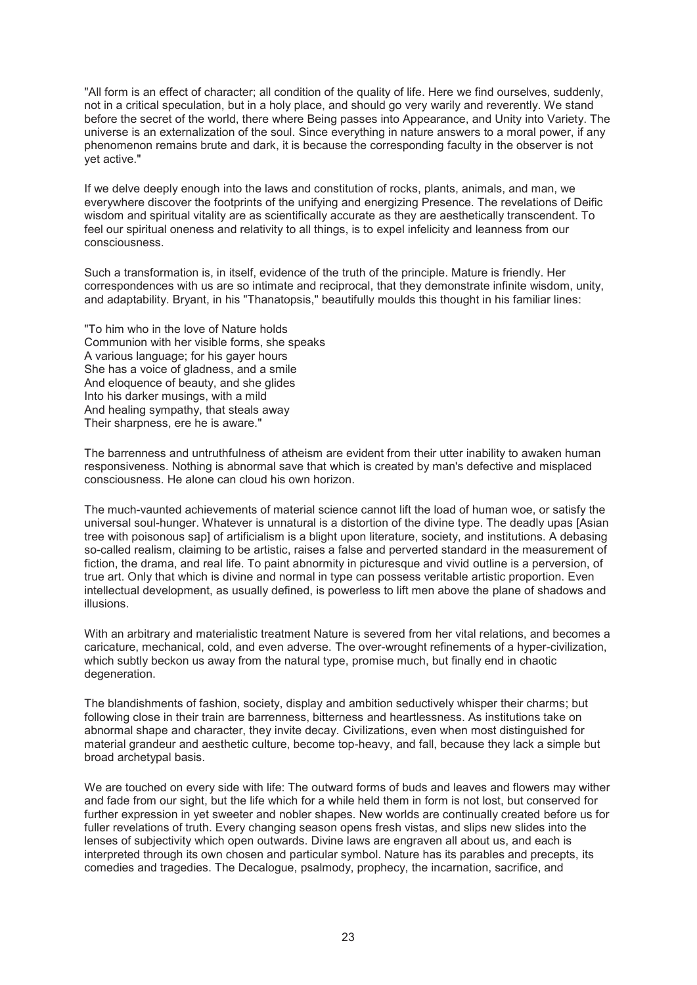"All form is an effect of character; all condition of the quality of life. Here we find ourselves, suddenly, not in a critical speculation, but in a holy place, and should go very warily and reverently. We stand before the secret of the world, there where Being passes into Appearance, and Unity into Variety. The universe is an externalization of the soul. Since everything in nature answers to a moral power, if any phenomenon remains brute and dark, it is because the corresponding faculty in the observer is not yet active."

If we delve deeply enough into the laws and constitution of rocks, plants, animals, and man, we everywhere discover the footprints of the unifying and energizing Presence. The revelations of Deific wisdom and spiritual vitality are as scientifically accurate as they are aesthetically transcendent. To feel our spiritual oneness and relativity to all things, is to expel infelicity and leanness from our consciousness.

Such a transformation is, in itself, evidence of the truth of the principle. Mature is friendly. Her correspondences with us are so intimate and reciprocal, that they demonstrate infinite wisdom, unity, and adaptability. Bryant, in his "Thanatopsis," beautifully moulds this thought in his familiar lines:

"To him who in the love of Nature holds Communion with her visible forms, she speaks A various language; for his gayer hours She has a voice of gladness, and a smile And eloquence of beauty, and she glides Into his darker musings, with a mild And healing sympathy, that steals away Their sharpness, ere he is aware."

The barrenness and untruthfulness of atheism are evident from their utter inability to awaken human responsiveness. Nothing is abnormal save that which is created by man's defective and misplaced consciousness. He alone can cloud his own horizon.

The much-vaunted achievements of material science cannot lift the load of human woe, or satisfy the universal soul-hunger. Whatever is unnatural is a distortion of the divine type. The deadly upas [Asian tree with poisonous sap] of artificialism is a blight upon literature, society, and institutions. A debasing so-called realism, claiming to be artistic, raises a false and perverted standard in the measurement of fiction, the drama, and real life. To paint abnormity in picturesque and vivid outline is a perversion, of true art. Only that which is divine and normal in type can possess veritable artistic proportion. Even intellectual development, as usually defined, is powerless to lift men above the plane of shadows and illusions.

With an arbitrary and materialistic treatment Nature is severed from her vital relations, and becomes a caricature, mechanical, cold, and even adverse. The over-wrought refinements of a hyper-civilization, which subtly beckon us away from the natural type, promise much, but finally end in chaotic degeneration.

The blandishments of fashion, society, display and ambition seductively whisper their charms; but following close in their train are barrenness, bitterness and heartlessness. As institutions take on abnormal shape and character, they invite decay. Civilizations, even when most distinguished for material grandeur and aesthetic culture, become top-heavy, and fall, because they lack a simple but broad archetypal basis.

We are touched on every side with life: The outward forms of buds and leaves and flowers may wither and fade from our sight, but the life which for a while held them in form is not lost, but conserved for further expression in yet sweeter and nobler shapes. New worlds are continually created before us for fuller revelations of truth. Every changing season opens fresh vistas, and slips new slides into the lenses of subjectivity which open outwards. Divine laws are engraven all about us, and each is interpreted through its own chosen and particular symbol. Nature has its parables and precepts, its comedies and tragedies. The Decalogue, psalmody, prophecy, the incarnation, sacrifice, and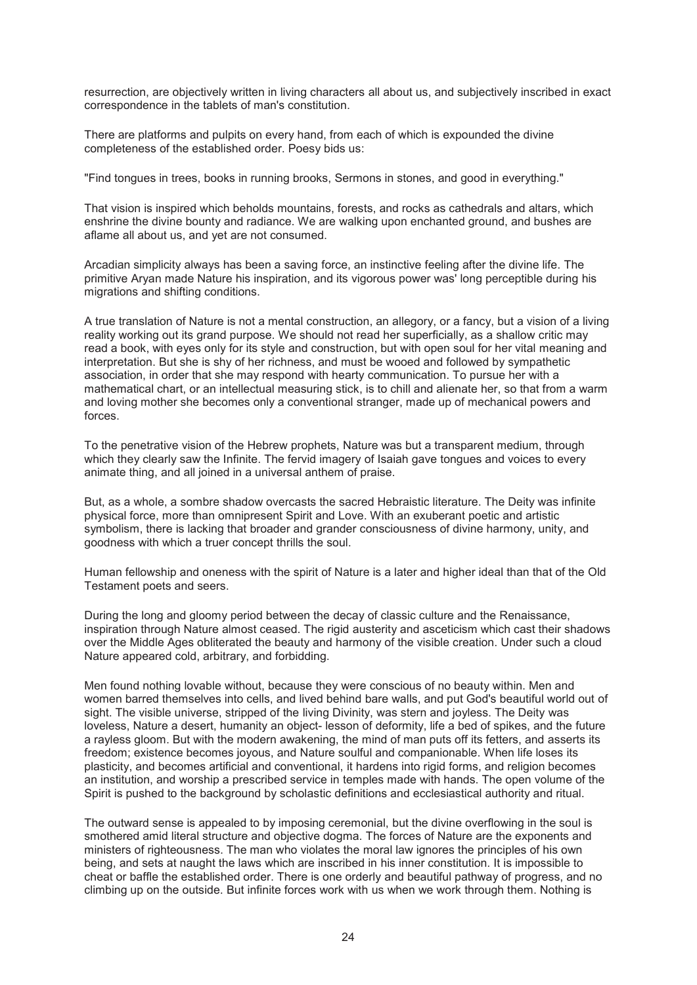resurrection, are objectively written in living characters all about us, and subjectively inscribed in exact correspondence in the tablets of man's constitution.

There are platforms and pulpits on every hand, from each of which is expounded the divine completeness of the established order. Poesy bids us:

"Find tongues in trees, books in running brooks, Sermons in stones, and good in everything."

That vision is inspired which beholds mountains, forests, and rocks as cathedrals and altars, which enshrine the divine bounty and radiance. We are walking upon enchanted ground, and bushes are aflame all about us, and yet are not consumed.

Arcadian simplicity always has been a saving force, an instinctive feeling after the divine life. The primitive Aryan made Nature his inspiration, and its vigorous power was' long perceptible during his migrations and shifting conditions.

A true translation of Nature is not a mental construction, an allegory, or a fancy, but a vision of a living reality working out its grand purpose. We should not read her superficially, as a shallow critic may read a book, with eyes only for its style and construction, but with open soul for her vital meaning and interpretation. But she is shy of her richness, and must be wooed and followed by sympathetic association, in order that she may respond with hearty communication. To pursue her with a mathematical chart, or an intellectual measuring stick, is to chill and alienate her, so that from a warm and loving mother she becomes only a conventional stranger, made up of mechanical powers and forces.

To the penetrative vision of the Hebrew prophets, Nature was but a transparent medium, through which they clearly saw the Infinite. The fervid imagery of Isaiah gave tongues and voices to every animate thing, and all joined in a universal anthem of praise.

But, as a whole, a sombre shadow overcasts the sacred Hebraistic literature. The Deity was infinite physical force, more than omnipresent Spirit and Love. With an exuberant poetic and artistic symbolism, there is lacking that broader and grander consciousness of divine harmony, unity, and goodness with which a truer concept thrills the soul.

Human fellowship and oneness with the spirit of Nature is a later and higher ideal than that of the Old Testament poets and seers.

During the long and gloomy period between the decay of classic culture and the Renaissance, inspiration through Nature almost ceased. The rigid austerity and asceticism which cast their shadows over the Middle Ages obliterated the beauty and harmony of the visible creation. Under such a cloud Nature appeared cold, arbitrary, and forbidding.

Men found nothing lovable without, because they were conscious of no beauty within. Men and women barred themselves into cells, and lived behind bare walls, and put God's beautiful world out of sight. The visible universe, stripped of the living Divinity, was stern and joyless. The Deity was loveless, Nature a desert, humanity an object- lesson of deformity, life a bed of spikes, and the future a rayless gloom. But with the modern awakening, the mind of man puts off its fetters, and asserts its freedom; existence becomes joyous, and Nature soulful and companionable. When life loses its plasticity, and becomes artificial and conventional, it hardens into rigid forms, and religion becomes an institution, and worship a prescribed service in temples made with hands. The open volume of the Spirit is pushed to the background by scholastic definitions and ecclesiastical authority and ritual.

The outward sense is appealed to by imposing ceremonial, but the divine overflowing in the soul is smothered amid literal structure and objective dogma. The forces of Nature are the exponents and ministers of righteousness. The man who violates the moral law ignores the principles of his own being, and sets at naught the laws which are inscribed in his inner constitution. It is impossible to cheat or baffle the established order. There is one orderly and beautiful pathway of progress, and no climbing up on the outside. But infinite forces work with us when we work through them. Nothing is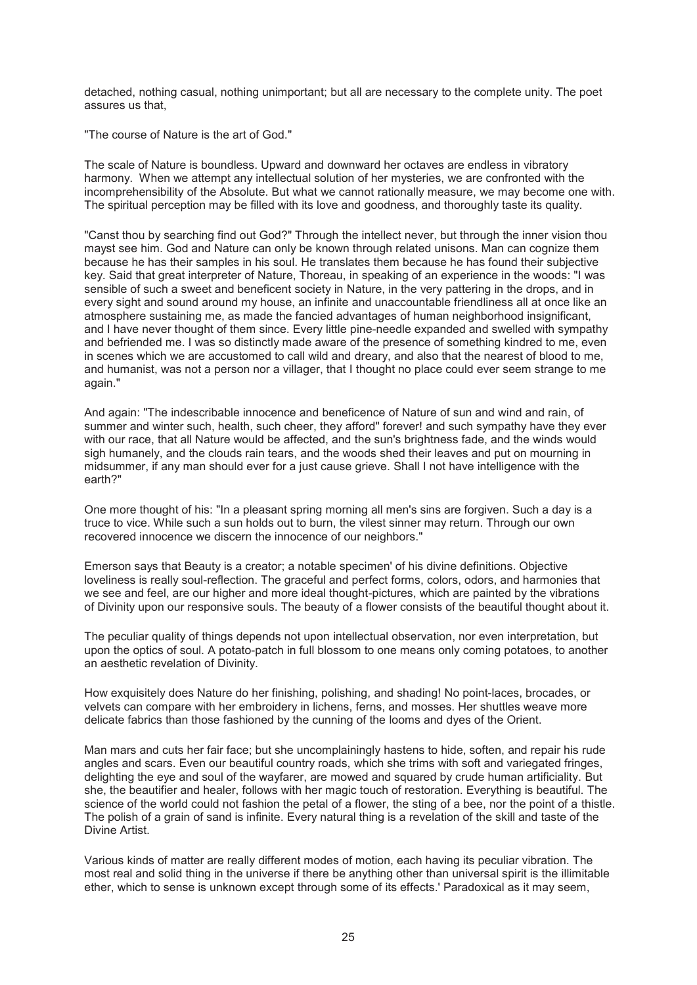detached, nothing casual, nothing unimportant; but all are necessary to the complete unity. The poet assures us that,

"The course of Nature is the art of God."

The scale of Nature is boundless. Upward and downward her octaves are endless in vibratory harmony. When we attempt any intellectual solution of her mysteries, we are confronted with the incomprehensibility of the Absolute. But what we cannot rationally measure, we may become one with. The spiritual perception may be filled with its love and goodness, and thoroughly taste its quality.

"Canst thou by searching find out God?" Through the intellect never, but through the inner vision thou mayst see him. God and Nature can only be known through related unisons. Man can cognize them because he has their samples in his soul. He translates them because he has found their subjective key. Said that great interpreter of Nature, Thoreau, in speaking of an experience in the woods: "I was sensible of such a sweet and beneficent society in Nature, in the very pattering in the drops, and in every sight and sound around my house, an infinite and unaccountable friendliness all at once like an atmosphere sustaining me, as made the fancied advantages of human neighborhood insignificant, and I have never thought of them since. Every little pine-needle expanded and swelled with sympathy and befriended me. I was so distinctly made aware of the presence of something kindred to me, even in scenes which we are accustomed to call wild and dreary, and also that the nearest of blood to me, and humanist, was not a person nor a villager, that I thought no place could ever seem strange to me again."

And again: "The indescribable innocence and beneficence of Nature of sun and wind and rain, of summer and winter such, health, such cheer, they afford" forever! and such sympathy have they ever with our race, that all Nature would be affected, and the sun's brightness fade, and the winds would sigh humanely, and the clouds rain tears, and the woods shed their leaves and put on mourning in midsummer, if any man should ever for a just cause grieve. Shall I not have intelligence with the earth?"

One more thought of his: "In a pleasant spring morning all men's sins are forgiven. Such a day is a truce to vice. While such a sun holds out to burn, the vilest sinner may return. Through our own recovered innocence we discern the innocence of our neighbors."

Emerson says that Beauty is a creator; a notable specimen' of his divine definitions. Objective loveliness is really soul-reflection. The graceful and perfect forms, colors, odors, and harmonies that we see and feel, are our higher and more ideal thought-pictures, which are painted by the vibrations of Divinity upon our responsive souls. The beauty of a flower consists of the beautiful thought about it.

The peculiar quality of things depends not upon intellectual observation, nor even interpretation, but upon the optics of soul. A potato-patch in full blossom to one means only coming potatoes, to another an aesthetic revelation of Divinity.

How exquisitely does Nature do her finishing, polishing, and shading! No point-laces, brocades, or velvets can compare with her embroidery in lichens, ferns, and mosses. Her shuttles weave more delicate fabrics than those fashioned by the cunning of the looms and dyes of the Orient.

Man mars and cuts her fair face; but she uncomplainingly hastens to hide, soften, and repair his rude angles and scars. Even our beautiful country roads, which she trims with soft and variegated fringes, delighting the eye and soul of the wayfarer, are mowed and squared by crude human artificiality. But she, the beautifier and healer, follows with her magic touch of restoration. Everything is beautiful. The science of the world could not fashion the petal of a flower, the sting of a bee, nor the point of a thistle. The polish of a grain of sand is infinite. Every natural thing is a revelation of the skill and taste of the Divine Artist.

Various kinds of matter are really different modes of motion, each having its peculiar vibration. The most real and solid thing in the universe if there be anything other than universal spirit is the illimitable ether, which to sense is unknown except through some of its effects.' Paradoxical as it may seem,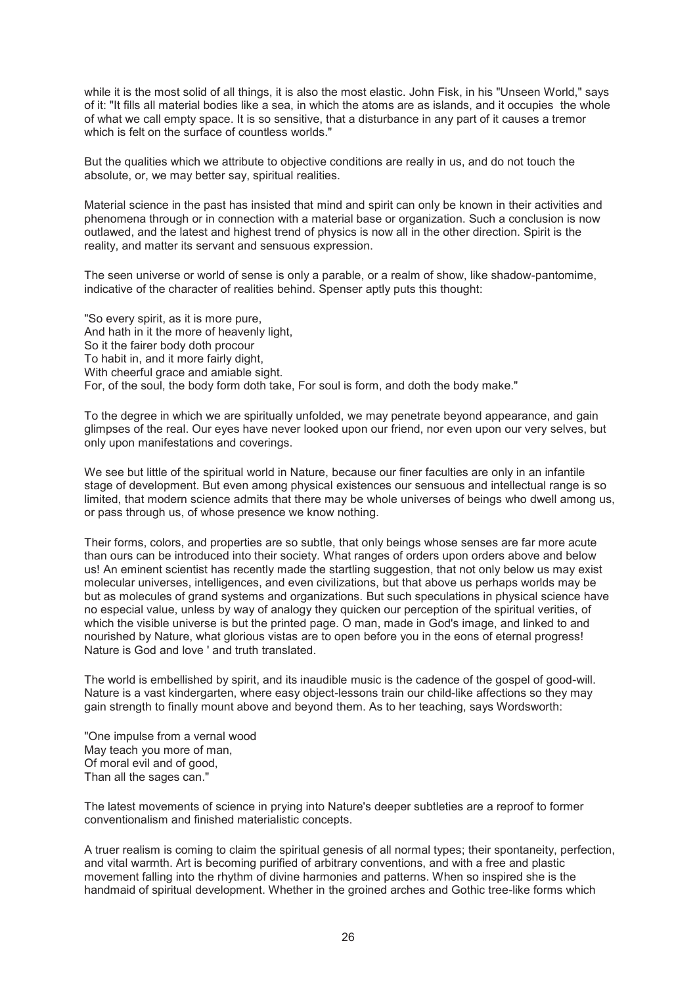while it is the most solid of all things, it is also the most elastic. John Fisk, in his "Unseen World," says of it: "It fills all material bodies like a sea, in which the atoms are as islands, and it occupies the whole of what we call empty space. It is so sensitive, that a disturbance in any part of it causes a tremor which is felt on the surface of countless worlds."

But the qualities which we attribute to objective conditions are really in us, and do not touch the absolute, or, we may better say, spiritual realities.

Material science in the past has insisted that mind and spirit can only be known in their activities and phenomena through or in connection with a material base or organization. Such a conclusion is now outlawed, and the latest and highest trend of physics is now all in the other direction. Spirit is the reality, and matter its servant and sensuous expression.

The seen universe or world of sense is only a parable, or a realm of show, like shadow-pantomime, indicative of the character of realities behind. Spenser aptly puts this thought:

"So every spirit, as it is more pure, And hath in it the more of heavenly light, So it the fairer body doth procour To habit in, and it more fairly dight, With cheerful grace and amiable sight. For, of the soul, the body form doth take, For soul is form, and doth the body make."

To the degree in which we are spiritually unfolded, we may penetrate beyond appearance, and gain glimpses of the real. Our eyes have never looked upon our friend, nor even upon our very selves, but only upon manifestations and coverings.

We see but little of the spiritual world in Nature, because our finer faculties are only in an infantile stage of development. But even among physical existences our sensuous and intellectual range is so limited, that modern science admits that there may be whole universes of beings who dwell among us, or pass through us, of whose presence we know nothing.

Their forms, colors, and properties are so subtle, that only beings whose senses are far more acute than ours can be introduced into their society. What ranges of orders upon orders above and below us! An eminent scientist has recently made the startling suggestion, that not only below us may exist molecular universes, intelligences, and even civilizations, but that above us perhaps worlds may be but as molecules of grand systems and organizations. But such speculations in physical science have no especial value, unless by way of analogy they quicken our perception of the spiritual verities, of which the visible universe is but the printed page. O man, made in God's image, and linked to and nourished by Nature, what glorious vistas are to open before you in the eons of eternal progress! Nature is God and love ' and truth translated.

The world is embellished by spirit, and its inaudible music is the cadence of the gospel of good-will. Nature is a vast kindergarten, where easy object-lessons train our child-like affections so they may gain strength to finally mount above and beyond them. As to her teaching, says Wordsworth:

"One impulse from a vernal wood May teach you more of man, Of moral evil and of good, Than all the sages can."

The latest movements of science in prying into Nature's deeper subtleties are a reproof to former conventionalism and finished materialistic concepts.

A truer realism is coming to claim the spiritual genesis of all normal types; their spontaneity, perfection, and vital warmth. Art is becoming purified of arbitrary conventions, and with a free and plastic movement falling into the rhythm of divine harmonies and patterns. When so inspired she is the handmaid of spiritual development. Whether in the groined arches and Gothic tree-like forms which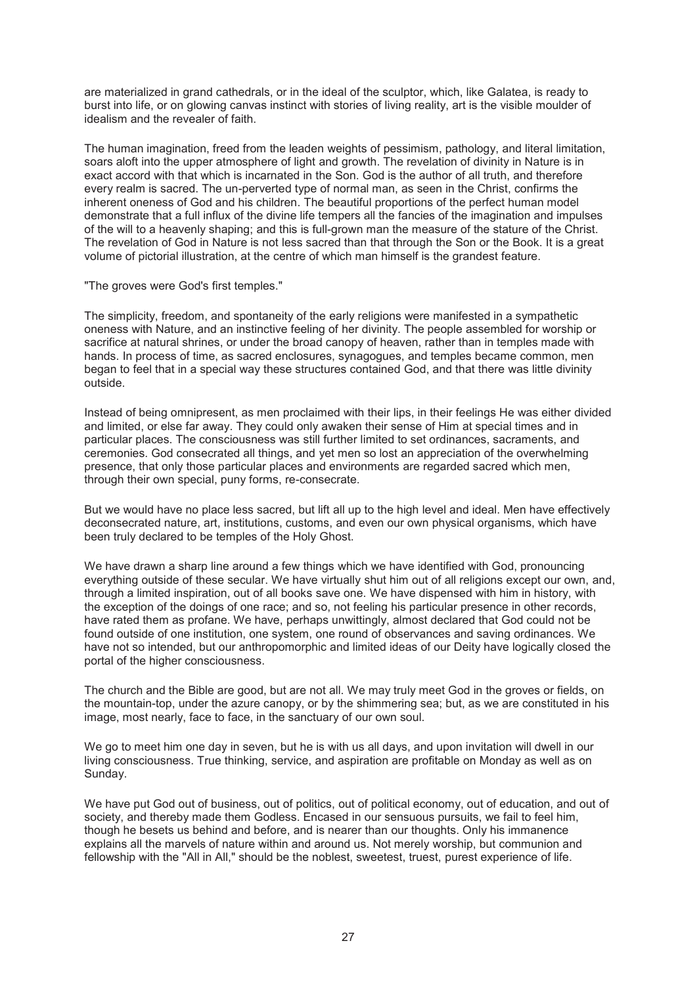are materialized in grand cathedrals, or in the ideal of the sculptor, which, like Galatea, is ready to burst into life, or on glowing canvas instinct with stories of living reality, art is the visible moulder of idealism and the revealer of faith.

The human imagination, freed from the leaden weights of pessimism, pathology, and literal limitation, soars aloft into the upper atmosphere of light and growth. The revelation of divinity in Nature is in exact accord with that which is incarnated in the Son. God is the author of all truth, and therefore every realm is sacred. The un-perverted type of normal man, as seen in the Christ, confirms the inherent oneness of God and his children. The beautiful proportions of the perfect human model demonstrate that a full influx of the divine life tempers all the fancies of the imagination and impulses of the will to a heavenly shaping; and this is full-grown man the measure of the stature of the Christ. The revelation of God in Nature is not less sacred than that through the Son or the Book. It is a great volume of pictorial illustration, at the centre of which man himself is the grandest feature.

"The groves were God's first temples."

The simplicity, freedom, and spontaneity of the early religions were manifested in a sympathetic oneness with Nature, and an instinctive feeling of her divinity. The people assembled for worship or sacrifice at natural shrines, or under the broad canopy of heaven, rather than in temples made with hands. In process of time, as sacred enclosures, synagogues, and temples became common, men began to feel that in a special way these structures contained God, and that there was little divinity outside.

Instead of being omnipresent, as men proclaimed with their lips, in their feelings He was either divided and limited, or else far away. They could only awaken their sense of Him at special times and in particular places. The consciousness was still further limited to set ordinances, sacraments, and ceremonies. God consecrated all things, and yet men so lost an appreciation of the overwhelming presence, that only those particular places and environments are regarded sacred which men, through their own special, puny forms, re-consecrate.

But we would have no place less sacred, but lift all up to the high level and ideal. Men have effectively deconsecrated nature, art, institutions, customs, and even our own physical organisms, which have been truly declared to be temples of the Holy Ghost.

We have drawn a sharp line around a few things which we have identified with God, pronouncing everything outside of these secular. We have virtually shut him out of all religions except our own, and, through a limited inspiration, out of all books save one. We have dispensed with him in history, with the exception of the doings of one race; and so, not feeling his particular presence in other records, have rated them as profane. We have, perhaps unwittingly, almost declared that God could not be found outside of one institution, one system, one round of observances and saving ordinances. We have not so intended, but our anthropomorphic and limited ideas of our Deity have logically closed the portal of the higher consciousness.

The church and the Bible are good, but are not all. We may truly meet God in the groves or fields, on the mountain-top, under the azure canopy, or by the shimmering sea; but, as we are constituted in his image, most nearly, face to face, in the sanctuary of our own soul.

We go to meet him one day in seven, but he is with us all days, and upon invitation will dwell in our living consciousness. True thinking, service, and aspiration are profitable on Monday as well as on Sunday.

We have put God out of business, out of politics, out of political economy, out of education, and out of society, and thereby made them Godless. Encased in our sensuous pursuits, we fail to feel him, though he besets us behind and before, and is nearer than our thoughts. Only his immanence explains all the marvels of nature within and around us. Not merely worship, but communion and fellowship with the "All in All," should be the noblest, sweetest, truest, purest experience of life.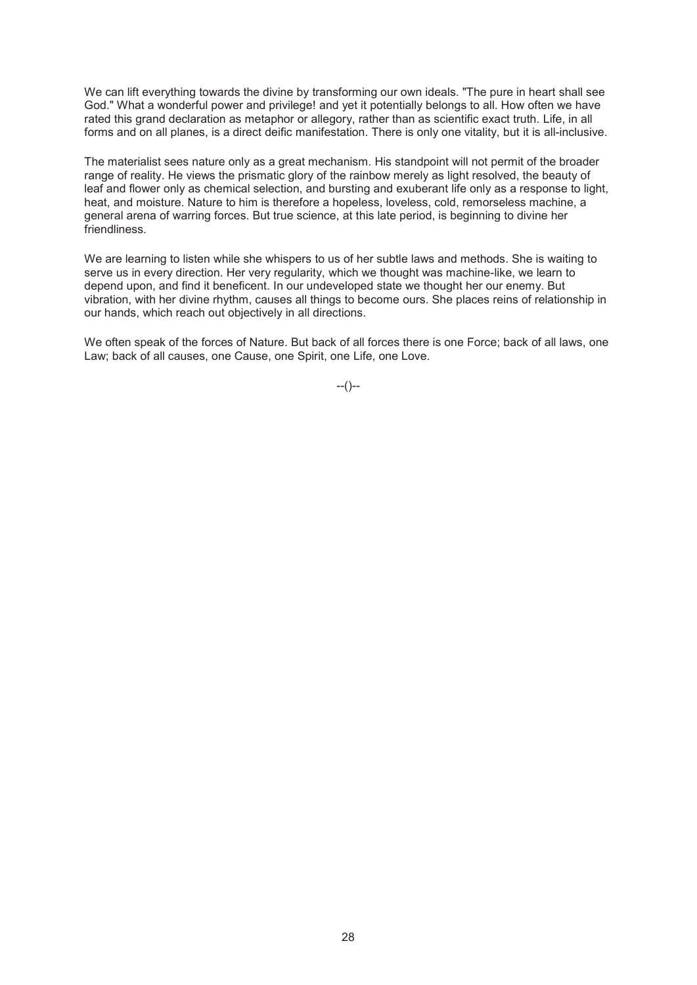We can lift everything towards the divine by transforming our own ideals. "The pure in heart shall see God." What a wonderful power and privilege! and yet it potentially belongs to all. How often we have rated this grand declaration as metaphor or allegory, rather than as scientific exact truth. Life, in all forms and on all planes, is a direct deific manifestation. There is only one vitality, but it is all-inclusive.

The materialist sees nature only as a great mechanism. His standpoint will not permit of the broader range of reality. He views the prismatic glory of the rainbow merely as light resolved, the beauty of leaf and flower only as chemical selection, and bursting and exuberant life only as a response to light, heat, and moisture. Nature to him is therefore a hopeless, loveless, cold, remorseless machine, a general arena of warring forces. But true science, at this late period, is beginning to divine her friendliness.

We are learning to listen while she whispers to us of her subtle laws and methods. She is waiting to serve us in every direction. Her very regularity, which we thought was machine-like, we learn to depend upon, and find it beneficent. In our undeveloped state we thought her our enemy. But vibration, with her divine rhythm, causes all things to become ours. She places reins of relationship in our hands, which reach out objectively in all directions.

We often speak of the forces of Nature. But back of all forces there is one Force; back of all laws, one Law; back of all causes, one Cause, one Spirit, one Life, one Love.

 $-(-)$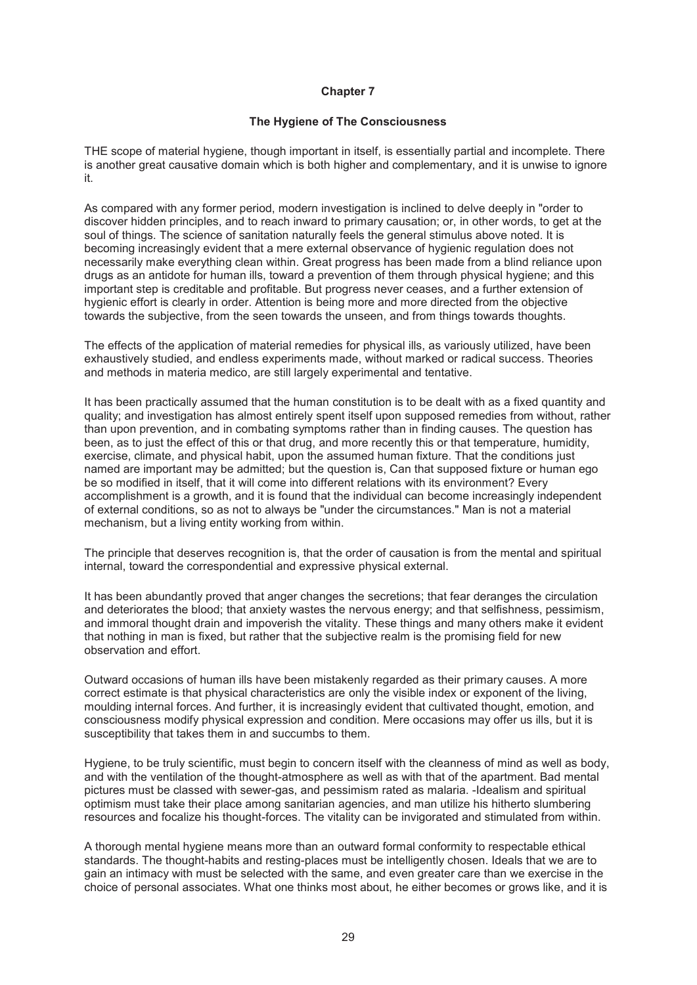## **The Hygiene of The Consciousness**

THE scope of material hygiene, though important in itself, is essentially partial and incomplete. There is another great causative domain which is both higher and complementary, and it is unwise to ignore it.

As compared with any former period, modern investigation is inclined to delve deeply in "order to discover hidden principles, and to reach inward to primary causation; or, in other words, to get at the soul of things. The science of sanitation naturally feels the general stimulus above noted. It is becoming increasingly evident that a mere external observance of hygienic regulation does not necessarily make everything clean within. Great progress has been made from a blind reliance upon drugs as an antidote for human ills, toward a prevention of them through physical hygiene; and this important step is creditable and profitable. But progress never ceases, and a further extension of hygienic effort is clearly in order. Attention is being more and more directed from the objective towards the subjective, from the seen towards the unseen, and from things towards thoughts.

The effects of the application of material remedies for physical ills, as variously utilized, have been exhaustively studied, and endless experiments made, without marked or radical success. Theories and methods in materia medico, are still largely experimental and tentative.

It has been practically assumed that the human constitution is to be dealt with as a fixed quantity and quality; and investigation has almost entirely spent itself upon supposed remedies from without, rather than upon prevention, and in combating symptoms rather than in finding causes. The question has been, as to just the effect of this or that drug, and more recently this or that temperature, humidity, exercise, climate, and physical habit, upon the assumed human fixture. That the conditions just named are important may be admitted; but the question is, Can that supposed fixture or human ego be so modified in itself, that it will come into different relations with its environment? Every accomplishment is a growth, and it is found that the individual can become increasingly independent of external conditions, so as not to always be "under the circumstances." Man is not a material mechanism, but a living entity working from within.

The principle that deserves recognition is, that the order of causation is from the mental and spiritual internal, toward the correspondential and expressive physical external.

It has been abundantly proved that anger changes the secretions; that fear deranges the circulation and deteriorates the blood; that anxiety wastes the nervous energy; and that selfishness, pessimism, and immoral thought drain and impoverish the vitality. These things and many others make it evident that nothing in man is fixed, but rather that the subjective realm is the promising field for new observation and effort.

Outward occasions of human ills have been mistakenly regarded as their primary causes. A more correct estimate is that physical characteristics are only the visible index or exponent of the living, moulding internal forces. And further, it is increasingly evident that cultivated thought, emotion, and consciousness modify physical expression and condition. Mere occasions may offer us ills, but it is susceptibility that takes them in and succumbs to them.

Hygiene, to be truly scientific, must begin to concern itself with the cleanness of mind as well as body, and with the ventilation of the thought-atmosphere as well as with that of the apartment. Bad mental pictures must be classed with sewer-gas, and pessimism rated as malaria. -Idealism and spiritual optimism must take their place among sanitarian agencies, and man utilize his hitherto slumbering resources and focalize his thought-forces. The vitality can be invigorated and stimulated from within.

A thorough mental hygiene means more than an outward formal conformity to respectable ethical standards. The thought-habits and resting-places must be intelligently chosen. Ideals that we are to gain an intimacy with must be selected with the same, and even greater care than we exercise in the choice of personal associates. What one thinks most about, he either becomes or grows like, and it is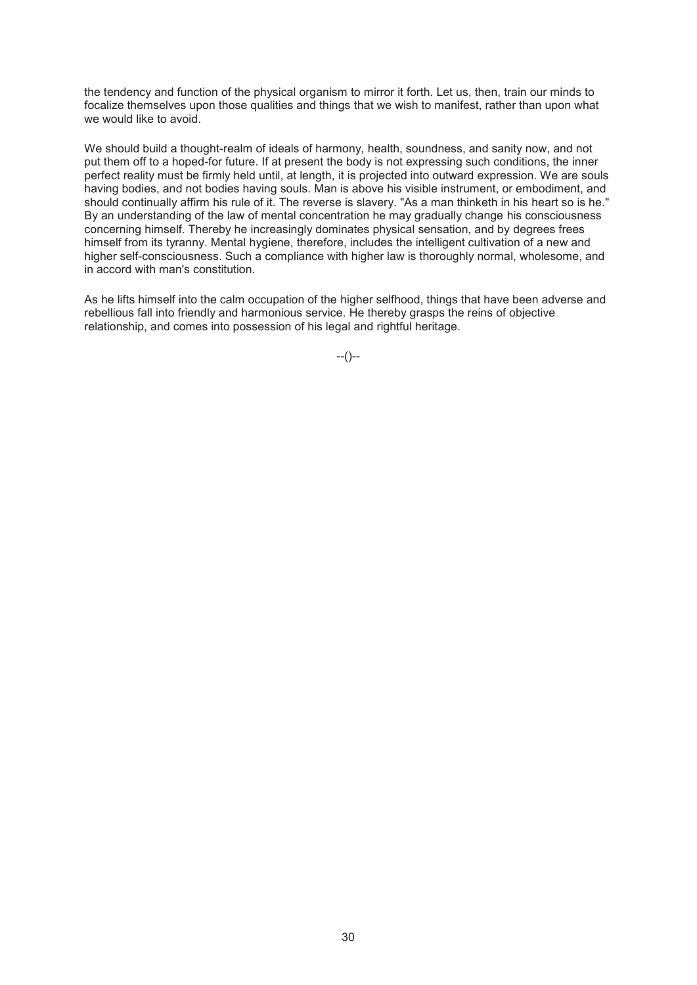the tendency and function of the physical organism to mirror it forth. Let us, then, train our minds to focalize themselves upon those qualities and things that we wish to manifest, rather than upon what we would like to avoid.

We should build a thought-realm of ideals of harmony, health, soundness, and sanity now, and not put them off to a hoped-for future. If at present the body is not expressing such conditions, the inner perfect reality must be firmly held until, at length, it is projected into outward expression. We are souls having bodies, and not bodies having souls. Man is above his visible instrument, or embodiment, and should continually affirm his rule of it. The reverse is slavery. "As a man thinketh in his heart so is he." By an understanding of the law of mental concentration he may gradually change his consciousness concerning himself. Thereby he increasingly dominates physical sensation, and by degrees frees himself from its tyranny. Mental hygiene, therefore, includes the intelligent cultivation of a new and higher self-consciousness. Such a compliance with higher law is thoroughly normal, wholesome, and in accord with man's constitution.

As he lifts himself into the calm occupation of the higher selfhood, things that have been adverse and rebellious fall into friendly and harmonious service. He thereby grasps the reins of objective relationship, and comes into possession of his legal and rightful heritage.

--()--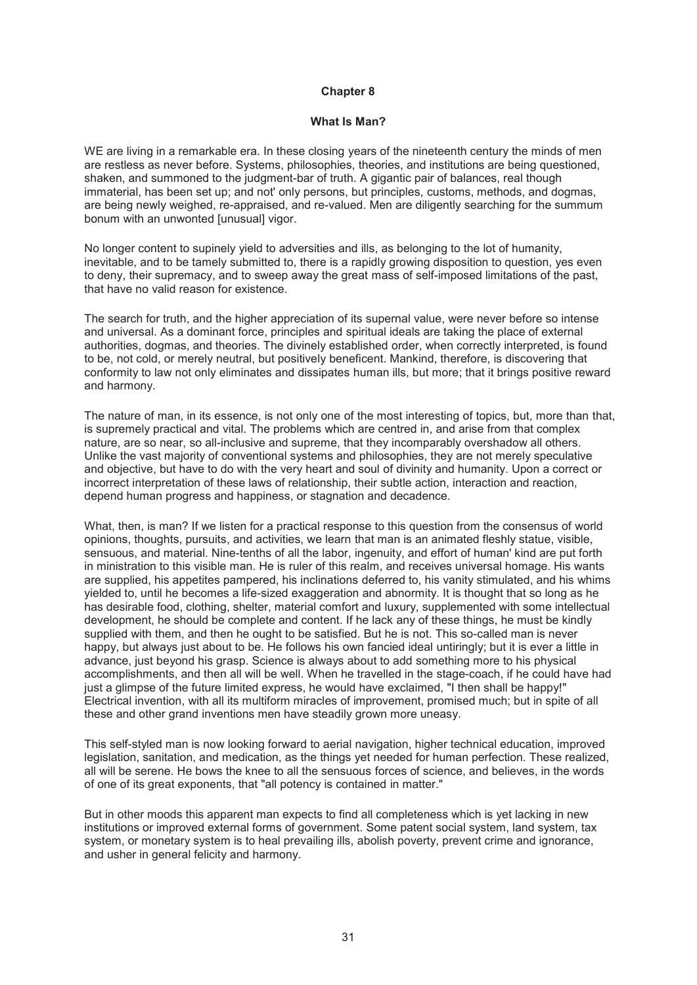#### **What Is Man?**

WE are living in a remarkable era. In these closing years of the nineteenth century the minds of men are restless as never before. Systems, philosophies, theories, and institutions are being questioned, shaken, and summoned to the judgment-bar of truth. A gigantic pair of balances, real though immaterial, has been set up; and not' only persons, but principles, customs, methods, and dogmas, are being newly weighed, re-appraised, and re-valued. Men are diligently searching for the summum bonum with an unwonted [unusual] vigor.

No longer content to supinely yield to adversities and ills, as belonging to the lot of humanity, inevitable, and to be tamely submitted to, there is a rapidly growing disposition to question, yes even to deny, their supremacy, and to sweep away the great mass of self-imposed limitations of the past, that have no valid reason for existence.

The search for truth, and the higher appreciation of its supernal value, were never before so intense and universal. As a dominant force, principles and spiritual ideals are taking the place of external authorities, dogmas, and theories. The divinely established order, when correctly interpreted, is found to be, not cold, or merely neutral, but positively beneficent. Mankind, therefore, is discovering that conformity to law not only eliminates and dissipates human ills, but more; that it brings positive reward and harmony.

The nature of man, in its essence, is not only one of the most interesting of topics, but, more than that, is supremely practical and vital. The problems which are centred in, and arise from that complex nature, are so near, so all-inclusive and supreme, that they incomparably overshadow all others. Unlike the vast majority of conventional systems and philosophies, they are not merely speculative and objective, but have to do with the very heart and soul of divinity and humanity. Upon a correct or incorrect interpretation of these laws of relationship, their subtle action, interaction and reaction, depend human progress and happiness, or stagnation and decadence.

What, then, is man? If we listen for a practical response to this question from the consensus of world opinions, thoughts, pursuits, and activities, we learn that man is an animated fleshly statue, visible, sensuous, and material. Nine-tenths of all the labor, ingenuity, and effort of human' kind are put forth in ministration to this visible man. He is ruler of this realm, and receives universal homage. His wants are supplied, his appetites pampered, his inclinations deferred to, his vanity stimulated, and his whims yielded to, until he becomes a life-sized exaggeration and abnormity. It is thought that so long as he has desirable food, clothing, shelter, material comfort and luxury, supplemented with some intellectual development, he should be complete and content. If he lack any of these things, he must be kindly supplied with them, and then he ought to be satisfied. But he is not. This so-called man is never happy, but always just about to be. He follows his own fancied ideal untiringly; but it is ever a little in advance, just beyond his grasp. Science is always about to add something more to his physical accomplishments, and then all will be well. When he travelled in the stage-coach, if he could have had just a glimpse of the future limited express, he would have exclaimed. "I then shall be happy!" Electrical invention, with all its multiform miracles of improvement, promised much; but in spite of all these and other grand inventions men have steadily grown more uneasy.

This self-styled man is now looking forward to aerial navigation, higher technical education, improved legislation, sanitation, and medication, as the things yet needed for human perfection. These realized, all will be serene. He bows the knee to all the sensuous forces of science, and believes, in the words of one of its great exponents, that "all potency is contained in matter."

But in other moods this apparent man expects to find all completeness which is yet lacking in new institutions or improved external forms of government. Some patent social system, land system, tax system, or monetary system is to heal prevailing ills, abolish poverty, prevent crime and ignorance, and usher in general felicity and harmony.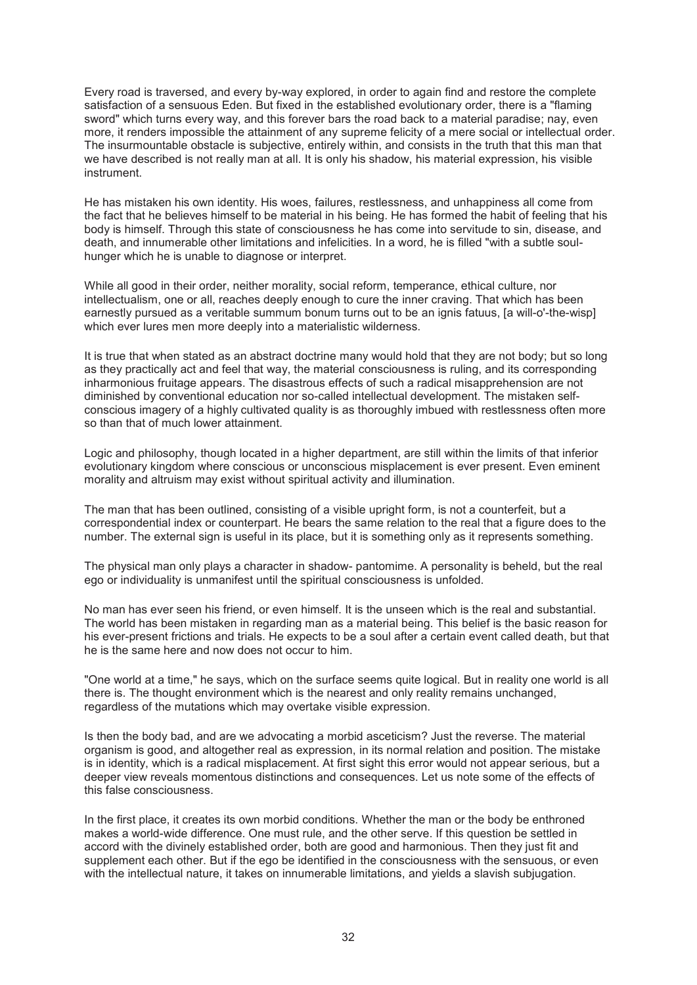Every road is traversed, and every by-way explored, in order to again find and restore the complete satisfaction of a sensuous Eden. But fixed in the established evolutionary order, there is a "flaming sword" which turns every way, and this forever bars the road back to a material paradise; nay, even more, it renders impossible the attainment of any supreme felicity of a mere social or intellectual order. The insurmountable obstacle is subjective, entirely within, and consists in the truth that this man that we have described is not really man at all. It is only his shadow, his material expression, his visible instrument.

He has mistaken his own identity. His woes, failures, restlessness, and unhappiness all come from the fact that he believes himself to be material in his being. He has formed the habit of feeling that his body is himself. Through this state of consciousness he has come into servitude to sin, disease, and death, and innumerable other limitations and infelicities. In a word, he is filled "with a subtle soulhunger which he is unable to diagnose or interpret.

While all good in their order, neither morality, social reform, temperance, ethical culture, nor intellectualism, one or all, reaches deeply enough to cure the inner craving. That which has been earnestly pursued as a veritable summum bonum turns out to be an ignis fatuus, [a will-o'-the-wisp] which ever lures men more deeply into a materialistic wilderness.

It is true that when stated as an abstract doctrine many would hold that they are not body; but so long as they practically act and feel that way, the material consciousness is ruling, and its corresponding inharmonious fruitage appears. The disastrous effects of such a radical misapprehension are not diminished by conventional education nor so-called intellectual development. The mistaken selfconscious imagery of a highly cultivated quality is as thoroughly imbued with restlessness often more so than that of much lower attainment.

Logic and philosophy, though located in a higher department, are still within the limits of that inferior evolutionary kingdom where conscious or unconscious misplacement is ever present. Even eminent morality and altruism may exist without spiritual activity and illumination.

The man that has been outlined, consisting of a visible upright form, is not a counterfeit, but a correspondential index or counterpart. He bears the same relation to the real that a figure does to the number. The external sign is useful in its place, but it is something only as it represents something.

The physical man only plays a character in shadow- pantomime. A personality is beheld, but the real ego or individuality is unmanifest until the spiritual consciousness is unfolded.

No man has ever seen his friend, or even himself. It is the unseen which is the real and substantial. The world has been mistaken in regarding man as a material being. This belief is the basic reason for his ever-present frictions and trials. He expects to be a soul after a certain event called death, but that he is the same here and now does not occur to him.

"One world at a time," he says, which on the surface seems quite logical. But in reality one world is all there is. The thought environment which is the nearest and only reality remains unchanged, regardless of the mutations which may overtake visible expression.

Is then the body bad, and are we advocating a morbid asceticism? Just the reverse. The material organism is good, and altogether real as expression, in its normal relation and position. The mistake is in identity, which is a radical misplacement. At first sight this error would not appear serious, but a deeper view reveals momentous distinctions and consequences. Let us note some of the effects of this false consciousness.

In the first place, it creates its own morbid conditions. Whether the man or the body be enthroned makes a world-wide difference. One must rule, and the other serve. If this question be settled in accord with the divinely established order, both are good and harmonious. Then they just fit and supplement each other. But if the ego be identified in the consciousness with the sensuous, or even with the intellectual nature, it takes on innumerable limitations, and yields a slavish subjugation.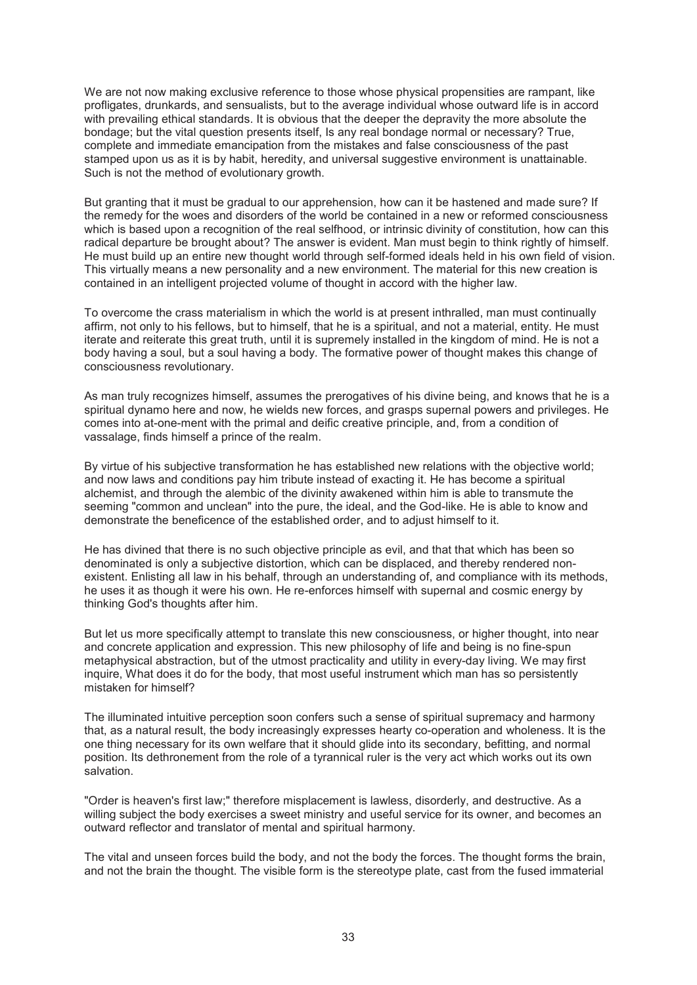We are not now making exclusive reference to those whose physical propensities are rampant, like profligates, drunkards, and sensualists, but to the average individual whose outward life is in accord with prevailing ethical standards. It is obvious that the deeper the depravity the more absolute the bondage; but the vital question presents itself, Is any real bondage normal or necessary? True, complete and immediate emancipation from the mistakes and false consciousness of the past stamped upon us as it is by habit, heredity, and universal suggestive environment is unattainable. Such is not the method of evolutionary growth.

But granting that it must be gradual to our apprehension, how can it be hastened and made sure? If the remedy for the woes and disorders of the world be contained in a new or reformed consciousness which is based upon a recognition of the real selfhood, or intrinsic divinity of constitution, how can this radical departure be brought about? The answer is evident. Man must begin to think rightly of himself. He must build up an entire new thought world through self-formed ideals held in his own field of vision. This virtually means a new personality and a new environment. The material for this new creation is contained in an intelligent projected volume of thought in accord with the higher law.

To overcome the crass materialism in which the world is at present inthralled, man must continually affirm, not only to his fellows, but to himself, that he is a spiritual, and not a material, entity. He must iterate and reiterate this great truth, until it is supremely installed in the kingdom of mind. He is not a body having a soul, but a soul having a body. The formative power of thought makes this change of consciousness revolutionary.

As man truly recognizes himself, assumes the prerogatives of his divine being, and knows that he is a spiritual dynamo here and now, he wields new forces, and grasps supernal powers and privileges. He comes into at-one-ment with the primal and deific creative principle, and, from a condition of vassalage, finds himself a prince of the realm.

By virtue of his subjective transformation he has established new relations with the objective world; and now laws and conditions pay him tribute instead of exacting it. He has become a spiritual alchemist, and through the alembic of the divinity awakened within him is able to transmute the seeming "common and unclean" into the pure, the ideal, and the God-like. He is able to know and demonstrate the beneficence of the established order, and to adjust himself to it.

He has divined that there is no such objective principle as evil, and that that which has been so denominated is only a subjective distortion, which can be displaced, and thereby rendered nonexistent. Enlisting all law in his behalf, through an understanding of, and compliance with its methods, he uses it as though it were his own. He re-enforces himself with supernal and cosmic energy by thinking God's thoughts after him.

But let us more specifically attempt to translate this new consciousness, or higher thought, into near and concrete application and expression. This new philosophy of life and being is no fine-spun metaphysical abstraction, but of the utmost practicality and utility in every-day living. We may first inquire, What does it do for the body, that most useful instrument which man has so persistently mistaken for himself?

The illuminated intuitive perception soon confers such a sense of spiritual supremacy and harmony that, as a natural result, the body increasingly expresses hearty co-operation and wholeness. It is the one thing necessary for its own welfare that it should glide into its secondary, befitting, and normal position. Its dethronement from the role of a tyrannical ruler is the very act which works out its own salvation.

"Order is heaven's first law;" therefore misplacement is lawless, disorderly, and destructive. As a willing subject the body exercises a sweet ministry and useful service for its owner, and becomes an outward reflector and translator of mental and spiritual harmony.

The vital and unseen forces build the body, and not the body the forces. The thought forms the brain, and not the brain the thought. The visible form is the stereotype plate, cast from the fused immaterial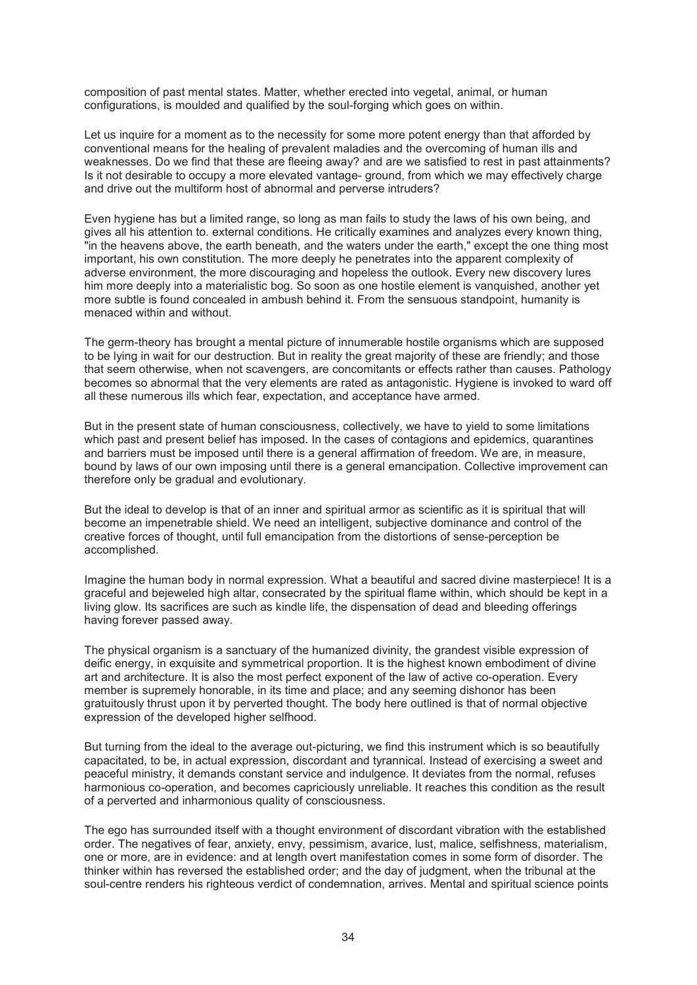composition of past mental states. Matter, whether erected into vegetal, animal, or human configurations, is moulded and qualified by the soul-forging which goes on within.

Let us inquire for a moment as to the necessity for some more potent energy than that afforded by conventional means for the healing of prevalent maladies and the overcoming of human ills and weaknesses. Do we find that these are fleeing away? and are we satisfied to rest in past attainments? Is it not desirable to occupy a more elevated vantage- ground, from which we may effectively charge and drive out the multiform host of abnormal and perverse intruders?

Even hygiene has but a limited range, so long as man fails to study the laws of his own being, and gives all his attention to. external conditions. He critically examines and analyzes every known thing, "in the heavens above, the earth beneath, and the waters under the earth," except the one thing most important, his own constitution. The more deeply he penetrates into the apparent complexity of adverse environment, the more discouraging and hopeless the outlook. Every new discovery lures him more deeply into a materialistic bog. So soon as one hostile element is vanquished, another yet more subtle is found concealed in ambush behind it. From the sensuous standpoint, humanity is menaced within and without.

The germ-theory has brought a mental picture of innumerable hostile organisms which are supposed to be lying in wait for our destruction. But in reality the great majority of these are friendly; and those that seem otherwise, when not scavengers, are concomitants or effects rather than causes. Pathology becomes so abnormal that the very elements are rated as antagonistic. Hygiene is invoked to ward off all these numerous ills which fear, expectation, and acceptance have armed.

But in the present state of human consciousness, collectively, we have to yield to some limitations which past and present belief has imposed. In the cases of contagions and epidemics, quarantines and barriers must be imposed until there is a general affirmation of freedom. We are, in measure, bound by laws of our own imposing until there is a general emancipation. Collective improvement can therefore only be gradual and evolutionary.

But the ideal to develop is that of an inner and spiritual armor as scientific as it is spiritual that will become an impenetrable shield. We need an intelligent, subjective dominance and control of the creative forces of thought, until full emancipation from the distortions of sense-perception be accomplished.

Imagine the human body in normal expression. What a beautiful and sacred divine masterpiece! It is a graceful and bejeweled high altar, consecrated by the spiritual flame within, which should be kept in a living glow. Its sacrifices are such as kindle life, the dispensation of dead and bleeding offerings having forever passed away.

The physical organism is a sanctuary of the humanized divinity, the grandest visible expression of deific energy, in exquisite and symmetrical proportion. It is the highest known embodiment of divine art and architecture. It is also the most perfect exponent of the law of active co-operation. Every member is supremely honorable, in its time and place; and any seeming dishonor has been gratuitously thrust upon it by perverted thought. The body here outlined is that of normal objective expression of the developed higher selfhood.

But turning from the ideal to the average out-picturing, we find this instrument which is so beautifully capacitated, to be, in actual expression, discordant and tyrannical. Instead of exercising a sweet and peaceful ministry, it demands constant service and indulgence. It deviates from the normal, refuses harmonious co-operation, and becomes capriciously unreliable. It reaches this condition as the result of a perverted and inharmonious quality of consciousness.

The ego has surrounded itself with a thought environment of discordant vibration with the established order. The negatives of fear, anxiety, envy, pessimism, avarice, lust, malice, selfishness, materialism, one or more, are in evidence: and at length overt manifestation comes in some form of disorder. The thinker within has reversed the established order; and the day of judgment, when the tribunal at the soul-centre renders his righteous verdict of condemnation, arrives. Mental and spiritual science points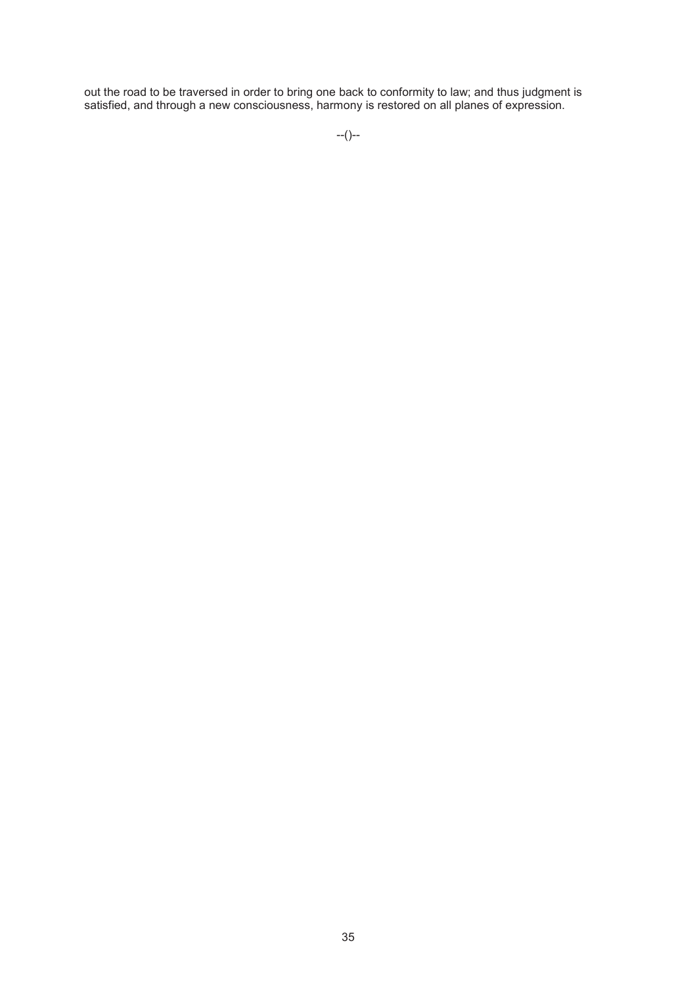out the road to be traversed in order to bring one back to conformity to law; and thus judgment is satisfied, and through a new consciousness, harmony is restored on all planes of expression.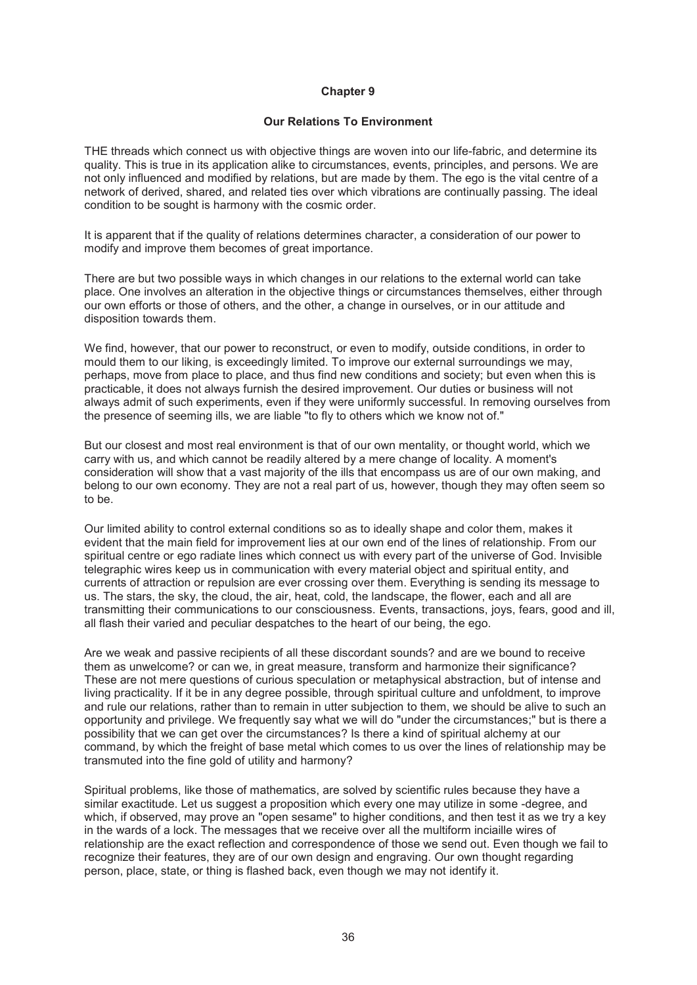## **Our Relations To Environment**

THE threads which connect us with objective things are woven into our life-fabric, and determine its quality. This is true in its application alike to circumstances, events, principles, and persons. We are not only influenced and modified by relations, but are made by them. The ego is the vital centre of a network of derived, shared, and related ties over which vibrations are continually passing. The ideal condition to be sought is harmony with the cosmic order.

It is apparent that if the quality of relations determines character, a consideration of our power to modify and improve them becomes of great importance.

There are but two possible ways in which changes in our relations to the external world can take place. One involves an alteration in the objective things or circumstances themselves, either through our own efforts or those of others, and the other, a change in ourselves, or in our attitude and disposition towards them.

We find, however, that our power to reconstruct, or even to modify, outside conditions, in order to mould them to our liking, is exceedingly limited. To improve our external surroundings we may, perhaps, move from place to place, and thus find new conditions and society; but even when this is practicable, it does not always furnish the desired improvement. Our duties or business will not always admit of such experiments, even if they were uniformly successful. In removing ourselves from the presence of seeming ills, we are liable "to fly to others which we know not of."

But our closest and most real environment is that of our own mentality, or thought world, which we carry with us, and which cannot be readily altered by a mere change of locality. A moment's consideration will show that a vast majority of the ills that encompass us are of our own making, and belong to our own economy. They are not a real part of us, however, though they may often seem so to be.

Our limited ability to control external conditions so as to ideally shape and color them, makes it evident that the main field for improvement lies at our own end of the lines of relationship. From our spiritual centre or ego radiate lines which connect us with every part of the universe of God. Invisible telegraphic wires keep us in communication with every material object and spiritual entity, and currents of attraction or repulsion are ever crossing over them. Everything is sending its message to us. The stars, the sky, the cloud, the air, heat, cold, the landscape, the flower, each and all are transmitting their communications to our consciousness. Events, transactions, joys, fears, good and ill, all flash their varied and peculiar despatches to the heart of our being, the ego.

Are we weak and passive recipients of all these discordant sounds? and are we bound to receive them as unwelcome? or can we, in great measure, transform and harmonize their significance? These are not mere questions of curious speculation or metaphysical abstraction, but of intense and living practicality. If it be in any degree possible, through spiritual culture and unfoldment, to improve and rule our relations, rather than to remain in utter subjection to them, we should be alive to such an opportunity and privilege. We frequently say what we will do "under the circumstances;" but is there a possibility that we can get over the circumstances? Is there a kind of spiritual alchemy at our command, by which the freight of base metal which comes to us over the lines of relationship may be transmuted into the fine gold of utility and harmony?

Spiritual problems, like those of mathematics, are solved by scientific rules because they have a similar exactitude. Let us suggest a proposition which every one may utilize in some -degree, and which, if observed, may prove an "open sesame" to higher conditions, and then test it as we try a key in the wards of a lock. The messages that we receive over all the multiform inciaille wires of relationship are the exact reflection and correspondence of those we send out. Even though we fail to recognize their features, they are of our own design and engraving. Our own thought regarding person, place, state, or thing is flashed back, even though we may not identify it.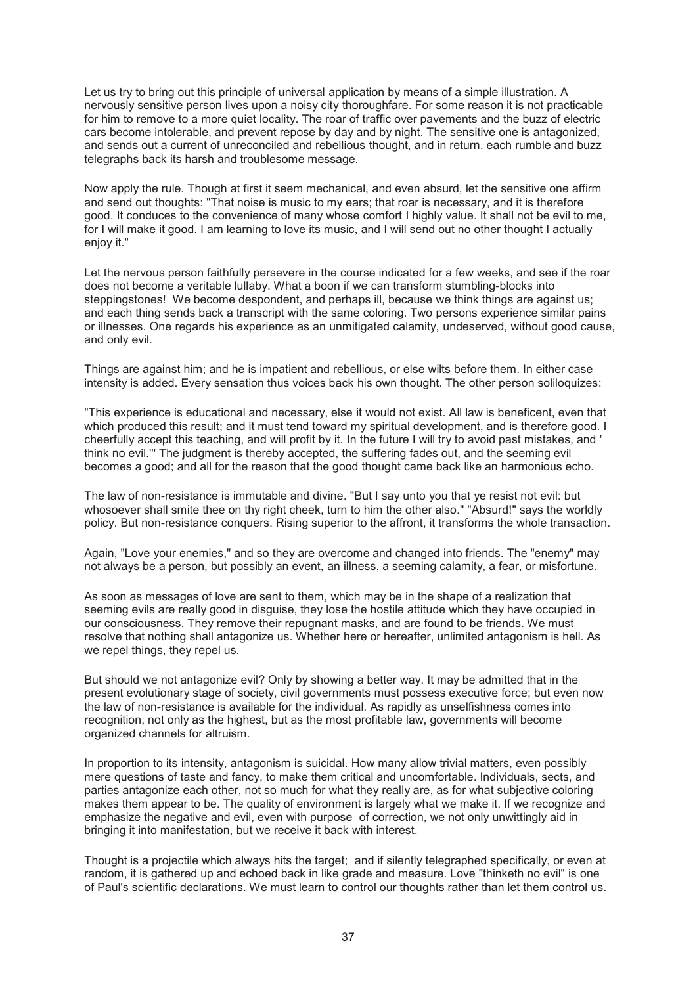Let us try to bring out this principle of universal application by means of a simple illustration. A nervously sensitive person lives upon a noisy city thoroughfare. For some reason it is not practicable for him to remove to a more quiet locality. The roar of traffic over pavements and the buzz of electric cars become intolerable, and prevent repose by day and by night. The sensitive one is antagonized, and sends out a current of unreconciled and rebellious thought, and in return. each rumble and buzz telegraphs back its harsh and troublesome message.

Now apply the rule. Though at first it seem mechanical, and even absurd, let the sensitive one affirm and send out thoughts: "That noise is music to my ears; that roar is necessary, and it is therefore good. It conduces to the convenience of many whose comfort I highly value. It shall not be evil to me, for I will make it good. I am learning to love its music, and I will send out no other thought I actually eniov it."

Let the nervous person faithfully persevere in the course indicated for a few weeks, and see if the roar does not become a veritable lullaby. What a boon if we can transform stumbling-blocks into steppingstones! We become despondent, and perhaps ill, because we think things are against us; and each thing sends back a transcript with the same coloring. Two persons experience similar pains or illnesses. One regards his experience as an unmitigated calamity, undeserved, without good cause, and only evil.

Things are against him; and he is impatient and rebellious, or else wilts before them. In either case intensity is added. Every sensation thus voices back his own thought. The other person soliloquizes:

"This experience is educational and necessary, else it would not exist. All law is beneficent, even that which produced this result; and it must tend toward my spiritual development, and is therefore good. I cheerfully accept this teaching, and will profit by it. In the future I will try to avoid past mistakes, and ' think no evil.''' The judgment is thereby accepted, the suffering fades out, and the seeming evil becomes a good; and all for the reason that the good thought came back like an harmonious echo.

The law of non-resistance is immutable and divine. "But I say unto you that ye resist not evil: but whosoever shall smite thee on thy right cheek, turn to him the other also." "Absurd!" says the worldly policy. But non-resistance conquers. Rising superior to the affront, it transforms the whole transaction.

Again, "Love your enemies," and so they are overcome and changed into friends. The "enemy" may not always be a person, but possibly an event, an illness, a seeming calamity, a fear, or misfortune.

As soon as messages of love are sent to them, which may be in the shape of a realization that seeming evils are really good in disguise, they lose the hostile attitude which they have occupied in our consciousness. They remove their repugnant masks, and are found to be friends. We must resolve that nothing shall antagonize us. Whether here or hereafter, unlimited antagonism is hell. As we repel things, they repel us.

But should we not antagonize evil? Only by showing a better way. It may be admitted that in the present evolutionary stage of society, civil governments must possess executive force; but even now the law of non-resistance is available for the individual. As rapidly as unselfishness comes into recognition, not only as the highest, but as the most profitable law, governments will become organized channels for altruism.

In proportion to its intensity, antagonism is suicidal. How many allow trivial matters, even possibly mere questions of taste and fancy, to make them critical and uncomfortable. Individuals, sects, and parties antagonize each other, not so much for what they really are, as for what subjective coloring makes them appear to be. The quality of environment is largely what we make it. If we recognize and emphasize the negative and evil, even with purpose of correction, we not only unwittingly aid in bringing it into manifestation, but we receive it back with interest.

Thought is a projectile which always hits the target; and if silently telegraphed specifically, or even at random, it is gathered up and echoed back in like grade and measure. Love "thinketh no evil" is one of Paul's scientific declarations. We must learn to control our thoughts rather than let them control us.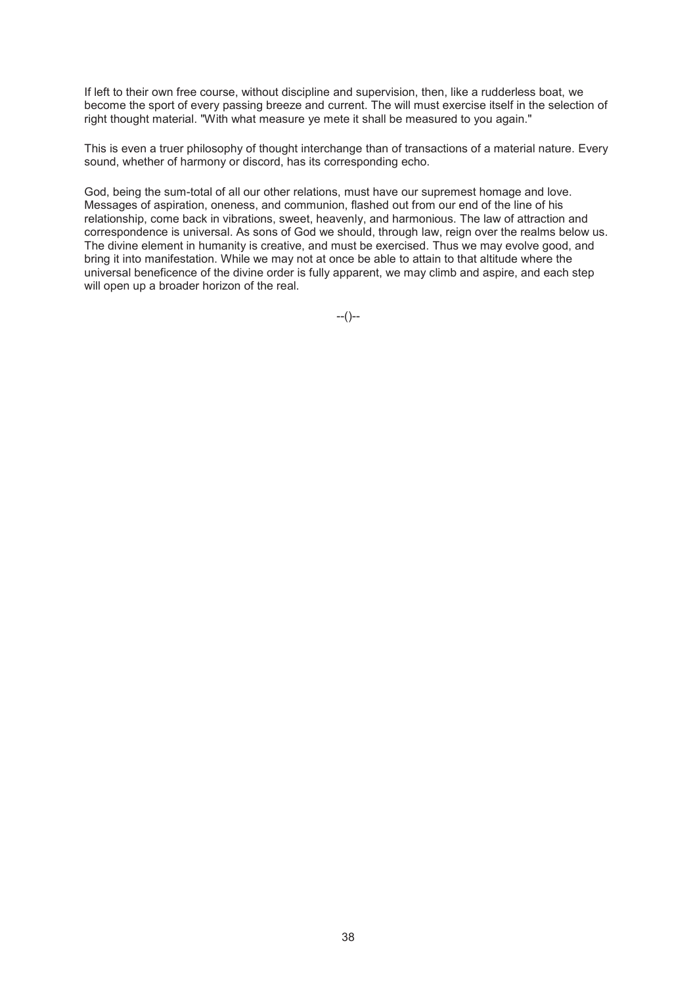If left to their own free course, without discipline and supervision, then, like a rudderless boat, we become the sport of every passing breeze and current. The will must exercise itself in the selection of right thought material. "With what measure ye mete it shall be measured to you again."

This is even a truer philosophy of thought interchange than of transactions of a material nature. Every sound, whether of harmony or discord, has its corresponding echo.

God, being the sum-total of all our other relations, must have our supremest homage and love. Messages of aspiration, oneness, and communion, flashed out from our end of the line of his relationship, come back in vibrations, sweet, heavenly, and harmonious. The law of attraction and correspondence is universal. As sons of God we should, through law, reign over the realms below us. The divine element in humanity is creative, and must be exercised. Thus we may evolve good, and bring it into manifestation. While we may not at once be able to attain to that altitude where the universal beneficence of the divine order is fully apparent, we may climb and aspire, and each step will open up a broader horizon of the real.

--()--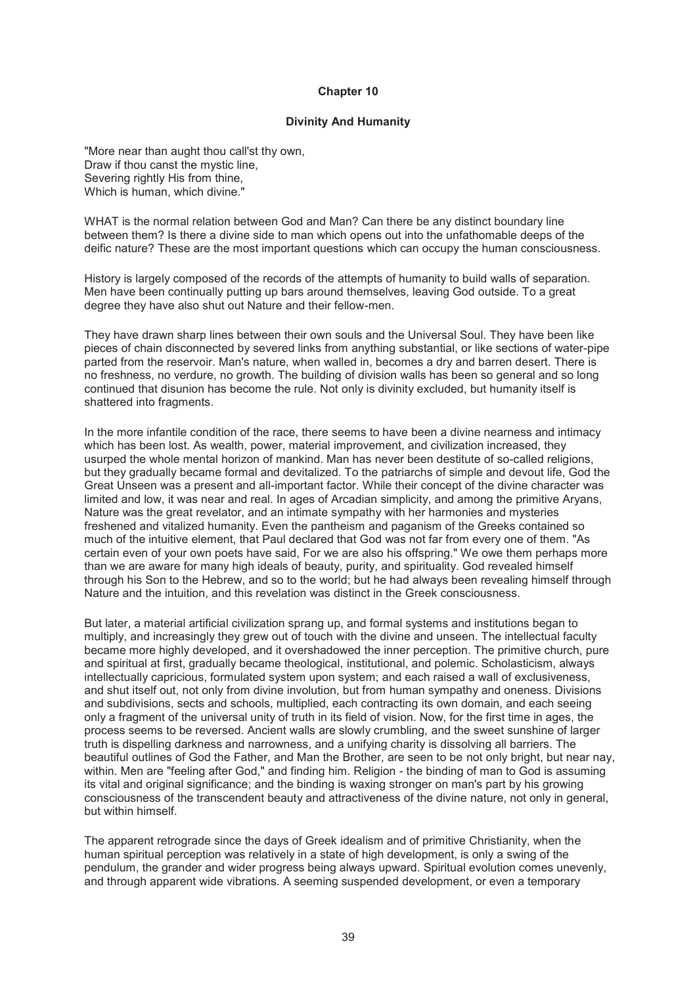# **Chapter 10**

#### **Divinity And Humanity**

"More near than aught thou call'st thy own, Draw if thou canst the mystic line, Severing rightly His from thine, Which is human, which divine."

WHAT is the normal relation between God and Man? Can there be any distinct boundary line between them? Is there a divine side to man which opens out into the unfathomable deeps of the deific nature? These are the most important questions which can occupy the human consciousness.

History is largely composed of the records of the attempts of humanity to build walls of separation. Men have been continually putting up bars around themselves, leaving God outside. To a great degree they have also shut out Nature and their fellow-men.

They have drawn sharp lines between their own souls and the Universal Soul. They have been like pieces of chain disconnected by severed links from anything substantial, or like sections of water-pipe parted from the reservoir. Man's nature, when walled in, becomes a dry and barren desert. There is no freshness, no verdure, no growth. The building of division walls has been so general and so long continued that disunion has become the rule. Not only is divinity excluded, but humanity itself is shattered into fragments.

In the more infantile condition of the race, there seems to have been a divine nearness and intimacy which has been lost. As wealth, power, material improvement, and civilization increased, they usurped the whole mental horizon of mankind. Man has never been destitute of so-called religions, but they gradually became formal and devitalized. To the patriarchs of simple and devout life, God the Great Unseen was a present and all-important factor. While their concept of the divine character was limited and low, it was near and real. In ages of Arcadian simplicity, and among the primitive Aryans, Nature was the great revelator, and an intimate sympathy with her harmonies and mysteries freshened and vitalized humanity. Even the pantheism and paganism of the Greeks contained so much of the intuitive element, that Paul declared that God was not far from every one of them. "As certain even of your own poets have said, For we are also his offspring." We owe them perhaps more than we are aware for many high ideals of beauty, purity, and spirituality. God revealed himself through his Son to the Hebrew, and so to the world; but he had always been revealing himself through Nature and the intuition, and this revelation was distinct in the Greek consciousness.

But later, a material artificial civilization sprang up, and formal systems and institutions began to multiply, and increasingly they grew out of touch with the divine and unseen. The intellectual faculty became more highly developed, and it overshadowed the inner perception. The primitive church, pure and spiritual at first, gradually became theological, institutional, and polemic. Scholasticism, always intellectually capricious, formulated system upon system; and each raised a wall of exclusiveness, and shut itself out, not only from divine involution, but from human sympathy and oneness. Divisions and subdivisions, sects and schools, multiplied, each contracting its own domain, and each seeing only a fragment of the universal unity of truth in its field of vision. Now, for the first time in ages, the process seems to be reversed. Ancient walls are slowly crumbling, and the sweet sunshine of larger truth is dispelling darkness and narrowness, and a unifying charity is dissolving all barriers. The beautiful outlines of God the Father, and Man the Brother, are seen to be not only bright, but near nay, within. Men are "feeling after God," and finding him. Religion - the binding of man to God is assuming its vital and original significance; and the binding is waxing stronger on man's part by his growing consciousness of the transcendent beauty and attractiveness of the divine nature, not only in general, but within himself.

The apparent retrograde since the days of Greek idealism and of primitive Christianity, when the human spiritual perception was relatively in a state of high development, is only a swing of the pendulum, the grander and wider progress being always upward. Spiritual evolution comes unevenly, and through apparent wide vibrations. A seeming suspended development, or even a temporary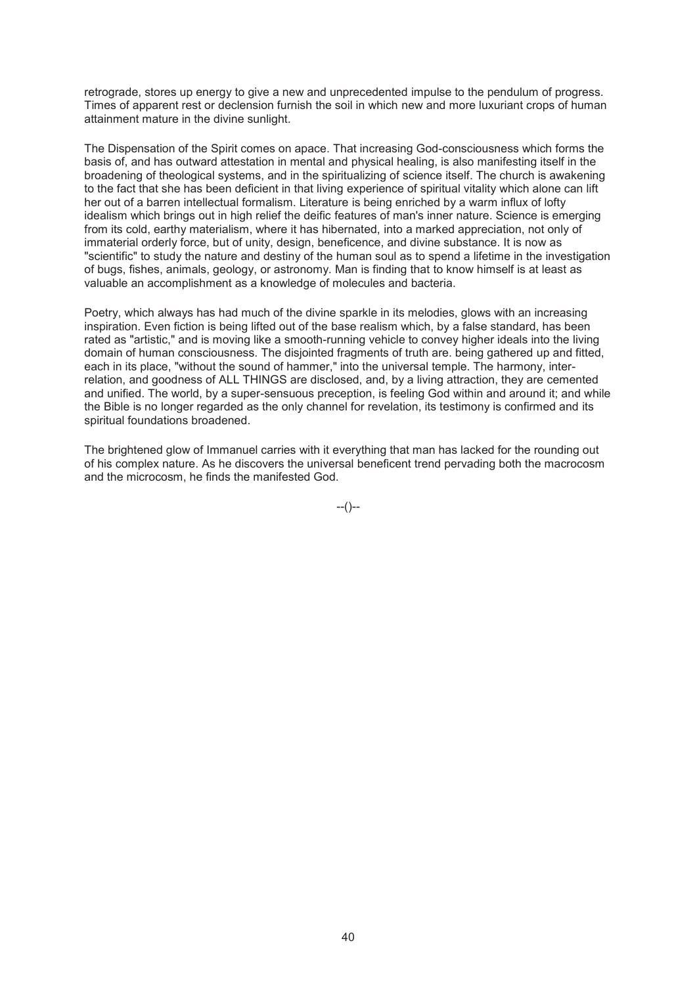retrograde, stores up energy to give a new and unprecedented impulse to the pendulum of progress. Times of apparent rest or declension furnish the soil in which new and more luxuriant crops of human attainment mature in the divine sunlight.

The Dispensation of the Spirit comes on apace. That increasing God-consciousness which forms the basis of, and has outward attestation in mental and physical healing, is also manifesting itself in the broadening of theological systems, and in the spiritualizing of science itself. The church is awakening to the fact that she has been deficient in that living experience of spiritual vitality which alone can lift her out of a barren intellectual formalism. Literature is being enriched by a warm influx of lofty idealism which brings out in high relief the deific features of man's inner nature. Science is emerging from its cold, earthy materialism, where it has hibernated, into a marked appreciation, not only of immaterial orderly force, but of unity, design, beneficence, and divine substance. It is now as "scientific" to study the nature and destiny of the human soul as to spend a lifetime in the investigation of bugs, fishes, animals, geology, or astronomy. Man is finding that to know himself is at least as valuable an accomplishment as a knowledge of molecules and bacteria.

Poetry, which always has had much of the divine sparkle in its melodies, glows with an increasing inspiration. Even fiction is being lifted out of the base realism which, by a false standard, has been rated as "artistic," and is moving like a smooth-running vehicle to convey higher ideals into the living domain of human consciousness. The disjointed fragments of truth are. being gathered up and fitted, each in its place, "without the sound of hammer," into the universal temple. The harmony, interrelation, and goodness of ALL THINGS are disclosed, and, by a living attraction, they are cemented and unified. The world, by a super-sensuous preception, is feeling God within and around it; and while the Bible is no longer regarded as the only channel for revelation, its testimony is confirmed and its spiritual foundations broadened.

The brightened glow of Immanuel carries with it everything that man has lacked for the rounding out of his complex nature. As he discovers the universal beneficent trend pervading both the macrocosm and the microcosm, he finds the manifested God.

 $-(-)$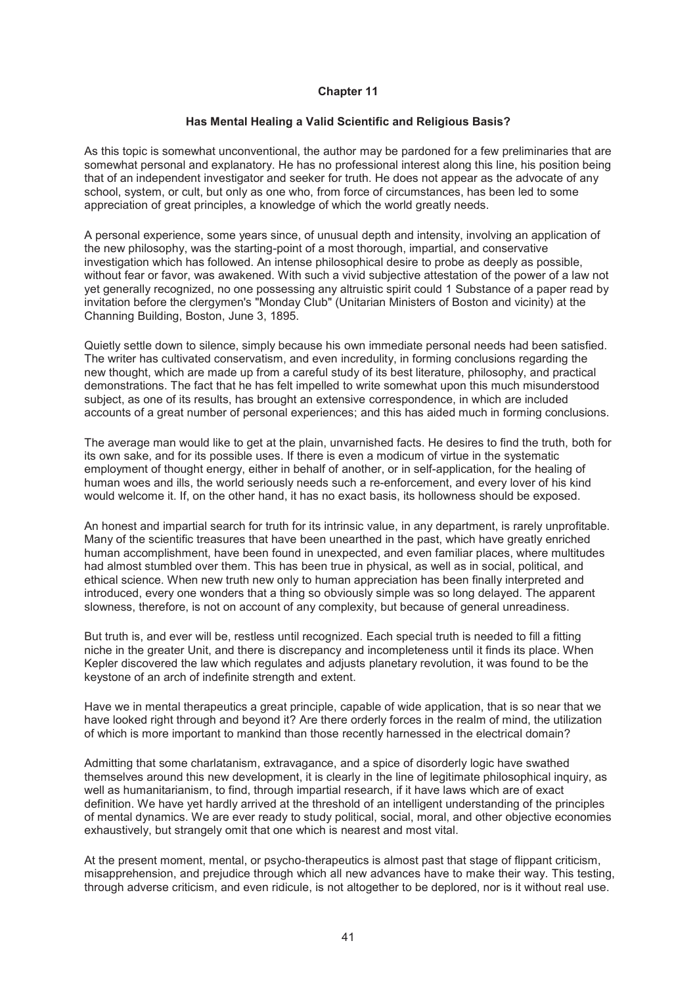# **Chapter 11**

# **Has Mental Healing a Valid Scientific and Religious Basis?**

As this topic is somewhat unconventional, the author may be pardoned for a few preliminaries that are somewhat personal and explanatory. He has no professional interest along this line, his position being that of an independent investigator and seeker for truth. He does not appear as the advocate of any school, system, or cult, but only as one who, from force of circumstances, has been led to some appreciation of great principles, a knowledge of which the world greatly needs.

A personal experience, some years since, of unusual depth and intensity, involving an application of the new philosophy, was the starting-point of a most thorough, impartial, and conservative investigation which has followed. An intense philosophical desire to probe as deeply as possible, without fear or favor, was awakened. With such a vivid subjective attestation of the power of a law not yet generally recognized, no one possessing any altruistic spirit could 1 Substance of a paper read by invitation before the clergymen's "Monday Club" (Unitarian Ministers of Boston and vicinity) at the Channing Building, Boston, June 3, 1895.

Quietly settle down to silence, simply because his own immediate personal needs had been satisfied. The writer has cultivated conservatism, and even incredulity, in forming conclusions regarding the new thought, which are made up from a careful study of its best literature, philosophy, and practical demonstrations. The fact that he has felt impelled to write somewhat upon this much misunderstood subject, as one of its results, has brought an extensive correspondence, in which are included accounts of a great number of personal experiences; and this has aided much in forming conclusions.

The average man would like to get at the plain, unvarnished facts. He desires to find the truth, both for its own sake, and for its possible uses. If there is even a modicum of virtue in the systematic employment of thought energy, either in behalf of another, or in self-application, for the healing of human woes and ills, the world seriously needs such a re-enforcement, and every lover of his kind would welcome it. If, on the other hand, it has no exact basis, its hollowness should be exposed.

An honest and impartial search for truth for its intrinsic value, in any department, is rarely unprofitable. Many of the scientific treasures that have been unearthed in the past, which have greatly enriched human accomplishment, have been found in unexpected, and even familiar places, where multitudes had almost stumbled over them. This has been true in physical, as well as in social, political, and ethical science. When new truth new only to human appreciation has been finally interpreted and introduced, every one wonders that a thing so obviously simple was so long delayed. The apparent slowness, therefore, is not on account of any complexity, but because of general unreadiness.

But truth is, and ever will be, restless until recognized. Each special truth is needed to fill a fitting niche in the greater Unit, and there is discrepancy and incompleteness until it finds its place. When Kepler discovered the law which regulates and adjusts planetary revolution, it was found to be the keystone of an arch of indefinite strength and extent.

Have we in mental therapeutics a great principle, capable of wide application, that is so near that we have looked right through and beyond it? Are there orderly forces in the realm of mind, the utilization of which is more important to mankind than those recently harnessed in the electrical domain?

Admitting that some charlatanism, extravagance, and a spice of disorderly logic have swathed themselves around this new development, it is clearly in the line of legitimate philosophical inquiry, as well as humanitarianism, to find, through impartial research, if it have laws which are of exact definition. We have yet hardly arrived at the threshold of an intelligent understanding of the principles of mental dynamics. We are ever ready to study political, social, moral, and other objective economies exhaustively, but strangely omit that one which is nearest and most vital.

At the present moment, mental, or psycho-therapeutics is almost past that stage of flippant criticism, misapprehension, and prejudice through which all new advances have to make their way. This testing, through adverse criticism, and even ridicule, is not altogether to be deplored, nor is it without real use.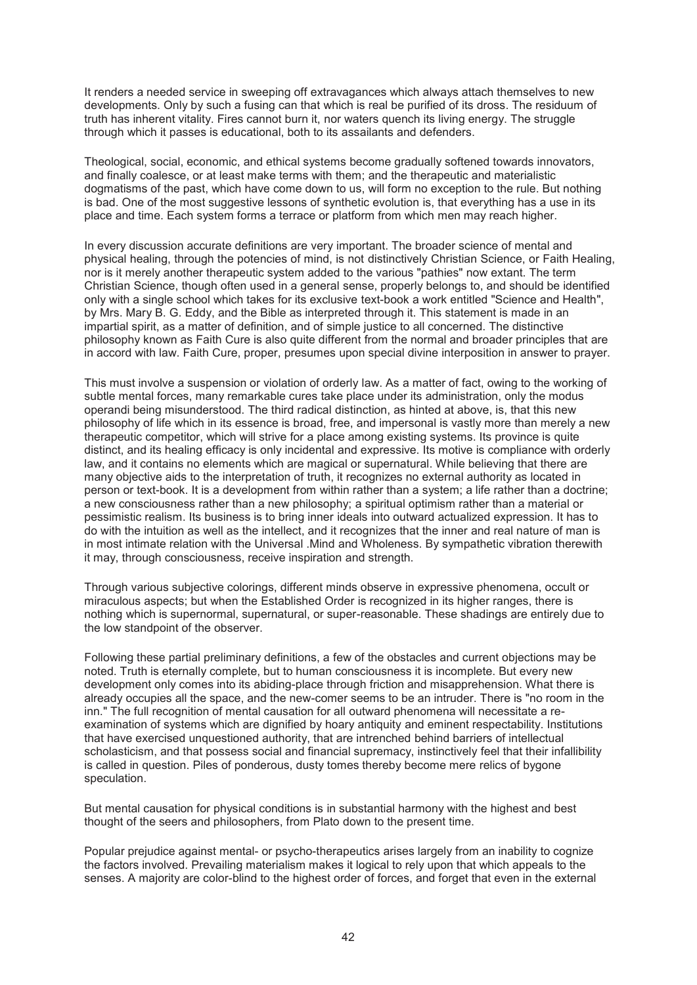It renders a needed service in sweeping off extravagances which always attach themselves to new developments. Only by such a fusing can that which is real be purified of its dross. The residuum of truth has inherent vitality. Fires cannot burn it, nor waters quench its living energy. The struggle through which it passes is educational, both to its assailants and defenders.

Theological, social, economic, and ethical systems become gradually softened towards innovators, and finally coalesce, or at least make terms with them; and the therapeutic and materialistic dogmatisms of the past, which have come down to us, will form no exception to the rule. But nothing is bad. One of the most suggestive lessons of synthetic evolution is, that everything has a use in its place and time. Each system forms a terrace or platform from which men may reach higher.

In every discussion accurate definitions are very important. The broader science of mental and physical healing, through the potencies of mind, is not distinctively Christian Science, or Faith Healing, nor is it merely another therapeutic system added to the various "pathies" now extant. The term Christian Science, though often used in a general sense, properly belongs to, and should be identified only with a single school which takes for its exclusive text-book a work entitled "Science and Health", by Mrs. Mary B. G. Eddy, and the Bible as interpreted through it. This statement is made in an impartial spirit, as a matter of definition, and of simple justice to all concerned. The distinctive philosophy known as Faith Cure is also quite different from the normal and broader principles that are in accord with law. Faith Cure, proper, presumes upon special divine interposition in answer to prayer.

This must involve a suspension or violation of orderly law. As a matter of fact, owing to the working of subtle mental forces, many remarkable cures take place under its administration, only the modus operandi being misunderstood. The third radical distinction, as hinted at above, is, that this new philosophy of life which in its essence is broad, free, and impersonal is vastly more than merely a new therapeutic competitor, which will strive for a place among existing systems. Its province is quite distinct, and its healing efficacy is only incidental and expressive. Its motive is compliance with orderly law, and it contains no elements which are magical or supernatural. While believing that there are many objective aids to the interpretation of truth, it recognizes no external authority as located in person or text-book. It is a development from within rather than a system; a life rather than a doctrine; a new consciousness rather than a new philosophy; a spiritual optimism rather than a material or pessimistic realism. Its business is to bring inner ideals into outward actualized expression. It has to do with the intuition as well as the intellect, and it recognizes that the inner and real nature of man is in most intimate relation with the Universal .Mind and Wholeness. By sympathetic vibration therewith it may, through consciousness, receive inspiration and strength.

Through various subjective colorings, different minds observe in expressive phenomena, occult or miraculous aspects; but when the Established Order is recognized in its higher ranges, there is nothing which is supernormal, supernatural, or super-reasonable. These shadings are entirely due to the low standpoint of the observer.

Following these partial preliminary definitions, a few of the obstacles and current objections may be noted. Truth is eternally complete, but to human consciousness it is incomplete. But every new development only comes into its abiding-place through friction and misapprehension. What there is already occupies all the space, and the new-comer seems to be an intruder. There is "no room in the inn." The full recognition of mental causation for all outward phenomena will necessitate a reexamination of systems which are dignified by hoary antiquity and eminent respectability. Institutions that have exercised unquestioned authority, that are intrenched behind barriers of intellectual scholasticism, and that possess social and financial supremacy, instinctively feel that their infallibility is called in question. Piles of ponderous, dusty tomes thereby become mere relics of bygone speculation.

But mental causation for physical conditions is in substantial harmony with the highest and best thought of the seers and philosophers, from Plato down to the present time.

Popular prejudice against mental- or psycho-therapeutics arises largely from an inability to cognize the factors involved. Prevailing materialism makes it logical to rely upon that which appeals to the senses. A majority are color-blind to the highest order of forces, and forget that even in the external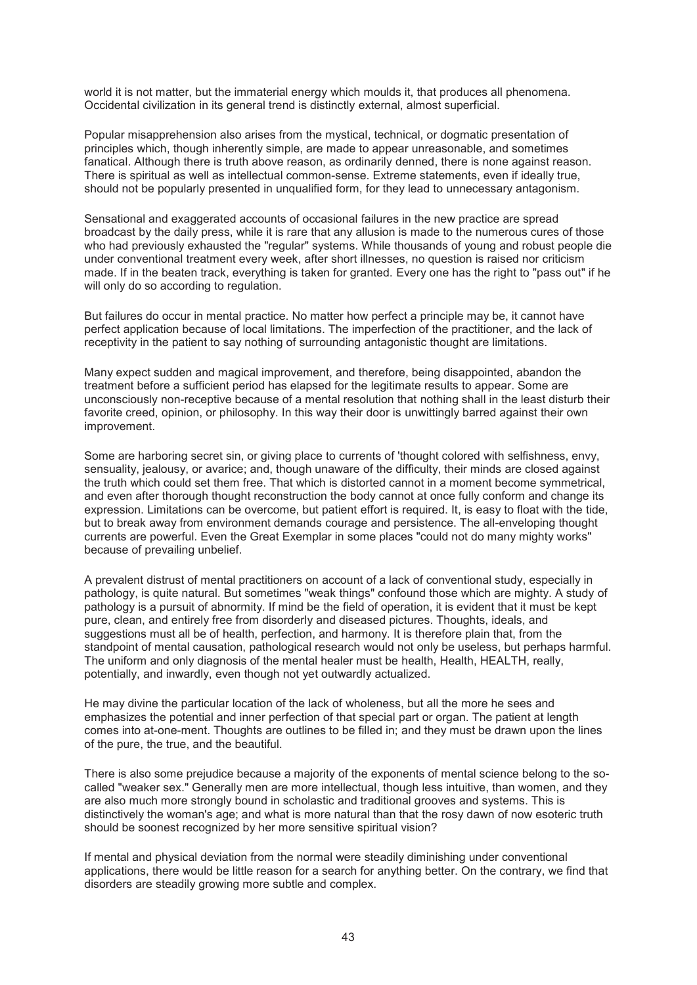world it is not matter, but the immaterial energy which moulds it, that produces all phenomena. Occidental civilization in its general trend is distinctly external, almost superficial.

Popular misapprehension also arises from the mystical, technical, or dogmatic presentation of principles which, though inherently simple, are made to appear unreasonable, and sometimes fanatical. Although there is truth above reason, as ordinarily denned, there is none against reason. There is spiritual as well as intellectual common-sense. Extreme statements, even if ideally true, should not be popularly presented in unqualified form, for they lead to unnecessary antagonism.

Sensational and exaggerated accounts of occasional failures in the new practice are spread broadcast by the daily press, while it is rare that any allusion is made to the numerous cures of those who had previously exhausted the "regular" systems. While thousands of young and robust people die under conventional treatment every week, after short illnesses, no question is raised nor criticism made. If in the beaten track, everything is taken for granted. Every one has the right to "pass out" if he will only do so according to regulation.

But failures do occur in mental practice. No matter how perfect a principle may be, it cannot have perfect application because of local limitations. The imperfection of the practitioner, and the lack of receptivity in the patient to say nothing of surrounding antagonistic thought are limitations.

Many expect sudden and magical improvement, and therefore, being disappointed, abandon the treatment before a sufficient period has elapsed for the legitimate results to appear. Some are unconsciously non-receptive because of a mental resolution that nothing shall in the least disturb their favorite creed, opinion, or philosophy. In this way their door is unwittingly barred against their own improvement.

Some are harboring secret sin, or giving place to currents of 'thought colored with selfishness, envy, sensuality, jealousy, or avarice; and, though unaware of the difficulty, their minds are closed against the truth which could set them free. That which is distorted cannot in a moment become symmetrical, and even after thorough thought reconstruction the body cannot at once fully conform and change its expression. Limitations can be overcome, but patient effort is required. It, is easy to float with the tide, but to break away from environment demands courage and persistence. The all-enveloping thought currents are powerful. Even the Great Exemplar in some places "could not do many mighty works" because of prevailing unbelief.

A prevalent distrust of mental practitioners on account of a lack of conventional study, especially in pathology, is quite natural. But sometimes "weak things" confound those which are mighty. A study of pathology is a pursuit of abnormity. If mind be the field of operation, it is evident that it must be kept pure, clean, and entirely free from disorderly and diseased pictures. Thoughts, ideals, and suggestions must all be of health, perfection, and harmony. It is therefore plain that, from the standpoint of mental causation, pathological research would not only be useless, but perhaps harmful. The uniform and only diagnosis of the mental healer must be health, Health, HEALTH, really, potentially, and inwardly, even though not yet outwardly actualized.

He may divine the particular location of the lack of wholeness, but all the more he sees and emphasizes the potential and inner perfection of that special part or organ. The patient at length comes into at-one-ment. Thoughts are outlines to be filled in; and they must be drawn upon the lines of the pure, the true, and the beautiful.

There is also some prejudice because a majority of the exponents of mental science belong to the socalled "weaker sex." Generally men are more intellectual, though less intuitive, than women, and they are also much more strongly bound in scholastic and traditional grooves and systems. This is distinctively the woman's age; and what is more natural than that the rosy dawn of now esoteric truth should be soonest recognized by her more sensitive spiritual vision?

If mental and physical deviation from the normal were steadily diminishing under conventional applications, there would be little reason for a search for anything better. On the contrary, we find that disorders are steadily growing more subtle and complex.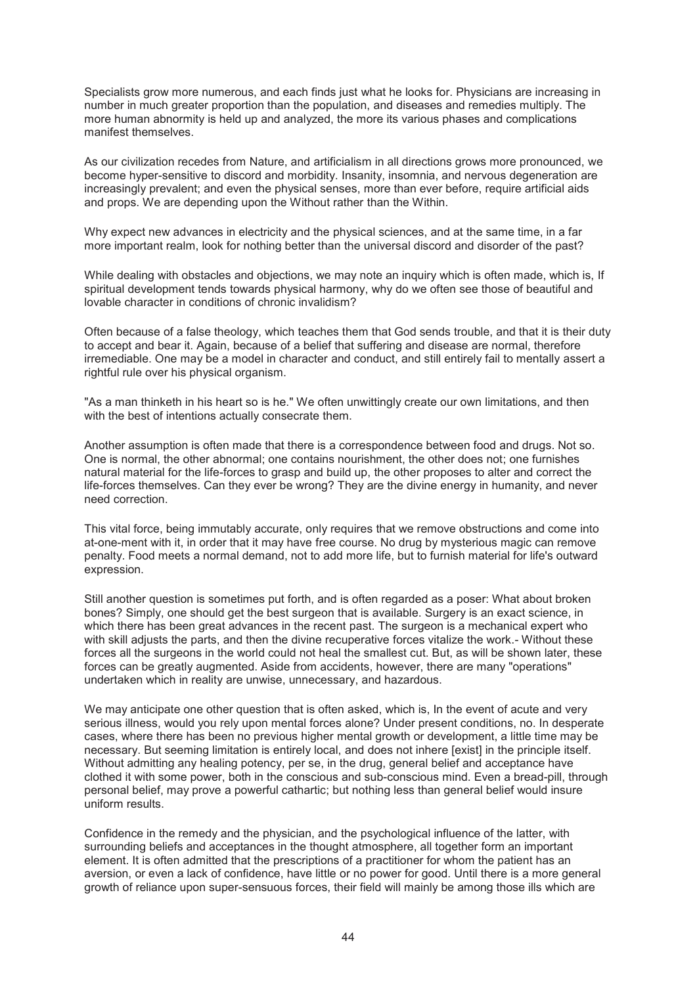Specialists grow more numerous, and each finds just what he looks for. Physicians are increasing in number in much greater proportion than the population, and diseases and remedies multiply. The more human abnormity is held up and analyzed, the more its various phases and complications manifest themselves.

As our civilization recedes from Nature, and artificialism in all directions grows more pronounced, we become hyper-sensitive to discord and morbidity. Insanity, insomnia, and nervous degeneration are increasingly prevalent; and even the physical senses, more than ever before, require artificial aids and props. We are depending upon the Without rather than the Within.

Why expect new advances in electricity and the physical sciences, and at the same time, in a far more important realm, look for nothing better than the universal discord and disorder of the past?

While dealing with obstacles and objections, we may note an inquiry which is often made, which is, If spiritual development tends towards physical harmony, why do we often see those of beautiful and lovable character in conditions of chronic invalidism?

Often because of a false theology, which teaches them that God sends trouble, and that it is their duty to accept and bear it. Again, because of a belief that suffering and disease are normal, therefore irremediable. One may be a model in character and conduct, and still entirely fail to mentally assert a rightful rule over his physical organism.

"As a man thinketh in his heart so is he." We often unwittingly create our own limitations, and then with the best of intentions actually consecrate them.

Another assumption is often made that there is a correspondence between food and drugs. Not so. One is normal, the other abnormal; one contains nourishment, the other does not; one furnishes natural material for the life-forces to grasp and build up, the other proposes to alter and correct the life-forces themselves. Can they ever be wrong? They are the divine energy in humanity, and never need correction.

This vital force, being immutably accurate, only requires that we remove obstructions and come into at-one-ment with it, in order that it may have free course. No drug by mysterious magic can remove penalty. Food meets a normal demand, not to add more life, but to furnish material for life's outward expression.

Still another question is sometimes put forth, and is often regarded as a poser: What about broken bones? Simply, one should get the best surgeon that is available. Surgery is an exact science, in which there has been great advances in the recent past. The surgeon is a mechanical expert who with skill adjusts the parts, and then the divine recuperative forces vitalize the work.- Without these forces all the surgeons in the world could not heal the smallest cut. But, as will be shown later, these forces can be greatly augmented. Aside from accidents, however, there are many "operations" undertaken which in reality are unwise, unnecessary, and hazardous.

We may anticipate one other question that is often asked, which is, In the event of acute and very serious illness, would you rely upon mental forces alone? Under present conditions, no. In desperate cases, where there has been no previous higher mental growth or development, a little time may be necessary. But seeming limitation is entirely local, and does not inhere [exist] in the principle itself. Without admitting any healing potency, per se, in the drug, general belief and acceptance have clothed it with some power, both in the conscious and sub-conscious mind. Even a bread-pill, through personal belief, may prove a powerful cathartic; but nothing less than general belief would insure uniform results.

Confidence in the remedy and the physician, and the psychological influence of the latter, with surrounding beliefs and acceptances in the thought atmosphere, all together form an important element. It is often admitted that the prescriptions of a practitioner for whom the patient has an aversion, or even a lack of confidence, have little or no power for good. Until there is a more general growth of reliance upon super-sensuous forces, their field will mainly be among those ills which are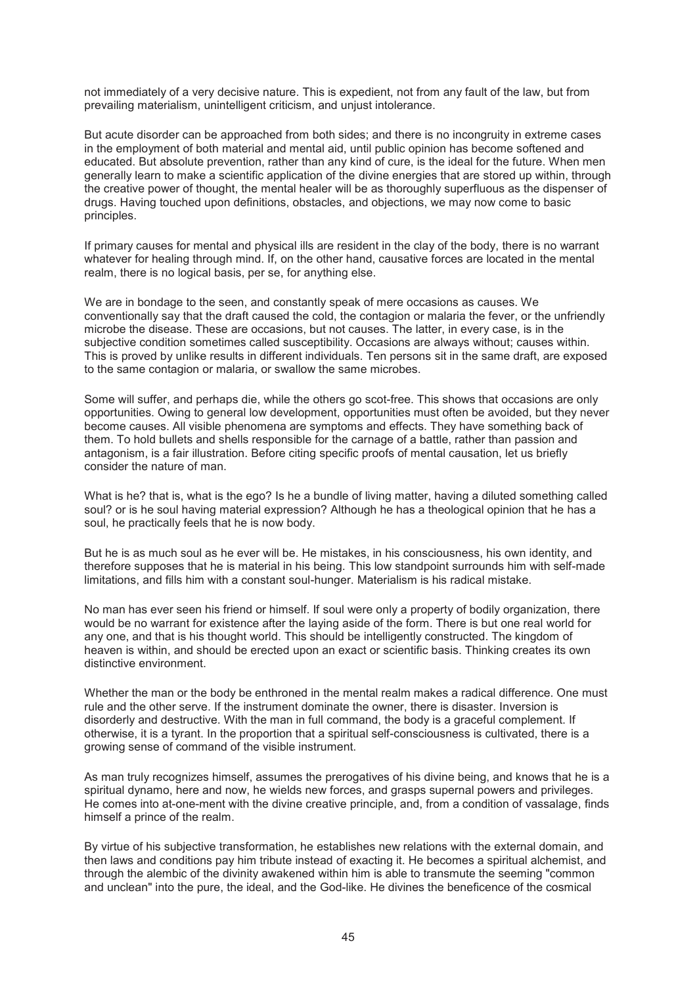not immediately of a very decisive nature. This is expedient, not from any fault of the law, but from prevailing materialism, unintelligent criticism, and unjust intolerance.

But acute disorder can be approached from both sides; and there is no incongruity in extreme cases in the employment of both material and mental aid, until public opinion has become softened and educated. But absolute prevention, rather than any kind of cure, is the ideal for the future. When men generally learn to make a scientific application of the divine energies that are stored up within, through the creative power of thought, the mental healer will be as thoroughly superfluous as the dispenser of drugs. Having touched upon definitions, obstacles, and objections, we may now come to basic principles.

If primary causes for mental and physical ills are resident in the clay of the body, there is no warrant whatever for healing through mind. If, on the other hand, causative forces are located in the mental realm, there is no logical basis, per se, for anything else.

We are in bondage to the seen, and constantly speak of mere occasions as causes. We conventionally say that the draft caused the cold, the contagion or malaria the fever, or the unfriendly microbe the disease. These are occasions, but not causes. The latter, in every case, is in the subjective condition sometimes called susceptibility. Occasions are always without; causes within. This is proved by unlike results in different individuals. Ten persons sit in the same draft, are exposed to the same contagion or malaria, or swallow the same microbes.

Some will suffer, and perhaps die, while the others go scot-free. This shows that occasions are only opportunities. Owing to general low development, opportunities must often be avoided, but they never become causes. All visible phenomena are symptoms and effects. They have something back of them. To hold bullets and shells responsible for the carnage of a battle, rather than passion and antagonism, is a fair illustration. Before citing specific proofs of mental causation, let us briefly consider the nature of man.

What is he? that is, what is the ego? Is he a bundle of living matter, having a diluted something called soul? or is he soul having material expression? Although he has a theological opinion that he has a soul, he practically feels that he is now body.

But he is as much soul as he ever will be. He mistakes, in his consciousness, his own identity, and therefore supposes that he is material in his being. This low standpoint surrounds him with self-made limitations, and fills him with a constant soul-hunger. Materialism is his radical mistake.

No man has ever seen his friend or himself. If soul were only a property of bodily organization, there would be no warrant for existence after the laying aside of the form. There is but one real world for any one, and that is his thought world. This should be intelligently constructed. The kingdom of heaven is within, and should be erected upon an exact or scientific basis. Thinking creates its own distinctive environment.

Whether the man or the body be enthroned in the mental realm makes a radical difference. One must rule and the other serve. If the instrument dominate the owner, there is disaster. Inversion is disorderly and destructive. With the man in full command, the body is a graceful complement. If otherwise, it is a tyrant. In the proportion that a spiritual self-consciousness is cultivated, there is a growing sense of command of the visible instrument.

As man truly recognizes himself, assumes the prerogatives of his divine being, and knows that he is a spiritual dynamo, here and now, he wields new forces, and grasps supernal powers and privileges. He comes into at-one-ment with the divine creative principle, and, from a condition of vassalage, finds himself a prince of the realm.

By virtue of his subjective transformation, he establishes new relations with the external domain, and then laws and conditions pay him tribute instead of exacting it. He becomes a spiritual alchemist, and through the alembic of the divinity awakened within him is able to transmute the seeming "common and unclean" into the pure, the ideal, and the God-like. He divines the beneficence of the cosmical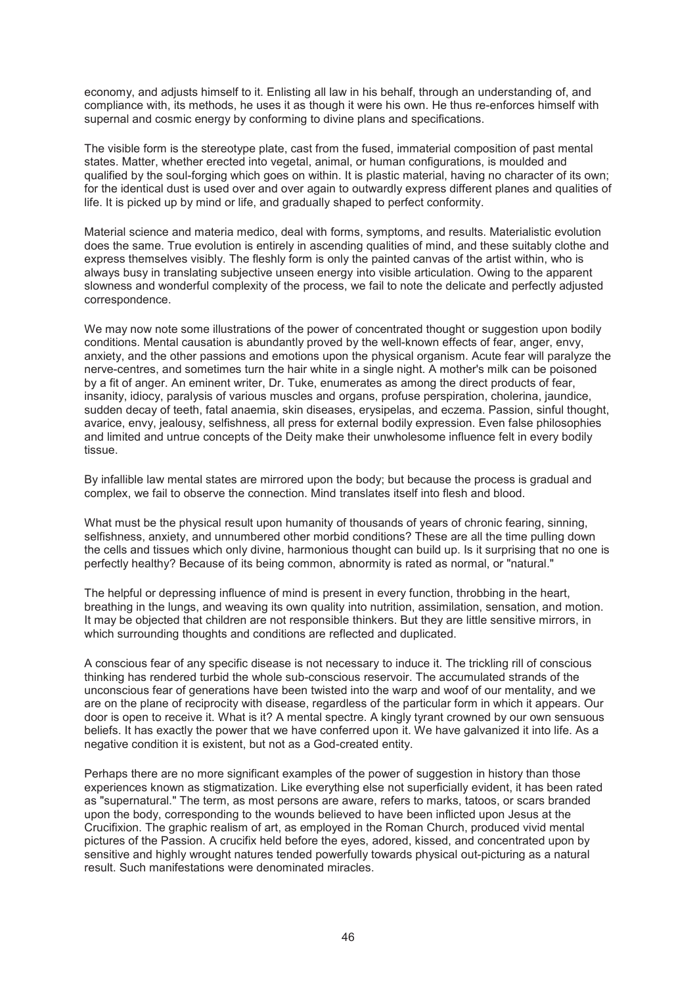economy, and adjusts himself to it. Enlisting all law in his behalf, through an understanding of, and compliance with, its methods, he uses it as though it were his own. He thus re-enforces himself with supernal and cosmic energy by conforming to divine plans and specifications.

The visible form is the stereotype plate, cast from the fused, immaterial composition of past mental states. Matter, whether erected into vegetal, animal, or human configurations, is moulded and qualified by the soul-forging which goes on within. It is plastic material, having no character of its own; for the identical dust is used over and over again to outwardly express different planes and qualities of life. It is picked up by mind or life, and gradually shaped to perfect conformity.

Material science and materia medico, deal with forms, symptoms, and results. Materialistic evolution does the same. True evolution is entirely in ascending qualities of mind, and these suitably clothe and express themselves visibly. The fleshly form is only the painted canvas of the artist within, who is always busy in translating subjective unseen energy into visible articulation. Owing to the apparent slowness and wonderful complexity of the process, we fail to note the delicate and perfectly adjusted correspondence.

We may now note some illustrations of the power of concentrated thought or suggestion upon bodily conditions. Mental causation is abundantly proved by the well-known effects of fear, anger, envy, anxiety, and the other passions and emotions upon the physical organism. Acute fear will paralyze the nerve-centres, and sometimes turn the hair white in a single night. A mother's milk can be poisoned by a fit of anger. An eminent writer, Dr. Tuke, enumerates as among the direct products of fear, insanity, idiocy, paralysis of various muscles and organs, profuse perspiration, cholerina, jaundice, sudden decay of teeth, fatal anaemia, skin diseases, erysipelas, and eczema. Passion, sinful thought, avarice, envy, jealousy, selfishness, all press for external bodily expression. Even false philosophies and limited and untrue concepts of the Deity make their unwholesome influence felt in every bodily tissue.

By infallible law mental states are mirrored upon the body; but because the process is gradual and complex, we fail to observe the connection. Mind translates itself into flesh and blood.

What must be the physical result upon humanity of thousands of years of chronic fearing, sinning, selfishness, anxiety, and unnumbered other morbid conditions? These are all the time pulling down the cells and tissues which only divine, harmonious thought can build up. Is it surprising that no one is perfectly healthy? Because of its being common, abnormity is rated as normal, or "natural."

The helpful or depressing influence of mind is present in every function, throbbing in the heart, breathing in the lungs, and weaving its own quality into nutrition, assimilation, sensation, and motion. It may be objected that children are not responsible thinkers. But they are little sensitive mirrors, in which surrounding thoughts and conditions are reflected and duplicated.

A conscious fear of any specific disease is not necessary to induce it. The trickling rill of conscious thinking has rendered turbid the whole sub-conscious reservoir. The accumulated strands of the unconscious fear of generations have been twisted into the warp and woof of our mentality, and we are on the plane of reciprocity with disease, regardless of the particular form in which it appears. Our door is open to receive it. What is it? A mental spectre. A kingly tyrant crowned by our own sensuous beliefs. It has exactly the power that we have conferred upon it. We have galvanized it into life. As a negative condition it is existent, but not as a God-created entity.

Perhaps there are no more significant examples of the power of suggestion in history than those experiences known as stigmatization. Like everything else not superficially evident, it has been rated as "supernatural." The term, as most persons are aware, refers to marks, tatoos, or scars branded upon the body, corresponding to the wounds believed to have been inflicted upon Jesus at the Crucifixion. The graphic realism of art, as employed in the Roman Church, produced vivid mental pictures of the Passion. A crucifix held before the eyes, adored, kissed, and concentrated upon by sensitive and highly wrought natures tended powerfully towards physical out-picturing as a natural result. Such manifestations were denominated miracles.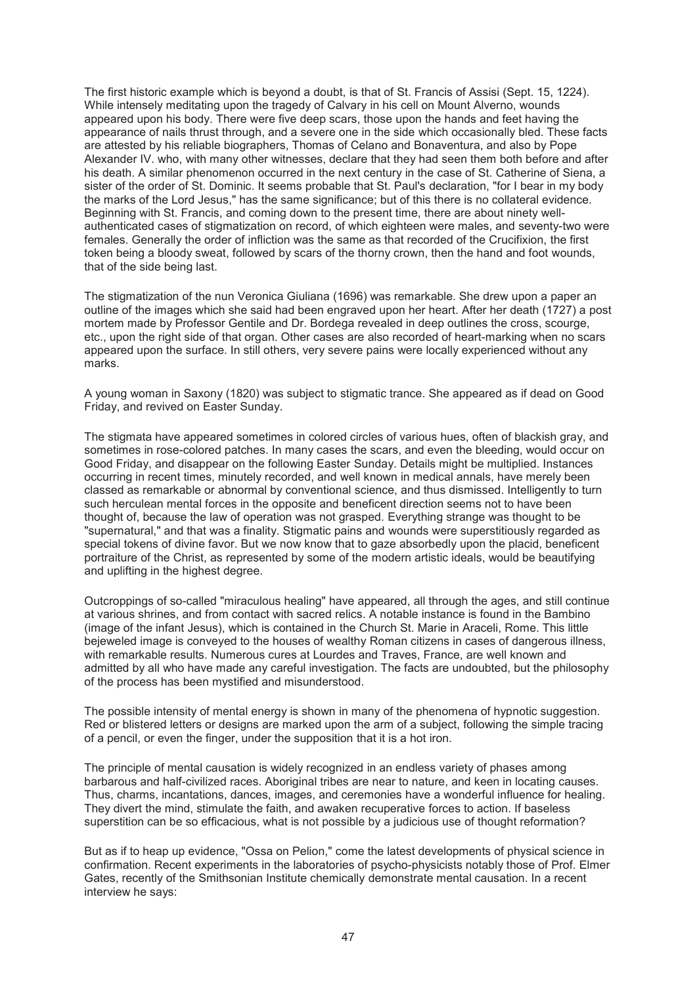The first historic example which is beyond a doubt, is that of St. Francis of Assisi (Sept. 15, 1224). While intensely meditating upon the tragedy of Calvary in his cell on Mount Alverno, wounds appeared upon his body. There were five deep scars, those upon the hands and feet having the appearance of nails thrust through, and a severe one in the side which occasionally bled. These facts are attested by his reliable biographers, Thomas of Celano and Bonaventura, and also by Pope Alexander IV. who, with many other witnesses, declare that they had seen them both before and after his death. A similar phenomenon occurred in the next century in the case of St. Catherine of Siena, a sister of the order of St. Dominic. It seems probable that St. Paul's declaration, "for I bear in my body the marks of the Lord Jesus," has the same significance; but of this there is no collateral evidence. Beginning with St. Francis, and coming down to the present time, there are about ninety wellauthenticated cases of stigmatization on record, of which eighteen were males, and seventy-two were females. Generally the order of infliction was the same as that recorded of the Crucifixion, the first token being a bloody sweat, followed by scars of the thorny crown, then the hand and foot wounds, that of the side being last.

The stigmatization of the nun Veronica Giuliana (1696) was remarkable. She drew upon a paper an outline of the images which she said had been engraved upon her heart. After her death (1727) a post mortem made by Professor Gentile and Dr. Bordega revealed in deep outlines the cross, scourge, etc., upon the right side of that organ. Other cases are also recorded of heart-marking when no scars appeared upon the surface. In still others, very severe pains were locally experienced without any marks.

A young woman in Saxony (1820) was subject to stigmatic trance. She appeared as if dead on Good Friday, and revived on Easter Sunday.

The stigmata have appeared sometimes in colored circles of various hues, often of blackish gray, and sometimes in rose-colored patches. In many cases the scars, and even the bleeding, would occur on Good Friday, and disappear on the following Easter Sunday. Details might be multiplied. Instances occurring in recent times, minutely recorded, and well known in medical annals, have merely been classed as remarkable or abnormal by conventional science, and thus dismissed. Intelligently to turn such herculean mental forces in the opposite and beneficent direction seems not to have been thought of, because the law of operation was not grasped. Everything strange was thought to be "supernatural," and that was a finality. Stigmatic pains and wounds were superstitiously regarded as special tokens of divine favor. But we now know that to gaze absorbedly upon the placid, beneficent portraiture of the Christ, as represented by some of the modern artistic ideals, would be beautifying and uplifting in the highest degree.

Outcroppings of so-called "miraculous healing" have appeared, all through the ages, and still continue at various shrines, and from contact with sacred relics. A notable instance is found in the Bambino (image of the infant Jesus), which is contained in the Church St. Marie in Araceli, Rome. This little bejeweled image is conveyed to the houses of wealthy Roman citizens in cases of dangerous illness, with remarkable results. Numerous cures at Lourdes and Traves, France, are well known and admitted by all who have made any careful investigation. The facts are undoubted, but the philosophy of the process has been mystified and misunderstood.

The possible intensity of mental energy is shown in many of the phenomena of hypnotic suggestion. Red or blistered letters or designs are marked upon the arm of a subject, following the simple tracing of a pencil, or even the finger, under the supposition that it is a hot iron.

The principle of mental causation is widely recognized in an endless variety of phases among barbarous and half-civilized races. Aboriginal tribes are near to nature, and keen in locating causes. Thus, charms, incantations, dances, images, and ceremonies have a wonderful influence for healing. They divert the mind, stimulate the faith, and awaken recuperative forces to action. If baseless superstition can be so efficacious, what is not possible by a judicious use of thought reformation?

But as if to heap up evidence, "Ossa on Pelion," come the latest developments of physical science in confirmation. Recent experiments in the laboratories of psycho-physicists notably those of Prof. Elmer Gates, recently of the Smithsonian Institute chemically demonstrate mental causation. In a recent interview he says: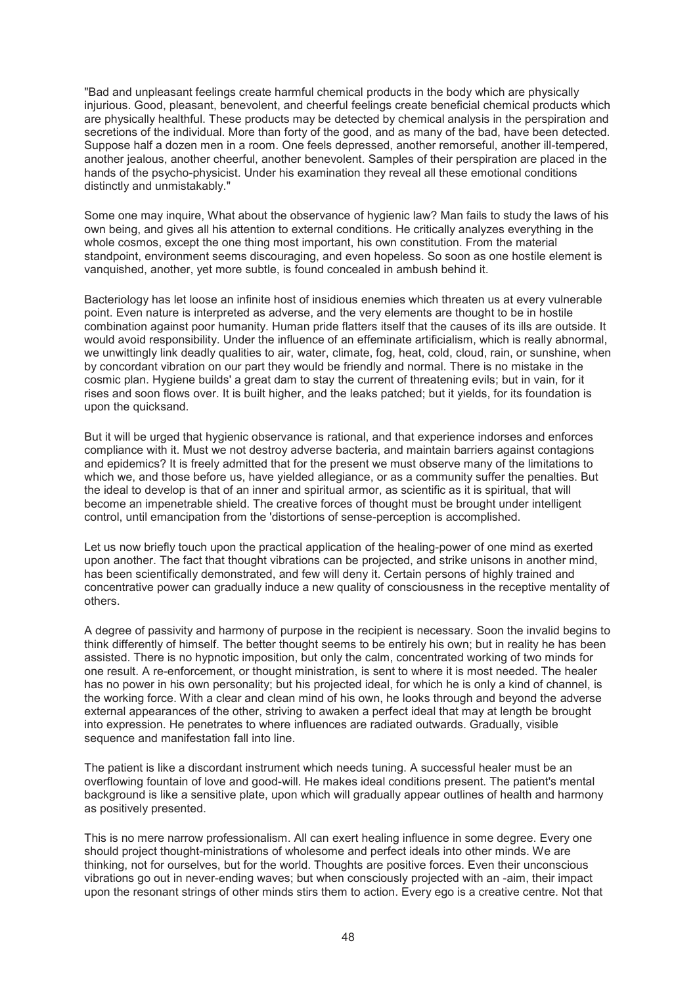"Bad and unpleasant feelings create harmful chemical products in the body which are physically injurious. Good, pleasant, benevolent, and cheerful feelings create beneficial chemical products which are physically healthful. These products may be detected by chemical analysis in the perspiration and secretions of the individual. More than forty of the good, and as many of the bad, have been detected. Suppose half a dozen men in a room. One feels depressed, another remorseful, another ill-tempered, another jealous, another cheerful, another benevolent. Samples of their perspiration are placed in the hands of the psycho-physicist. Under his examination they reveal all these emotional conditions distinctly and unmistakably."

Some one may inquire, What about the observance of hygienic law? Man fails to study the laws of his own being, and gives all his attention to external conditions. He critically analyzes everything in the whole cosmos, except the one thing most important, his own constitution. From the material standpoint, environment seems discouraging, and even hopeless. So soon as one hostile element is vanquished, another, yet more subtle, is found concealed in ambush behind it.

Bacteriology has let loose an infinite host of insidious enemies which threaten us at every vulnerable point. Even nature is interpreted as adverse, and the very elements are thought to be in hostile combination against poor humanity. Human pride flatters itself that the causes of its ills are outside. It would avoid responsibility. Under the influence of an effeminate artificialism, which is really abnormal, we unwittingly link deadly qualities to air, water, climate, fog, heat, cold, cloud, rain, or sunshine, when by concordant vibration on our part they would be friendly and normal. There is no mistake in the cosmic plan. Hygiene builds' a great dam to stay the current of threatening evils; but in vain, for it rises and soon flows over. It is built higher, and the leaks patched; but it yields, for its foundation is upon the quicksand.

But it will be urged that hygienic observance is rational, and that experience indorses and enforces compliance with it. Must we not destroy adverse bacteria, and maintain barriers against contagions and epidemics? It is freely admitted that for the present we must observe many of the limitations to which we, and those before us, have yielded allegiance, or as a community suffer the penalties. But the ideal to develop is that of an inner and spiritual armor, as scientific as it is spiritual, that will become an impenetrable shield. The creative forces of thought must be brought under intelligent control, until emancipation from the 'distortions of sense-perception is accomplished.

Let us now briefly touch upon the practical application of the healing-power of one mind as exerted upon another. The fact that thought vibrations can be projected, and strike unisons in another mind, has been scientifically demonstrated, and few will deny it. Certain persons of highly trained and concentrative power can gradually induce a new quality of consciousness in the receptive mentality of others.

A degree of passivity and harmony of purpose in the recipient is necessary. Soon the invalid begins to think differently of himself. The better thought seems to be entirely his own; but in reality he has been assisted. There is no hypnotic imposition, but only the calm, concentrated working of two minds for one result. A re-enforcement, or thought ministration, is sent to where it is most needed. The healer has no power in his own personality; but his projected ideal, for which he is only a kind of channel, is the working force. With a clear and clean mind of his own, he looks through and beyond the adverse external appearances of the other, striving to awaken a perfect ideal that may at length be brought into expression. He penetrates to where influences are radiated outwards. Gradually, visible sequence and manifestation fall into line.

The patient is like a discordant instrument which needs tuning. A successful healer must be an overflowing fountain of love and good-will. He makes ideal conditions present. The patient's mental background is like a sensitive plate, upon which will gradually appear outlines of health and harmony as positively presented.

This is no mere narrow professionalism. All can exert healing influence in some degree. Every one should project thought-ministrations of wholesome and perfect ideals into other minds. We are thinking, not for ourselves, but for the world. Thoughts are positive forces. Even their unconscious vibrations go out in never-ending waves; but when consciously projected with an -aim, their impact upon the resonant strings of other minds stirs them to action. Every ego is a creative centre. Not that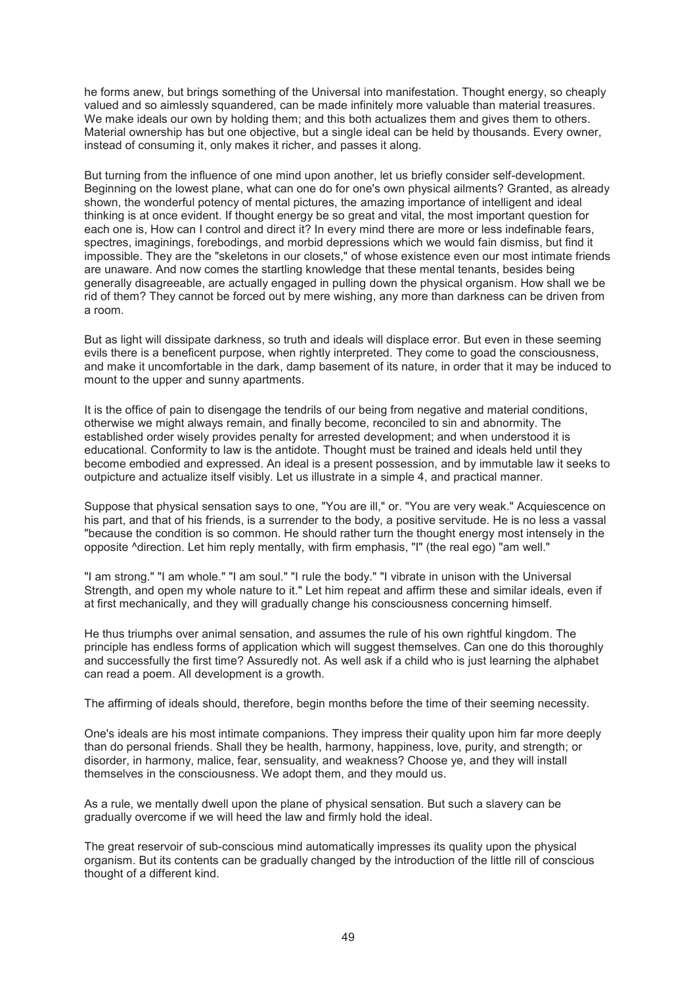he forms anew, but brings something of the Universal into manifestation. Thought energy, so cheaply valued and so aimlessly squandered, can be made infinitely more valuable than material treasures. We make ideals our own by holding them; and this both actualizes them and gives them to others. Material ownership has but one objective, but a single ideal can be held by thousands. Every owner, instead of consuming it, only makes it richer, and passes it along.

But turning from the influence of one mind upon another, let us briefly consider self-development. Beginning on the lowest plane, what can one do for one's own physical ailments? Granted, as already shown, the wonderful potency of mental pictures, the amazing importance of intelligent and ideal thinking is at once evident. If thought energy be so great and vital, the most important question for each one is, How can I control and direct it? In every mind there are more or less indefinable fears, spectres, imaginings, forebodings, and morbid depressions which we would fain dismiss, but find it impossible. They are the "skeletons in our closets," of whose existence even our most intimate friends are unaware. And now comes the startling knowledge that these mental tenants, besides being generally disagreeable, are actually engaged in pulling down the physical organism. How shall we be rid of them? They cannot be forced out by mere wishing, any more than darkness can be driven from a room.

But as light will dissipate darkness, so truth and ideals will displace error. But even in these seeming evils there is a beneficent purpose, when rightly interpreted. They come to goad the consciousness, and make it uncomfortable in the dark, damp basement of its nature, in order that it may be induced to mount to the upper and sunny apartments.

It is the office of pain to disengage the tendrils of our being from negative and material conditions, otherwise we might always remain, and finally become, reconciled to sin and abnormity. The established order wisely provides penalty for arrested development; and when understood it is educational. Conformity to law is the antidote. Thought must be trained and ideals held until they become embodied and expressed. An ideal is a present possession, and by immutable law it seeks to outpicture and actualize itself visibly. Let us illustrate in a simple 4, and practical manner.

Suppose that physical sensation says to one, "You are ill," or. "You are very weak." Acquiescence on his part, and that of his friends, is a surrender to the body, a positive servitude. He is no less a vassal "because the condition is so common. He should rather turn the thought energy most intensely in the opposite ^direction. Let him reply mentally, with firm emphasis, "I" (the real ego) "am well."

"I am strong." "I am whole." "I am soul." "I rule the body." "I vibrate in unison with the Universal Strength, and open my whole nature to it." Let him repeat and affirm these and similar ideals, even if at first mechanically, and they will gradually change his consciousness concerning himself.

He thus triumphs over animal sensation, and assumes the rule of his own rightful kingdom. The principle has endless forms of application which will suggest themselves. Can one do this thoroughly and successfully the first time? Assuredly not. As well ask if a child who is just learning the alphabet can read a poem. All development is a growth.

The affirming of ideals should, therefore, begin months before the time of their seeming necessity.

One's ideals are his most intimate companions. They impress their quality upon him far more deeply than do personal friends. Shall they be health, harmony, happiness, love, purity, and strength; or disorder, in harmony, malice, fear, sensuality, and weakness? Choose ye, and they will install themselves in the consciousness. We adopt them, and they mould us.

As a rule, we mentally dwell upon the plane of physical sensation. But such a slavery can be gradually overcome if we will heed the law and firmly hold the ideal.

The great reservoir of sub-conscious mind automatically impresses its quality upon the physical organism. But its contents can be gradually changed by the introduction of the little rill of conscious thought of a different kind.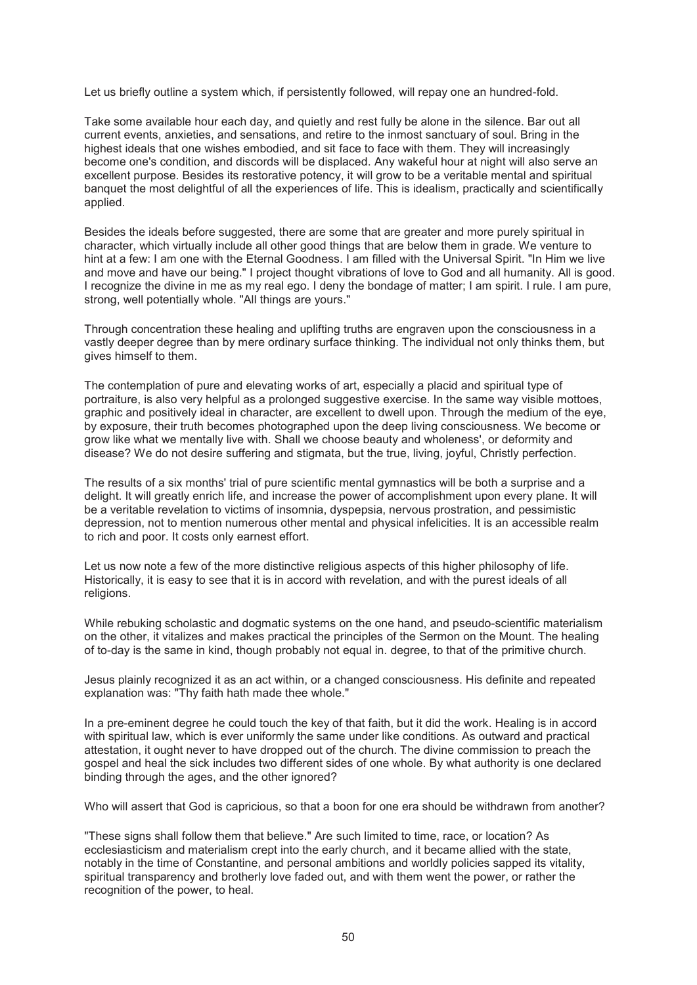Let us briefly outline a system which, if persistently followed, will repay one an hundred-fold.

Take some available hour each day, and quietly and rest fully be alone in the silence. Bar out all current events, anxieties, and sensations, and retire to the inmost sanctuary of soul. Bring in the highest ideals that one wishes embodied, and sit face to face with them. They will increasingly become one's condition, and discords will be displaced. Any wakeful hour at night will also serve an excellent purpose. Besides its restorative potency, it will grow to be a veritable mental and spiritual banquet the most delightful of all the experiences of life. This is idealism, practically and scientifically applied.

Besides the ideals before suggested, there are some that are greater and more purely spiritual in character, which virtually include all other good things that are below them in grade. We venture to hint at a few: I am one with the Eternal Goodness. I am filled with the Universal Spirit. "In Him we live and move and have our being." I project thought vibrations of love to God and all humanity. All is good. I recognize the divine in me as my real ego. I deny the bondage of matter; I am spirit. I rule. I am pure, strong, well potentially whole. "All things are yours."

Through concentration these healing and uplifting truths are engraven upon the consciousness in a vastly deeper degree than by mere ordinary surface thinking. The individual not only thinks them, but gives himself to them.

The contemplation of pure and elevating works of art, especially a placid and spiritual type of portraiture, is also very helpful as a prolonged suggestive exercise. In the same way visible mottoes, graphic and positively ideal in character, are excellent to dwell upon. Through the medium of the eye, by exposure, their truth becomes photographed upon the deep living consciousness. We become or grow like what we mentally live with. Shall we choose beauty and wholeness', or deformity and disease? We do not desire suffering and stigmata, but the true, living, joyful, Christly perfection.

The results of a six months' trial of pure scientific mental gymnastics will be both a surprise and a delight. It will greatly enrich life, and increase the power of accomplishment upon every plane. It will be a veritable revelation to victims of insomnia, dyspepsia, nervous prostration, and pessimistic depression, not to mention numerous other mental and physical infelicities. It is an accessible realm to rich and poor. It costs only earnest effort.

Let us now note a few of the more distinctive religious aspects of this higher philosophy of life. Historically, it is easy to see that it is in accord with revelation, and with the purest ideals of all religions.

While rebuking scholastic and dogmatic systems on the one hand, and pseudo-scientific materialism on the other, it vitalizes and makes practical the principles of the Sermon on the Mount. The healing of to-day is the same in kind, though probably not equal in. degree, to that of the primitive church.

Jesus plainly recognized it as an act within, or a changed consciousness. His definite and repeated explanation was: "Thy faith hath made thee whole."

In a pre-eminent degree he could touch the key of that faith, but it did the work. Healing is in accord with spiritual law, which is ever uniformly the same under like conditions. As outward and practical attestation, it ought never to have dropped out of the church. The divine commission to preach the gospel and heal the sick includes two different sides of one whole. By what authority is one declared binding through the ages, and the other ignored?

Who will assert that God is capricious, so that a boon for one era should be withdrawn from another?

"These signs shall follow them that believe." Are such limited to time, race, or location? As ecclesiasticism and materialism crept into the early church, and it became allied with the state, notably in the time of Constantine, and personal ambitions and worldly policies sapped its vitality, spiritual transparency and brotherly love faded out, and with them went the power, or rather the recognition of the power, to heal.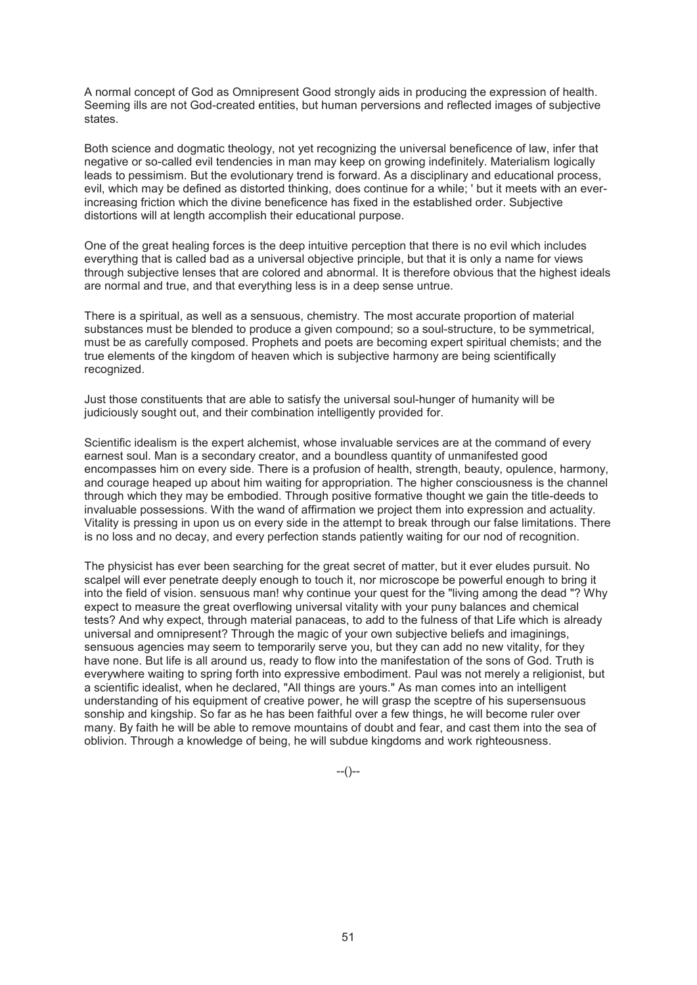A normal concept of God as Omnipresent Good strongly aids in producing the expression of health. Seeming ills are not God-created entities, but human perversions and reflected images of subjective states.

Both science and dogmatic theology, not yet recognizing the universal beneficence of law, infer that negative or so-called evil tendencies in man may keep on growing indefinitely. Materialism logically leads to pessimism. But the evolutionary trend is forward. As a disciplinary and educational process, evil, which may be defined as distorted thinking, does continue for a while; ' but it meets with an everincreasing friction which the divine beneficence has fixed in the established order. Subjective distortions will at length accomplish their educational purpose.

One of the great healing forces is the deep intuitive perception that there is no evil which includes everything that is called bad as a universal objective principle, but that it is only a name for views through subjective lenses that are colored and abnormal. It is therefore obvious that the highest ideals are normal and true, and that everything less is in a deep sense untrue.

There is a spiritual, as well as a sensuous, chemistry. The most accurate proportion of material substances must be blended to produce a given compound; so a soul-structure, to be symmetrical, must be as carefully composed. Prophets and poets are becoming expert spiritual chemists; and the true elements of the kingdom of heaven which is subjective harmony are being scientifically recognized.

Just those constituents that are able to satisfy the universal soul-hunger of humanity will be judiciously sought out, and their combination intelligently provided for.

Scientific idealism is the expert alchemist, whose invaluable services are at the command of every earnest soul. Man is a secondary creator, and a boundless quantity of unmanifested good encompasses him on every side. There is a profusion of health, strength, beauty, opulence, harmony, and courage heaped up about him waiting for appropriation. The higher consciousness is the channel through which they may be embodied. Through positive formative thought we gain the title-deeds to invaluable possessions. With the wand of affirmation we project them into expression and actuality. Vitality is pressing in upon us on every side in the attempt to break through our false limitations. There is no loss and no decay, and every perfection stands patiently waiting for our nod of recognition.

The physicist has ever been searching for the great secret of matter, but it ever eludes pursuit. No scalpel will ever penetrate deeply enough to touch it, nor microscope be powerful enough to bring it into the field of vision. sensuous man! why continue your quest for the "living among the dead "? Why expect to measure the great overflowing universal vitality with your puny balances and chemical tests? And why expect, through material panaceas, to add to the fulness of that Life which is already universal and omnipresent? Through the magic of your own subjective beliefs and imaginings, sensuous agencies may seem to temporarily serve you, but they can add no new vitality, for they have none. But life is all around us, ready to flow into the manifestation of the sons of God. Truth is everywhere waiting to spring forth into expressive embodiment. Paul was not merely a religionist, but a scientific idealist, when he declared, "All things are yours." As man comes into an intelligent understanding of his equipment of creative power, he will grasp the sceptre of his supersensuous sonship and kingship. So far as he has been faithful over a few things, he will become ruler over many. By faith he will be able to remove mountains of doubt and fear, and cast them into the sea of oblivion. Through a knowledge of being, he will subdue kingdoms and work righteousness.

--()--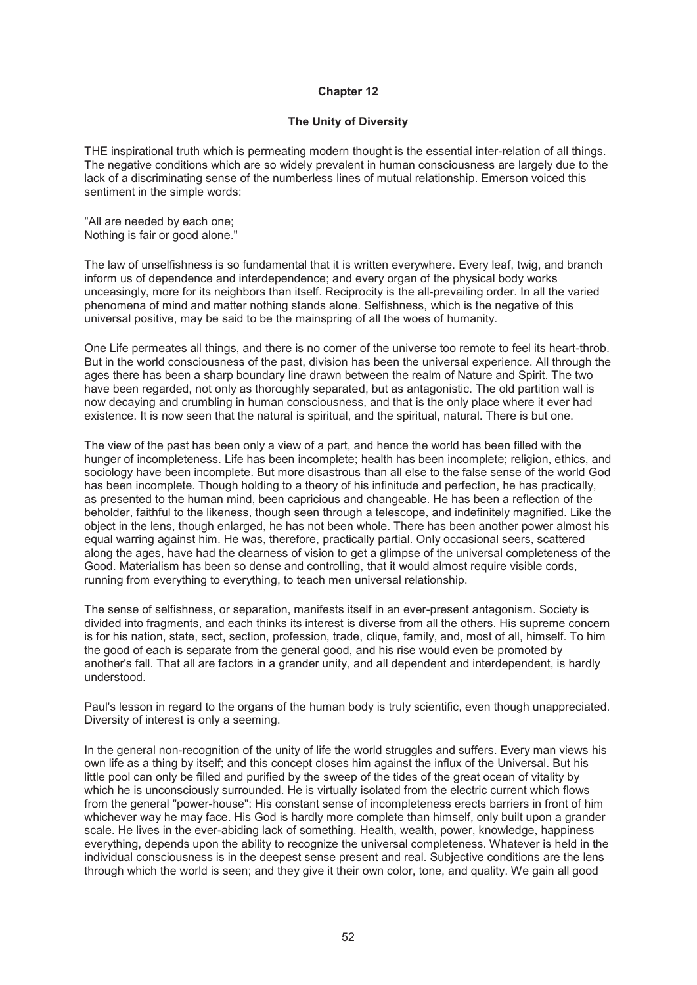# **Chapter 12**

# **The Unity of Diversity**

THE inspirational truth which is permeating modern thought is the essential inter-relation of all things. The negative conditions which are so widely prevalent in human consciousness are largely due to the lack of a discriminating sense of the numberless lines of mutual relationship. Emerson voiced this sentiment in the simple words:

"All are needed by each one; Nothing is fair or good alone."

The law of unselfishness is so fundamental that it is written everywhere. Every leaf, twig, and branch inform us of dependence and interdependence; and every organ of the physical body works unceasingly, more for its neighbors than itself. Reciprocity is the all-prevailing order. In all the varied phenomena of mind and matter nothing stands alone. Selfishness, which is the negative of this universal positive, may be said to be the mainspring of all the woes of humanity.

One Life permeates all things, and there is no corner of the universe too remote to feel its heart-throb. But in the world consciousness of the past, division has been the universal experience. All through the ages there has been a sharp boundary line drawn between the realm of Nature and Spirit. The two have been regarded, not only as thoroughly separated, but as antagonistic. The old partition wall is now decaying and crumbling in human consciousness, and that is the only place where it ever had existence. It is now seen that the natural is spiritual, and the spiritual, natural. There is but one.

The view of the past has been only a view of a part, and hence the world has been filled with the hunger of incompleteness. Life has been incomplete; health has been incomplete; religion, ethics, and sociology have been incomplete. But more disastrous than all else to the false sense of the world God has been incomplete. Though holding to a theory of his infinitude and perfection, he has practically, as presented to the human mind, been capricious and changeable. He has been a reflection of the beholder, faithful to the likeness, though seen through a telescope, and indefinitely magnified. Like the object in the lens, though enlarged, he has not been whole. There has been another power almost his equal warring against him. He was, therefore, practically partial. Only occasional seers, scattered along the ages, have had the clearness of vision to get a glimpse of the universal completeness of the Good. Materialism has been so dense and controlling, that it would almost require visible cords, running from everything to everything, to teach men universal relationship.

The sense of selfishness, or separation, manifests itself in an ever-present antagonism. Society is divided into fragments, and each thinks its interest is diverse from all the others. His supreme concern is for his nation, state, sect, section, profession, trade, clique, family, and, most of all, himself. To him the good of each is separate from the general good, and his rise would even be promoted by another's fall. That all are factors in a grander unity, and all dependent and interdependent, is hardly understood.

Paul's lesson in regard to the organs of the human body is truly scientific, even though unappreciated. Diversity of interest is only a seeming.

In the general non-recognition of the unity of life the world struggles and suffers. Every man views his own life as a thing by itself; and this concept closes him against the influx of the Universal. But his little pool can only be filled and purified by the sweep of the tides of the great ocean of vitality by which he is unconsciously surrounded. He is virtually isolated from the electric current which flows from the general "power-house": His constant sense of incompleteness erects barriers in front of him whichever way he may face. His God is hardly more complete than himself, only built upon a grander scale. He lives in the ever-abiding lack of something. Health, wealth, power, knowledge, happiness everything, depends upon the ability to recognize the universal completeness. Whatever is held in the individual consciousness is in the deepest sense present and real. Subjective conditions are the lens through which the world is seen; and they give it their own color, tone, and quality. We gain all good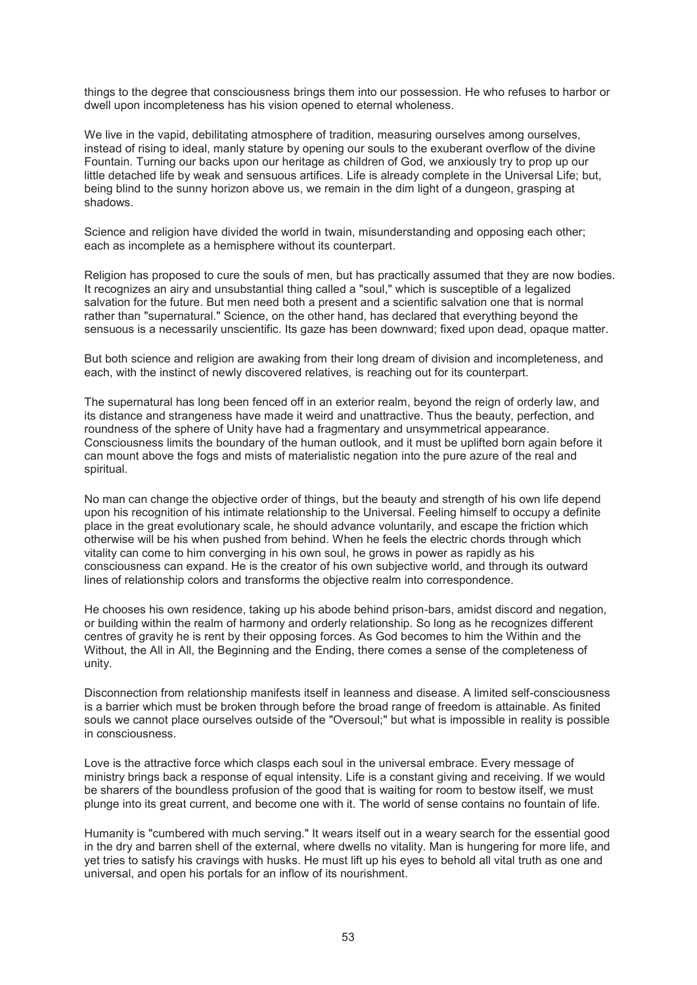things to the degree that consciousness brings them into our possession. He who refuses to harbor or dwell upon incompleteness has his vision opened to eternal wholeness.

We live in the vapid, debilitating atmosphere of tradition, measuring ourselves among ourselves, instead of rising to ideal, manly stature by opening our souls to the exuberant overflow of the divine Fountain. Turning our backs upon our heritage as children of God, we anxiously try to prop up our little detached life by weak and sensuous artifices. Life is already complete in the Universal Life; but, being blind to the sunny horizon above us, we remain in the dim light of a dungeon, grasping at shadows.

Science and religion have divided the world in twain, misunderstanding and opposing each other; each as incomplete as a hemisphere without its counterpart.

Religion has proposed to cure the souls of men, but has practically assumed that they are now bodies. It recognizes an airy and unsubstantial thing called a "soul," which is susceptible of a legalized salvation for the future. But men need both a present and a scientific salvation one that is normal rather than "supernatural." Science, on the other hand, has declared that everything beyond the sensuous is a necessarily unscientific. Its gaze has been downward; fixed upon dead, opaque matter.

But both science and religion are awaking from their long dream of division and incompleteness, and each, with the instinct of newly discovered relatives, is reaching out for its counterpart.

The supernatural has long been fenced off in an exterior realm, beyond the reign of orderly law, and its distance and strangeness have made it weird and unattractive. Thus the beauty, perfection, and roundness of the sphere of Unity have had a fragmentary and unsymmetrical appearance. Consciousness limits the boundary of the human outlook, and it must be uplifted born again before it can mount above the fogs and mists of materialistic negation into the pure azure of the real and spiritual.

No man can change the objective order of things, but the beauty and strength of his own life depend upon his recognition of his intimate relationship to the Universal. Feeling himself to occupy a definite place in the great evolutionary scale, he should advance voluntarily, and escape the friction which otherwise will be his when pushed from behind. When he feels the electric chords through which vitality can come to him converging in his own soul, he grows in power as rapidly as his consciousness can expand. He is the creator of his own subjective world, and through its outward lines of relationship colors and transforms the objective realm into correspondence.

He chooses his own residence, taking up his abode behind prison-bars, amidst discord and negation, or building within the realm of harmony and orderly relationship. So long as he recognizes different centres of gravity he is rent by their opposing forces. As God becomes to him the Within and the Without, the All in All, the Beginning and the Ending, there comes a sense of the completeness of unity.

Disconnection from relationship manifests itself in leanness and disease. A limited self-consciousness is a barrier which must be broken through before the broad range of freedom is attainable. As finited souls we cannot place ourselves outside of the "Oversoul;" but what is impossible in reality is possible in consciousness.

Love is the attractive force which clasps each soul in the universal embrace. Every message of ministry brings back a response of equal intensity. Life is a constant giving and receiving. If we would be sharers of the boundless profusion of the good that is waiting for room to bestow itself, we must plunge into its great current, and become one with it. The world of sense contains no fountain of life.

Humanity is "cumbered with much serving." It wears itself out in a weary search for the essential good in the dry and barren shell of the external, where dwells no vitality. Man is hungering for more life, and yet tries to satisfy his cravings with husks. He must lift up his eyes to behold all vital truth as one and universal, and open his portals for an inflow of its nourishment.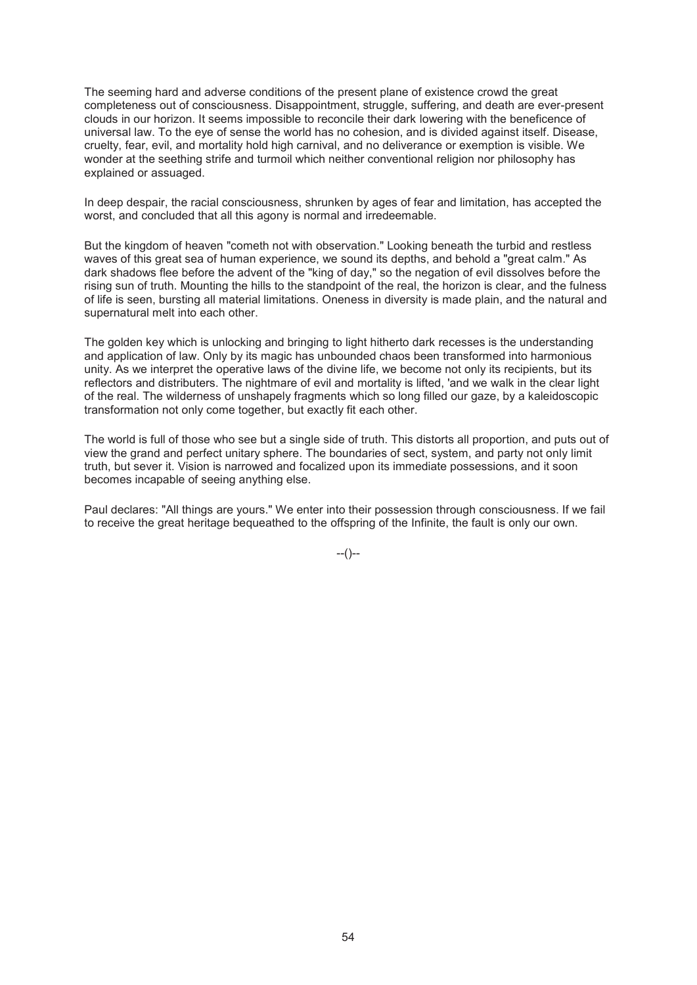The seeming hard and adverse conditions of the present plane of existence crowd the great completeness out of consciousness. Disappointment, struggle, suffering, and death are ever-present clouds in our horizon. It seems impossible to reconcile their dark lowering with the beneficence of universal law. To the eye of sense the world has no cohesion, and is divided against itself. Disease, cruelty, fear, evil, and mortality hold high carnival, and no deliverance or exemption is visible. We wonder at the seething strife and turmoil which neither conventional religion nor philosophy has explained or assuaged.

In deep despair, the racial consciousness, shrunken by ages of fear and limitation, has accepted the worst, and concluded that all this agony is normal and irredeemable.

But the kingdom of heaven "cometh not with observation." Looking beneath the turbid and restless waves of this great sea of human experience, we sound its depths, and behold a "great calm." As dark shadows flee before the advent of the "king of day," so the negation of evil dissolves before the rising sun of truth. Mounting the hills to the standpoint of the real, the horizon is clear, and the fulness of life is seen, bursting all material limitations. Oneness in diversity is made plain, and the natural and supernatural melt into each other.

The golden key which is unlocking and bringing to light hitherto dark recesses is the understanding and application of law. Only by its magic has unbounded chaos been transformed into harmonious unity. As we interpret the operative laws of the divine life, we become not only its recipients, but its reflectors and distributers. The nightmare of evil and mortality is lifted, 'and we walk in the clear light of the real. The wilderness of unshapely fragments which so long filled our gaze, by a kaleidoscopic transformation not only come together, but exactly fit each other.

The world is full of those who see but a single side of truth. This distorts all proportion, and puts out of view the grand and perfect unitary sphere. The boundaries of sect, system, and party not only limit truth, but sever it. Vision is narrowed and focalized upon its immediate possessions, and it soon becomes incapable of seeing anything else.

Paul declares: "All things are yours." We enter into their possession through consciousness. If we fail to receive the great heritage bequeathed to the offspring of the Infinite, the fault is only our own.

 $-(-)$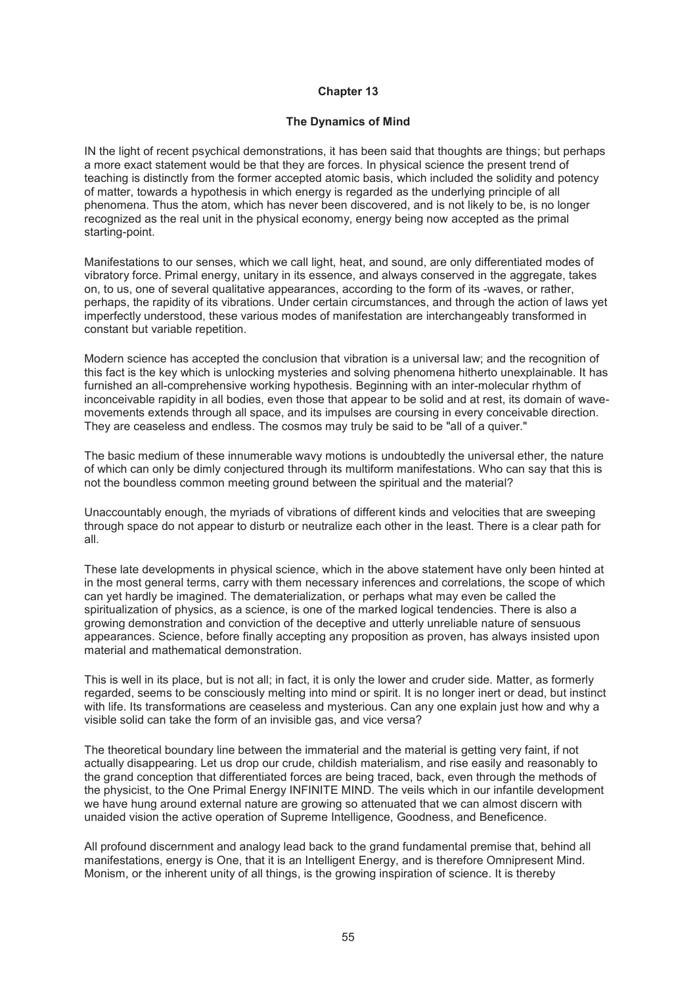# **Chapter 13**

### **The Dynamics of Mind**

IN the light of recent psychical demonstrations, it has been said that thoughts are things; but perhaps a more exact statement would be that they are forces. In physical science the present trend of teaching is distinctly from the former accepted atomic basis, which included the solidity and potency of matter, towards a hypothesis in which energy is regarded as the underlying principle of all phenomena. Thus the atom, which has never been discovered, and is not likely to be, is no longer recognized as the real unit in the physical economy, energy being now accepted as the primal starting-point.

Manifestations to our senses, which we call light, heat, and sound, are only differentiated modes of vibratory force. Primal energy, unitary in its essence, and always conserved in the aggregate, takes on, to us, one of several qualitative appearances, according to the form of its -waves, or rather, perhaps, the rapidity of its vibrations. Under certain circumstances, and through the action of laws yet imperfectly understood, these various modes of manifestation are interchangeably transformed in constant but variable repetition.

Modern science has accepted the conclusion that vibration is a universal law; and the recognition of this fact is the key which is unlocking mysteries and solving phenomena hitherto unexplainable. It has furnished an all-comprehensive working hypothesis. Beginning with an inter-molecular rhythm of inconceivable rapidity in all bodies, even those that appear to be solid and at rest, its domain of wavemovements extends through all space, and its impulses are coursing in every conceivable direction. They are ceaseless and endless. The cosmos may truly be said to be "all of a quiver."

The basic medium of these innumerable wavy motions is undoubtedly the universal ether, the nature of which can only be dimly conjectured through its multiform manifestations. Who can say that this is not the boundless common meeting ground between the spiritual and the material?

Unaccountably enough, the myriads of vibrations of different kinds and velocities that are sweeping through space do not appear to disturb or neutralize each other in the least. There is a clear path for all.

These late developments in physical science, which in the above statement have only been hinted at in the most general terms, carry with them necessary inferences and correlations, the scope of which can yet hardly be imagined. The dematerialization, or perhaps what may even be called the spiritualization of physics, as a science, is one of the marked logical tendencies. There is also a growing demonstration and conviction of the deceptive and utterly unreliable nature of sensuous appearances. Science, before finally accepting any proposition as proven, has always insisted upon material and mathematical demonstration.

This is well in its place, but is not all; in fact, it is only the lower and cruder side. Matter, as formerly regarded, seems to be consciously melting into mind or spirit. It is no longer inert or dead, but instinct with life. Its transformations are ceaseless and mysterious. Can any one explain just how and why a visible solid can take the form of an invisible gas, and vice versa?

The theoretical boundary line between the immaterial and the material is getting very faint, if not actually disappearing. Let us drop our crude, childish materialism, and rise easily and reasonably to the grand conception that differentiated forces are being traced, back, even through the methods of the physicist, to the One Primal Energy INFINITE MIND. The veils which in our infantile development we have hung around external nature are growing so attenuated that we can almost discern with unaided vision the active operation of Supreme Intelligence, Goodness, and Beneficence.

All profound discernment and analogy lead back to the grand fundamental premise that, behind all manifestations, energy is One, that it is an Intelligent Energy, and is therefore Omnipresent Mind. Monism, or the inherent unity of all things, is the growing inspiration of science. It is thereby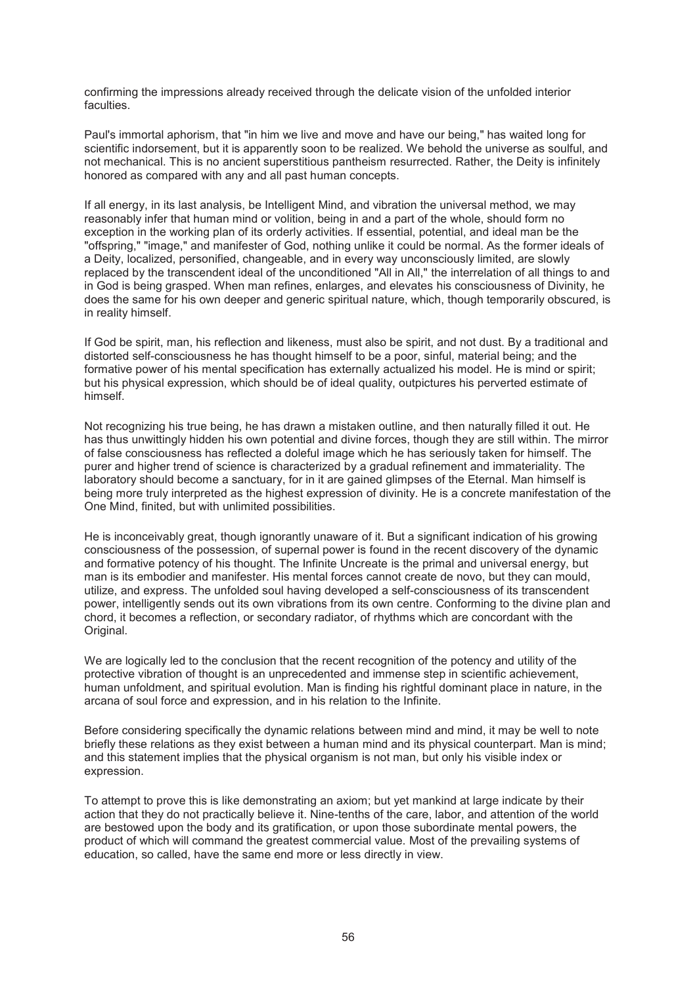confirming the impressions already received through the delicate vision of the unfolded interior faculties.

Paul's immortal aphorism, that "in him we live and move and have our being," has waited long for scientific indorsement, but it is apparently soon to be realized. We behold the universe as soulful, and not mechanical. This is no ancient superstitious pantheism resurrected. Rather, the Deity is infinitely honored as compared with any and all past human concepts.

If all energy, in its last analysis, be Intelligent Mind, and vibration the universal method, we may reasonably infer that human mind or volition, being in and a part of the whole, should form no exception in the working plan of its orderly activities. If essential, potential, and ideal man be the "offspring," "image," and manifester of God, nothing unlike it could be normal. As the former ideals of a Deity, localized, personified, changeable, and in every way unconsciously limited, are slowly replaced by the transcendent ideal of the unconditioned "All in All," the interrelation of all things to and in God is being grasped. When man refines, enlarges, and elevates his consciousness of Divinity, he does the same for his own deeper and generic spiritual nature, which, though temporarily obscured, is in reality himself.

If God be spirit, man, his reflection and likeness, must also be spirit, and not dust. By a traditional and distorted self-consciousness he has thought himself to be a poor, sinful, material being; and the formative power of his mental specification has externally actualized his model. He is mind or spirit; but his physical expression, which should be of ideal quality, outpictures his perverted estimate of himself.

Not recognizing his true being, he has drawn a mistaken outline, and then naturally filled it out. He has thus unwittingly hidden his own potential and divine forces, though they are still within. The mirror of false consciousness has reflected a doleful image which he has seriously taken for himself. The purer and higher trend of science is characterized by a gradual refinement and immateriality. The laboratory should become a sanctuary, for in it are gained glimpses of the Eternal. Man himself is being more truly interpreted as the highest expression of divinity. He is a concrete manifestation of the One Mind, finited, but with unlimited possibilities.

He is inconceivably great, though ignorantly unaware of it. But a significant indication of his growing consciousness of the possession, of supernal power is found in the recent discovery of the dynamic and formative potency of his thought. The Infinite Uncreate is the primal and universal energy, but man is its embodier and manifester. His mental forces cannot create de novo, but they can mould, utilize, and express. The unfolded soul having developed a self-consciousness of its transcendent power, intelligently sends out its own vibrations from its own centre. Conforming to the divine plan and chord, it becomes a reflection, or secondary radiator, of rhythms which are concordant with the Original.

We are logically led to the conclusion that the recent recognition of the potency and utility of the protective vibration of thought is an unprecedented and immense step in scientific achievement, human unfoldment, and spiritual evolution. Man is finding his rightful dominant place in nature, in the arcana of soul force and expression, and in his relation to the Infinite.

Before considering specifically the dynamic relations between mind and mind, it may be well to note briefly these relations as they exist between a human mind and its physical counterpart. Man is mind; and this statement implies that the physical organism is not man, but only his visible index or expression.

To attempt to prove this is like demonstrating an axiom; but yet mankind at large indicate by their action that they do not practically believe it. Nine-tenths of the care, labor, and attention of the world are bestowed upon the body and its gratification, or upon those subordinate mental powers, the product of which will command the greatest commercial value. Most of the prevailing systems of education, so called, have the same end more or less directly in view.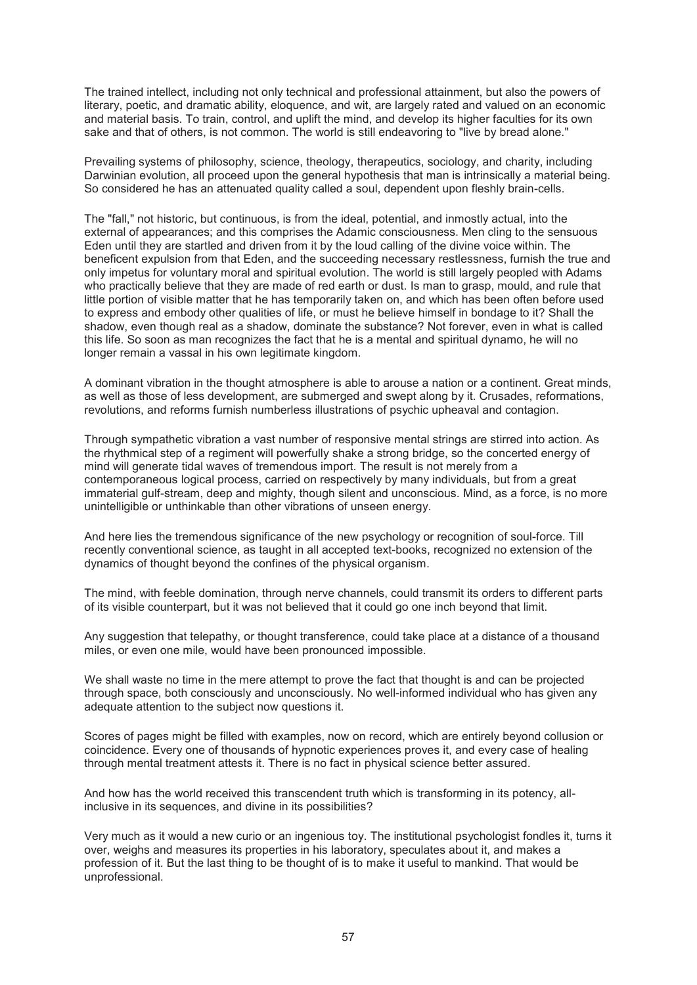The trained intellect, including not only technical and professional attainment, but also the powers of literary, poetic, and dramatic ability, eloquence, and wit, are largely rated and valued on an economic and material basis. To train, control, and uplift the mind, and develop its higher faculties for its own sake and that of others, is not common. The world is still endeavoring to "live by bread alone."

Prevailing systems of philosophy, science, theology, therapeutics, sociology, and charity, including Darwinian evolution, all proceed upon the general hypothesis that man is intrinsically a material being. So considered he has an attenuated quality called a soul, dependent upon fleshly brain-cells.

The "fall," not historic, but continuous, is from the ideal, potential, and inmostly actual, into the external of appearances; and this comprises the Adamic consciousness. Men cling to the sensuous Eden until they are startled and driven from it by the loud calling of the divine voice within. The beneficent expulsion from that Eden, and the succeeding necessary restlessness, furnish the true and only impetus for voluntary moral and spiritual evolution. The world is still largely peopled with Adams who practically believe that they are made of red earth or dust. Is man to grasp, mould, and rule that little portion of visible matter that he has temporarily taken on, and which has been often before used to express and embody other qualities of life, or must he believe himself in bondage to it? Shall the shadow, even though real as a shadow, dominate the substance? Not forever, even in what is called this life. So soon as man recognizes the fact that he is a mental and spiritual dynamo, he will no longer remain a vassal in his own legitimate kingdom.

A dominant vibration in the thought atmosphere is able to arouse a nation or a continent. Great minds, as well as those of less development, are submerged and swept along by it. Crusades, reformations, revolutions, and reforms furnish numberless illustrations of psychic upheaval and contagion.

Through sympathetic vibration a vast number of responsive mental strings are stirred into action. As the rhythmical step of a regiment will powerfully shake a strong bridge, so the concerted energy of mind will generate tidal waves of tremendous import. The result is not merely from a contemporaneous logical process, carried on respectively by many individuals, but from a great immaterial gulf-stream, deep and mighty, though silent and unconscious. Mind, as a force, is no more unintelligible or unthinkable than other vibrations of unseen energy.

And here lies the tremendous significance of the new psychology or recognition of soul-force. Till recently conventional science, as taught in all accepted text-books, recognized no extension of the dynamics of thought beyond the confines of the physical organism.

The mind, with feeble domination, through nerve channels, could transmit its orders to different parts of its visible counterpart, but it was not believed that it could go one inch beyond that limit.

Any suggestion that telepathy, or thought transference, could take place at a distance of a thousand miles, or even one mile, would have been pronounced impossible.

We shall waste no time in the mere attempt to prove the fact that thought is and can be projected through space, both consciously and unconsciously. No well-informed individual who has given any adequate attention to the subject now questions it.

Scores of pages might be filled with examples, now on record, which are entirely beyond collusion or coincidence. Every one of thousands of hypnotic experiences proves it, and every case of healing through mental treatment attests it. There is no fact in physical science better assured.

And how has the world received this transcendent truth which is transforming in its potency, allinclusive in its sequences, and divine in its possibilities?

Very much as it would a new curio or an ingenious toy. The institutional psychologist fondles it, turns it over, weighs and measures its properties in his laboratory, speculates about it, and makes a profession of it. But the last thing to be thought of is to make it useful to mankind. That would be unprofessional.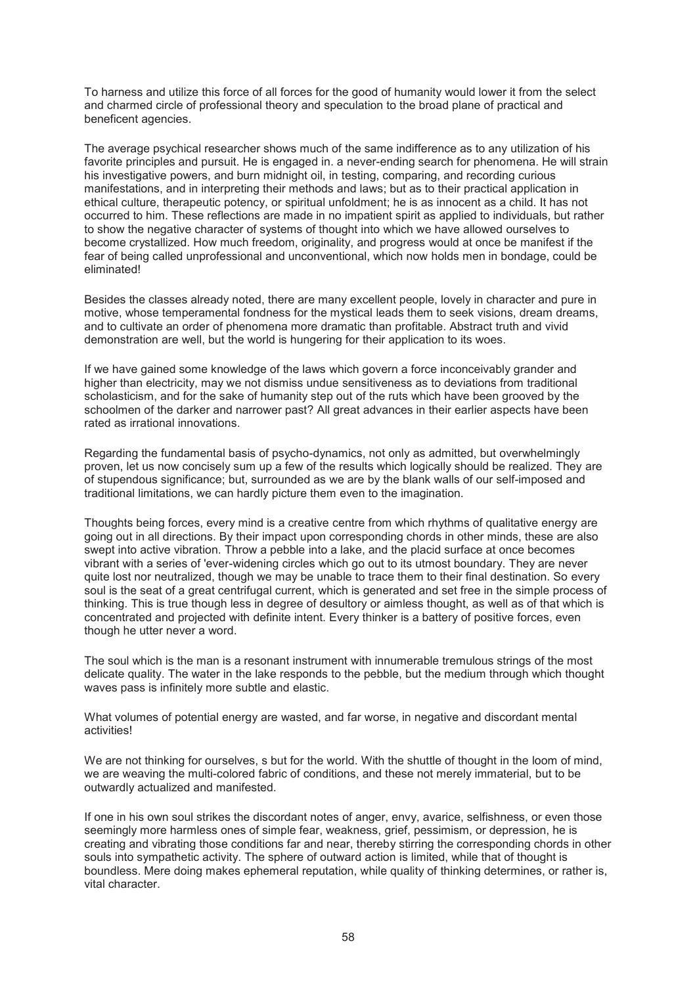To harness and utilize this force of all forces for the good of humanity would lower it from the select and charmed circle of professional theory and speculation to the broad plane of practical and beneficent agencies.

The average psychical researcher shows much of the same indifference as to any utilization of his favorite principles and pursuit. He is engaged in. a never-ending search for phenomena. He will strain his investigative powers, and burn midnight oil, in testing, comparing, and recording curious manifestations, and in interpreting their methods and laws; but as to their practical application in ethical culture, therapeutic potency, or spiritual unfoldment; he is as innocent as a child. It has not occurred to him. These reflections are made in no impatient spirit as applied to individuals, but rather to show the negative character of systems of thought into which we have allowed ourselves to become crystallized. How much freedom, originality, and progress would at once be manifest if the fear of being called unprofessional and unconventional, which now holds men in bondage, could be eliminated!

Besides the classes already noted, there are many excellent people, lovely in character and pure in motive, whose temperamental fondness for the mystical leads them to seek visions, dream dreams, and to cultivate an order of phenomena more dramatic than profitable. Abstract truth and vivid demonstration are well, but the world is hungering for their application to its woes.

If we have gained some knowledge of the laws which govern a force inconceivably grander and higher than electricity, may we not dismiss undue sensitiveness as to deviations from traditional scholasticism, and for the sake of humanity step out of the ruts which have been grooved by the schoolmen of the darker and narrower past? All great advances in their earlier aspects have been rated as irrational innovations.

Regarding the fundamental basis of psycho-dynamics, not only as admitted, but overwhelmingly proven, let us now concisely sum up a few of the results which logically should be realized. They are of stupendous significance; but, surrounded as we are by the blank walls of our self-imposed and traditional limitations, we can hardly picture them even to the imagination.

Thoughts being forces, every mind is a creative centre from which rhythms of qualitative energy are going out in all directions. By their impact upon corresponding chords in other minds, these are also swept into active vibration. Throw a pebble into a lake, and the placid surface at once becomes vibrant with a series of 'ever-widening circles which go out to its utmost boundary. They are never quite lost nor neutralized, though we may be unable to trace them to their final destination. So every soul is the seat of a great centrifugal current, which is generated and set free in the simple process of thinking. This is true though less in degree of desultory or aimless thought, as well as of that which is concentrated and projected with definite intent. Every thinker is a battery of positive forces, even though he utter never a word.

The soul which is the man is a resonant instrument with innumerable tremulous strings of the most delicate quality. The water in the lake responds to the pebble, but the medium through which thought waves pass is infinitely more subtle and elastic.

What volumes of potential energy are wasted, and far worse, in negative and discordant mental activities!

We are not thinking for ourselves, s but for the world. With the shuttle of thought in the loom of mind, we are weaving the multi-colored fabric of conditions, and these not merely immaterial, but to be outwardly actualized and manifested.

If one in his own soul strikes the discordant notes of anger, envy, avarice, selfishness, or even those seemingly more harmless ones of simple fear, weakness, grief, pessimism, or depression, he is creating and vibrating those conditions far and near, thereby stirring the corresponding chords in other souls into sympathetic activity. The sphere of outward action is limited, while that of thought is boundless. Mere doing makes ephemeral reputation, while quality of thinking determines, or rather is, vital character.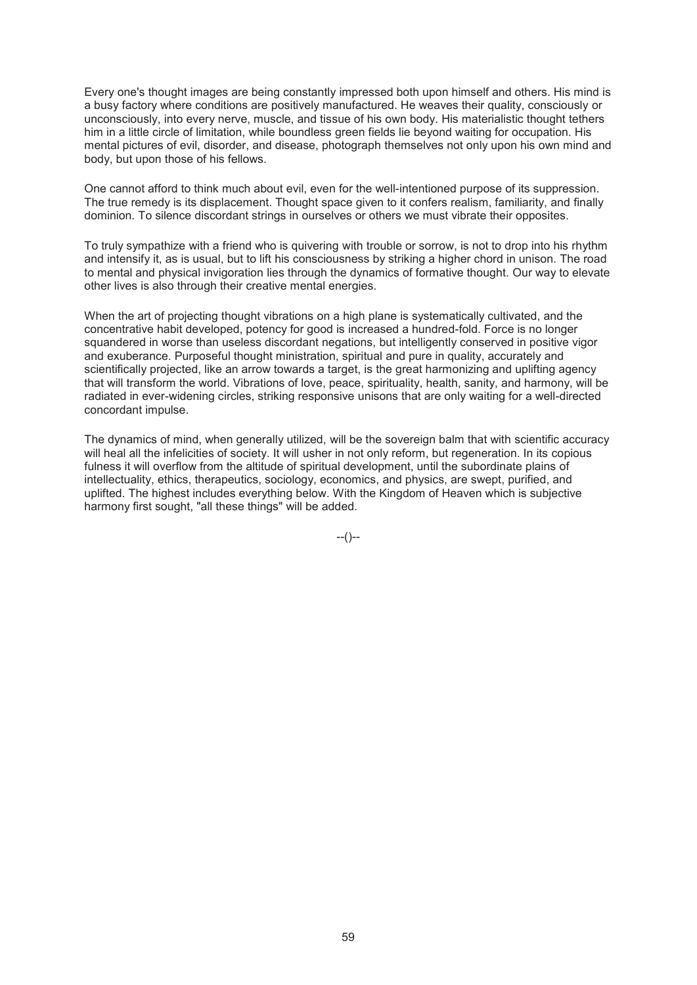Every one's thought images are being constantly impressed both upon himself and others. His mind is a busy factory where conditions are positively manufactured. He weaves their quality, consciously or unconsciously, into every nerve, muscle, and tissue of his own body. His materialistic thought tethers him in a little circle of limitation, while boundless green fields lie beyond waiting for occupation. His mental pictures of evil, disorder, and disease, photograph themselves not only upon his own mind and body, but upon those of his fellows.

One cannot afford to think much about evil, even for the well-intentioned purpose of its suppression. The true remedy is its displacement. Thought space given to it confers realism, familiarity, and finally dominion. To silence discordant strings in ourselves or others we must vibrate their opposites.

To truly sympathize with a friend who is quivering with trouble or sorrow, is not to drop into his rhythm and intensify it, as is usual, but to lift his consciousness by striking a higher chord in unison. The road to mental and physical invigoration lies through the dynamics of formative thought. Our way to elevate other lives is also through their creative mental energies.

When the art of projecting thought vibrations on a high plane is systematically cultivated, and the concentrative habit developed, potency for good is increased a hundred-fold. Force is no longer squandered in worse than useless discordant negations, but intelligently conserved in positive vigor and exuberance. Purposeful thought ministration, spiritual and pure in quality, accurately and scientifically projected, like an arrow towards a target, is the great harmonizing and uplifting agency that will transform the world. Vibrations of love, peace, spirituality, health, sanity, and harmony, will be radiated in ever-widening circles, striking responsive unisons that are only waiting for a well-directed concordant impulse.

The dynamics of mind, when generally utilized, will be the sovereign balm that with scientific accuracy will heal all the infelicities of society. It will usher in not only reform, but regeneration. In its copious fulness it will overflow from the altitude of spiritual development, until the subordinate plains of intellectuality, ethics, therapeutics, sociology, economics, and physics, are swept, purified, and uplifted. The highest includes everything below. With the Kingdom of Heaven which is subjective harmony first sought. "all these things" will be added.

 $-(-)$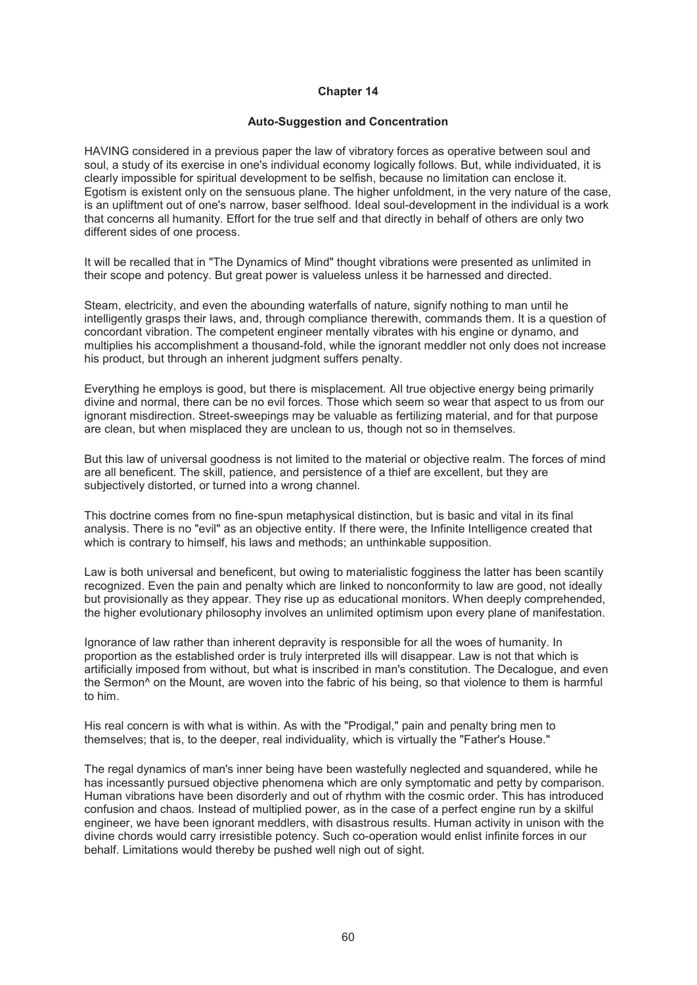# **Chapter 14**

# **Auto-Suggestion and Concentration**

HAVING considered in a previous paper the law of vibratory forces as operative between soul and soul, a study of its exercise in one's individual economy logically follows. But, while individuated, it is clearly impossible for spiritual development to be selfish, because no limitation can enclose it. Egotism is existent only on the sensuous plane. The higher unfoldment, in the very nature of the case, is an upliftment out of one's narrow, baser selfhood. Ideal soul-development in the individual is a work that concerns all humanity. Effort for the true self and that directly in behalf of others are only two different sides of one process.

It will be recalled that in "The Dynamics of Mind" thought vibrations were presented as unlimited in their scope and potency. But great power is valueless unless it be harnessed and directed.

Steam, electricity, and even the abounding waterfalls of nature, signify nothing to man until he intelligently grasps their laws, and, through compliance therewith, commands them. It is a question of concordant vibration. The competent engineer mentally vibrates with his engine or dynamo, and multiplies his accomplishment a thousand-fold, while the ignorant meddler not only does not increase his product, but through an inherent judgment suffers penalty.

Everything he employs is good, but there is misplacement. All true objective energy being primarily divine and normal, there can be no evil forces. Those which seem so wear that aspect to us from our ignorant misdirection. Street-sweepings may be valuable as fertilizing material, and for that purpose are clean, but when misplaced they are unclean to us, though not so in themselves.

But this law of universal goodness is not limited to the material or objective realm. The forces of mind are all beneficent. The skill, patience, and persistence of a thief are excellent, but they are subjectively distorted, or turned into a wrong channel.

This doctrine comes from no fine-spun metaphysical distinction, but is basic and vital in its final analysis. There is no "evil" as an objective entity. If there were, the Infinite Intelligence created that which is contrary to himself, his laws and methods; an unthinkable supposition.

Law is both universal and beneficent, but owing to materialistic fogginess the latter has been scantily recognized. Even the pain and penalty which are linked to nonconformity to law are good, not ideally but provisionally as they appear. They rise up as educational monitors. When deeply comprehended, the higher evolutionary philosophy involves an unlimited optimism upon every plane of manifestation.

Ignorance of law rather than inherent depravity is responsible for all the woes of humanity. In proportion as the established order is truly interpreted ills will disappear. Law is not that which is artificially imposed from without, but what is inscribed in man's constitution. The Decalogue, and even the Sermon^ on the Mount, are woven into the fabric of his being, so that violence to them is harmful to him.

His real concern is with what is within. As with the "Prodigal," pain and penalty bring men to themselves; that is, to the deeper, real individuality, which is virtually the "Father's House."

The regal dynamics of man's inner being have been wastefully neglected and squandered, while he has incessantly pursued objective phenomena which are only symptomatic and petty by comparison. Human vibrations have been disorderly and out of rhythm with the cosmic order. This has introduced confusion and chaos. Instead of multiplied power, as in the case of a perfect engine run by a skilful engineer, we have been ignorant meddlers, with disastrous results. Human activity in unison with the divine chords would carry irresistible potency. Such co-operation would enlist infinite forces in our behalf. Limitations would thereby be pushed well nigh out of sight.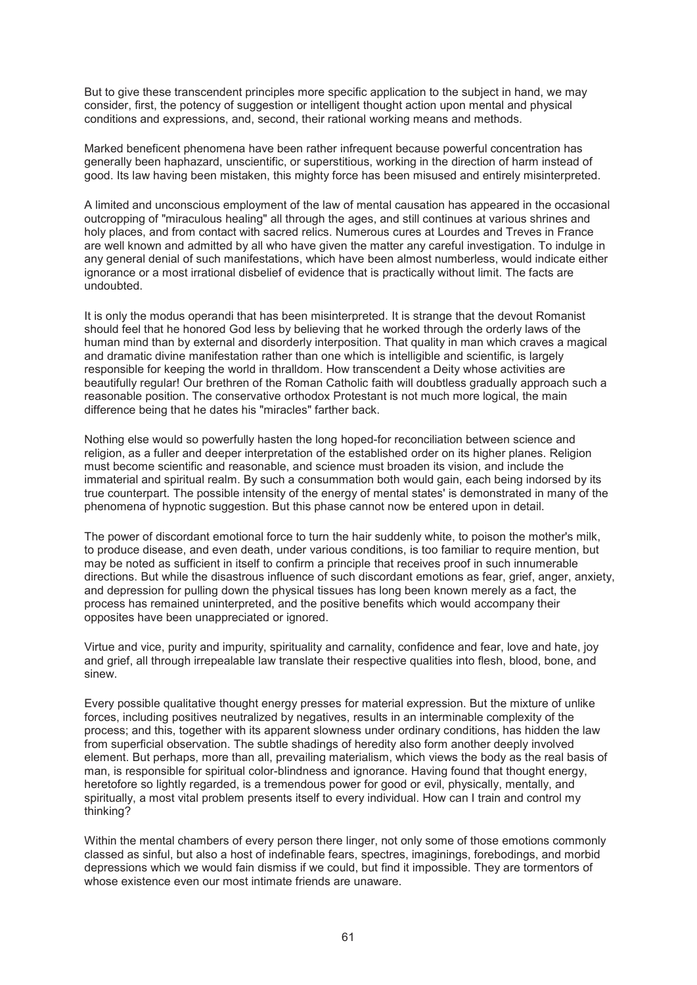But to give these transcendent principles more specific application to the subject in hand, we may consider, first, the potency of suggestion or intelligent thought action upon mental and physical conditions and expressions, and, second, their rational working means and methods.

Marked beneficent phenomena have been rather infrequent because powerful concentration has generally been haphazard, unscientific, or superstitious, working in the direction of harm instead of good. Its law having been mistaken, this mighty force has been misused and entirely misinterpreted.

A limited and unconscious employment of the law of mental causation has appeared in the occasional outcropping of "miraculous healing" all through the ages, and still continues at various shrines and holy places, and from contact with sacred relics. Numerous cures at Lourdes and Treves in France are well known and admitted by all who have given the matter any careful investigation. To indulge in any general denial of such manifestations, which have been almost numberless, would indicate either ignorance or a most irrational disbelief of evidence that is practically without limit. The facts are undoubted.

It is only the modus operandi that has been misinterpreted. It is strange that the devout Romanist should feel that he honored God less by believing that he worked through the orderly laws of the human mind than by external and disorderly interposition. That quality in man which craves a magical and dramatic divine manifestation rather than one which is intelligible and scientific, is largely responsible for keeping the world in thralldom. How transcendent a Deity whose activities are beautifully regular! Our brethren of the Roman Catholic faith will doubtless gradually approach such a reasonable position. The conservative orthodox Protestant is not much more logical, the main difference being that he dates his "miracles" farther back.

Nothing else would so powerfully hasten the long hoped-for reconciliation between science and religion, as a fuller and deeper interpretation of the established order on its higher planes. Religion must become scientific and reasonable, and science must broaden its vision, and include the immaterial and spiritual realm. By such a consummation both would gain, each being indorsed by its true counterpart. The possible intensity of the energy of mental states' is demonstrated in many of the phenomena of hypnotic suggestion. But this phase cannot now be entered upon in detail.

The power of discordant emotional force to turn the hair suddenly white, to poison the mother's milk, to produce disease, and even death, under various conditions, is too familiar to require mention, but may be noted as sufficient in itself to confirm a principle that receives proof in such innumerable directions. But while the disastrous influence of such discordant emotions as fear, grief, anger, anxiety, and depression for pulling down the physical tissues has long been known merely as a fact, the process has remained uninterpreted, and the positive benefits which would accompany their opposites have been unappreciated or ignored.

Virtue and vice, purity and impurity, spirituality and carnality, confidence and fear, love and hate, joy and grief, all through irrepealable law translate their respective qualities into flesh, blood, bone, and sinew.

Every possible qualitative thought energy presses for material expression. But the mixture of unlike forces, including positives neutralized by negatives, results in an interminable complexity of the process; and this, together with its apparent slowness under ordinary conditions, has hidden the law from superficial observation. The subtle shadings of heredity also form another deeply involved element. But perhaps, more than all, prevailing materialism, which views the body as the real basis of man, is responsible for spiritual color-blindness and ignorance. Having found that thought energy, heretofore so lightly regarded, is a tremendous power for good or evil, physically, mentally, and spiritually, a most vital problem presents itself to every individual. How can I train and control my thinking?

Within the mental chambers of every person there linger, not only some of those emotions commonly classed as sinful, but also a host of indefinable fears, spectres, imaginings, forebodings, and morbid depressions which we would fain dismiss if we could, but find it impossible. They are tormentors of whose existence even our most intimate friends are unaware.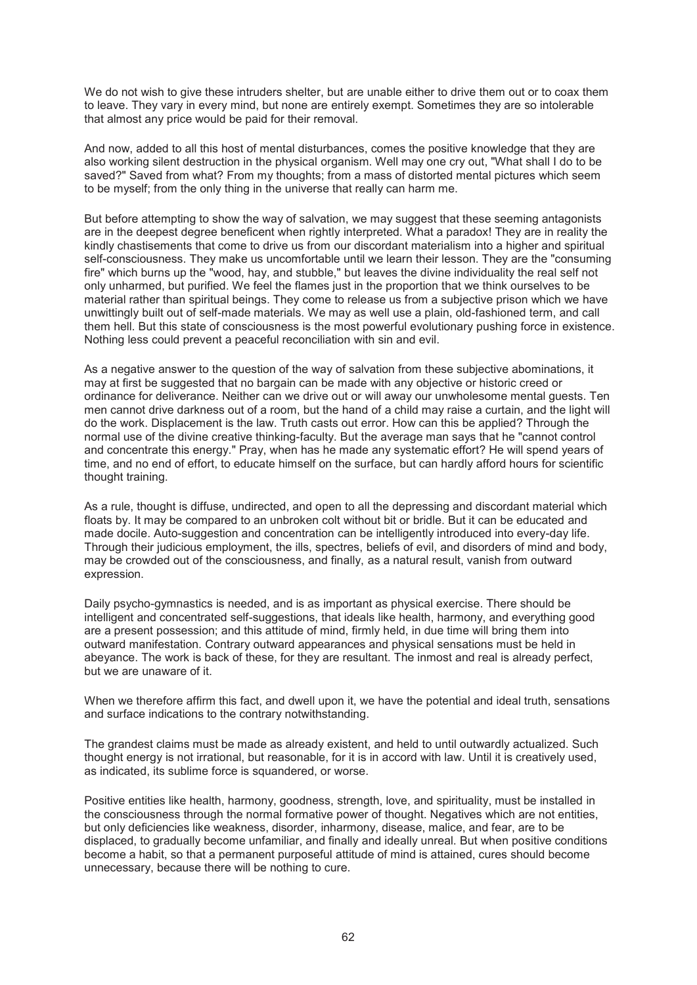We do not wish to give these intruders shelter, but are unable either to drive them out or to coax them to leave. They vary in every mind, but none are entirely exempt. Sometimes they are so intolerable that almost any price would be paid for their removal.

And now, added to all this host of mental disturbances, comes the positive knowledge that they are also working silent destruction in the physical organism. Well may one cry out, "What shall I do to be saved?" Saved from what? From my thoughts; from a mass of distorted mental pictures which seem to be myself; from the only thing in the universe that really can harm me.

But before attempting to show the way of salvation, we may suggest that these seeming antagonists are in the deepest degree beneficent when rightly interpreted. What a paradox! They are in reality the kindly chastisements that come to drive us from our discordant materialism into a higher and spiritual self-consciousness. They make us uncomfortable until we learn their lesson. They are the "consuming fire" which burns up the "wood, hay, and stubble," but leaves the divine individuality the real self not only unharmed, but purified. We feel the flames just in the proportion that we think ourselves to be material rather than spiritual beings. They come to release us from a subjective prison which we have unwittingly built out of self-made materials. We may as well use a plain, old-fashioned term, and call them hell. But this state of consciousness is the most powerful evolutionary pushing force in existence. Nothing less could prevent a peaceful reconciliation with sin and evil.

As a negative answer to the question of the way of salvation from these subjective abominations, it may at first be suggested that no bargain can be made with any objective or historic creed or ordinance for deliverance. Neither can we drive out or will away our unwholesome mental guests. Ten men cannot drive darkness out of a room, but the hand of a child may raise a curtain, and the light will do the work. Displacement is the law. Truth casts out error. How can this be applied? Through the normal use of the divine creative thinking-faculty. But the average man says that he "cannot control and concentrate this energy." Pray, when has he made any systematic effort? He will spend years of time, and no end of effort, to educate himself on the surface, but can hardly afford hours for scientific thought training.

As a rule, thought is diffuse, undirected, and open to all the depressing and discordant material which floats by. It may be compared to an unbroken colt without bit or bridle. But it can be educated and made docile. Auto-suggestion and concentration can be intelligently introduced into every-day life. Through their judicious employment, the ills, spectres, beliefs of evil, and disorders of mind and body, may be crowded out of the consciousness, and finally, as a natural result, vanish from outward expression.

Daily psycho-gymnastics is needed, and is as important as physical exercise. There should be intelligent and concentrated self-suggestions, that ideals like health, harmony, and everything good are a present possession; and this attitude of mind, firmly held, in due time will bring them into outward manifestation. Contrary outward appearances and physical sensations must be held in abeyance. The work is back of these, for they are resultant. The inmost and real is already perfect, but we are unaware of it.

When we therefore affirm this fact, and dwell upon it, we have the potential and ideal truth, sensations and surface indications to the contrary notwithstanding.

The grandest claims must be made as already existent, and held to until outwardly actualized. Such thought energy is not irrational, but reasonable, for it is in accord with law. Until it is creatively used, as indicated, its sublime force is squandered, or worse.

Positive entities like health, harmony, goodness, strength, love, and spirituality, must be installed in the consciousness through the normal formative power of thought. Negatives which are not entities, but only deficiencies like weakness, disorder, inharmony, disease, malice, and fear, are to be displaced, to gradually become unfamiliar, and finally and ideally unreal. But when positive conditions become a habit, so that a permanent purposeful attitude of mind is attained, cures should become unnecessary, because there will be nothing to cure.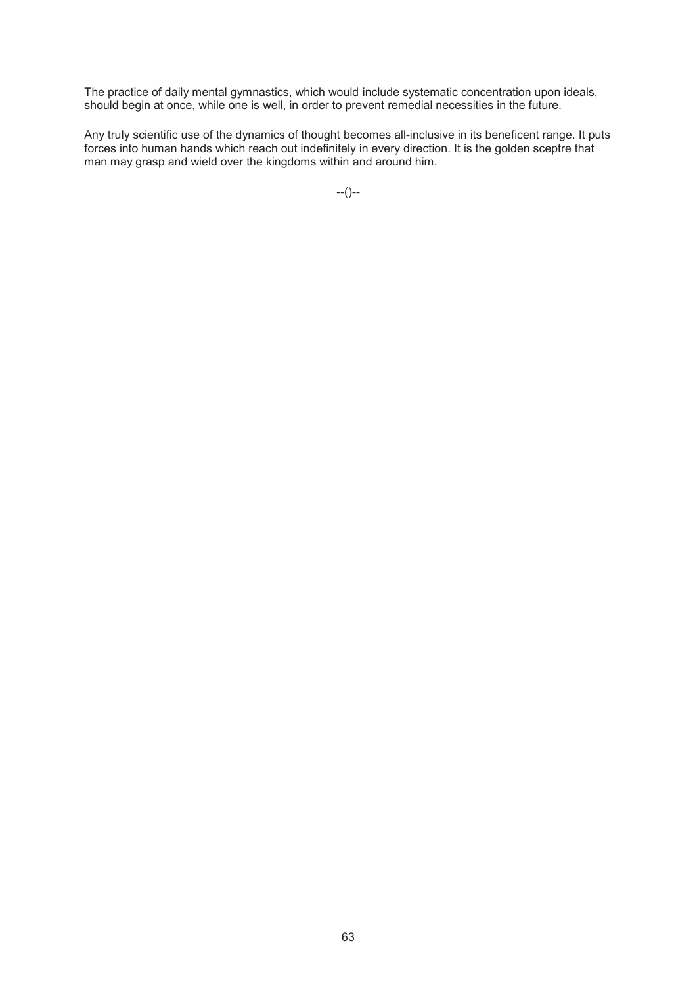The practice of daily mental gymnastics, which would include systematic concentration upon ideals, should begin at once, while one is well, in order to prevent remedial necessities in the future.

Any truly scientific use of the dynamics of thought becomes all-inclusive in its beneficent range. It puts forces into human hands which reach out indefinitely in every direction. It is the golden sceptre that man may grasp and wield over the kingdoms within and around him.

--()--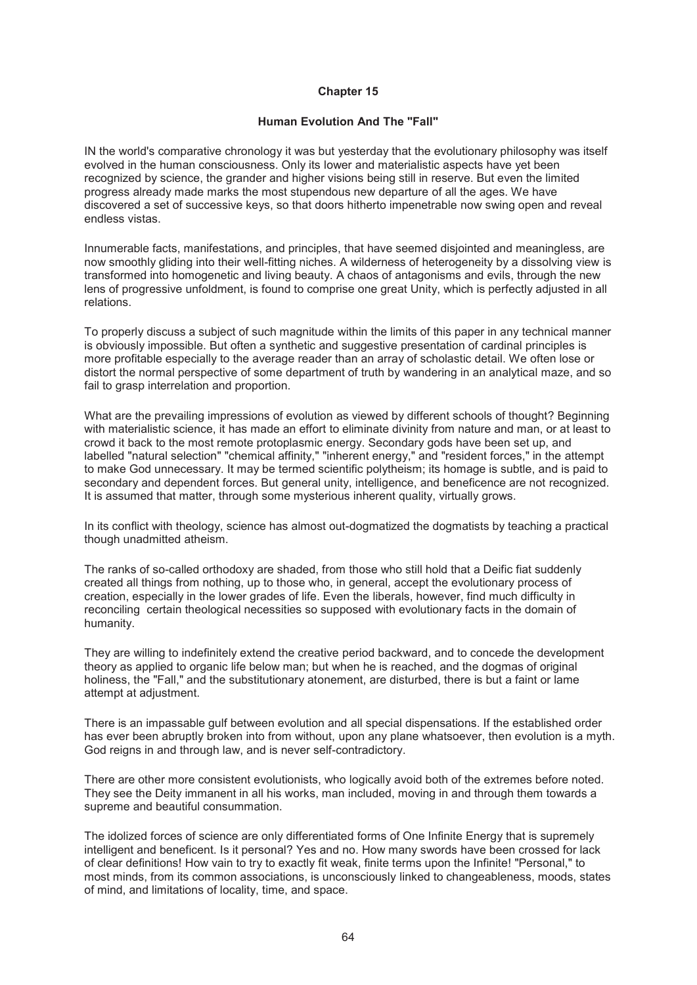# **Chapter 15**

## **Human Evolution And The "Fall"**

IN the world's comparative chronology it was but yesterday that the evolutionary philosophy was itself evolved in the human consciousness. Only its lower and materialistic aspects have yet been recognized by science, the grander and higher visions being still in reserve. But even the limited progress already made marks the most stupendous new departure of all the ages. We have discovered a set of successive keys, so that doors hitherto impenetrable now swing open and reveal endless vistas.

Innumerable facts, manifestations, and principles, that have seemed disjointed and meaningless, are now smoothly gliding into their well-fitting niches. A wilderness of heterogeneity by a dissolving view is transformed into homogenetic and living beauty. A chaos of antagonisms and evils, through the new lens of progressive unfoldment, is found to comprise one great Unity, which is perfectly adjusted in all relations.

To properly discuss a subject of such magnitude within the limits of this paper in any technical manner is obviously impossible. But often a synthetic and suggestive presentation of cardinal principles is more profitable especially to the average reader than an array of scholastic detail. We often lose or distort the normal perspective of some department of truth by wandering in an analytical maze, and so fail to grasp interrelation and proportion.

What are the prevailing impressions of evolution as viewed by different schools of thought? Beginning with materialistic science, it has made an effort to eliminate divinity from nature and man, or at least to crowd it back to the most remote protoplasmic energy. Secondary gods have been set up, and labelled "natural selection" "chemical affinity," "inherent energy," and "resident forces," in the attempt to make God unnecessary. It may be termed scientific polytheism; its homage is subtle, and is paid to secondary and dependent forces. But general unity, intelligence, and beneficence are not recognized. It is assumed that matter, through some mysterious inherent quality, virtually grows.

In its conflict with theology, science has almost out-dogmatized the dogmatists by teaching a practical though unadmitted atheism.

The ranks of so-called orthodoxy are shaded, from those who still hold that a Deific fiat suddenly created all things from nothing, up to those who, in general, accept the evolutionary process of creation, especially in the lower grades of life. Even the liberals, however, find much difficulty in reconciling certain theological necessities so supposed with evolutionary facts in the domain of humanity.

They are willing to indefinitely extend the creative period backward, and to concede the development theory as applied to organic life below man; but when he is reached, and the dogmas of original holiness, the "Fall," and the substitutionary atonement, are disturbed, there is but a faint or lame attempt at adjustment.

There is an impassable gulf between evolution and all special dispensations. If the established order has ever been abruptly broken into from without, upon any plane whatsoever, then evolution is a myth. God reigns in and through law, and is never self-contradictory.

There are other more consistent evolutionists, who logically avoid both of the extremes before noted. They see the Deity immanent in all his works, man included, moving in and through them towards a supreme and beautiful consummation.

The idolized forces of science are only differentiated forms of One Infinite Energy that is supremely intelligent and beneficent. Is it personal? Yes and no. How many swords have been crossed for lack of clear definitions! How vain to try to exactly fit weak, finite terms upon the Infinite! "Personal," to most minds, from its common associations, is unconsciously linked to changeableness, moods, states of mind, and limitations of locality, time, and space.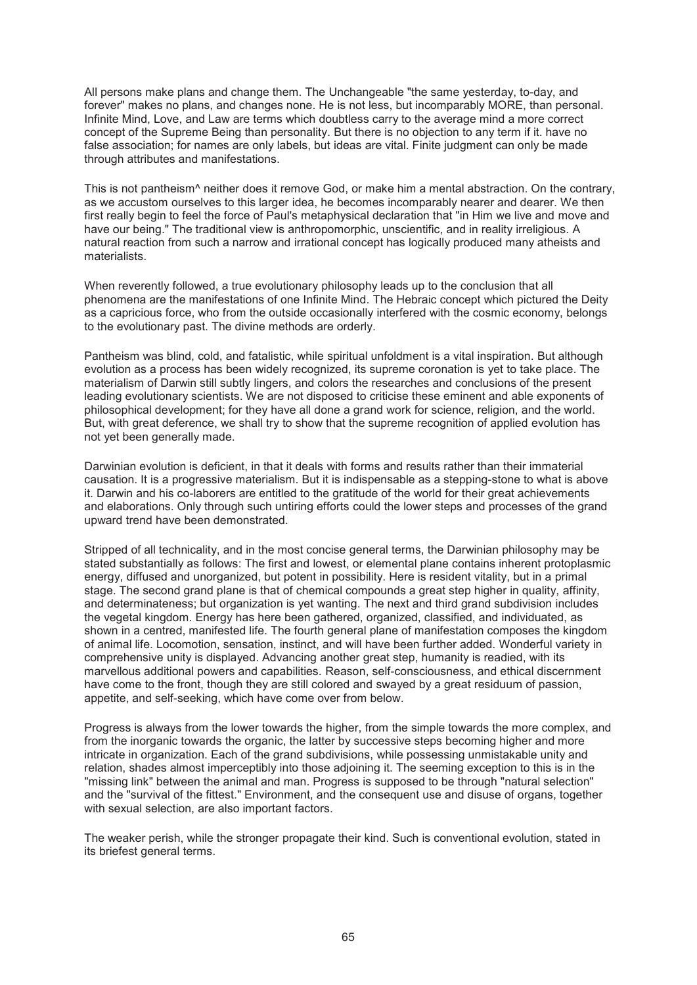All persons make plans and change them. The Unchangeable "the same yesterday, to-day, and forever" makes no plans, and changes none. He is not less, but incomparably MORE, than personal. Infinite Mind, Love, and Law are terms which doubtless carry to the average mind a more correct concept of the Supreme Being than personality. But there is no objection to any term if it. have no false association; for names are only labels, but ideas are vital. Finite judgment can only be made through attributes and manifestations.

This is not pantheism<sup>^</sup> neither does it remove God, or make him a mental abstraction. On the contrary, as we accustom ourselves to this larger idea, he becomes incomparably nearer and dearer. We then first really begin to feel the force of Paul's metaphysical declaration that "in Him we live and move and have our being." The traditional view is anthropomorphic, unscientific, and in reality irreligious. A natural reaction from such a narrow and irrational concept has logically produced many atheists and materialists.

When reverently followed, a true evolutionary philosophy leads up to the conclusion that all phenomena are the manifestations of one Infinite Mind. The Hebraic concept which pictured the Deity as a capricious force, who from the outside occasionally interfered with the cosmic economy, belongs to the evolutionary past. The divine methods are orderly.

Pantheism was blind, cold, and fatalistic, while spiritual unfoldment is a vital inspiration. But although evolution as a process has been widely recognized, its supreme coronation is yet to take place. The materialism of Darwin still subtly lingers, and colors the researches and conclusions of the present leading evolutionary scientists. We are not disposed to criticise these eminent and able exponents of philosophical development; for they have all done a grand work for science, religion, and the world. But, with great deference, we shall try to show that the supreme recognition of applied evolution has not yet been generally made.

Darwinian evolution is deficient, in that it deals with forms and results rather than their immaterial causation. It is a progressive materialism. But it is indispensable as a stepping-stone to what is above it. Darwin and his co-laborers are entitled to the gratitude of the world for their great achievements and elaborations. Only through such untiring efforts could the lower steps and processes of the grand upward trend have been demonstrated.

Stripped of all technicality, and in the most concise general terms, the Darwinian philosophy may be stated substantially as follows: The first and lowest, or elemental plane contains inherent protoplasmic energy, diffused and unorganized, but potent in possibility. Here is resident vitality, but in a primal stage. The second grand plane is that of chemical compounds a great step higher in quality, affinity, and determinateness; but organization is yet wanting. The next and third grand subdivision includes the vegetal kingdom. Energy has here been gathered, organized, classified, and individuated, as shown in a centred, manifested life. The fourth general plane of manifestation composes the kingdom of animal life. Locomotion, sensation, instinct, and will have been further added. Wonderful variety in comprehensive unity is displayed. Advancing another great step, humanity is readied, with its marvellous additional powers and capabilities. Reason, self-consciousness, and ethical discernment have come to the front, though they are still colored and swayed by a great residuum of passion, appetite, and self-seeking, which have come over from below.

Progress is always from the lower towards the higher, from the simple towards the more complex, and from the inorganic towards the organic, the latter by successive steps becoming higher and more intricate in organization. Each of the grand subdivisions, while possessing unmistakable unity and relation, shades almost imperceptibly into those adjoining it. The seeming exception to this is in the "missing link" between the animal and man. Progress is supposed to be through "natural selection" and the "survival of the fittest." Environment, and the consequent use and disuse of organs, together with sexual selection, are also important factors.

The weaker perish, while the stronger propagate their kind. Such is conventional evolution, stated in its briefest general terms.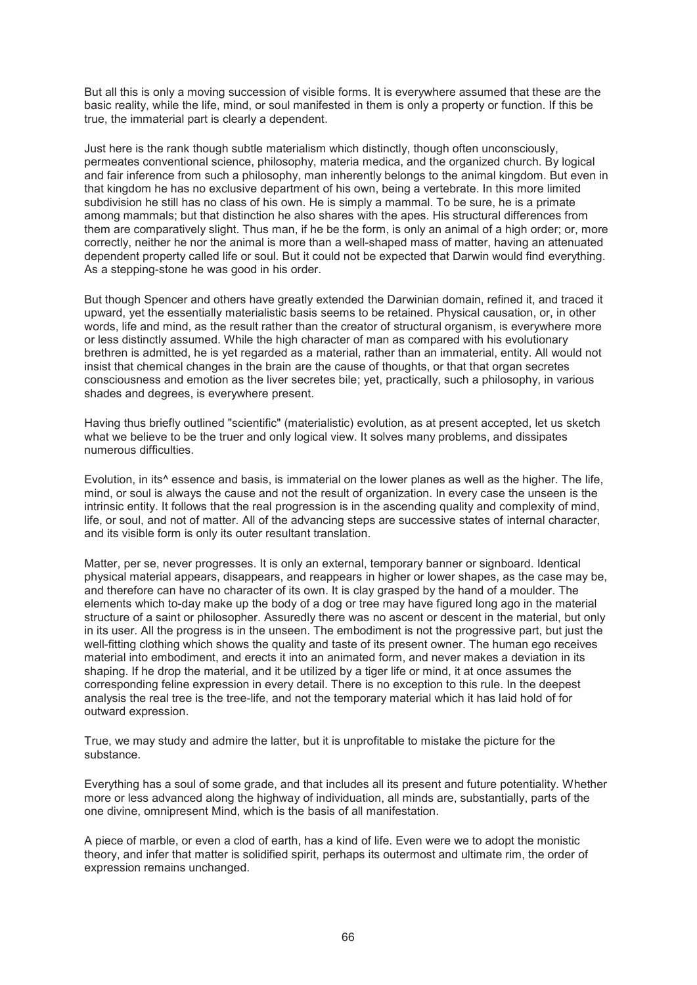But all this is only a moving succession of visible forms. It is everywhere assumed that these are the basic reality, while the life, mind, or soul manifested in them is only a property or function. If this be true, the immaterial part is clearly a dependent.

Just here is the rank though subtle materialism which distinctly, though often unconsciously, permeates conventional science, philosophy, materia medica, and the organized church. By logical and fair inference from such a philosophy, man inherently belongs to the animal kingdom. But even in that kingdom he has no exclusive department of his own, being a vertebrate. In this more limited subdivision he still has no class of his own. He is simply a mammal. To be sure, he is a primate among mammals; but that distinction he also shares with the apes. His structural differences from them are comparatively slight. Thus man, if he be the form, is only an animal of a high order; or, more correctly, neither he nor the animal is more than a well-shaped mass of matter, having an attenuated dependent property called life or soul. But it could not be expected that Darwin would find everything. As a stepping-stone he was good in his order.

But though Spencer and others have greatly extended the Darwinian domain, refined it, and traced it upward, yet the essentially materialistic basis seems to be retained. Physical causation, or, in other words, life and mind, as the result rather than the creator of structural organism, is everywhere more or less distinctly assumed. While the high character of man as compared with his evolutionary brethren is admitted, he is yet regarded as a material, rather than an immaterial, entity. All would not insist that chemical changes in the brain are the cause of thoughts, or that that organ secretes consciousness and emotion as the liver secretes bile; yet, practically, such a philosophy, in various shades and degrees, is everywhere present.

Having thus briefly outlined "scientific" (materialistic) evolution, as at present accepted, let us sketch what we believe to be the truer and only logical view. It solves many problems, and dissipates numerous difficulties.

Evolution, in its<sup>^</sup> essence and basis, is immaterial on the lower planes as well as the higher. The life, mind, or soul is always the cause and not the result of organization. In every case the unseen is the intrinsic entity. It follows that the real progression is in the ascending quality and complexity of mind, life, or soul, and not of matter. All of the advancing steps are successive states of internal character, and its visible form is only its outer resultant translation.

Matter, per se, never progresses. It is only an external, temporary banner or signboard. Identical physical material appears, disappears, and reappears in higher or lower shapes, as the case may be, and therefore can have no character of its own. It is clay grasped by the hand of a moulder. The elements which to-day make up the body of a dog or tree may have figured long ago in the material structure of a saint or philosopher. Assuredly there was no ascent or descent in the material, but only in its user. All the progress is in the unseen. The embodiment is not the progressive part, but just the well-fitting clothing which shows the quality and taste of its present owner. The human ego receives material into embodiment, and erects it into an animated form, and never makes a deviation in its shaping. If he drop the material, and it be utilized by a tiger life or mind, it at once assumes the corresponding feline expression in every detail. There is no exception to this rule. In the deepest analysis the real tree is the tree-life, and not the temporary material which it has laid hold of for outward expression.

True, we may study and admire the latter, but it is unprofitable to mistake the picture for the substance.

Everything has a soul of some grade, and that includes all its present and future potentiality. Whether more or less advanced along the highway of individuation, all minds are, substantially, parts of the one divine, omnipresent Mind, which is the basis of all manifestation.

A piece of marble, or even a clod of earth, has a kind of life. Even were we to adopt the monistic theory, and infer that matter is solidified spirit, perhaps its outermost and ultimate rim, the order of expression remains unchanged.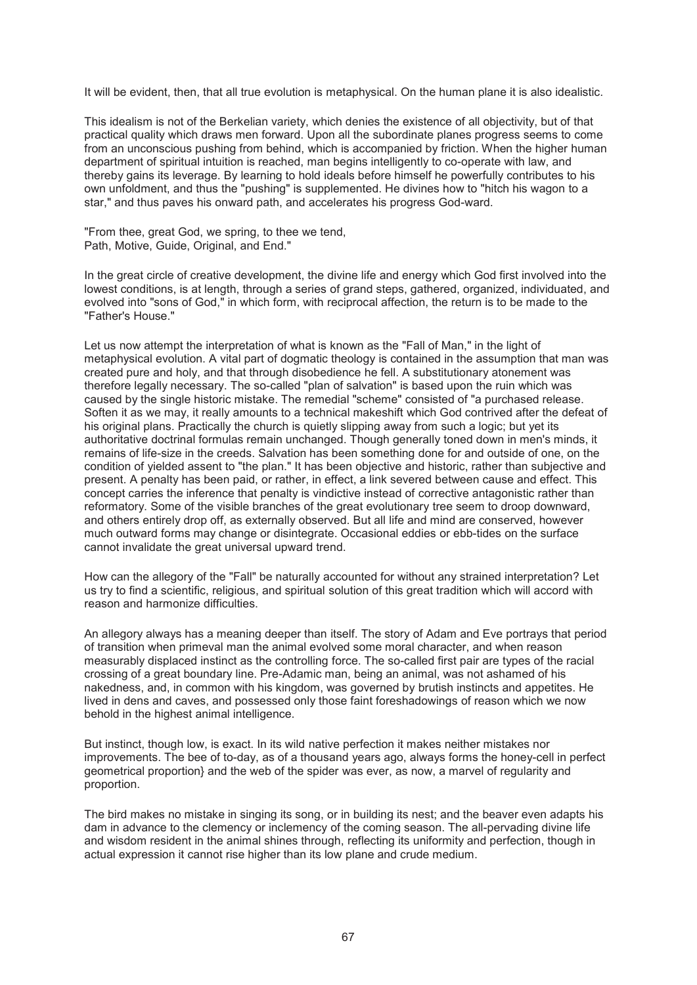It will be evident, then, that all true evolution is metaphysical. On the human plane it is also idealistic.

This idealism is not of the Berkelian variety, which denies the existence of all objectivity, but of that practical quality which draws men forward. Upon all the subordinate planes progress seems to come from an unconscious pushing from behind, which is accompanied by friction. When the higher human department of spiritual intuition is reached, man begins intelligently to co-operate with law, and thereby gains its leverage. By learning to hold ideals before himself he powerfully contributes to his own unfoldment, and thus the "pushing" is supplemented. He divines how to "hitch his wagon to a star," and thus paves his onward path, and accelerates his progress God-ward.

"From thee, great God, we spring, to thee we tend, Path, Motive, Guide, Original, and End."

In the great circle of creative development, the divine life and energy which God first involved into the lowest conditions, is at length, through a series of grand steps, gathered, organized, individuated, and evolved into "sons of God," in which form, with reciprocal affection, the return is to be made to the "Father's House."

Let us now attempt the interpretation of what is known as the "Fall of Man," in the light of metaphysical evolution. A vital part of dogmatic theology is contained in the assumption that man was created pure and holy, and that through disobedience he fell. A substitutionary atonement was therefore legally necessary. The so-called "plan of salvation" is based upon the ruin which was caused by the single historic mistake. The remedial "scheme" consisted of "a purchased release. Soften it as we may, it really amounts to a technical makeshift which God contrived after the defeat of his original plans. Practically the church is quietly slipping away from such a logic; but yet its authoritative doctrinal formulas remain unchanged. Though generally toned down in men's minds, it remains of life-size in the creeds. Salvation has been something done for and outside of one, on the condition of yielded assent to "the plan." It has been objective and historic, rather than subjective and present. A penalty has been paid, or rather, in effect, a link severed between cause and effect. This concept carries the inference that penalty is vindictive instead of corrective antagonistic rather than reformatory. Some of the visible branches of the great evolutionary tree seem to droop downward, and others entirely drop off, as externally observed. But all life and mind are conserved, however much outward forms may change or disintegrate. Occasional eddies or ebb-tides on the surface cannot invalidate the great universal upward trend.

How can the allegory of the "Fall" be naturally accounted for without any strained interpretation? Let us try to find a scientific, religious, and spiritual solution of this great tradition which will accord with reason and harmonize difficulties.

An allegory always has a meaning deeper than itself. The story of Adam and Eve portrays that period of transition when primeval man the animal evolved some moral character, and when reason measurably displaced instinct as the controlling force. The so-called first pair are types of the racial crossing of a great boundary line. Pre-Adamic man, being an animal, was not ashamed of his nakedness, and, in common with his kingdom, was governed by brutish instincts and appetites. He lived in dens and caves, and possessed only those faint foreshadowings of reason which we now behold in the highest animal intelligence.

But instinct, though low, is exact. In its wild native perfection it makes neither mistakes nor improvements. The bee of to-day, as of a thousand years ago, always forms the honey-cell in perfect geometrical proportion} and the web of the spider was ever, as now, a marvel of regularity and proportion.

The bird makes no mistake in singing its song, or in building its nest; and the beaver even adapts his dam in advance to the clemency or inclemency of the coming season. The all-pervading divine life and wisdom resident in the animal shines through, reflecting its uniformity and perfection, though in actual expression it cannot rise higher than its low plane and crude medium.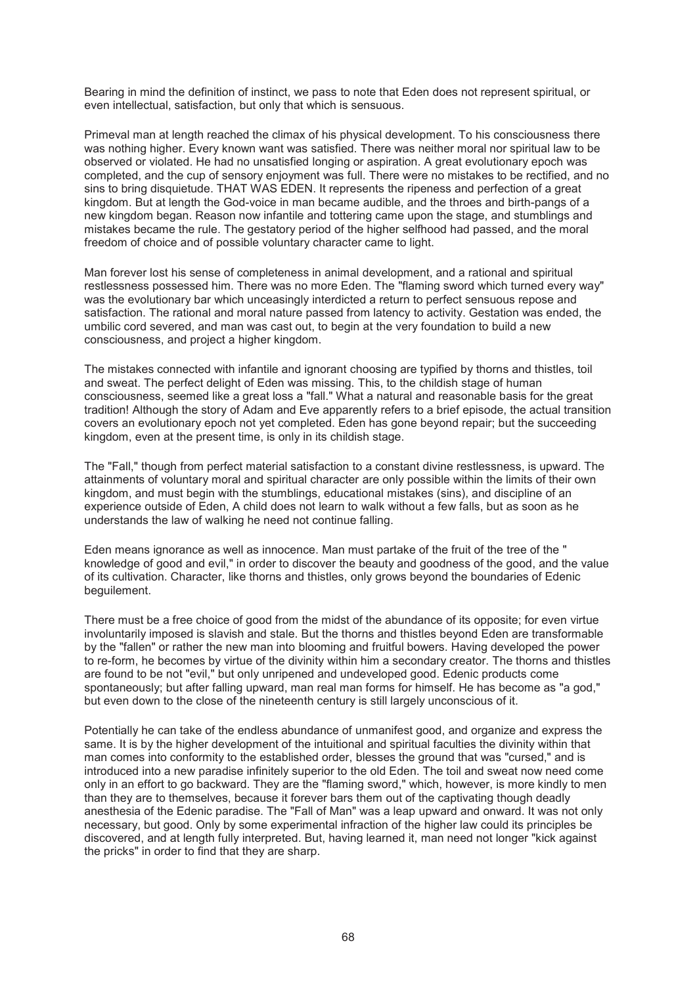Bearing in mind the definition of instinct, we pass to note that Eden does not represent spiritual, or even intellectual, satisfaction, but only that which is sensuous.

Primeval man at length reached the climax of his physical development. To his consciousness there was nothing higher. Every known want was satisfied. There was neither moral nor spiritual law to be observed or violated. He had no unsatisfied longing or aspiration. A great evolutionary epoch was completed, and the cup of sensory enjoyment was full. There were no mistakes to be rectified, and no sins to bring disquietude. THAT WAS EDEN. It represents the ripeness and perfection of a great kingdom. But at length the God-voice in man became audible, and the throes and birth-pangs of a new kingdom began. Reason now infantile and tottering came upon the stage, and stumblings and mistakes became the rule. The gestatory period of the higher selfhood had passed, and the moral freedom of choice and of possible voluntary character came to light.

Man forever lost his sense of completeness in animal development, and a rational and spiritual restlessness possessed him. There was no more Eden. The "flaming sword which turned every way" was the evolutionary bar which unceasingly interdicted a return to perfect sensuous repose and satisfaction. The rational and moral nature passed from latency to activity. Gestation was ended, the umbilic cord severed, and man was cast out, to begin at the very foundation to build a new consciousness, and project a higher kingdom.

The mistakes connected with infantile and ignorant choosing are typified by thorns and thistles, toil and sweat. The perfect delight of Eden was missing. This, to the childish stage of human consciousness, seemed like a great loss a "fall." What a natural and reasonable basis for the great tradition! Although the story of Adam and Eve apparently refers to a brief episode, the actual transition covers an evolutionary epoch not yet completed. Eden has gone beyond repair; but the succeeding kingdom, even at the present time, is only in its childish stage.

The "Fall," though from perfect material satisfaction to a constant divine restlessness, is upward. The attainments of voluntary moral and spiritual character are only possible within the limits of their own kingdom, and must begin with the stumblings, educational mistakes (sins), and discipline of an experience outside of Eden, A child does not learn to walk without a few falls, but as soon as he understands the law of walking he need not continue falling.

Eden means ignorance as well as innocence. Man must partake of the fruit of the tree of the " knowledge of good and evil," in order to discover the beauty and goodness of the good, and the value of its cultivation. Character, like thorns and thistles, only grows beyond the boundaries of Edenic beguilement.

There must be a free choice of good from the midst of the abundance of its opposite; for even virtue involuntarily imposed is slavish and stale. But the thorns and thistles beyond Eden are transformable by the "fallen" or rather the new man into blooming and fruitful bowers. Having developed the power to re-form, he becomes by virtue of the divinity within him a secondary creator. The thorns and thistles are found to be not "evil," but only unripened and undeveloped good. Edenic products come spontaneously; but after falling upward, man real man forms for himself. He has become as "a god," but even down to the close of the nineteenth century is still largely unconscious of it.

Potentially he can take of the endless abundance of unmanifest good, and organize and express the same. It is by the higher development of the intuitional and spiritual faculties the divinity within that man comes into conformity to the established order, blesses the ground that was "cursed," and is introduced into a new paradise infinitely superior to the old Eden. The toil and sweat now need come only in an effort to go backward. They are the "flaming sword," which, however, is more kindly to men than they are to themselves, because it forever bars them out of the captivating though deadly anesthesia of the Edenic paradise. The "Fall of Man" was a leap upward and onward. It was not only necessary, but good. Only by some experimental infraction of the higher law could its principles be discovered, and at length fully interpreted. But, having learned it, man need not longer "kick against the pricks" in order to find that they are sharp.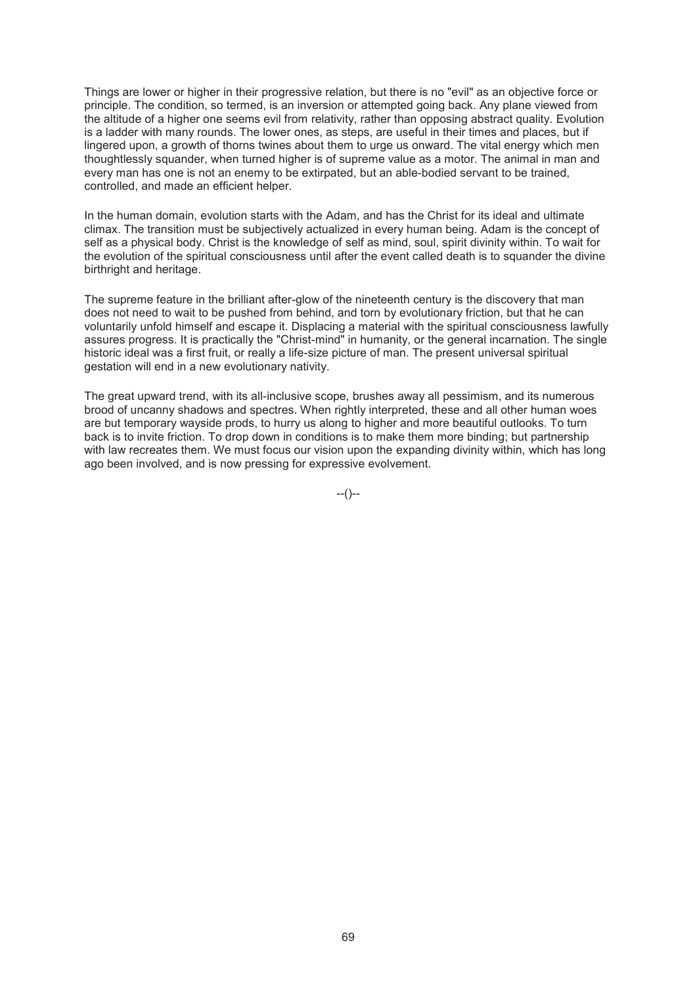Things are lower or higher in their progressive relation, but there is no "evil" as an objective force or principle. The condition, so termed, is an inversion or attempted going back. Any plane viewed from the altitude of a higher one seems evil from relativity, rather than opposing abstract quality. Evolution is a ladder with many rounds. The lower ones, as steps, are useful in their times and places, but if lingered upon, a growth of thorns twines about them to urge us onward. The vital energy which men thoughtlessly squander, when turned higher is of supreme value as a motor. The animal in man and every man has one is not an enemy to be extirpated, but an able-bodied servant to be trained, controlled, and made an efficient helper.

In the human domain, evolution starts with the Adam, and has the Christ for its ideal and ultimate climax. The transition must be subjectively actualized in every human being. Adam is the concept of self as a physical body. Christ is the knowledge of self as mind, soul, spirit divinity within. To wait for the evolution of the spiritual consciousness until after the event called death is to squander the divine birthright and heritage.

The supreme feature in the brilliant after-glow of the nineteenth century is the discovery that man does not need to wait to be pushed from behind, and torn by evolutionary friction, but that he can voluntarily unfold himself and escape it. Displacing a material with the spiritual consciousness lawfully assures progress. It is practically the "Christ-mind" in humanity, or the general incarnation. The single historic ideal was a first fruit, or really a life-size picture of man. The present universal spiritual gestation will end in a new evolutionary nativity.

The great upward trend, with its all-inclusive scope, brushes away all pessimism, and its numerous brood of uncanny shadows and spectres. When rightly interpreted, these and all other human woes are but temporary wayside prods, to hurry us along to higher and more beautiful outlooks. To turn back is to invite friction. To drop down in conditions is to make them more binding; but partnership with law recreates them. We must focus our vision upon the expanding divinity within, which has long ago been involved, and is now pressing for expressive evolvement.

--()--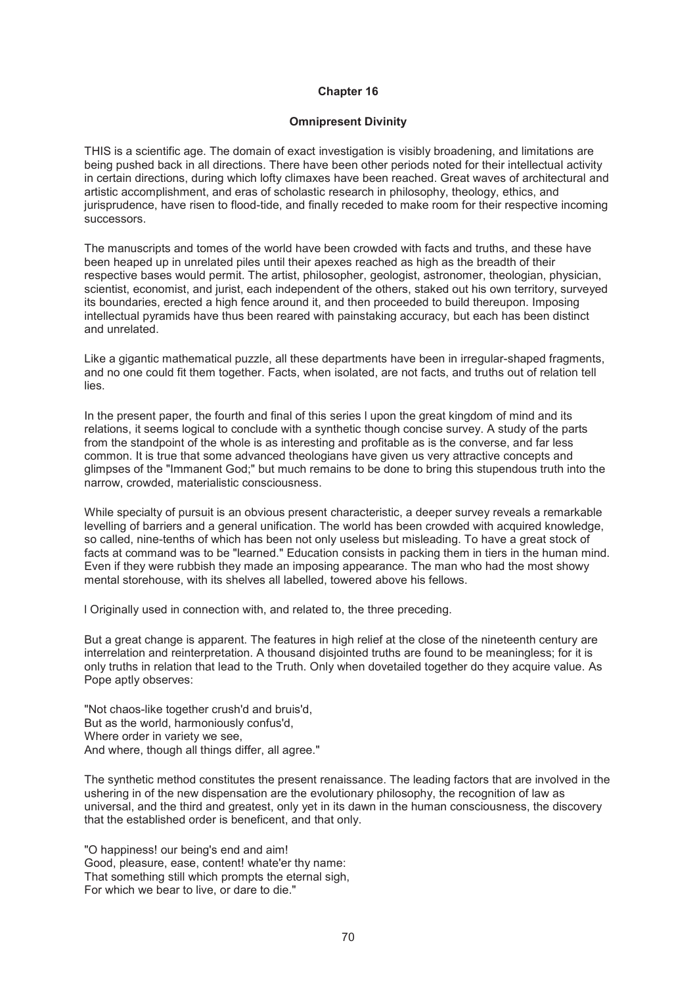## **Chapter 16**

#### **Omnipresent Divinity**

THIS is a scientific age. The domain of exact investigation is visibly broadening, and limitations are being pushed back in all directions. There have been other periods noted for their intellectual activity in certain directions, during which lofty climaxes have been reached. Great waves of architectural and artistic accomplishment, and eras of scholastic research in philosophy, theology, ethics, and jurisprudence, have risen to flood-tide, and finally receded to make room for their respective incoming successors.

The manuscripts and tomes of the world have been crowded with facts and truths, and these have been heaped up in unrelated piles until their apexes reached as high as the breadth of their respective bases would permit. The artist, philosopher, geologist, astronomer, theologian, physician, scientist, economist, and jurist, each independent of the others, staked out his own territory, surveyed its boundaries, erected a high fence around it, and then proceeded to build thereupon. Imposing intellectual pyramids have thus been reared with painstaking accuracy, but each has been distinct and unrelated.

Like a gigantic mathematical puzzle, all these departments have been in irregular-shaped fragments, and no one could fit them together. Facts, when isolated, are not facts, and truths out of relation tell lies.

In the present paper, the fourth and final of this series l upon the great kingdom of mind and its relations, it seems logical to conclude with a synthetic though concise survey. A study of the parts from the standpoint of the whole is as interesting and profitable as is the converse, and far less common. It is true that some advanced theologians have given us very attractive concepts and glimpses of the "Immanent God;" but much remains to be done to bring this stupendous truth into the narrow, crowded, materialistic consciousness.

While specialty of pursuit is an obvious present characteristic, a deeper survey reveals a remarkable levelling of barriers and a general unification. The world has been crowded with acquired knowledge, so called, nine-tenths of which has been not only useless but misleading. To have a great stock of facts at command was to be "learned." Education consists in packing them in tiers in the human mind. Even if they were rubbish they made an imposing appearance. The man who had the most showy mental storehouse, with its shelves all labelled, towered above his fellows.

l Originally used in connection with, and related to, the three preceding.

But a great change is apparent. The features in high relief at the close of the nineteenth century are interrelation and reinterpretation. A thousand disjointed truths are found to be meaningless; for it is only truths in relation that lead to the Truth. Only when dovetailed together do they acquire value. As Pope aptly observes:

"Not chaos-like together crush'd and bruis'd, But as the world, harmoniously confus'd, Where order in variety we see. And where, though all things differ, all agree."

The synthetic method constitutes the present renaissance. The leading factors that are involved in the ushering in of the new dispensation are the evolutionary philosophy, the recognition of law as universal, and the third and greatest, only yet in its dawn in the human consciousness, the discovery that the established order is beneficent, and that only.

"O happiness! our being's end and aim! Good, pleasure, ease, content! whate'er thy name: That something still which prompts the eternal sigh, For which we bear to live, or dare to die."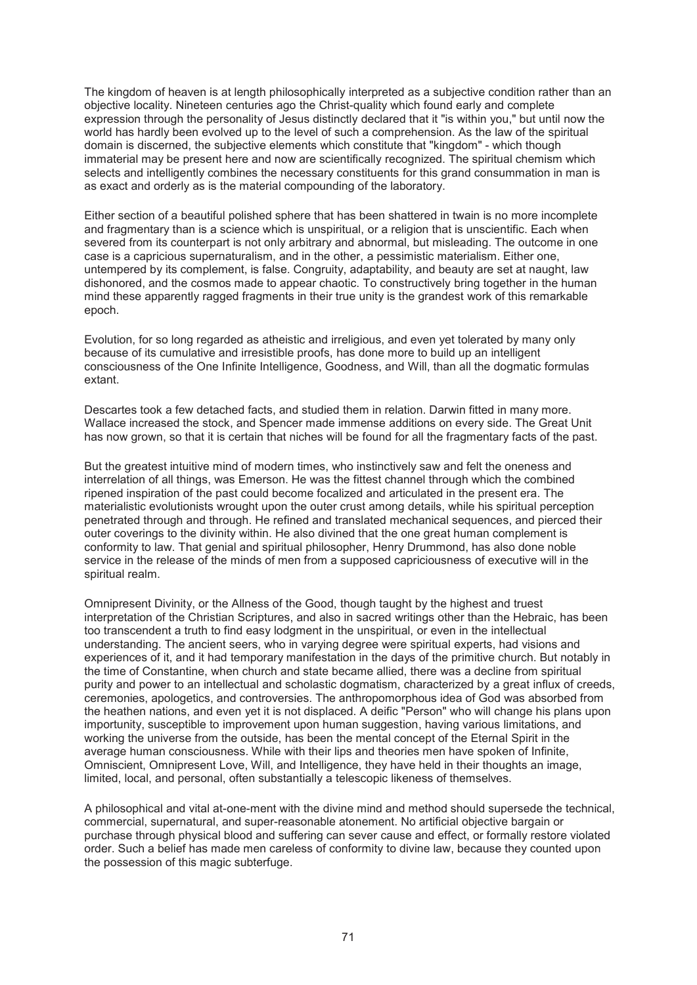The kingdom of heaven is at length philosophically interpreted as a subjective condition rather than an objective locality. Nineteen centuries ago the Christ-quality which found early and complete expression through the personality of Jesus distinctly declared that it "is within you," but until now the world has hardly been evolved up to the level of such a comprehension. As the law of the spiritual domain is discerned, the subjective elements which constitute that "kingdom" - which though immaterial may be present here and now are scientifically recognized. The spiritual chemism which selects and intelligently combines the necessary constituents for this grand consummation in man is as exact and orderly as is the material compounding of the laboratory.

Either section of a beautiful polished sphere that has been shattered in twain is no more incomplete and fragmentary than is a science which is unspiritual, or a religion that is unscientific. Each when severed from its counterpart is not only arbitrary and abnormal, but misleading. The outcome in one case is a capricious supernaturalism, and in the other, a pessimistic materialism. Either one, untempered by its complement, is false. Congruity, adaptability, and beauty are set at naught, law dishonored, and the cosmos made to appear chaotic. To constructively bring together in the human mind these apparently ragged fragments in their true unity is the grandest work of this remarkable epoch.

Evolution, for so long regarded as atheistic and irreligious, and even yet tolerated by many only because of its cumulative and irresistible proofs, has done more to build up an intelligent consciousness of the One Infinite Intelligence, Goodness, and Will, than all the dogmatic formulas extant.

Descartes took a few detached facts, and studied them in relation. Darwin fitted in many more. Wallace increased the stock, and Spencer made immense additions on every side. The Great Unit has now grown, so that it is certain that niches will be found for all the fragmentary facts of the past.

But the greatest intuitive mind of modern times, who instinctively saw and felt the oneness and interrelation of all things, was Emerson. He was the fittest channel through which the combined ripened inspiration of the past could become focalized and articulated in the present era. The materialistic evolutionists wrought upon the outer crust among details, while his spiritual perception penetrated through and through. He refined and translated mechanical sequences, and pierced their outer coverings to the divinity within. He also divined that the one great human complement is conformity to law. That genial and spiritual philosopher, Henry Drummond, has also done noble service in the release of the minds of men from a supposed capriciousness of executive will in the spiritual realm.

Omnipresent Divinity, or the Allness of the Good, though taught by the highest and truest interpretation of the Christian Scriptures, and also in sacred writings other than the Hebraic, has been too transcendent a truth to find easy lodgment in the unspiritual, or even in the intellectual understanding. The ancient seers, who in varying degree were spiritual experts, had visions and experiences of it, and it had temporary manifestation in the days of the primitive church. But notably in the time of Constantine, when church and state became allied, there was a decline from spiritual purity and power to an intellectual and scholastic dogmatism, characterized by a great influx of creeds, ceremonies, apologetics, and controversies. The anthropomorphous idea of God was absorbed from the heathen nations, and even yet it is not displaced. A deific "Person" who will change his plans upon importunity, susceptible to improvement upon human suggestion, having various limitations, and working the universe from the outside, has been the mental concept of the Eternal Spirit in the average human consciousness. While with their lips and theories men have spoken of Infinite, Omniscient, Omnipresent Love, Will, and Intelligence, they have held in their thoughts an image, limited, local, and personal, often substantially a telescopic likeness of themselves.

A philosophical and vital at-one-ment with the divine mind and method should supersede the technical, commercial, supernatural, and super-reasonable atonement. No artificial objective bargain or purchase through physical blood and suffering can sever cause and effect, or formally restore violated order. Such a belief has made men careless of conformity to divine law, because they counted upon the possession of this magic subterfuge.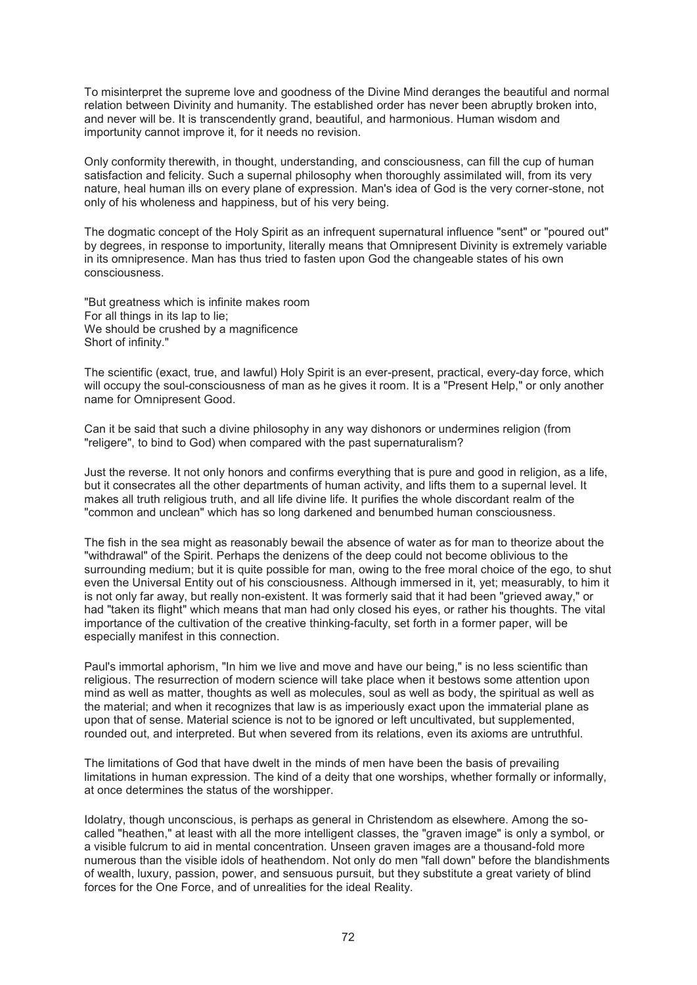To misinterpret the supreme love and goodness of the Divine Mind deranges the beautiful and normal relation between Divinity and humanity. The established order has never been abruptly broken into, and never will be. It is transcendently grand, beautiful, and harmonious. Human wisdom and importunity cannot improve it, for it needs no revision.

Only conformity therewith, in thought, understanding, and consciousness, can fill the cup of human satisfaction and felicity. Such a supernal philosophy when thoroughly assimilated will, from its very nature, heal human ills on every plane of expression. Man's idea of God is the very corner-stone, not only of his wholeness and happiness, but of his very being.

The dogmatic concept of the Holy Spirit as an infrequent supernatural influence "sent" or "poured out" by degrees, in response to importunity, literally means that Omnipresent Divinity is extremely variable in its omnipresence. Man has thus tried to fasten upon God the changeable states of his own consciousness.

"But greatness which is infinite makes room For all things in its lap to lie; We should be crushed by a magnificence Short of infinity."

The scientific (exact, true, and lawful) Holy Spirit is an ever-present, practical, every-day force, which will occupy the soul-consciousness of man as he gives it room. It is a "Present Help," or only another name for Omnipresent Good.

Can it be said that such a divine philosophy in any way dishonors or undermines religion (from "religere", to bind to God) when compared with the past supernaturalism?

Just the reverse. It not only honors and confirms everything that is pure and good in religion, as a life, but it consecrates all the other departments of human activity, and lifts them to a supernal level. It makes all truth religious truth, and all life divine life. It purifies the whole discordant realm of the "common and unclean" which has so long darkened and benumbed human consciousness.

The fish in the sea might as reasonably bewail the absence of water as for man to theorize about the "withdrawal" of the Spirit. Perhaps the denizens of the deep could not become oblivious to the surrounding medium; but it is quite possible for man, owing to the free moral choice of the ego, to shut even the Universal Entity out of his consciousness. Although immersed in it, yet; measurably, to him it is not only far away, but really non-existent. It was formerly said that it had been "grieved away," or had "taken its flight" which means that man had only closed his eyes, or rather his thoughts. The vital importance of the cultivation of the creative thinking-faculty, set forth in a former paper, will be especially manifest in this connection.

Paul's immortal aphorism, "In him we live and move and have our being," is no less scientific than religious. The resurrection of modern science will take place when it bestows some attention upon mind as well as matter, thoughts as well as molecules, soul as well as body, the spiritual as well as the material; and when it recognizes that law is as imperiously exact upon the immaterial plane as upon that of sense. Material science is not to be ignored or left uncultivated, but supplemented, rounded out, and interpreted. But when severed from its relations, even its axioms are untruthful.

The limitations of God that have dwelt in the minds of men have been the basis of prevailing limitations in human expression. The kind of a deity that one worships, whether formally or informally, at once determines the status of the worshipper.

Idolatry, though unconscious, is perhaps as general in Christendom as elsewhere. Among the socalled "heathen," at least with all the more intelligent classes, the "graven image" is only a symbol, or a visible fulcrum to aid in mental concentration. Unseen graven images are a thousand-fold more numerous than the visible idols of heathendom. Not only do men "fall down" before the blandishments of wealth, luxury, passion, power, and sensuous pursuit, but they substitute a great variety of blind forces for the One Force, and of unrealities for the ideal Reality.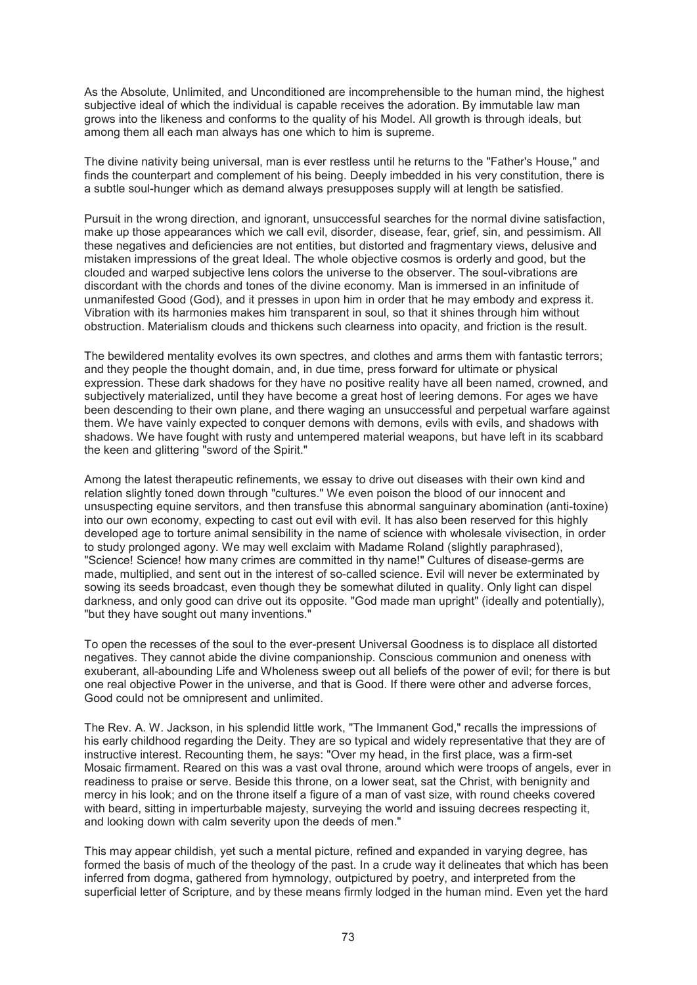As the Absolute, Unlimited, and Unconditioned are incomprehensible to the human mind, the highest subjective ideal of which the individual is capable receives the adoration. By immutable law man grows into the likeness and conforms to the quality of his Model. All growth is through ideals, but among them all each man always has one which to him is supreme.

The divine nativity being universal, man is ever restless until he returns to the "Father's House," and finds the counterpart and complement of his being. Deeply imbedded in his very constitution, there is a subtle soul-hunger which as demand always presupposes supply will at length be satisfied.

Pursuit in the wrong direction, and ignorant, unsuccessful searches for the normal divine satisfaction, make up those appearances which we call evil, disorder, disease, fear, grief, sin, and pessimism. All these negatives and deficiencies are not entities, but distorted and fragmentary views, delusive and mistaken impressions of the great Ideal. The whole objective cosmos is orderly and good, but the clouded and warped subjective lens colors the universe to the observer. The soul-vibrations are discordant with the chords and tones of the divine economy. Man is immersed in an infinitude of unmanifested Good (God), and it presses in upon him in order that he may embody and express it. Vibration with its harmonies makes him transparent in soul, so that it shines through him without obstruction. Materialism clouds and thickens such clearness into opacity, and friction is the result.

The bewildered mentality evolves its own spectres, and clothes and arms them with fantastic terrors; and they people the thought domain, and, in due time, press forward for ultimate or physical expression. These dark shadows for they have no positive reality have all been named, crowned, and subjectively materialized, until they have become a great host of leering demons. For ages we have been descending to their own plane, and there waging an unsuccessful and perpetual warfare against them. We have vainly expected to conquer demons with demons, evils with evils, and shadows with shadows. We have fought with rusty and untempered material weapons, but have left in its scabbard the keen and glittering "sword of the Spirit."

Among the latest therapeutic refinements, we essay to drive out diseases with their own kind and relation slightly toned down through "cultures." We even poison the blood of our innocent and unsuspecting equine servitors, and then transfuse this abnormal sanguinary abomination (anti-toxine) into our own economy, expecting to cast out evil with evil. It has also been reserved for this highly developed age to torture animal sensibility in the name of science with wholesale vivisection, in order to study prolonged agony. We may well exclaim with Madame Roland (slightly paraphrased), "Science! Science! how many crimes are committed in thy name!" Cultures of disease-germs are made, multiplied, and sent out in the interest of so-called science. Evil will never be exterminated by sowing its seeds broadcast, even though they be somewhat diluted in quality. Only light can dispel darkness, and only good can drive out its opposite. "God made man upright" (ideally and potentially), "but they have sought out many inventions."

To open the recesses of the soul to the ever-present Universal Goodness is to displace all distorted negatives. They cannot abide the divine companionship. Conscious communion and oneness with exuberant, all-abounding Life and Wholeness sweep out all beliefs of the power of evil; for there is but one real objective Power in the universe, and that is Good. If there were other and adverse forces, Good could not be omnipresent and unlimited.

The Rev. A. W. Jackson, in his splendid little work, "The Immanent God," recalls the impressions of his early childhood regarding the Deity. They are so typical and widely representative that they are of instructive interest. Recounting them, he says: "Over my head, in the first place, was a firm-set Mosaic firmament. Reared on this was a vast oval throne, around which were troops of angels, ever in readiness to praise or serve. Beside this throne, on a lower seat, sat the Christ, with benignity and mercy in his look; and on the throne itself a figure of a man of vast size, with round cheeks covered with beard, sitting in imperturbable majesty, surveying the world and issuing decrees respecting it, and looking down with calm severity upon the deeds of men."

This may appear childish, yet such a mental picture, refined and expanded in varying degree, has formed the basis of much of the theology of the past. In a crude way it delineates that which has been inferred from dogma, gathered from hymnology, outpictured by poetry, and interpreted from the superficial letter of Scripture, and by these means firmly lodged in the human mind. Even yet the hard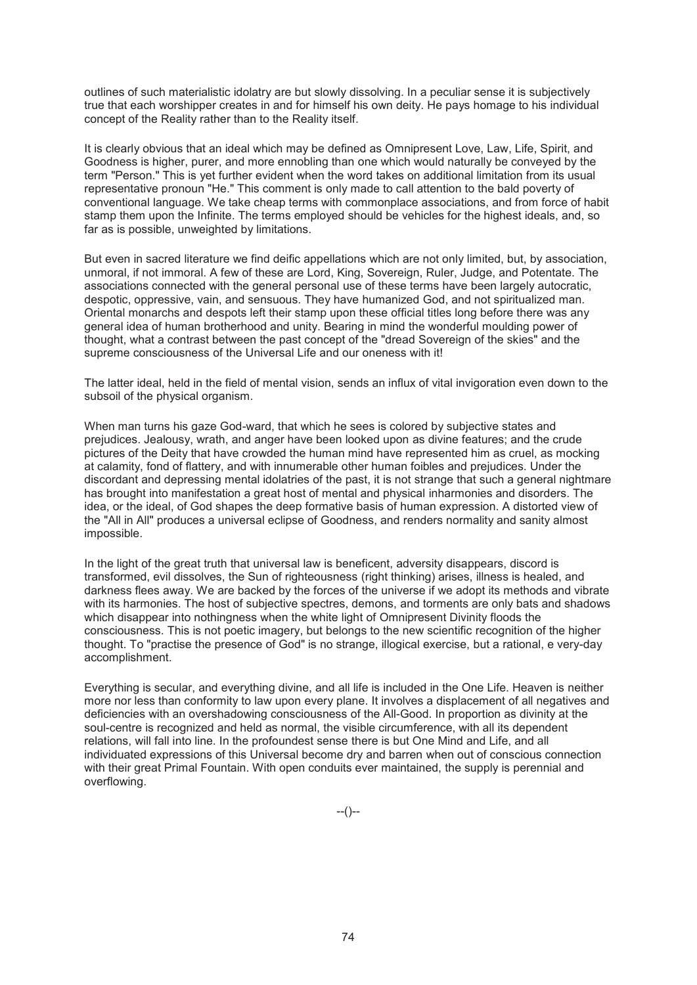outlines of such materialistic idolatry are but slowly dissolving. In a peculiar sense it is subjectively true that each worshipper creates in and for himself his own deity. He pays homage to his individual concept of the Reality rather than to the Reality itself.

It is clearly obvious that an ideal which may be defined as Omnipresent Love, Law, Life, Spirit, and Goodness is higher, purer, and more ennobling than one which would naturally be conveyed by the term "Person." This is yet further evident when the word takes on additional limitation from its usual representative pronoun "He." This comment is only made to call attention to the bald poverty of conventional language. We take cheap terms with commonplace associations, and from force of habit stamp them upon the Infinite. The terms employed should be vehicles for the highest ideals, and, so far as is possible, unweighted by limitations.

But even in sacred literature we find deific appellations which are not only limited, but, by association, unmoral, if not immoral. A few of these are Lord, King, Sovereign, Ruler, Judge, and Potentate. The associations connected with the general personal use of these terms have been largely autocratic, despotic, oppressive, vain, and sensuous. They have humanized God, and not spiritualized man. Oriental monarchs and despots left their stamp upon these official titles long before there was any general idea of human brotherhood and unity. Bearing in mind the wonderful moulding power of thought, what a contrast between the past concept of the "dread Sovereign of the skies" and the supreme consciousness of the Universal Life and our oneness with it!

The latter ideal, held in the field of mental vision, sends an influx of vital invigoration even down to the subsoil of the physical organism.

When man turns his gaze God-ward, that which he sees is colored by subjective states and prejudices. Jealousy, wrath, and anger have been looked upon as divine features; and the crude pictures of the Deity that have crowded the human mind have represented him as cruel, as mocking at calamity, fond of flattery, and with innumerable other human foibles and prejudices. Under the discordant and depressing mental idolatries of the past, it is not strange that such a general nightmare has brought into manifestation a great host of mental and physical inharmonies and disorders. The idea, or the ideal, of God shapes the deep formative basis of human expression. A distorted view of the "All in All" produces a universal eclipse of Goodness, and renders normality and sanity almost impossible.

In the light of the great truth that universal law is beneficent, adversity disappears, discord is transformed, evil dissolves, the Sun of righteousness (right thinking) arises, illness is healed, and darkness flees away. We are backed by the forces of the universe if we adopt its methods and vibrate with its harmonies. The host of subjective spectres, demons, and torments are only bats and shadows which disappear into nothingness when the white light of Omnipresent Divinity floods the consciousness. This is not poetic imagery, but belongs to the new scientific recognition of the higher thought. To "practise the presence of God" is no strange, illogical exercise, but a rational, e very-day accomplishment.

Everything is secular, and everything divine, and all life is included in the One Life. Heaven is neither more nor less than conformity to law upon every plane. It involves a displacement of all negatives and deficiencies with an overshadowing consciousness of the All-Good. In proportion as divinity at the soul-centre is recognized and held as normal, the visible circumference, with all its dependent relations, will fall into line. In the profoundest sense there is but One Mind and Life, and all individuated expressions of this Universal become dry and barren when out of conscious connection with their great Primal Fountain. With open conduits ever maintained, the supply is perennial and overflowing.

--()--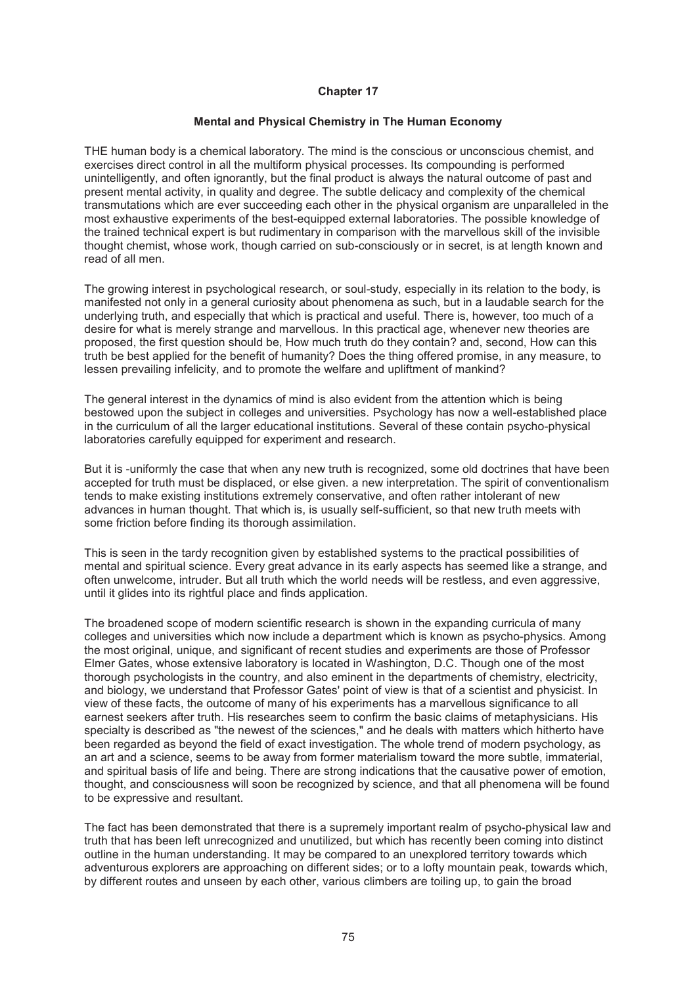## **Mental and Physical Chemistry in The Human Economy**

THE human body is a chemical laboratory. The mind is the conscious or unconscious chemist, and exercises direct control in all the multiform physical processes. Its compounding is performed unintelligently, and often ignorantly, but the final product is always the natural outcome of past and present mental activity, in quality and degree. The subtle delicacy and complexity of the chemical transmutations which are ever succeeding each other in the physical organism are unparalleled in the most exhaustive experiments of the best-equipped external laboratories. The possible knowledge of the trained technical expert is but rudimentary in comparison with the marvellous skill of the invisible thought chemist, whose work, though carried on sub-consciously or in secret, is at length known and read of all men.

The growing interest in psychological research, or soul-study, especially in its relation to the body, is manifested not only in a general curiosity about phenomena as such, but in a laudable search for the underlying truth, and especially that which is practical and useful. There is, however, too much of a desire for what is merely strange and marvellous. In this practical age, whenever new theories are proposed, the first question should be, How much truth do they contain? and, second, How can this truth be best applied for the benefit of humanity? Does the thing offered promise, in any measure, to lessen prevailing infelicity, and to promote the welfare and upliftment of mankind?

The general interest in the dynamics of mind is also evident from the attention which is being bestowed upon the subject in colleges and universities. Psychology has now a well-established place in the curriculum of all the larger educational institutions. Several of these contain psycho-physical laboratories carefully equipped for experiment and research.

But it is -uniformly the case that when any new truth is recognized, some old doctrines that have been accepted for truth must be displaced, or else given. a new interpretation. The spirit of conventionalism tends to make existing institutions extremely conservative, and often rather intolerant of new advances in human thought. That which is, is usually self-sufficient, so that new truth meets with some friction before finding its thorough assimilation.

This is seen in the tardy recognition given by established systems to the practical possibilities of mental and spiritual science. Every great advance in its early aspects has seemed like a strange, and often unwelcome, intruder. But all truth which the world needs will be restless, and even aggressive, until it glides into its rightful place and finds application.

The broadened scope of modern scientific research is shown in the expanding curricula of many colleges and universities which now include a department which is known as psycho-physics. Among the most original, unique, and significant of recent studies and experiments are those of Professor Elmer Gates, whose extensive laboratory is located in Washington, D.C. Though one of the most thorough psychologists in the country, and also eminent in the departments of chemistry, electricity, and biology, we understand that Professor Gates' point of view is that of a scientist and physicist. In view of these facts, the outcome of many of his experiments has a marvellous significance to all earnest seekers after truth. His researches seem to confirm the basic claims of metaphysicians. His specialty is described as "the newest of the sciences," and he deals with matters which hitherto have been regarded as beyond the field of exact investigation. The whole trend of modern psychology, as an art and a science, seems to be away from former materialism toward the more subtle, immaterial, and spiritual basis of life and being. There are strong indications that the causative power of emotion, thought, and consciousness will soon be recognized by science, and that all phenomena will be found to be expressive and resultant.

The fact has been demonstrated that there is a supremely important realm of psycho-physical law and truth that has been left unrecognized and unutilized, but which has recently been coming into distinct outline in the human understanding. It may be compared to an unexplored territory towards which adventurous explorers are approaching on different sides; or to a lofty mountain peak, towards which, by different routes and unseen by each other, various climbers are toiling up, to gain the broad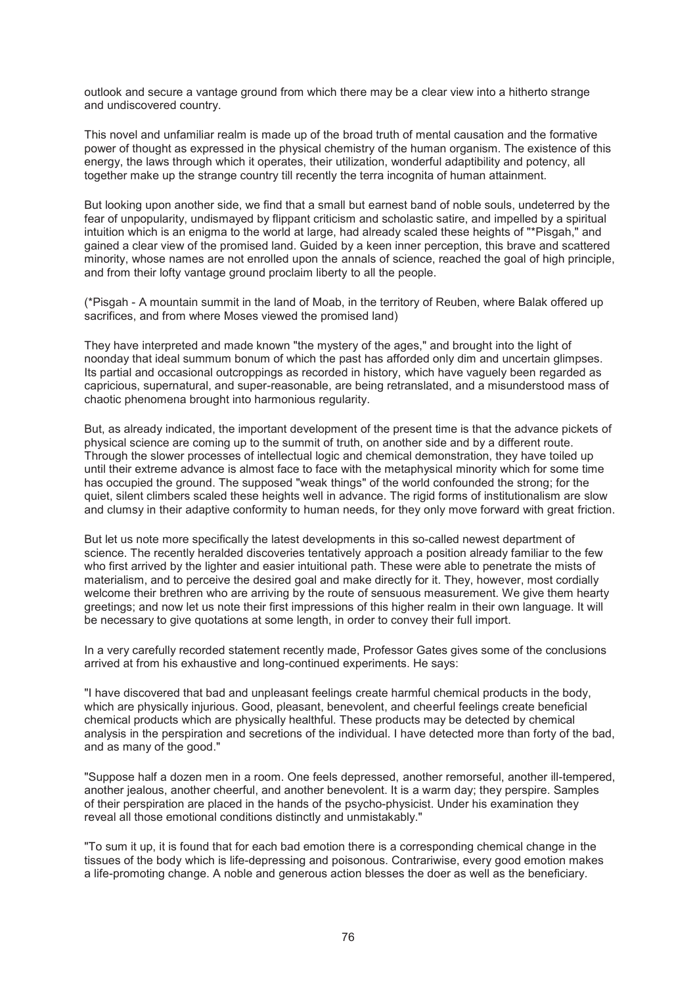outlook and secure a vantage ground from which there may be a clear view into a hitherto strange and undiscovered country.

This novel and unfamiliar realm is made up of the broad truth of mental causation and the formative power of thought as expressed in the physical chemistry of the human organism. The existence of this energy, the laws through which it operates, their utilization, wonderful adaptibility and potency, all together make up the strange country till recently the terra incognita of human attainment.

But looking upon another side, we find that a small but earnest band of noble souls, undeterred by the fear of unpopularity, undismayed by flippant criticism and scholastic satire, and impelled by a spiritual intuition which is an enigma to the world at large, had already scaled these heights of "\*Pisgah," and gained a clear view of the promised land. Guided by a keen inner perception, this brave and scattered minority, whose names are not enrolled upon the annals of science, reached the goal of high principle, and from their lofty vantage ground proclaim liberty to all the people.

(\*Pisgah - A mountain summit in the land of Moab, in the territory of Reuben, where Balak offered up sacrifices, and from where Moses viewed the promised land)

They have interpreted and made known "the mystery of the ages," and brought into the light of noonday that ideal summum bonum of which the past has afforded only dim and uncertain glimpses. Its partial and occasional outcroppings as recorded in history, which have vaguely been regarded as capricious, supernatural, and super-reasonable, are being retranslated, and a misunderstood mass of chaotic phenomena brought into harmonious regularity.

But, as already indicated, the important development of the present time is that the advance pickets of physical science are coming up to the summit of truth, on another side and by a different route. Through the slower processes of intellectual logic and chemical demonstration, they have toiled up until their extreme advance is almost face to face with the metaphysical minority which for some time has occupied the ground. The supposed "weak things" of the world confounded the strong; for the quiet, silent climbers scaled these heights well in advance. The rigid forms of institutionalism are slow and clumsy in their adaptive conformity to human needs, for they only move forward with great friction.

But let us note more specifically the latest developments in this so-called newest department of science. The recently heralded discoveries tentatively approach a position already familiar to the few who first arrived by the lighter and easier intuitional path. These were able to penetrate the mists of materialism, and to perceive the desired goal and make directly for it. They, however, most cordially welcome their brethren who are arriving by the route of sensuous measurement. We give them hearty greetings; and now let us note their first impressions of this higher realm in their own language. It will be necessary to give quotations at some length, in order to convey their full import.

In a very carefully recorded statement recently made, Professor Gates gives some of the conclusions arrived at from his exhaustive and long-continued experiments. He says:

"I have discovered that bad and unpleasant feelings create harmful chemical products in the body, which are physically injurious. Good, pleasant, benevolent, and cheerful feelings create beneficial chemical products which are physically healthful. These products may be detected by chemical analysis in the perspiration and secretions of the individual. I have detected more than forty of the bad, and as many of the good."

"Suppose half a dozen men in a room. One feels depressed, another remorseful, another ill-tempered, another jealous, another cheerful, and another benevolent. It is a warm day; they perspire. Samples of their perspiration are placed in the hands of the psycho-physicist. Under his examination they reveal all those emotional conditions distinctly and unmistakably."

"To sum it up, it is found that for each bad emotion there is a corresponding chemical change in the tissues of the body which is life-depressing and poisonous. Contrariwise, every good emotion makes a life-promoting change. A noble and generous action blesses the doer as well as the beneficiary.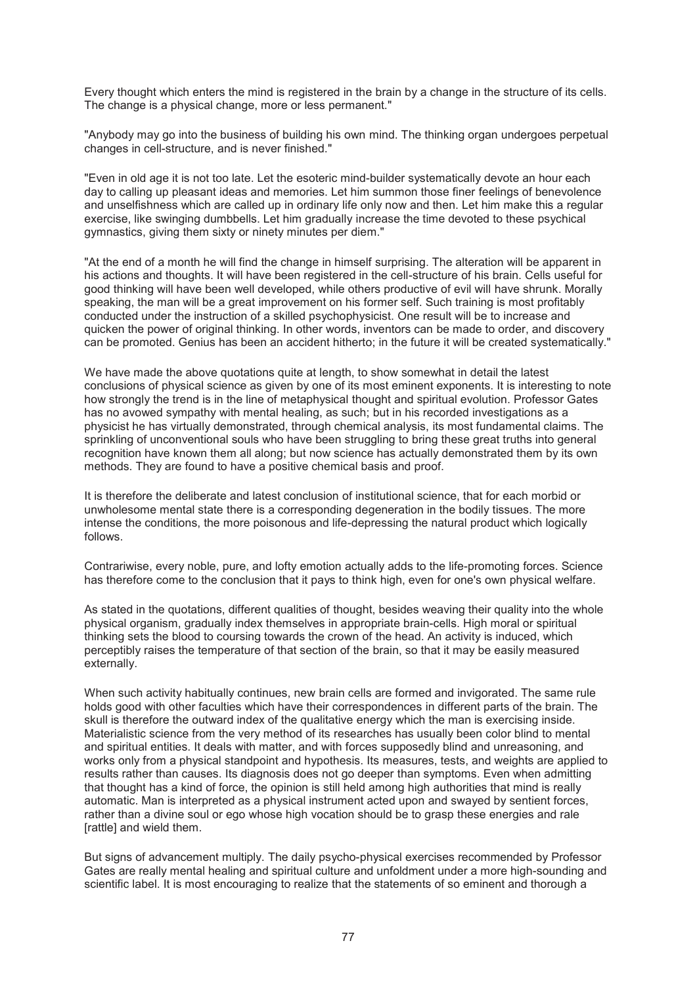Every thought which enters the mind is registered in the brain by a change in the structure of its cells. The change is a physical change, more or less permanent."

"Anybody may go into the business of building his own mind. The thinking organ undergoes perpetual changes in cell-structure, and is never finished."

"Even in old age it is not too late. Let the esoteric mind-builder systematically devote an hour each day to calling up pleasant ideas and memories. Let him summon those finer feelings of benevolence and unselfishness which are called up in ordinary life only now and then. Let him make this a regular exercise, like swinging dumbbells. Let him gradually increase the time devoted to these psychical gymnastics, giving them sixty or ninety minutes per diem."

"At the end of a month he will find the change in himself surprising. The alteration will be apparent in his actions and thoughts. It will have been registered in the cell-structure of his brain. Cells useful for good thinking will have been well developed, while others productive of evil will have shrunk. Morally speaking, the man will be a great improvement on his former self. Such training is most profitably conducted under the instruction of a skilled psychophysicist. One result will be to increase and quicken the power of original thinking. In other words, inventors can be made to order, and discovery can be promoted. Genius has been an accident hitherto; in the future it will be created systematically."

We have made the above quotations quite at length, to show somewhat in detail the latest conclusions of physical science as given by one of its most eminent exponents. It is interesting to note how strongly the trend is in the line of metaphysical thought and spiritual evolution. Professor Gates has no avowed sympathy with mental healing, as such; but in his recorded investigations as a physicist he has virtually demonstrated, through chemical analysis, its most fundamental claims. The sprinkling of unconventional souls who have been struggling to bring these great truths into general recognition have known them all along; but now science has actually demonstrated them by its own methods. They are found to have a positive chemical basis and proof.

It is therefore the deliberate and latest conclusion of institutional science, that for each morbid or unwholesome mental state there is a corresponding degeneration in the bodily tissues. The more intense the conditions, the more poisonous and life-depressing the natural product which logically follows.

Contrariwise, every noble, pure, and lofty emotion actually adds to the life-promoting forces. Science has therefore come to the conclusion that it pays to think high, even for one's own physical welfare.

As stated in the quotations, different qualities of thought, besides weaving their quality into the whole physical organism, gradually index themselves in appropriate brain-cells. High moral or spiritual thinking sets the blood to coursing towards the crown of the head. An activity is induced, which perceptibly raises the temperature of that section of the brain, so that it may be easily measured externally.

When such activity habitually continues, new brain cells are formed and invigorated. The same rule holds good with other faculties which have their correspondences in different parts of the brain. The skull is therefore the outward index of the qualitative energy which the man is exercising inside. Materialistic science from the very method of its researches has usually been color blind to mental and spiritual entities. It deals with matter, and with forces supposedly blind and unreasoning, and works only from a physical standpoint and hypothesis. Its measures, tests, and weights are applied to results rather than causes. Its diagnosis does not go deeper than symptoms. Even when admitting that thought has a kind of force, the opinion is still held among high authorities that mind is really automatic. Man is interpreted as a physical instrument acted upon and swayed by sentient forces, rather than a divine soul or ego whose high vocation should be to grasp these energies and rale [rattle] and wield them.

But signs of advancement multiply. The daily psycho-physical exercises recommended by Professor Gates are really mental healing and spiritual culture and unfoldment under a more high-sounding and scientific label. It is most encouraging to realize that the statements of so eminent and thorough a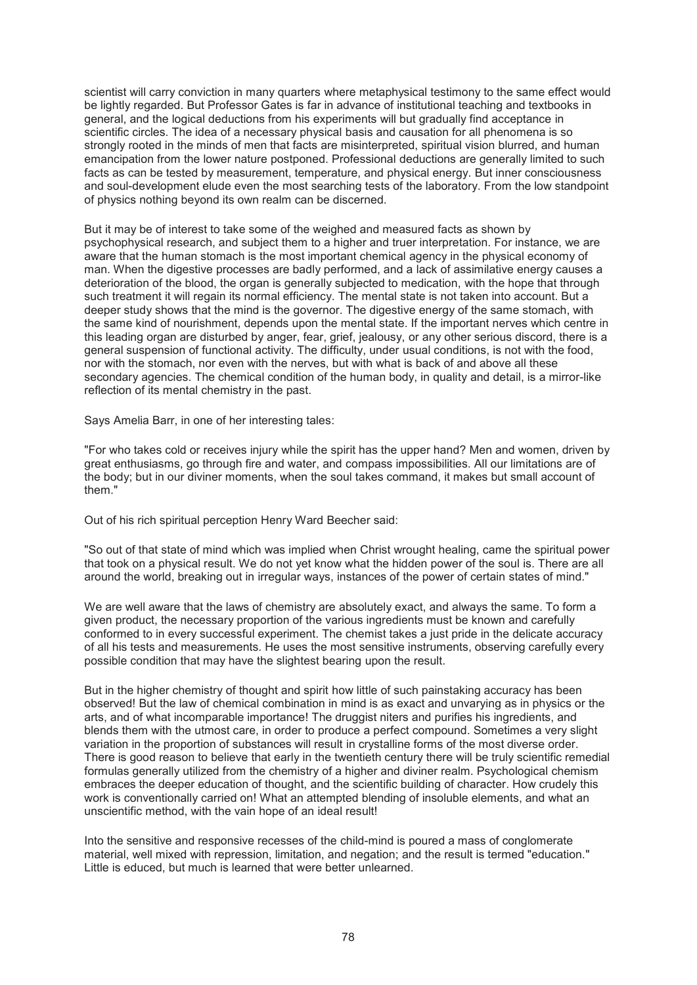scientist will carry conviction in many quarters where metaphysical testimony to the same effect would be lightly regarded. But Professor Gates is far in advance of institutional teaching and textbooks in general, and the logical deductions from his experiments will but gradually find acceptance in scientific circles. The idea of a necessary physical basis and causation for all phenomena is so strongly rooted in the minds of men that facts are misinterpreted, spiritual vision blurred, and human emancipation from the lower nature postponed. Professional deductions are generally limited to such facts as can be tested by measurement, temperature, and physical energy. But inner consciousness and soul-development elude even the most searching tests of the laboratory. From the low standpoint of physics nothing beyond its own realm can be discerned.

But it may be of interest to take some of the weighed and measured facts as shown by psychophysical research, and subject them to a higher and truer interpretation. For instance, we are aware that the human stomach is the most important chemical agency in the physical economy of man. When the digestive processes are badly performed, and a lack of assimilative energy causes a deterioration of the blood, the organ is generally subjected to medication, with the hope that through such treatment it will regain its normal efficiency. The mental state is not taken into account. But a deeper study shows that the mind is the governor. The digestive energy of the same stomach, with the same kind of nourishment, depends upon the mental state. If the important nerves which centre in this leading organ are disturbed by anger, fear, grief, jealousy, or any other serious discord, there is a general suspension of functional activity. The difficulty, under usual conditions, is not with the food, nor with the stomach, nor even with the nerves, but with what is back of and above all these secondary agencies. The chemical condition of the human body, in quality and detail, is a mirror-like reflection of its mental chemistry in the past.

Says Amelia Barr, in one of her interesting tales:

"For who takes cold or receives injury while the spirit has the upper hand? Men and women, driven by great enthusiasms, go through fire and water, and compass impossibilities. All our limitations are of the body; but in our diviner moments, when the soul takes command, it makes but small account of them."

Out of his rich spiritual perception Henry Ward Beecher said:

"So out of that state of mind which was implied when Christ wrought healing, came the spiritual power that took on a physical result. We do not yet know what the hidden power of the soul is. There are all around the world, breaking out in irregular ways, instances of the power of certain states of mind."

We are well aware that the laws of chemistry are absolutely exact, and always the same. To form a given product, the necessary proportion of the various ingredients must be known and carefully conformed to in every successful experiment. The chemist takes a just pride in the delicate accuracy of all his tests and measurements. He uses the most sensitive instruments, observing carefully every possible condition that may have the slightest bearing upon the result.

But in the higher chemistry of thought and spirit how little of such painstaking accuracy has been observed! But the law of chemical combination in mind is as exact and unvarying as in physics or the arts, and of what incomparable importance! The druggist niters and purifies his ingredients, and blends them with the utmost care, in order to produce a perfect compound. Sometimes a very slight variation in the proportion of substances will result in crystalline forms of the most diverse order. There is good reason to believe that early in the twentieth century there will be truly scientific remedial formulas generally utilized from the chemistry of a higher and diviner realm. Psychological chemism embraces the deeper education of thought, and the scientific building of character. How crudely this work is conventionally carried on! What an attempted blending of insoluble elements, and what an unscientific method, with the vain hope of an ideal result!

Into the sensitive and responsive recesses of the child-mind is poured a mass of conglomerate material, well mixed with repression, limitation, and negation; and the result is termed "education." Little is educed, but much is learned that were better unlearned.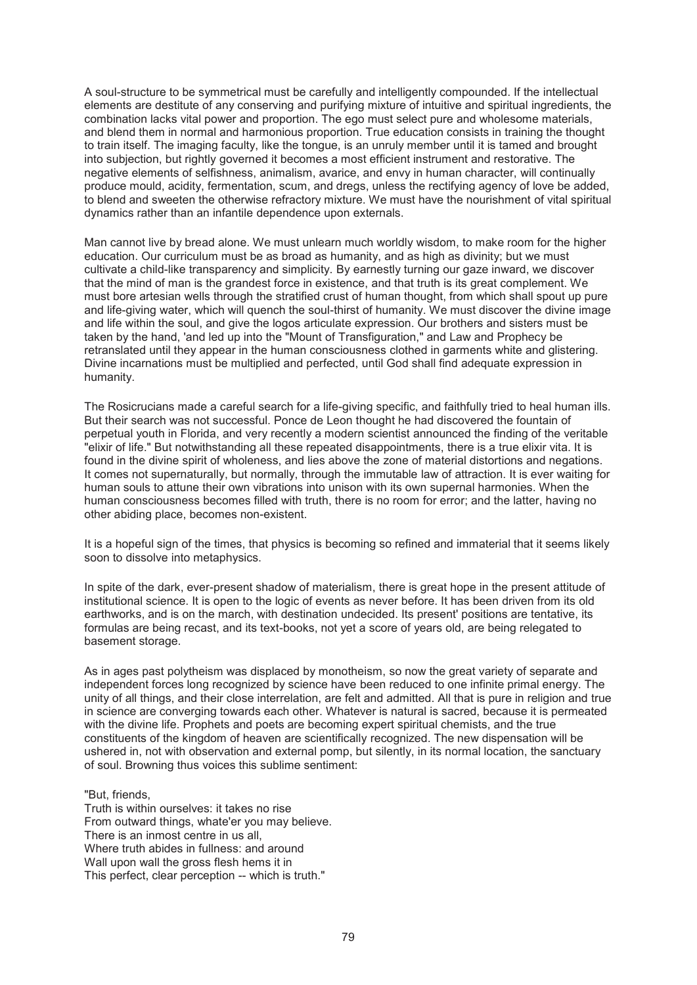A soul-structure to be symmetrical must be carefully and intelligently compounded. If the intellectual elements are destitute of any conserving and purifying mixture of intuitive and spiritual ingredients, the combination lacks vital power and proportion. The ego must select pure and wholesome materials, and blend them in normal and harmonious proportion. True education consists in training the thought to train itself. The imaging faculty, like the tongue, is an unruly member until it is tamed and brought into subjection, but rightly governed it becomes a most efficient instrument and restorative. The negative elements of selfishness, animalism, avarice, and envy in human character, will continually produce mould, acidity, fermentation, scum, and dregs, unless the rectifying agency of love be added, to blend and sweeten the otherwise refractory mixture. We must have the nourishment of vital spiritual dynamics rather than an infantile dependence upon externals.

Man cannot live by bread alone. We must unlearn much worldly wisdom, to make room for the higher education. Our curriculum must be as broad as humanity, and as high as divinity; but we must cultivate a child-like transparency and simplicity. By earnestly turning our gaze inward, we discover that the mind of man is the grandest force in existence, and that truth is its great complement. We must bore artesian wells through the stratified crust of human thought, from which shall spout up pure and life-giving water, which will quench the soul-thirst of humanity. We must discover the divine image and life within the soul, and give the logos articulate expression. Our brothers and sisters must be taken by the hand, 'and led up into the "Mount of Transfiguration," and Law and Prophecy be retranslated until they appear in the human consciousness clothed in garments white and glistering. Divine incarnations must be multiplied and perfected, until God shall find adequate expression in humanity.

The Rosicrucians made a careful search for a life-giving specific, and faithfully tried to heal human ills. But their search was not successful. Ponce de Leon thought he had discovered the fountain of perpetual youth in Florida, and very recently a modern scientist announced the finding of the veritable "elixir of life." But notwithstanding all these repeated disappointments, there is a true elixir vita. It is found in the divine spirit of wholeness, and lies above the zone of material distortions and negations. It comes not supernaturally, but normally, through the immutable law of attraction. It is ever waiting for human souls to attune their own vibrations into unison with its own supernal harmonies. When the human consciousness becomes filled with truth, there is no room for error; and the latter, having no other abiding place, becomes non-existent.

It is a hopeful sign of the times, that physics is becoming so refined and immaterial that it seems likely soon to dissolve into metaphysics.

In spite of the dark, ever-present shadow of materialism, there is great hope in the present attitude of institutional science. It is open to the logic of events as never before. It has been driven from its old earthworks, and is on the march, with destination undecided. Its present' positions are tentative, its formulas are being recast, and its text-books, not yet a score of years old, are being relegated to basement storage.

As in ages past polytheism was displaced by monotheism, so now the great variety of separate and independent forces long recognized by science have been reduced to one infinite primal energy. The unity of all things, and their close interrelation, are felt and admitted. All that is pure in religion and true in science are converging towards each other. Whatever is natural is sacred, because it is permeated with the divine life. Prophets and poets are becoming expert spiritual chemists, and the true constituents of the kingdom of heaven are scientifically recognized. The new dispensation will be ushered in, not with observation and external pomp, but silently, in its normal location, the sanctuary of soul. Browning thus voices this sublime sentiment:

#### "But, friends,

Truth is within ourselves: it takes no rise From outward things, whate'er you may believe. There is an inmost centre in us all, Where truth abides in fullness: and around Wall upon wall the gross flesh hems it in This perfect, clear perception -- which is truth."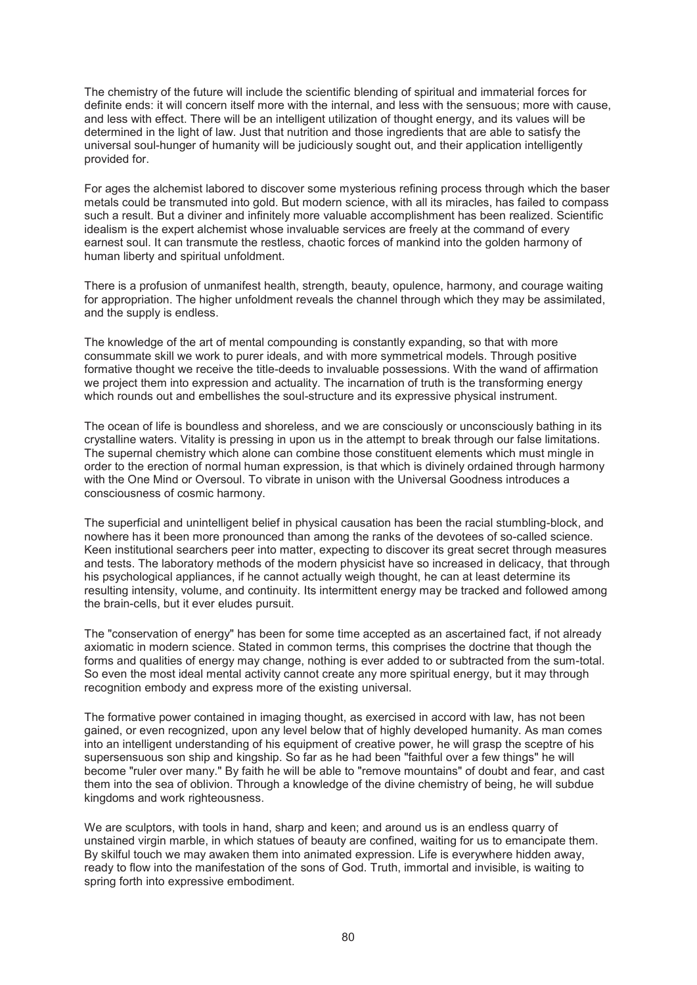The chemistry of the future will include the scientific blending of spiritual and immaterial forces for definite ends: it will concern itself more with the internal, and less with the sensuous; more with cause, and less with effect. There will be an intelligent utilization of thought energy, and its values will be determined in the light of law. Just that nutrition and those ingredients that are able to satisfy the universal soul-hunger of humanity will be judiciously sought out, and their application intelligently provided for.

For ages the alchemist labored to discover some mysterious refining process through which the baser metals could be transmuted into gold. But modern science, with all its miracles, has failed to compass such a result. But a diviner and infinitely more valuable accomplishment has been realized. Scientific idealism is the expert alchemist whose invaluable services are freely at the command of every earnest soul. It can transmute the restless, chaotic forces of mankind into the golden harmony of human liberty and spiritual unfoldment.

There is a profusion of unmanifest health, strength, beauty, opulence, harmony, and courage waiting for appropriation. The higher unfoldment reveals the channel through which they may be assimilated, and the supply is endless.

The knowledge of the art of mental compounding is constantly expanding, so that with more consummate skill we work to purer ideals, and with more symmetrical models. Through positive formative thought we receive the title-deeds to invaluable possessions. With the wand of affirmation we project them into expression and actuality. The incarnation of truth is the transforming energy which rounds out and embellishes the soul-structure and its expressive physical instrument.

The ocean of life is boundless and shoreless, and we are consciously or unconsciously bathing in its crystalline waters. Vitality is pressing in upon us in the attempt to break through our false limitations. The supernal chemistry which alone can combine those constituent elements which must mingle in order to the erection of normal human expression, is that which is divinely ordained through harmony with the One Mind or Oversoul. To vibrate in unison with the Universal Goodness introduces a consciousness of cosmic harmony.

The superficial and unintelligent belief in physical causation has been the racial stumbling-block, and nowhere has it been more pronounced than among the ranks of the devotees of so-called science. Keen institutional searchers peer into matter, expecting to discover its great secret through measures and tests. The laboratory methods of the modern physicist have so increased in delicacy, that through his psychological appliances, if he cannot actually weigh thought, he can at least determine its resulting intensity, volume, and continuity. Its intermittent energy may be tracked and followed among the brain-cells, but it ever eludes pursuit.

The "conservation of energy" has been for some time accepted as an ascertained fact, if not already axiomatic in modern science. Stated in common terms, this comprises the doctrine that though the forms and qualities of energy may change, nothing is ever added to or subtracted from the sum-total. So even the most ideal mental activity cannot create any more spiritual energy, but it may through recognition embody and express more of the existing universal.

The formative power contained in imaging thought, as exercised in accord with law, has not been gained, or even recognized, upon any level below that of highly developed humanity. As man comes into an intelligent understanding of his equipment of creative power, he will grasp the sceptre of his supersensuous son ship and kingship. So far as he had been "faithful over a few things" he will become "ruler over many." By faith he will be able to "remove mountains" of doubt and fear, and cast them into the sea of oblivion. Through a knowledge of the divine chemistry of being, he will subdue kingdoms and work righteousness.

We are sculptors, with tools in hand, sharp and keen; and around us is an endless quarry of unstained virgin marble, in which statues of beauty are confined, waiting for us to emancipate them. By skilful touch we may awaken them into animated expression. Life is everywhere hidden away, ready to flow into the manifestation of the sons of God. Truth, immortal and invisible, is waiting to spring forth into expressive embodiment.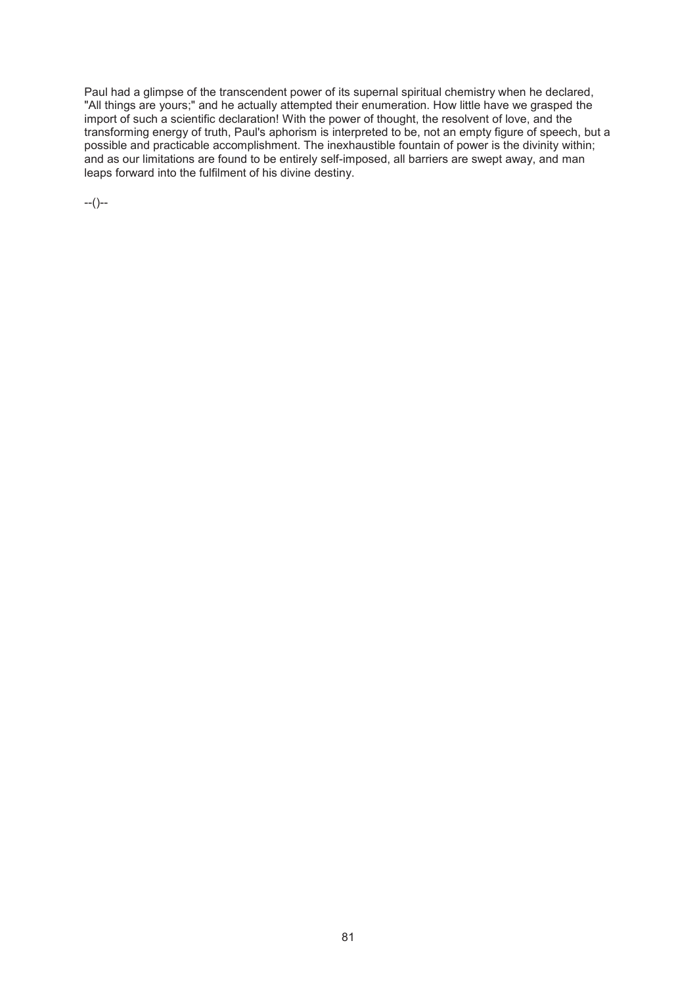Paul had a glimpse of the transcendent power of its supernal spiritual chemistry when he declared, "All things are yours;" and he actually attempted their enumeration. How little have we grasped the import of such a scientific declaration! With the power of thought, the resolvent of love, and the transforming energy of truth, Paul's aphorism is interpreted to be, not an empty figure of speech, but a possible and practicable accomplishment. The inexhaustible fountain of power is the divinity within; and as our limitations are found to be entirely self-imposed, all barriers are swept away, and man leaps forward into the fulfilment of his divine destiny.

--()--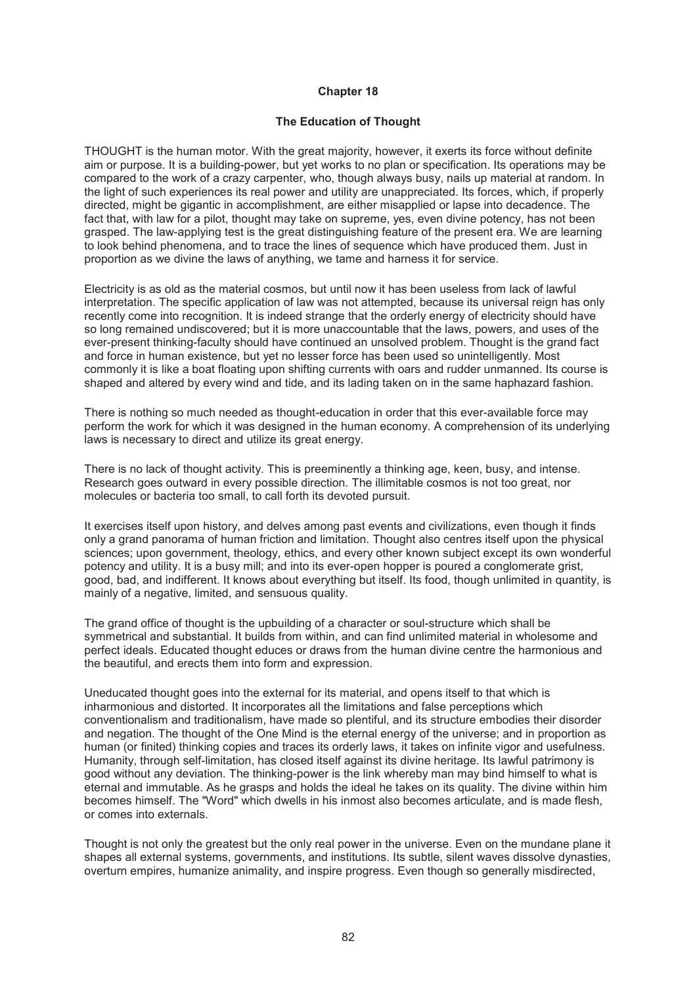## **The Education of Thought**

THOUGHT is the human motor. With the great majority, however, it exerts its force without definite aim or purpose. It is a building-power, but yet works to no plan or specification. Its operations may be compared to the work of a crazy carpenter, who, though always busy, nails up material at random. In the light of such experiences its real power and utility are unappreciated. Its forces, which, if properly directed, might be gigantic in accomplishment, are either misapplied or lapse into decadence. The fact that, with law for a pilot, thought may take on supreme, yes, even divine potency, has not been grasped. The law-applying test is the great distinguishing feature of the present era. We are learning to look behind phenomena, and to trace the lines of sequence which have produced them. Just in proportion as we divine the laws of anything, we tame and harness it for service.

Electricity is as old as the material cosmos, but until now it has been useless from lack of lawful interpretation. The specific application of law was not attempted, because its universal reign has only recently come into recognition. It is indeed strange that the orderly energy of electricity should have so long remained undiscovered; but it is more unaccountable that the laws, powers, and uses of the ever-present thinking-faculty should have continued an unsolved problem. Thought is the grand fact and force in human existence, but yet no lesser force has been used so unintelligently. Most commonly it is like a boat floating upon shifting currents with oars and rudder unmanned. Its course is shaped and altered by every wind and tide, and its lading taken on in the same haphazard fashion.

There is nothing so much needed as thought-education in order that this ever-available force may perform the work for which it was designed in the human economy. A comprehension of its underlying laws is necessary to direct and utilize its great energy.

There is no lack of thought activity. This is preeminently a thinking age, keen, busy, and intense. Research goes outward in every possible direction. The illimitable cosmos is not too great, nor molecules or bacteria too small, to call forth its devoted pursuit.

It exercises itself upon history, and delves among past events and civilizations, even though it finds only a grand panorama of human friction and limitation. Thought also centres itself upon the physical sciences; upon government, theology, ethics, and every other known subject except its own wonderful potency and utility. It is a busy mill; and into its ever-open hopper is poured a conglomerate grist, good, bad, and indifferent. It knows about everything but itself. Its food, though unlimited in quantity, is mainly of a negative, limited, and sensuous quality.

The grand office of thought is the upbuilding of a character or soul-structure which shall be symmetrical and substantial. It builds from within, and can find unlimited material in wholesome and perfect ideals. Educated thought educes or draws from the human divine centre the harmonious and the beautiful, and erects them into form and expression.

Uneducated thought goes into the external for its material, and opens itself to that which is inharmonious and distorted. It incorporates all the limitations and false perceptions which conventionalism and traditionalism, have made so plentiful, and its structure embodies their disorder and negation. The thought of the One Mind is the eternal energy of the universe; and in proportion as human (or finited) thinking copies and traces its orderly laws, it takes on infinite vigor and usefulness. Humanity, through self-limitation, has closed itself against its divine heritage. Its lawful patrimony is good without any deviation. The thinking-power is the link whereby man may bind himself to what is eternal and immutable. As he grasps and holds the ideal he takes on its quality. The divine within him becomes himself. The "Word" which dwells in his inmost also becomes articulate, and is made flesh, or comes into externals.

Thought is not only the greatest but the only real power in the universe. Even on the mundane plane it shapes all external systems, governments, and institutions. Its subtle, silent waves dissolve dynasties, overturn empires, humanize animality, and inspire progress. Even though so generally misdirected,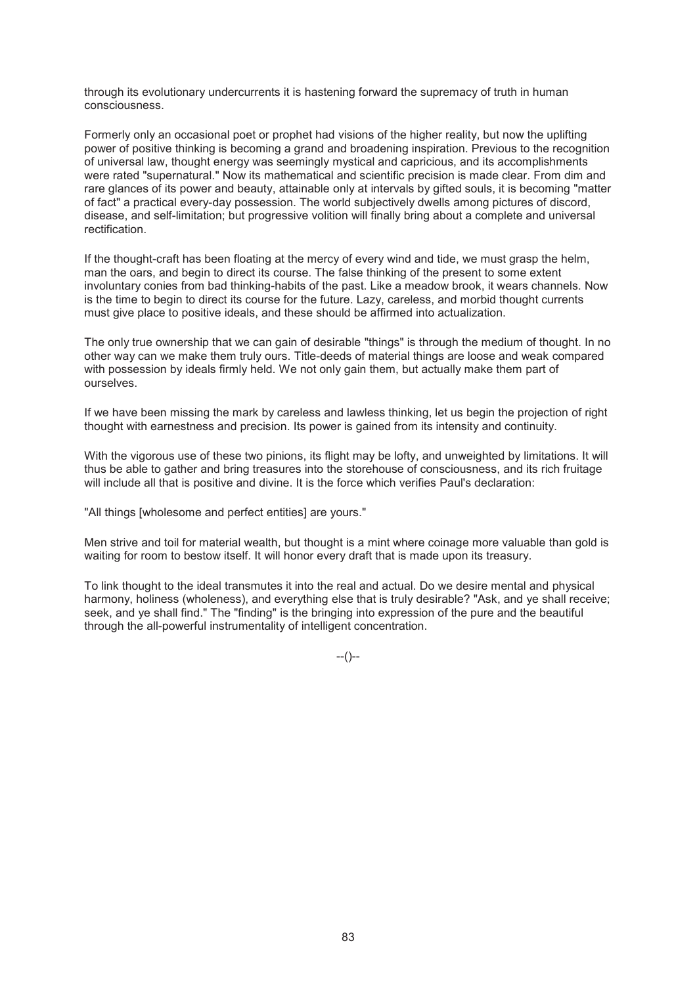through its evolutionary undercurrents it is hastening forward the supremacy of truth in human consciousness.

Formerly only an occasional poet or prophet had visions of the higher reality, but now the uplifting power of positive thinking is becoming a grand and broadening inspiration. Previous to the recognition of universal law, thought energy was seemingly mystical and capricious, and its accomplishments were rated "supernatural." Now its mathematical and scientific precision is made clear. From dim and rare glances of its power and beauty, attainable only at intervals by gifted souls, it is becoming "matter of fact" a practical every-day possession. The world subjectively dwells among pictures of discord, disease, and self-limitation; but progressive volition will finally bring about a complete and universal rectification.

If the thought-craft has been floating at the mercy of every wind and tide, we must grasp the helm, man the oars, and begin to direct its course. The false thinking of the present to some extent involuntary conies from bad thinking-habits of the past. Like a meadow brook, it wears channels. Now is the time to begin to direct its course for the future. Lazy, careless, and morbid thought currents must give place to positive ideals, and these should be affirmed into actualization.

The only true ownership that we can gain of desirable "things" is through the medium of thought. In no other way can we make them truly ours. Title-deeds of material things are loose and weak compared with possession by ideals firmly held. We not only gain them, but actually make them part of ourselves.

If we have been missing the mark by careless and lawless thinking, let us begin the projection of right thought with earnestness and precision. Its power is gained from its intensity and continuity.

With the vigorous use of these two pinions, its flight may be lofty, and unweighted by limitations. It will thus be able to gather and bring treasures into the storehouse of consciousness, and its rich fruitage will include all that is positive and divine. It is the force which verifies Paul's declaration:

"All things [wholesome and perfect entities] are yours."

Men strive and toil for material wealth, but thought is a mint where coinage more valuable than gold is waiting for room to bestow itself. It will honor every draft that is made upon its treasury.

To link thought to the ideal transmutes it into the real and actual. Do we desire mental and physical harmony, holiness (wholeness), and everything else that is truly desirable? "Ask, and ye shall receive; seek, and ye shall find." The "finding" is the bringing into expression of the pure and the beautiful through the all-powerful instrumentality of intelligent concentration.

 $-(-)$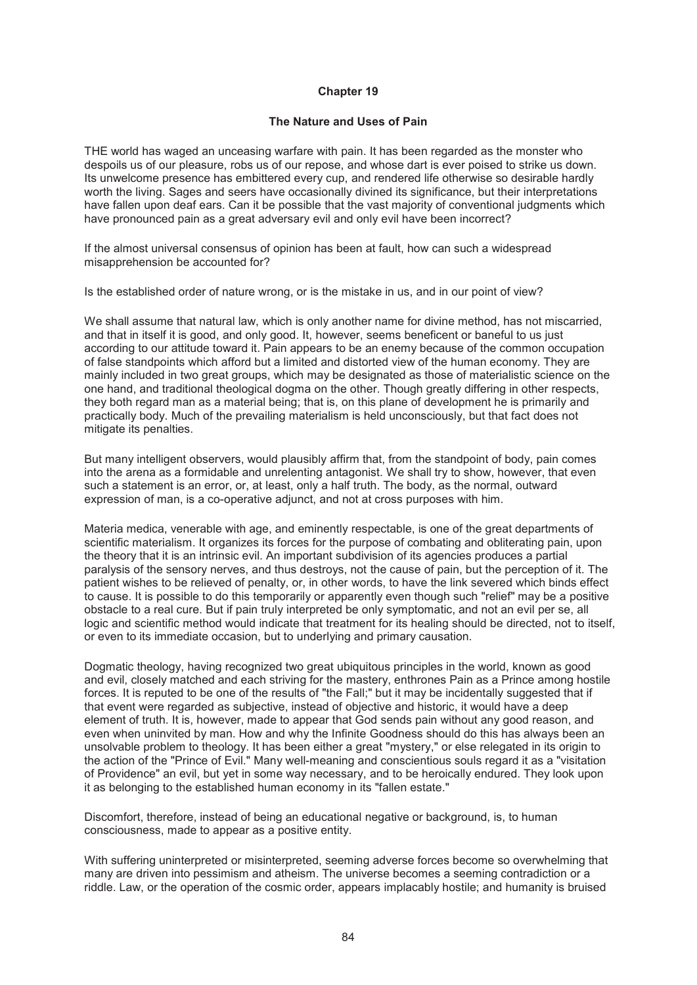#### **The Nature and Uses of Pain**

THE world has waged an unceasing warfare with pain. It has been regarded as the monster who despoils us of our pleasure, robs us of our repose, and whose dart is ever poised to strike us down. Its unwelcome presence has embittered every cup, and rendered life otherwise so desirable hardly worth the living. Sages and seers have occasionally divined its significance, but their interpretations have fallen upon deaf ears. Can it be possible that the vast majority of conventional judgments which have pronounced pain as a great adversary evil and only evil have been incorrect?

If the almost universal consensus of opinion has been at fault, how can such a widespread misapprehension be accounted for?

Is the established order of nature wrong, or is the mistake in us, and in our point of view?

We shall assume that natural law, which is only another name for divine method, has not miscarried, and that in itself it is good, and only good. It, however, seems beneficent or baneful to us just according to our attitude toward it. Pain appears to be an enemy because of the common occupation of false standpoints which afford but a limited and distorted view of the human economy. They are mainly included in two great groups, which may be designated as those of materialistic science on the one hand, and traditional theological dogma on the other. Though greatly differing in other respects, they both regard man as a material being; that is, on this plane of development he is primarily and practically body. Much of the prevailing materialism is held unconsciously, but that fact does not mitigate its penalties.

But many intelligent observers, would plausibly affirm that, from the standpoint of body, pain comes into the arena as a formidable and unrelenting antagonist. We shall try to show, however, that even such a statement is an error, or, at least, only a half truth. The body, as the normal, outward expression of man, is a co-operative adjunct, and not at cross purposes with him.

Materia medica, venerable with age, and eminently respectable, is one of the great departments of scientific materialism. It organizes its forces for the purpose of combating and obliterating pain, upon the theory that it is an intrinsic evil. An important subdivision of its agencies produces a partial paralysis of the sensory nerves, and thus destroys, not the cause of pain, but the perception of it. The patient wishes to be relieved of penalty, or, in other words, to have the link severed which binds effect to cause. It is possible to do this temporarily or apparently even though such "relief" may be a positive obstacle to a real cure. But if pain truly interpreted be only symptomatic, and not an evil per se, all logic and scientific method would indicate that treatment for its healing should be directed, not to itself, or even to its immediate occasion, but to underlying and primary causation.

Dogmatic theology, having recognized two great ubiquitous principles in the world, known as good and evil, closely matched and each striving for the mastery, enthrones Pain as a Prince among hostile forces. It is reputed to be one of the results of "the Fall;" but it may be incidentally suggested that if that event were regarded as subjective, instead of objective and historic, it would have a deep element of truth. It is, however, made to appear that God sends pain without any good reason, and even when uninvited by man. How and why the Infinite Goodness should do this has always been an unsolvable problem to theology. It has been either a great "mystery," or else relegated in its origin to the action of the "Prince of Evil." Many well-meaning and conscientious souls regard it as a "visitation of Providence" an evil, but yet in some way necessary, and to be heroically endured. They look upon it as belonging to the established human economy in its "fallen estate."

Discomfort, therefore, instead of being an educational negative or background, is, to human consciousness, made to appear as a positive entity.

With suffering uninterpreted or misinterpreted, seeming adverse forces become so overwhelming that many are driven into pessimism and atheism. The universe becomes a seeming contradiction or a riddle. Law, or the operation of the cosmic order, appears implacably hostile; and humanity is bruised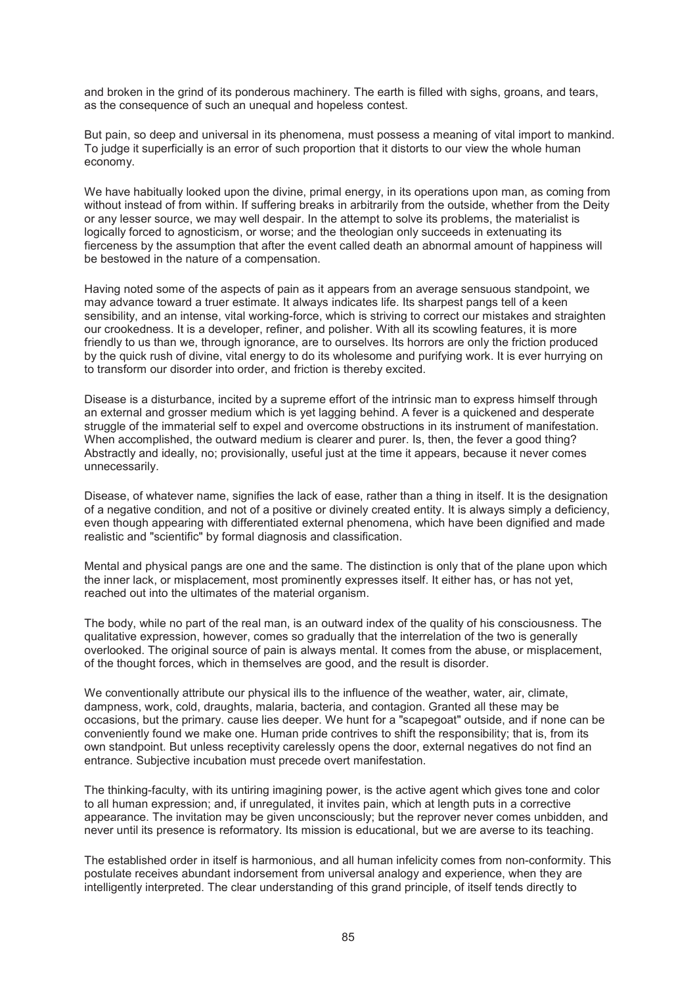and broken in the grind of its ponderous machinery. The earth is filled with sighs, groans, and tears, as the consequence of such an unequal and hopeless contest.

But pain, so deep and universal in its phenomena, must possess a meaning of vital import to mankind. To judge it superficially is an error of such proportion that it distorts to our view the whole human economy.

We have habitually looked upon the divine, primal energy, in its operations upon man, as coming from without instead of from within. If suffering breaks in arbitrarily from the outside, whether from the Deity or any lesser source, we may well despair. In the attempt to solve its problems, the materialist is logically forced to agnosticism, or worse; and the theologian only succeeds in extenuating its fierceness by the assumption that after the event called death an abnormal amount of happiness will be bestowed in the nature of a compensation.

Having noted some of the aspects of pain as it appears from an average sensuous standpoint, we may advance toward a truer estimate. It always indicates life. Its sharpest pangs tell of a keen sensibility, and an intense, vital working-force, which is striving to correct our mistakes and straighten our crookedness. It is a developer, refiner, and polisher. With all its scowling features, it is more friendly to us than we, through ignorance, are to ourselves. Its horrors are only the friction produced by the quick rush of divine, vital energy to do its wholesome and purifying work. It is ever hurrying on to transform our disorder into order, and friction is thereby excited.

Disease is a disturbance, incited by a supreme effort of the intrinsic man to express himself through an external and grosser medium which is yet lagging behind. A fever is a quickened and desperate struggle of the immaterial self to expel and overcome obstructions in its instrument of manifestation. When accomplished, the outward medium is clearer and purer. Is, then, the fever a good thing? Abstractly and ideally, no; provisionally, useful just at the time it appears, because it never comes unnecessarily.

Disease, of whatever name, signifies the lack of ease, rather than a thing in itself. It is the designation of a negative condition, and not of a positive or divinely created entity. It is always simply a deficiency, even though appearing with differentiated external phenomena, which have been dignified and made realistic and "scientific" by formal diagnosis and classification.

Mental and physical pangs are one and the same. The distinction is only that of the plane upon which the inner lack, or misplacement, most prominently expresses itself. It either has, or has not yet, reached out into the ultimates of the material organism.

The body, while no part of the real man, is an outward index of the quality of his consciousness. The qualitative expression, however, comes so gradually that the interrelation of the two is generally overlooked. The original source of pain is always mental. It comes from the abuse, or misplacement, of the thought forces, which in themselves are good, and the result is disorder.

We conventionally attribute our physical ills to the influence of the weather, water, air, climate, dampness, work, cold, draughts, malaria, bacteria, and contagion. Granted all these may be occasions, but the primary. cause lies deeper. We hunt for a "scapegoat" outside, and if none can be conveniently found we make one. Human pride contrives to shift the responsibility; that is, from its own standpoint. But unless receptivity carelessly opens the door, external negatives do not find an entrance. Subjective incubation must precede overt manifestation.

The thinking-faculty, with its untiring imagining power, is the active agent which gives tone and color to all human expression; and, if unregulated, it invites pain, which at length puts in a corrective appearance. The invitation may be given unconsciously; but the reprover never comes unbidden, and never until its presence is reformatory. Its mission is educational, but we are averse to its teaching.

The established order in itself is harmonious, and all human infelicity comes from non-conformity. This postulate receives abundant indorsement from universal analogy and experience, when they are intelligently interpreted. The clear understanding of this grand principle, of itself tends directly to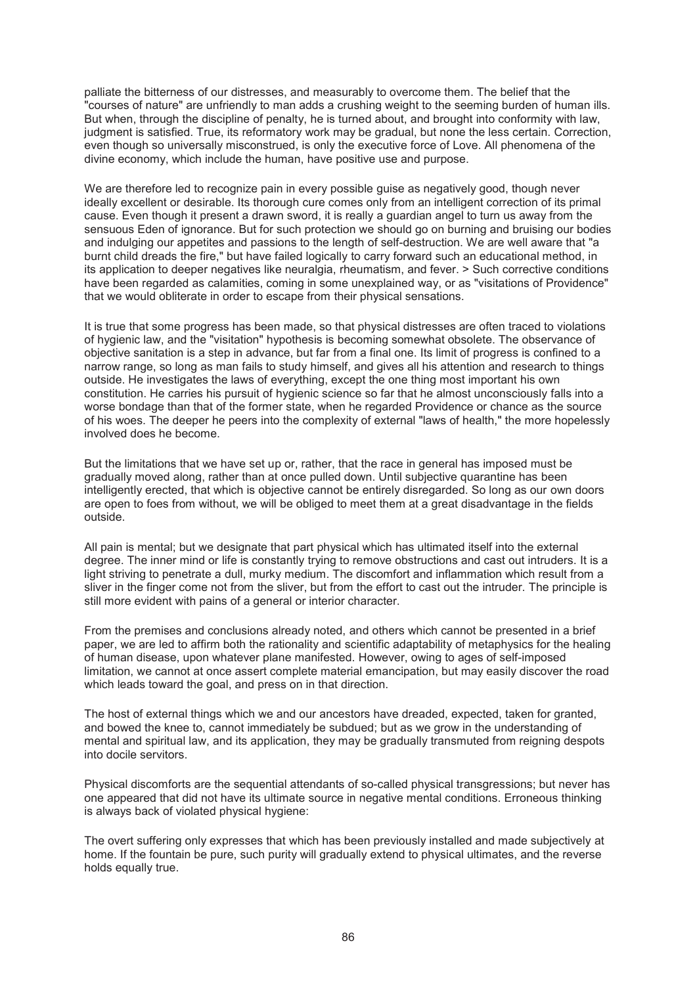palliate the bitterness of our distresses, and measurably to overcome them. The belief that the "courses of nature" are unfriendly to man adds a crushing weight to the seeming burden of human ills. But when, through the discipline of penalty, he is turned about, and brought into conformity with law, judgment is satisfied. True, its reformatory work may be gradual, but none the less certain. Correction, even though so universally misconstrued, is only the executive force of Love. All phenomena of the divine economy, which include the human, have positive use and purpose.

We are therefore led to recognize pain in every possible guise as negatively good, though never ideally excellent or desirable. Its thorough cure comes only from an intelligent correction of its primal cause. Even though it present a drawn sword, it is really a guardian angel to turn us away from the sensuous Eden of ignorance. But for such protection we should go on burning and bruising our bodies and indulging our appetites and passions to the length of self-destruction. We are well aware that "a burnt child dreads the fire," but have failed logically to carry forward such an educational method, in its application to deeper negatives like neuralgia, rheumatism, and fever. > Such corrective conditions have been regarded as calamities, coming in some unexplained way, or as "visitations of Providence" that we would obliterate in order to escape from their physical sensations.

It is true that some progress has been made, so that physical distresses are often traced to violations of hygienic law, and the "visitation" hypothesis is becoming somewhat obsolete. The observance of objective sanitation is a step in advance, but far from a final one. Its limit of progress is confined to a narrow range, so long as man fails to study himself, and gives all his attention and research to things outside. He investigates the laws of everything, except the one thing most important his own constitution. He carries his pursuit of hygienic science so far that he almost unconsciously falls into a worse bondage than that of the former state, when he regarded Providence or chance as the source of his woes. The deeper he peers into the complexity of external "laws of health," the more hopelessly involved does he become.

But the limitations that we have set up or, rather, that the race in general has imposed must be gradually moved along, rather than at once pulled down. Until subjective quarantine has been intelligently erected, that which is objective cannot be entirely disregarded. So long as our own doors are open to foes from without, we will be obliged to meet them at a great disadvantage in the fields outside.

All pain is mental; but we designate that part physical which has ultimated itself into the external degree. The inner mind or life is constantly trying to remove obstructions and cast out intruders. It is a light striving to penetrate a dull, murky medium. The discomfort and inflammation which result from a sliver in the finger come not from the sliver, but from the effort to cast out the intruder. The principle is still more evident with pains of a general or interior character.

From the premises and conclusions already noted, and others which cannot be presented in a brief paper, we are led to affirm both the rationality and scientific adaptability of metaphysics for the healing of human disease, upon whatever plane manifested. However, owing to ages of self-imposed limitation, we cannot at once assert complete material emancipation, but may easily discover the road which leads toward the goal, and press on in that direction.

The host of external things which we and our ancestors have dreaded, expected, taken for granted, and bowed the knee to, cannot immediately be subdued; but as we grow in the understanding of mental and spiritual law, and its application, they may be gradually transmuted from reigning despots into docile servitors.

Physical discomforts are the sequential attendants of so-called physical transgressions; but never has one appeared that did not have its ultimate source in negative mental conditions. Erroneous thinking is always back of violated physical hygiene:

The overt suffering only expresses that which has been previously installed and made subjectively at home. If the fountain be pure, such purity will gradually extend to physical ultimates, and the reverse holds equally true.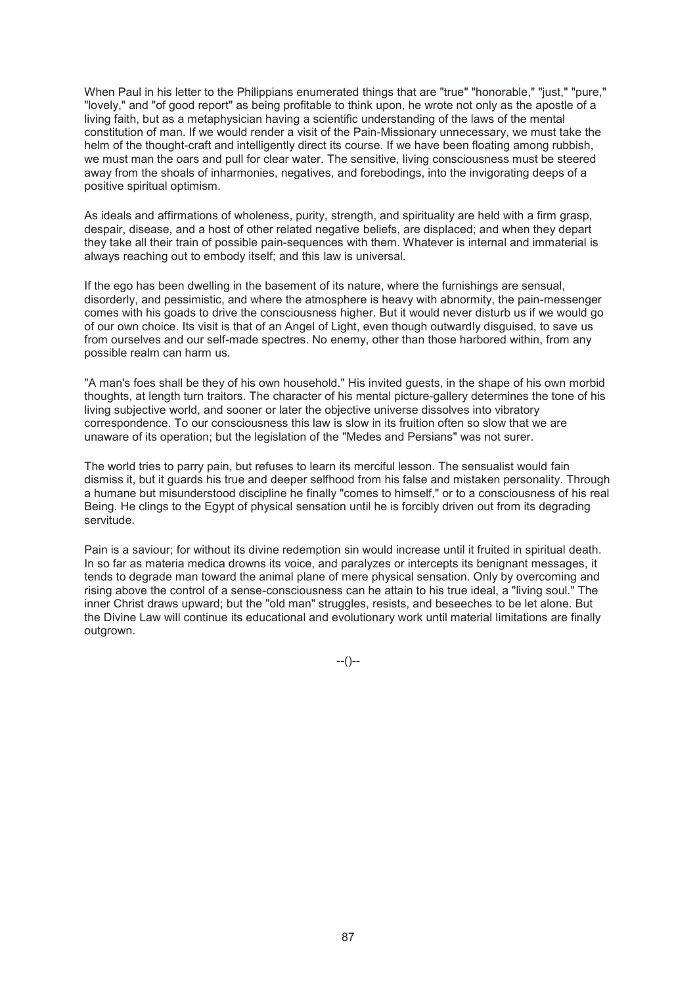When Paul in his letter to the Philippians enumerated things that are "true" "honorable," "just," "pure," "lovely," and "of good report" as being profitable to think upon, he wrote not only as the apostle of a living faith, but as a metaphysician having a scientific understanding of the laws of the mental constitution of man. If we would render a visit of the Pain-Missionary unnecessary, we must take the helm of the thought-craft and intelligently direct its course. If we have been floating among rubbish, we must man the oars and pull for clear water. The sensitive, living consciousness must be steered away from the shoals of inharmonies, negatives, and forebodings, into the invigorating deeps of a positive spiritual optimism.

As ideals and affirmations of wholeness, purity, strength, and spirituality are held with a firm grasp, despair, disease, and a host of other related negative beliefs, are displaced; and when they depart they take all their train of possible pain-sequences with them. Whatever is internal and immaterial is always reaching out to embody itself; and this law is universal.

If the ego has been dwelling in the basement of its nature, where the furnishings are sensual, disorderly, and pessimistic, and where the atmosphere is heavy with abnormity, the pain-messenger comes with his goads to drive the consciousness higher. But it would never disturb us if we would go of our own choice. Its visit is that of an Angel of Light, even though outwardly disguised, to save us from ourselves and our self-made spectres. No enemy, other than those harbored within, from any possible realm can harm us.

"A man's foes shall be they of his own household." His invited guests, in the shape of his own morbid thoughts, at length turn traitors. The character of his mental picture-gallery determines the tone of his living subjective world, and sooner or later the objective universe dissolves into vibratory correspondence. To our consciousness this law is slow in its fruition often so slow that we are unaware of its operation; but the legislation of the "Medes and Persians" was not surer.

The world tries to parry pain, but refuses to learn its merciful lesson. The sensualist would fain dismiss it, but it guards his true and deeper selfhood from his false and mistaken personality. Through a humane but misunderstood discipline he finally "comes to himself," or to a consciousness of his real Being. He clings to the Egypt of physical sensation until he is forcibly driven out from its degrading servitude.

Pain is a saviour; for without its divine redemption sin would increase until it fruited in spiritual death. In so far as materia medica drowns its voice, and paralyzes or intercepts its benignant messages, it tends to degrade man toward the animal plane of mere physical sensation. Only by overcoming and rising above the control of a sense-consciousness can he attain to his true ideal, a "living soul." The inner Christ draws upward; but the "old man" struggles, resists, and beseeches to be let alone. But the Divine Law will continue its educational and evolutionary work until material limitations are finally outgrown.

 $-(-)$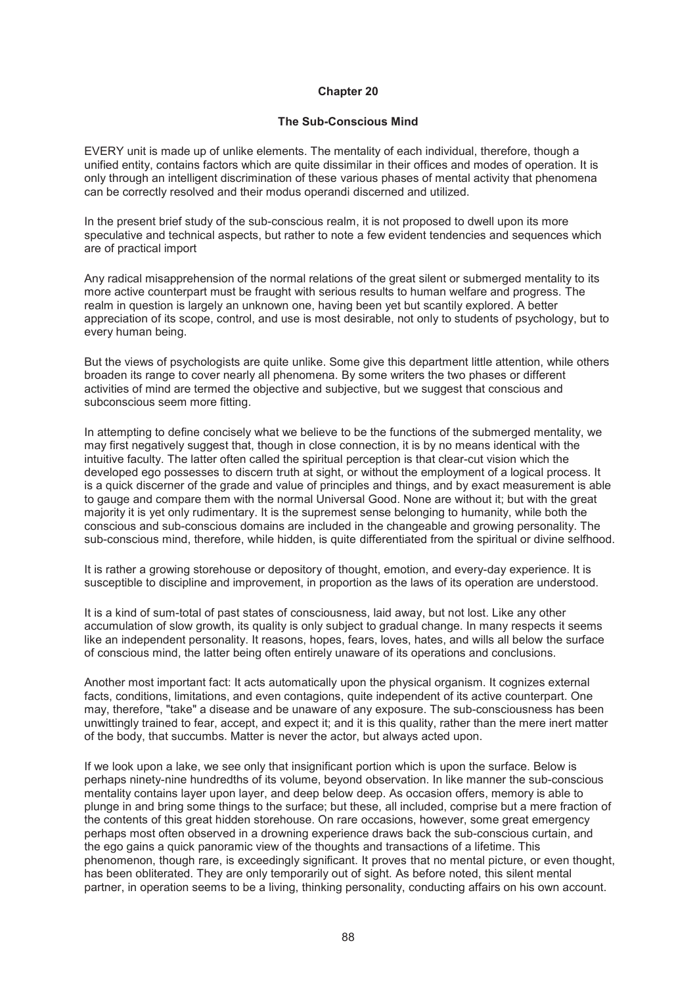#### **The Sub-Conscious Mind**

EVERY unit is made up of unlike elements. The mentality of each individual, therefore, though a unified entity, contains factors which are quite dissimilar in their offices and modes of operation. It is only through an intelligent discrimination of these various phases of mental activity that phenomena can be correctly resolved and their modus operandi discerned and utilized.

In the present brief study of the sub-conscious realm, it is not proposed to dwell upon its more speculative and technical aspects, but rather to note a few evident tendencies and sequences which are of practical import

Any radical misapprehension of the normal relations of the great silent or submerged mentality to its more active counterpart must be fraught with serious results to human welfare and progress. The realm in question is largely an unknown one, having been yet but scantily explored. A better appreciation of its scope, control, and use is most desirable, not only to students of psychology, but to every human being.

But the views of psychologists are quite unlike. Some give this department little attention, while others broaden its range to cover nearly all phenomena. By some writers the two phases or different activities of mind are termed the objective and subjective, but we suggest that conscious and subconscious seem more fitting.

In attempting to define concisely what we believe to be the functions of the submerged mentality, we may first negatively suggest that, though in close connection, it is by no means identical with the intuitive faculty. The latter often called the spiritual perception is that clear-cut vision which the developed ego possesses to discern truth at sight, or without the employment of a logical process. It is a quick discerner of the grade and value of principles and things, and by exact measurement is able to gauge and compare them with the normal Universal Good. None are without it; but with the great majority it is yet only rudimentary. It is the supremest sense belonging to humanity, while both the conscious and sub-conscious domains are included in the changeable and growing personality. The sub-conscious mind, therefore, while hidden, is quite differentiated from the spiritual or divine selfhood.

It is rather a growing storehouse or depository of thought, emotion, and every-day experience. It is susceptible to discipline and improvement, in proportion as the laws of its operation are understood.

It is a kind of sum-total of past states of consciousness, laid away, but not lost. Like any other accumulation of slow growth, its quality is only subject to gradual change. In many respects it seems like an independent personality. It reasons, hopes, fears, loves, hates, and wills all below the surface of conscious mind, the latter being often entirely unaware of its operations and conclusions.

Another most important fact: It acts automatically upon the physical organism. It cognizes external facts, conditions, limitations, and even contagions, quite independent of its active counterpart. One may, therefore, "take" a disease and be unaware of any exposure. The sub-consciousness has been unwittingly trained to fear, accept, and expect it; and it is this quality, rather than the mere inert matter of the body, that succumbs. Matter is never the actor, but always acted upon.

If we look upon a lake, we see only that insignificant portion which is upon the surface. Below is perhaps ninety-nine hundredths of its volume, beyond observation. In like manner the sub-conscious mentality contains layer upon layer, and deep below deep. As occasion offers, memory is able to plunge in and bring some things to the surface; but these, all included, comprise but a mere fraction of the contents of this great hidden storehouse. On rare occasions, however, some great emergency perhaps most often observed in a drowning experience draws back the sub-conscious curtain, and the ego gains a quick panoramic view of the thoughts and transactions of a lifetime. This phenomenon, though rare, is exceedingly significant. It proves that no mental picture, or even thought, has been obliterated. They are only temporarily out of sight. As before noted, this silent mental partner, in operation seems to be a living, thinking personality, conducting affairs on his own account.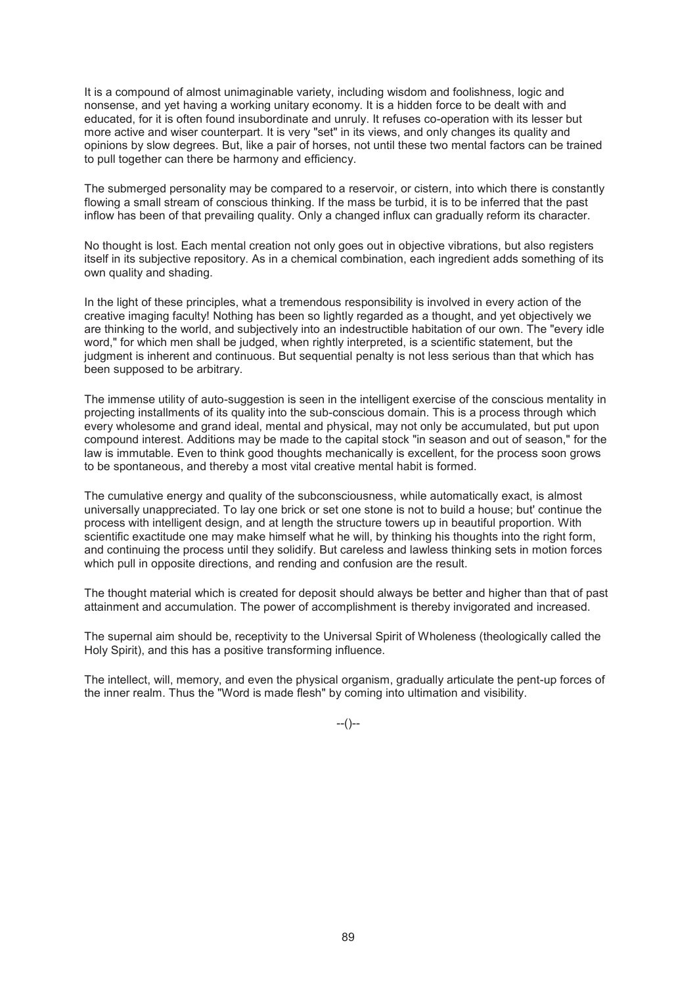It is a compound of almost unimaginable variety, including wisdom and foolishness, logic and nonsense, and yet having a working unitary economy. It is a hidden force to be dealt with and educated, for it is often found insubordinate and unruly. It refuses co-operation with its lesser but more active and wiser counterpart. It is very "set" in its views, and only changes its quality and opinions by slow degrees. But, like a pair of horses, not until these two mental factors can be trained to pull together can there be harmony and efficiency.

The submerged personality may be compared to a reservoir, or cistern, into which there is constantly flowing a small stream of conscious thinking. If the mass be turbid, it is to be inferred that the past inflow has been of that prevailing quality. Only a changed influx can gradually reform its character.

No thought is lost. Each mental creation not only goes out in objective vibrations, but also registers itself in its subjective repository. As in a chemical combination, each ingredient adds something of its own quality and shading.

In the light of these principles, what a tremendous responsibility is involved in every action of the creative imaging faculty! Nothing has been so lightly regarded as a thought, and yet objectively we are thinking to the world, and subjectively into an indestructible habitation of our own. The "every idle word," for which men shall be judged, when rightly interpreted, is a scientific statement, but the judgment is inherent and continuous. But sequential penalty is not less serious than that which has been supposed to be arbitrary.

The immense utility of auto-suggestion is seen in the intelligent exercise of the conscious mentality in projecting installments of its quality into the sub-conscious domain. This is a process through which every wholesome and grand ideal, mental and physical, may not only be accumulated, but put upon compound interest. Additions may be made to the capital stock "in season and out of season," for the law is immutable. Even to think good thoughts mechanically is excellent, for the process soon grows to be spontaneous, and thereby a most vital creative mental habit is formed.

The cumulative energy and quality of the subconsciousness, while automatically exact, is almost universally unappreciated. To lay one brick or set one stone is not to build a house; but' continue the process with intelligent design, and at length the structure towers up in beautiful proportion. With scientific exactitude one may make himself what he will, by thinking his thoughts into the right form, and continuing the process until they solidify. But careless and lawless thinking sets in motion forces which pull in opposite directions, and rending and confusion are the result.

The thought material which is created for deposit should always be better and higher than that of past attainment and accumulation. The power of accomplishment is thereby invigorated and increased.

The supernal aim should be, receptivity to the Universal Spirit of Wholeness (theologically called the Holy Spirit), and this has a positive transforming influence.

The intellect, will, memory, and even the physical organism, gradually articulate the pent-up forces of the inner realm. Thus the "Word is made flesh" by coming into ultimation and visibility.

--()--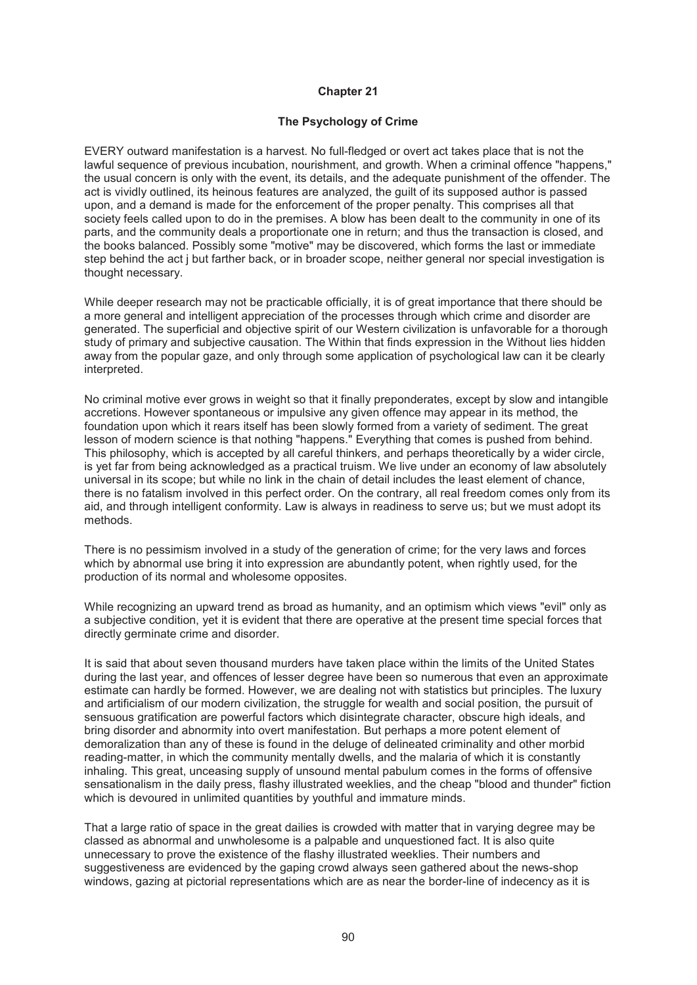#### **The Psychology of Crime**

EVERY outward manifestation is a harvest. No full-fledged or overt act takes place that is not the lawful sequence of previous incubation, nourishment, and growth. When a criminal offence "happens," the usual concern is only with the event, its details, and the adequate punishment of the offender. The act is vividly outlined, its heinous features are analyzed, the guilt of its supposed author is passed upon, and a demand is made for the enforcement of the proper penalty. This comprises all that society feels called upon to do in the premises. A blow has been dealt to the community in one of its parts, and the community deals a proportionate one in return; and thus the transaction is closed, and the books balanced. Possibly some "motive" may be discovered, which forms the last or immediate step behind the act j but farther back, or in broader scope, neither general nor special investigation is thought necessary.

While deeper research may not be practicable officially, it is of great importance that there should be a more general and intelligent appreciation of the processes through which crime and disorder are generated. The superficial and objective spirit of our Western civilization is unfavorable for a thorough study of primary and subjective causation. The Within that finds expression in the Without lies hidden away from the popular gaze, and only through some application of psychological law can it be clearly interpreted.

No criminal motive ever grows in weight so that it finally preponderates, except by slow and intangible accretions. However spontaneous or impulsive any given offence may appear in its method, the foundation upon which it rears itself has been slowly formed from a variety of sediment. The great lesson of modern science is that nothing "happens." Everything that comes is pushed from behind. This philosophy, which is accepted by all careful thinkers, and perhaps theoretically by a wider circle, is yet far from being acknowledged as a practical truism. We live under an economy of law absolutely universal in its scope; but while no link in the chain of detail includes the least element of chance, there is no fatalism involved in this perfect order. On the contrary, all real freedom comes only from its aid, and through intelligent conformity. Law is always in readiness to serve us; but we must adopt its methods.

There is no pessimism involved in a study of the generation of crime; for the very laws and forces which by abnormal use bring it into expression are abundantly potent, when rightly used, for the production of its normal and wholesome opposites.

While recognizing an upward trend as broad as humanity, and an optimism which views "evil" only as a subjective condition, yet it is evident that there are operative at the present time special forces that directly germinate crime and disorder.

It is said that about seven thousand murders have taken place within the limits of the United States during the last year, and offences of lesser degree have been so numerous that even an approximate estimate can hardly be formed. However, we are dealing not with statistics but principles. The luxury and artificialism of our modern civilization, the struggle for wealth and social position, the pursuit of sensuous gratification are powerful factors which disintegrate character, obscure high ideals, and bring disorder and abnormity into overt manifestation. But perhaps a more potent element of demoralization than any of these is found in the deluge of delineated criminality and other morbid reading-matter, in which the community mentally dwells, and the malaria of which it is constantly inhaling. This great, unceasing supply of unsound mental pabulum comes in the forms of offensive sensationalism in the daily press, flashy illustrated weeklies, and the cheap "blood and thunder" fiction which is devoured in unlimited quantities by youthful and immature minds.

That a large ratio of space in the great dailies is crowded with matter that in varying degree may be classed as abnormal and unwholesome is a palpable and unquestioned fact. It is also quite unnecessary to prove the existence of the flashy illustrated weeklies. Their numbers and suggestiveness are evidenced by the gaping crowd always seen gathered about the news-shop windows, gazing at pictorial representations which are as near the border-line of indecency as it is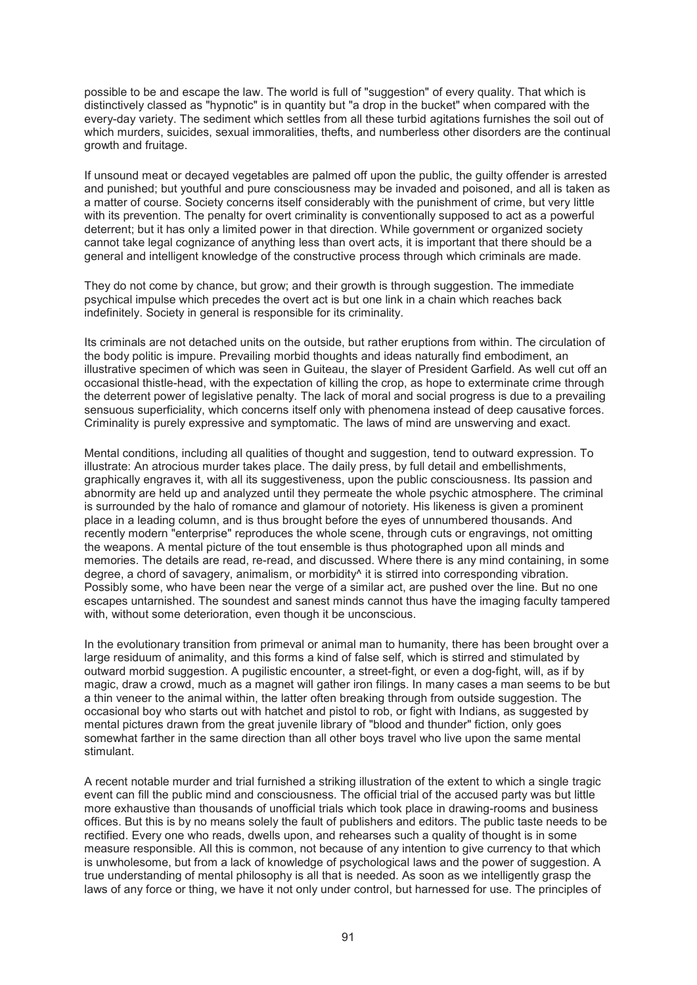possible to be and escape the law. The world is full of "suggestion" of every quality. That which is distinctively classed as "hypnotic" is in quantity but "a drop in the bucket" when compared with the every-day variety. The sediment which settles from all these turbid agitations furnishes the soil out of which murders, suicides, sexual immoralities, thefts, and numberless other disorders are the continual growth and fruitage.

If unsound meat or decayed vegetables are palmed off upon the public, the guilty offender is arrested and punished; but youthful and pure consciousness may be invaded and poisoned, and all is taken as a matter of course. Society concerns itself considerably with the punishment of crime, but very little with its prevention. The penalty for overt criminality is conventionally supposed to act as a powerful deterrent; but it has only a limited power in that direction. While government or organized society cannot take legal cognizance of anything less than overt acts, it is important that there should be a general and intelligent knowledge of the constructive process through which criminals are made.

They do not come by chance, but grow; and their growth is through suggestion. The immediate psychical impulse which precedes the overt act is but one link in a chain which reaches back indefinitely. Society in general is responsible for its criminality.

Its criminals are not detached units on the outside, but rather eruptions from within. The circulation of the body politic is impure. Prevailing morbid thoughts and ideas naturally find embodiment, an illustrative specimen of which was seen in Guiteau, the slayer of President Garfield. As well cut off an occasional thistle-head, with the expectation of killing the crop, as hope to exterminate crime through the deterrent power of legislative penalty. The lack of moral and social progress is due to a prevailing sensuous superficiality, which concerns itself only with phenomena instead of deep causative forces. Criminality is purely expressive and symptomatic. The laws of mind are unswerving and exact.

Mental conditions, including all qualities of thought and suggestion, tend to outward expression. To illustrate: An atrocious murder takes place. The daily press, by full detail and embellishments, graphically engraves it, with all its suggestiveness, upon the public consciousness. Its passion and abnormity are held up and analyzed until they permeate the whole psychic atmosphere. The criminal is surrounded by the halo of romance and glamour of notoriety. His likeness is given a prominent place in a leading column, and is thus brought before the eyes of unnumbered thousands. And recently modern "enterprise" reproduces the whole scene, through cuts or engravings, not omitting the weapons. A mental picture of the tout ensemble is thus photographed upon all minds and memories. The details are read, re-read, and discussed. Where there is any mind containing, in some degree, a chord of savagery, animalism, or morbidity^ it is stirred into corresponding vibration. Possibly some, who have been near the verge of a similar act, are pushed over the line. But no one escapes untarnished. The soundest and sanest minds cannot thus have the imaging faculty tampered with, without some deterioration, even though it be unconscious.

In the evolutionary transition from primeval or animal man to humanity, there has been brought over a large residuum of animality, and this forms a kind of false self, which is stirred and stimulated by outward morbid suggestion. A pugilistic encounter, a street-fight, or even a dog-fight, will, as if by magic, draw a crowd, much as a magnet will gather iron filings. In many cases a man seems to be but a thin veneer to the animal within, the latter often breaking through from outside suggestion. The occasional boy who starts out with hatchet and pistol to rob, or fight with Indians, as suggested by mental pictures drawn from the great juvenile library of "blood and thunder" fiction, only goes somewhat farther in the same direction than all other boys travel who live upon the same mental stimulant.

A recent notable murder and trial furnished a striking illustration of the extent to which a single tragic event can fill the public mind and consciousness. The official trial of the accused party was but little more exhaustive than thousands of unofficial trials which took place in drawing-rooms and business offices. But this is by no means solely the fault of publishers and editors. The public taste needs to be rectified. Every one who reads, dwells upon, and rehearses such a quality of thought is in some measure responsible. All this is common, not because of any intention to give currency to that which is unwholesome, but from a lack of knowledge of psychological laws and the power of suggestion. A true understanding of mental philosophy is all that is needed. As soon as we intelligently grasp the laws of any force or thing, we have it not only under control, but harnessed for use. The principles of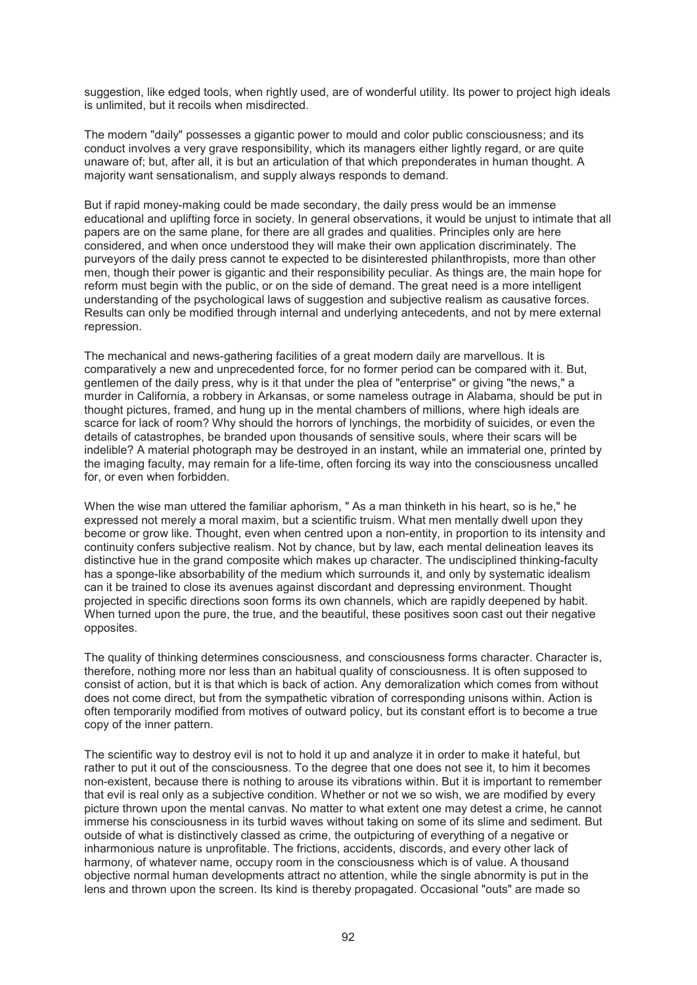suggestion, like edged tools, when rightly used, are of wonderful utility. Its power to project high ideals is unlimited, but it recoils when misdirected.

The modern "daily" possesses a gigantic power to mould and color public consciousness; and its conduct involves a very grave responsibility, which its managers either lightly regard, or are quite unaware of; but, after all, it is but an articulation of that which preponderates in human thought. A majority want sensationalism, and supply always responds to demand.

But if rapid money-making could be made secondary, the daily press would be an immense educational and uplifting force in society. In general observations, it would be unjust to intimate that all papers are on the same plane, for there are all grades and qualities. Principles only are here considered, and when once understood they will make their own application discriminately. The purveyors of the daily press cannot te expected to be disinterested philanthropists, more than other men, though their power is gigantic and their responsibility peculiar. As things are, the main hope for reform must begin with the public, or on the side of demand. The great need is a more intelligent understanding of the psychological laws of suggestion and subjective realism as causative forces. Results can only be modified through internal and underlying antecedents, and not by mere external repression.

The mechanical and news-gathering facilities of a great modern daily are marvellous. It is comparatively a new and unprecedented force, for no former period can be compared with it. But, gentlemen of the daily press, why is it that under the plea of "enterprise" or giving "the news," a murder in California, a robbery in Arkansas, or some nameless outrage in Alabama, should be put in thought pictures, framed, and hung up in the mental chambers of millions, where high ideals are scarce for lack of room? Why should the horrors of lynchings, the morbidity of suicides, or even the details of catastrophes, be branded upon thousands of sensitive souls, where their scars will be indelible? A material photograph may be destroyed in an instant, while an immaterial one, printed by the imaging faculty, may remain for a life-time, often forcing its way into the consciousness uncalled for, or even when forbidden.

When the wise man uttered the familiar aphorism, " As a man thinketh in his heart, so is he," he expressed not merely a moral maxim, but a scientific truism. What men mentally dwell upon they become or grow like. Thought, even when centred upon a non-entity, in proportion to its intensity and continuity confers subjective realism. Not by chance, but by law, each mental delineation leaves its distinctive hue in the grand composite which makes up character. The undisciplined thinking-faculty has a sponge-like absorbability of the medium which surrounds it, and only by systematic idealism can it be trained to close its avenues against discordant and depressing environment. Thought projected in specific directions soon forms its own channels, which are rapidly deepened by habit. When turned upon the pure, the true, and the beautiful, these positives soon cast out their negative opposites.

The quality of thinking determines consciousness, and consciousness forms character. Character is, therefore, nothing more nor less than an habitual quality of consciousness. It is often supposed to consist of action, but it is that which is back of action. Any demoralization which comes from without does not come direct, but from the sympathetic vibration of corresponding unisons within. Action is often temporarily modified from motives of outward policy, but its constant effort is to become a true copy of the inner pattern.

The scientific way to destroy evil is not to hold it up and analyze it in order to make it hateful, but rather to put it out of the consciousness. To the degree that one does not see it, to him it becomes non-existent, because there is nothing to arouse its vibrations within. But it is important to remember that evil is real only as a subjective condition. Whether or not we so wish, we are modified by every picture thrown upon the mental canvas. No matter to what extent one may detest a crime, he cannot immerse his consciousness in its turbid waves without taking on some of its slime and sediment. But outside of what is distinctively classed as crime, the outpicturing of everything of a negative or inharmonious nature is unprofitable. The frictions, accidents, discords, and every other lack of harmony, of whatever name, occupy room in the consciousness which is of value. A thousand objective normal human developments attract no attention, while the single abnormity is put in the lens and thrown upon the screen. Its kind is thereby propagated. Occasional "outs" are made so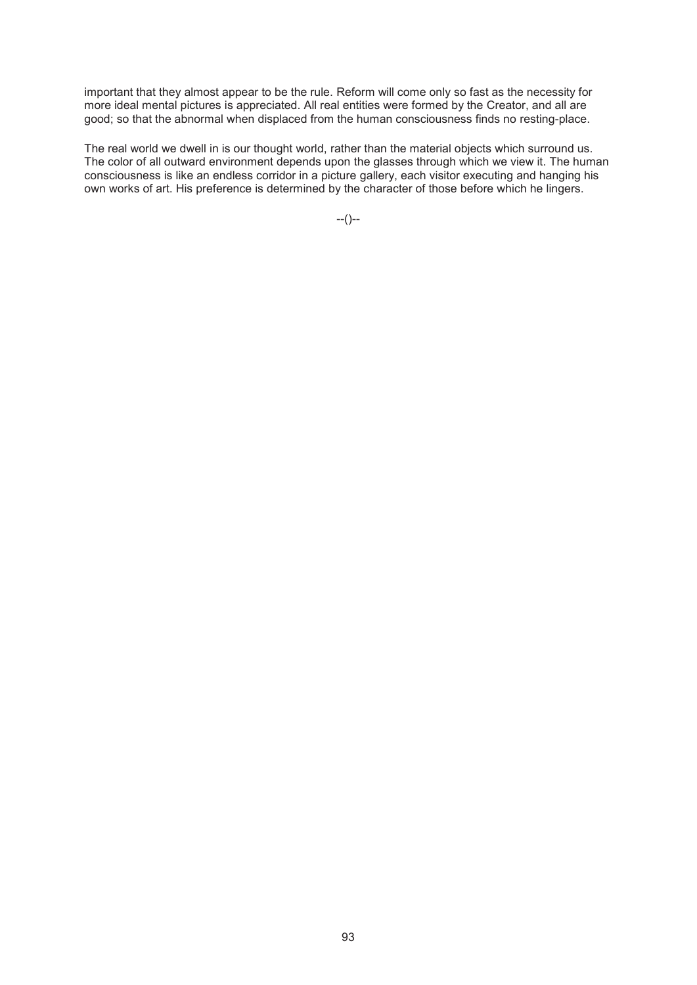important that they almost appear to be the rule. Reform will come only so fast as the necessity for more ideal mental pictures is appreciated. All real entities were formed by the Creator, and all are good; so that the abnormal when displaced from the human consciousness finds no resting-place.

The real world we dwell in is our thought world, rather than the material objects which surround us. The color of all outward environment depends upon the glasses through which we view it. The human consciousness is like an endless corridor in a picture gallery, each visitor executing and hanging his own works of art. His preference is determined by the character of those before which he lingers.

--()--